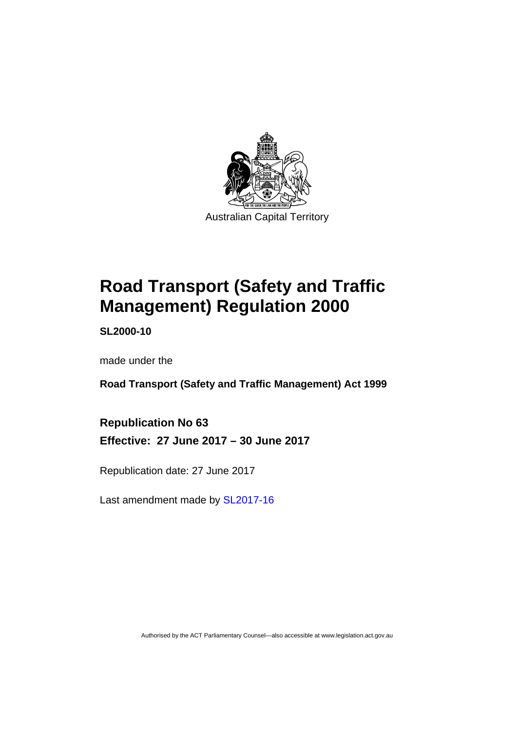

# **Road Transport (Safety and Traffic Management) Regulation 2000**

**SL2000-10** 

made under the

**Road Transport (Safety and Traffic Management) Act 1999** 

**Republication No 63 Effective: 27 June 2017 – 30 June 2017** 

Republication date: 27 June 2017

Last amendment made by [SL2017-16](http://www.legislation.act.gov.au/sl/2017-16/default.asp)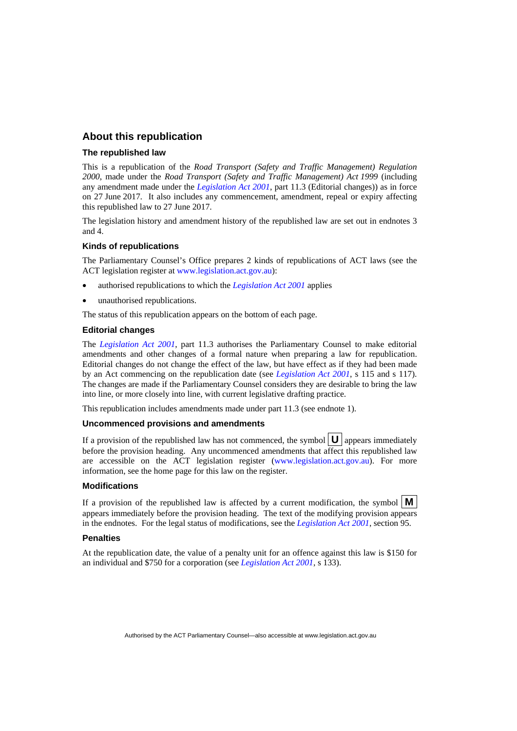#### **About this republication**

#### **The republished law**

This is a republication of the *Road Transport (Safety and Traffic Management) Regulation 2000*, made under the *Road Transport (Safety and Traffic Management) Act 1999* (including any amendment made under the *[Legislation Act 2001](http://www.legislation.act.gov.au/a/2001-14)*, part 11.3 (Editorial changes)) as in force on 27 June 2017*.* It also includes any commencement, amendment, repeal or expiry affecting this republished law to 27 June 2017.

The legislation history and amendment history of the republished law are set out in endnotes 3 and 4.

#### **Kinds of republications**

The Parliamentary Counsel's Office prepares 2 kinds of republications of ACT laws (see the ACT legislation register at [www.legislation.act.gov.au](http://www.legislation.act.gov.au/)):

- authorised republications to which the *[Legislation Act 2001](http://www.legislation.act.gov.au/a/2001-14)* applies
- unauthorised republications.

The status of this republication appears on the bottom of each page.

#### **Editorial changes**

The *[Legislation Act 2001](http://www.legislation.act.gov.au/a/2001-14)*, part 11.3 authorises the Parliamentary Counsel to make editorial amendments and other changes of a formal nature when preparing a law for republication. Editorial changes do not change the effect of the law, but have effect as if they had been made by an Act commencing on the republication date (see *[Legislation Act 2001](http://www.legislation.act.gov.au/a/2001-14)*, s 115 and s 117). The changes are made if the Parliamentary Counsel considers they are desirable to bring the law into line, or more closely into line, with current legislative drafting practice.

This republication includes amendments made under part 11.3 (see endnote 1).

#### **Uncommenced provisions and amendments**

If a provision of the republished law has not commenced, the symbol  $\mathbf{U}$  appears immediately before the provision heading. Any uncommenced amendments that affect this republished law are accessible on the ACT legislation register [\(www.legislation.act.gov.au](http://www.legislation.act.gov.au/)). For more information, see the home page for this law on the register.

#### **Modifications**

If a provision of the republished law is affected by a current modification, the symbol  $\mathbf{M}$ appears immediately before the provision heading. The text of the modifying provision appears in the endnotes. For the legal status of modifications, see the *[Legislation Act 2001](http://www.legislation.act.gov.au/a/2001-14)*, section 95.

#### **Penalties**

At the republication date, the value of a penalty unit for an offence against this law is \$150 for an individual and \$750 for a corporation (see *[Legislation Act 2001](http://www.legislation.act.gov.au/a/2001-14)*, s 133).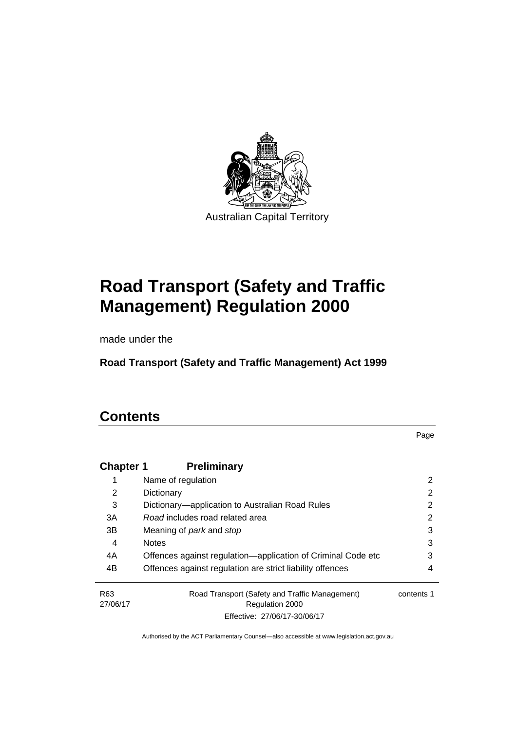

# **Road Transport (Safety and Traffic Management) Regulation 2000**

made under the

**Road Transport (Safety and Traffic Management) Act 1999** 

# **Contents**

Page

| <b>Chapter 1</b>            | <b>Preliminary</b>                                                |            |
|-----------------------------|-------------------------------------------------------------------|------------|
|                             | Name of regulation                                                | 2          |
| 2                           | Dictionary                                                        | 2          |
| 3                           | Dictionary—application to Australian Road Rules                   | 2          |
| 3A                          | Road includes road related area                                   | 2          |
| 3B                          | Meaning of <i>park</i> and <i>stop</i>                            | 3          |
| 4                           | <b>Notes</b>                                                      | 3          |
| 4A                          | Offences against regulation-application of Criminal Code etc      | 3          |
| 4B                          | Offences against regulation are strict liability offences         | 4          |
| R <sub>63</sub><br>27/06/17 | Road Transport (Safety and Traffic Management)<br>Regulation 2000 | contents 1 |
|                             | Effective: 27/06/17-30/06/17                                      |            |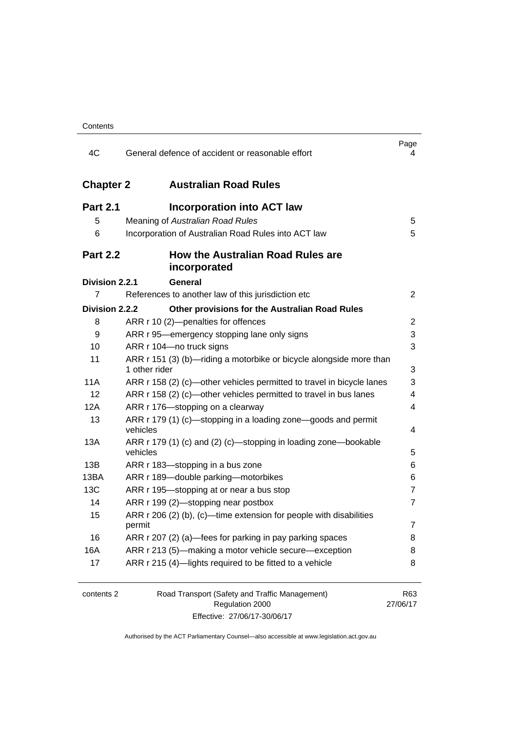| 4C               | General defence of accident or reasonable effort                                     | Page<br>4       |
|------------------|--------------------------------------------------------------------------------------|-----------------|
| <b>Chapter 2</b> | <b>Australian Road Rules</b>                                                         |                 |
| <b>Part 2.1</b>  | <b>Incorporation into ACT law</b>                                                    |                 |
| 5                | Meaning of Australian Road Rules                                                     | 5               |
| 6                | Incorporation of Australian Road Rules into ACT law                                  | 5               |
| <b>Part 2.2</b>  | <b>How the Australian Road Rules are</b><br>incorporated                             |                 |
| Division 2.2.1   | <b>General</b>                                                                       |                 |
| 7                | References to another law of this jurisdiction etc                                   | 2               |
| Division 2.2.2   | Other provisions for the Australian Road Rules                                       |                 |
| 8                | ARR r 10 (2)-penalties for offences                                                  | 2               |
| 9                | ARR r 95—emergency stopping lane only signs                                          | 3               |
| 10               | ARR r 104-no truck signs                                                             | 3               |
| 11               | ARR r 151 (3) (b)—riding a motorbike or bicycle alongside more than<br>1 other rider | 3               |
| <b>11A</b>       | ARR r 158 (2) (c)—other vehicles permitted to travel in bicycle lanes                | 3               |
| 12               | ARR r 158 (2) (c)-other vehicles permitted to travel in bus lanes                    | 4               |
| 12A              | ARR r 176-stopping on a clearway                                                     | 4               |
| 13               | ARR r 179 (1) (c)—stopping in a loading zone—goods and permit<br>vehicles            | 4               |
| 13A              | ARR r 179 (1) (c) and (2) (c)—stopping in loading zone—bookable<br>vehicles          | 5               |
| 13B              | ARR r 183-stopping in a bus zone                                                     | 6               |
| 13BA             | ARR r 189-double parking-motorbikes                                                  | 6               |
| 13C              | ARR r 195-stopping at or near a bus stop                                             | $\overline{7}$  |
| 14               | ARR r 199 (2)-stopping near postbox                                                  | $\overline{7}$  |
| 15               | ARR $r$ 206 (2) (b), (c)—time extension for people with disabilities<br>permit       | 7               |
| 16               | ARR r 207 (2) (a)-fees for parking in pay parking spaces                             | 8               |
| 16A              | ARR r 213 (5)—making a motor vehicle secure—exception                                | 8               |
| 17               | ARR r 215 (4)-lights required to be fitted to a vehicle                              | 8               |
| contents 2       | Road Transport (Safety and Traffic Management)<br>Regulation 2000                    | R63<br>27/06/17 |

Effective: 27/06/17-30/06/17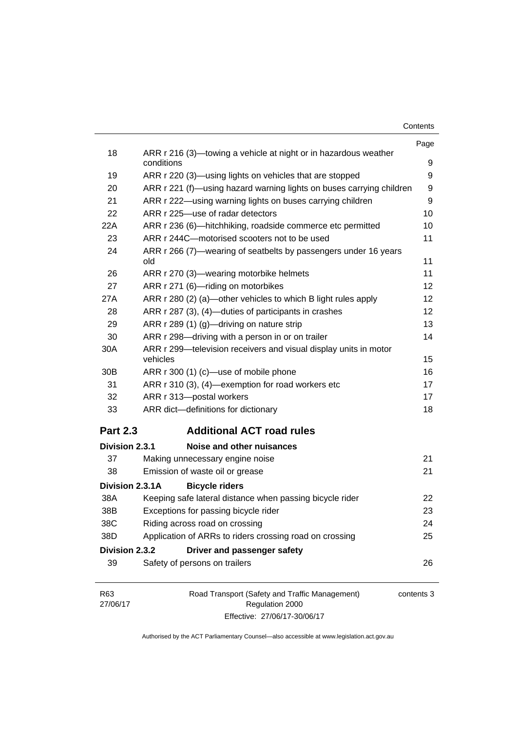| Contents |  |
|----------|--|
|----------|--|

|                 |                                                                               | Page       |
|-----------------|-------------------------------------------------------------------------------|------------|
| 18              | ARR r 216 (3)—towing a vehicle at night or in hazardous weather<br>conditions | 9          |
| 19              | ARR r 220 (3)—using lights on vehicles that are stopped                       | 9          |
| 20              | ARR r 221 (f)—using hazard warning lights on buses carrying children          | 9          |
| 21              | ARR r 222—using warning lights on buses carrying children                     | 9          |
| 22              | ARR r 225-use of radar detectors                                              | 10         |
| 22A             | ARR r 236 (6)-hitchhiking, roadside commerce etc permitted                    | 10         |
| 23              | ARR r 244C-motorised scooters not to be used                                  | 11         |
| 24              | ARR r 266 (7)—wearing of seatbelts by passengers under 16 years<br>old        | 11         |
| 26              | ARR r 270 (3)—wearing motorbike helmets                                       | 11         |
| 27              | ARR r 271 (6)-riding on motorbikes                                            | 12         |
| 27A             | ARR r 280 (2) (a)—other vehicles to which B light rules apply                 | 12         |
| 28              | ARR r 287 (3), (4)—duties of participants in crashes                          | 12         |
| 29              | ARR r 289 (1) (g)-driving on nature strip                                     | 13         |
| 30              | ARR r 298-driving with a person in or on trailer                              | 14         |
| 30A             | ARR r 299-television receivers and visual display units in motor<br>vehicles  | 15         |
| 30 <sub>B</sub> | ARR r 300 (1) (c)-use of mobile phone                                         | 16         |
| 31              | ARR r 310 (3), (4)-exemption for road workers etc                             | 17         |
| 32              | ARR r 313-postal workers                                                      | 17         |
| 33              | ARR dict-definitions for dictionary                                           | 18         |
| <b>Part 2.3</b> | <b>Additional ACT road rules</b>                                              |            |
| Division 2.3.1  | Noise and other nuisances                                                     |            |
| 37              | Making unnecessary engine noise                                               | 21         |
| 38              | Emission of waste oil or grease                                               | 21         |
| Division 2.3.1A | <b>Bicycle riders</b>                                                         |            |
| 38A             | Keeping safe lateral distance when passing bicycle rider                      | 22         |
| 38B             | Exceptions for passing bicycle rider                                          | 23         |
| 38C             | Riding across road on crossing                                                | 24         |
| 38D             | Application of ARRs to riders crossing road on crossing                       | 25         |
| Division 2.3.2  | Driver and passenger safety                                                   |            |
| 39              | Safety of persons on trailers                                                 | 26         |
| R63<br>27/06/17 | Road Transport (Safety and Traffic Management)<br>Regulation 2000             | contents 3 |

Authorised by the ACT Parliamentary Counsel—also accessible at www.legislation.act.gov.au

Effective: 27/06/17-30/06/17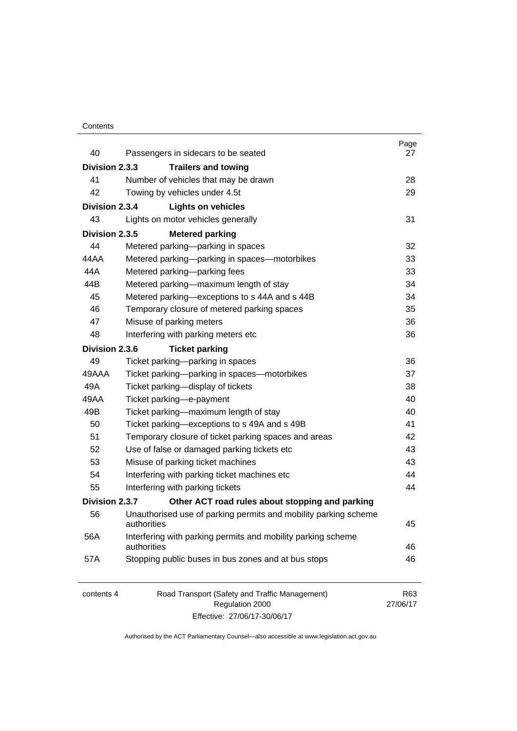#### **Contents**

| 40             | Passengers in sidecars to be seated                                            | Page<br>27      |
|----------------|--------------------------------------------------------------------------------|-----------------|
| Division 2.3.3 | <b>Trailers and towing</b>                                                     |                 |
| 41             | Number of vehicles that may be drawn                                           | 28              |
| 42             | Towing by vehicles under 4.5t                                                  | 29              |
| Division 2.3.4 | <b>Lights on vehicles</b>                                                      |                 |
| 43             | Lights on motor vehicles generally                                             | 31              |
| Division 2.3.5 | <b>Metered parking</b>                                                         |                 |
| 44             | Metered parking-parking in spaces                                              | 32              |
| 44AA           | Metered parking-parking in spaces-motorbikes                                   | 33              |
| 44A            | Metered parking-parking fees                                                   | 33              |
| 44B            | Metered parking-maximum length of stay                                         | 34              |
| 45             | Metered parking-exceptions to s 44A and s 44B                                  | 34              |
| 46             | Temporary closure of metered parking spaces                                    | 35              |
| 47             | Misuse of parking meters                                                       | 36              |
| 48             | Interfering with parking meters etc                                            | 36              |
| Division 2.3.6 | <b>Ticket parking</b>                                                          |                 |
| 49             | Ticket parking-parking in spaces                                               | 36              |
| 49AAA          | Ticket parking-parking in spaces-motorbikes                                    | 37              |
| 49A            | Ticket parking-display of tickets                                              | 38              |
| 49AA           | Ticket parking-e-payment                                                       | 40              |
| 49B            | Ticket parking-maximum length of stay                                          | 40              |
| 50             | Ticket parking-exceptions to s 49A and s 49B                                   | 41              |
| 51             | Temporary closure of ticket parking spaces and areas                           | 42              |
| 52             | Use of false or damaged parking tickets etc                                    | 43              |
| 53             | Misuse of parking ticket machines                                              | 43              |
| 54             | Interfering with parking ticket machines etc                                   | 44              |
| 55             | Interfering with parking tickets                                               | 44              |
| Division 2.3.7 | Other ACT road rules about stopping and parking                                |                 |
| 56             | Unauthorised use of parking permits and mobility parking scheme<br>authorities | 45              |
| 56A            | Interfering with parking permits and mobility parking scheme<br>authorities    | 46              |
| 57A            | Stopping public buses in bus zones and at bus stops                            | 46              |
| contents 4     | Road Transport (Safety and Traffic Management)<br>Regulation 2000              | R63<br>27/06/17 |

Effective: 27/06/17-30/06/17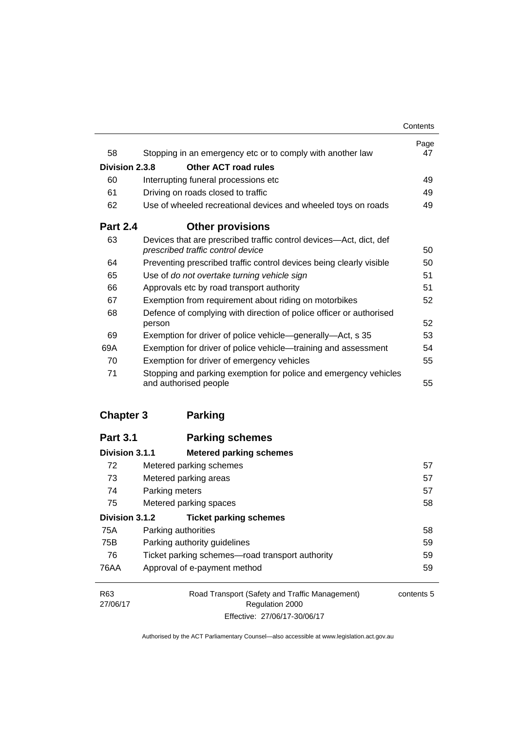|                 |                                                                                                         | Contents   |
|-----------------|---------------------------------------------------------------------------------------------------------|------------|
| 58              | Stopping in an emergency etc or to comply with another law                                              | Page<br>47 |
| Division 2.3.8  | Other ACT road rules                                                                                    |            |
| 60              | Interrupting funeral processions etc                                                                    | 49         |
| 61              | Driving on roads closed to traffic                                                                      | 49         |
| 62              | Use of wheeled recreational devices and wheeled toys on roads                                           | 49         |
| <b>Part 2.4</b> | <b>Other provisions</b>                                                                                 |            |
| 63              | Devices that are prescribed traffic control devices—Act, dict, def<br>prescribed traffic control device | 50         |
| 64              | Preventing prescribed traffic control devices being clearly visible                                     | 50         |
| 65              | Use of do not overtake turning vehicle sign                                                             | 51         |
| 66              | Approvals etc by road transport authority                                                               | 51         |
| 67              | Exemption from requirement about riding on motorbikes                                                   | 52         |
| 68              | Defence of complying with direction of police officer or authorised                                     |            |
|                 | person                                                                                                  | 52         |
| 69              | Exemption for driver of police vehicle-generally-Act, s 35                                              | 53         |
| 69A             | Exemption for driver of police vehicle—training and assessment                                          | 54         |
| 70              | Exemption for driver of emergency vehicles                                                              | 55         |
| 71              | Stopping and parking exemption for police and emergency vehicles<br>and authorised people               | 55         |

## **[Chapter 3](#page-73-0) Parking**

| <b>Part 3.1</b> | <b>Parking schemes</b>                          |            |
|-----------------|-------------------------------------------------|------------|
| Division 3.1.1  | <b>Metered parking schemes</b>                  |            |
| 72              | Metered parking schemes                         | 57         |
| 73              | Metered parking areas                           | 57         |
| 74              | Parking meters                                  | 57         |
| 75              | Metered parking spaces                          | 58         |
| Division 3.1.2  | <b>Ticket parking schemes</b>                   |            |
| 75A             | Parking authorities                             | 58         |
| 75B             | Parking authority guidelines                    | 59         |
| 76              | Ticket parking schemes—road transport authority | 59         |
| 76AA            | Approval of e-payment method                    | 59         |
| R <sub>63</sub> | Road Transport (Safety and Traffic Management)  | contents 5 |
| 27/06/17        | <b>Regulation 2000</b>                          |            |

Effective: 27/06/17-30/06/17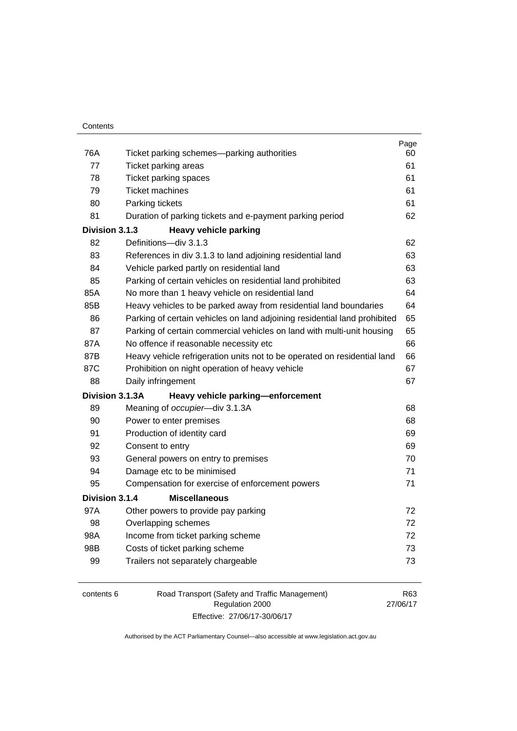| 76A | Ticket parking schemes—parking authorities                                | Page<br>60 |
|-----|---------------------------------------------------------------------------|------------|
| 77  | Ticket parking areas                                                      | 61         |
| 78  | Ticket parking spaces                                                     | 61         |
| 79  | <b>Ticket machines</b>                                                    | 61         |
| 80  | Parking tickets                                                           | 61         |
| 81  | Duration of parking tickets and e-payment parking period                  | 62         |
|     | Division 3.1.3<br><b>Heavy vehicle parking</b>                            |            |
| 82  | Definitions-div 3.1.3                                                     | 62         |
| 83  | References in div 3.1.3 to land adjoining residential land                | 63         |
| 84  | Vehicle parked partly on residential land                                 | 63         |
| 85  | Parking of certain vehicles on residential land prohibited                | 63         |
| 85A | No more than 1 heavy vehicle on residential land                          | 64         |
| 85B | Heavy vehicles to be parked away from residential land boundaries         | 64         |
| 86  | Parking of certain vehicles on land adjoining residential land prohibited | 65         |
| 87  | Parking of certain commercial vehicles on land with multi-unit housing    | 65         |
| 87A | No offence if reasonable necessity etc                                    | 66         |
| 87B | Heavy vehicle refrigeration units not to be operated on residential land  | 66         |
| 87C | Prohibition on night operation of heavy vehicle                           | 67         |
| 88  | Daily infringement                                                        | 67         |
|     | Division 3.1.3A<br>Heavy vehicle parking-enforcement                      |            |
| 89  | Meaning of occupier-div 3.1.3A                                            | 68         |
| 90  | Power to enter premises                                                   | 68         |
| 91  | Production of identity card                                               | 69         |
| 92  | Consent to entry                                                          | 69         |
| 93  | General powers on entry to premises                                       | 70         |
| 94  | Damage etc to be minimised                                                | 71         |
| 95  | Compensation for exercise of enforcement powers                           | 71         |
|     | Division 3.1.4<br><b>Miscellaneous</b>                                    |            |
| 97A | Other powers to provide pay parking                                       | 72         |
| 98  | Overlapping schemes                                                       | 72         |
| 98A | Income from ticket parking scheme                                         | 72         |
| 98B | Costs of ticket parking scheme                                            | 73         |
| 99  | Trailers not separately chargeable                                        | 73         |
|     |                                                                           |            |

| contents 6 | Road Transport (Safety and Traffic Management) | R63      |
|------------|------------------------------------------------|----------|
|            | Regulation 2000                                | 27/06/17 |
|            | Effective: 27/06/17-30/06/17                   |          |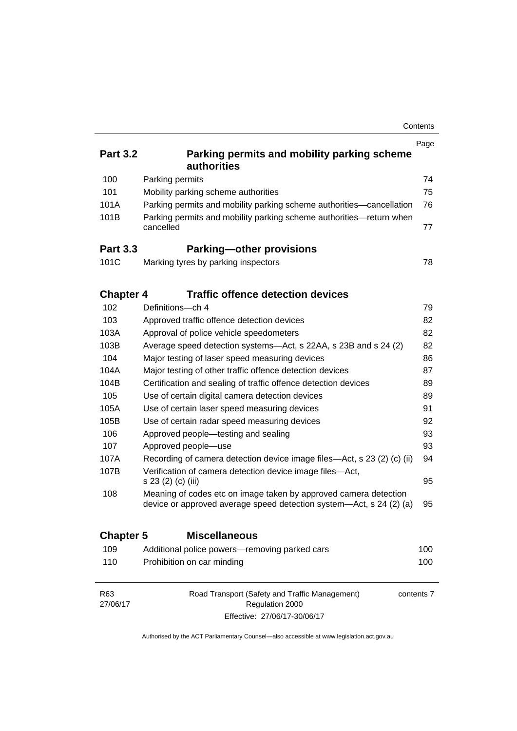|                  |                                                                                                                                         | Contents   |
|------------------|-----------------------------------------------------------------------------------------------------------------------------------------|------------|
|                  |                                                                                                                                         | Page       |
| <b>Part 3.2</b>  | Parking permits and mobility parking scheme<br>authorities                                                                              |            |
| 100              | Parking permits                                                                                                                         | 74         |
| 101              | Mobility parking scheme authorities                                                                                                     | 75         |
| 101A             | Parking permits and mobility parking scheme authorities—cancellation                                                                    | 76         |
| 101B             | Parking permits and mobility parking scheme authorities-return when<br>cancelled                                                        | 77         |
| <b>Part 3.3</b>  | <b>Parking-other provisions</b>                                                                                                         |            |
| 101C             | Marking tyres by parking inspectors                                                                                                     | 78         |
| <b>Chapter 4</b> | <b>Traffic offence detection devices</b>                                                                                                |            |
| 102              | Definitions-ch 4                                                                                                                        | 79         |
| 103              | Approved traffic offence detection devices                                                                                              | 82         |
| 103A             | Approval of police vehicle speedometers                                                                                                 | 82         |
| 103B             | Average speed detection systems-Act, s 22AA, s 23B and s 24 (2)                                                                         | 82         |
| 104              | Major testing of laser speed measuring devices                                                                                          | 86         |
| 104A             | Major testing of other traffic offence detection devices                                                                                | 87         |
| 104B             | Certification and sealing of traffic offence detection devices                                                                          | 89         |
| 105              | Use of certain digital camera detection devices                                                                                         | 89         |
| 105A             | Use of certain laser speed measuring devices                                                                                            | 91         |
| 105B             | Use of certain radar speed measuring devices                                                                                            | 92         |
| 106              | Approved people-testing and sealing                                                                                                     | 93         |
| 107              | Approved people-use                                                                                                                     | 93         |
| 107A             | Recording of camera detection device image files—Act, s 23 (2) (c) (ii)                                                                 | 94         |
| 107B             | Verification of camera detection device image files-Act,<br>s 23 (2) (c) (iii)                                                          | 95         |
| 108              | Meaning of codes etc on image taken by approved camera detection<br>device or approved average speed detection system-Act, s 24 (2) (a) | 95         |
| <b>Chapter 5</b> | <b>Miscellaneous</b>                                                                                                                    |            |
| 109              | Additional police powers-removing parked cars                                                                                           | 100        |
| 110              | Prohibition on car minding                                                                                                              | 100        |
| R63<br>27/06/17  | Road Transport (Safety and Traffic Management)<br>Regulation 2000                                                                       | contents 7 |

Authorised by the ACT Parliamentary Counsel—also accessible at www.legislation.act.gov.au

Effective: 27/06/17-30/06/17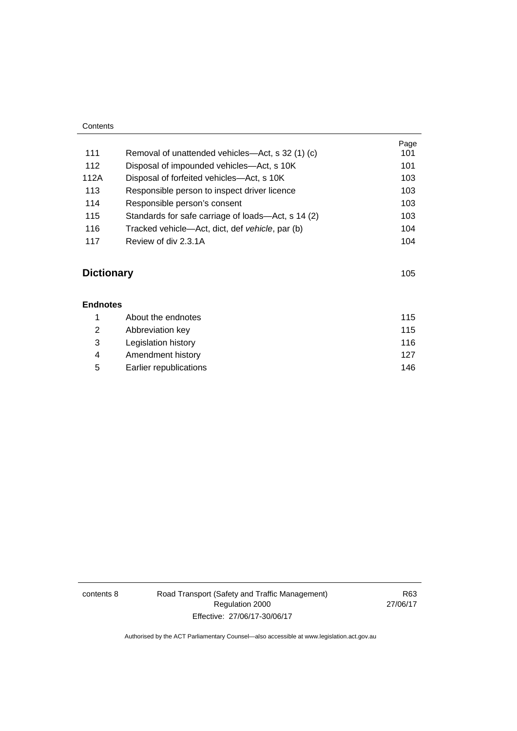| Contents |                                                    |      |
|----------|----------------------------------------------------|------|
|          |                                                    | Page |
| 111      | Removal of unattended vehicles—Act, s 32 (1) (c)   | 101  |
| 112      | Disposal of impounded vehicles—Act, s 10K          | 101  |
| 112A     | Disposal of forfeited vehicles—Act, s 10K          | 103  |
| 113      | Responsible person to inspect driver licence       | 103  |
| 114      | Responsible person's consent                       | 103  |
| 115      | Standards for safe carriage of loads—Act, s 14 (2) | 103  |
| 116      | Tracked vehicle—Act, dict, def vehicle, par (b)    | 104  |
| 117      | Review of div 2.3.1A                               | 104  |

# **Dictionary** [105](#page-121-0)

| <b>Endnotes</b> |                        |     |
|-----------------|------------------------|-----|
|                 | About the endnotes     | 115 |
| 2               | Abbreviation key       | 115 |
| 3               | Legislation history    | 116 |
| 4               | Amendment history      | 127 |
| 5               | Earlier republications | 146 |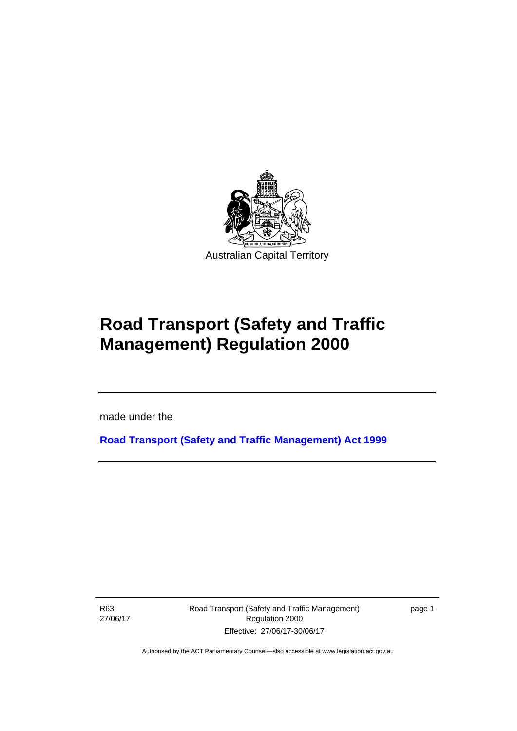

# **Road Transport (Safety and Traffic Management) Regulation 2000**

made under the

**[Road Transport \(Safety and Traffic Management\) Act 1999](http://www.legislation.act.gov.au/a/1999-80)**

R63 27/06/17

l

Road Transport (Safety and Traffic Management) Regulation 2000 Effective: 27/06/17-30/06/17

page 1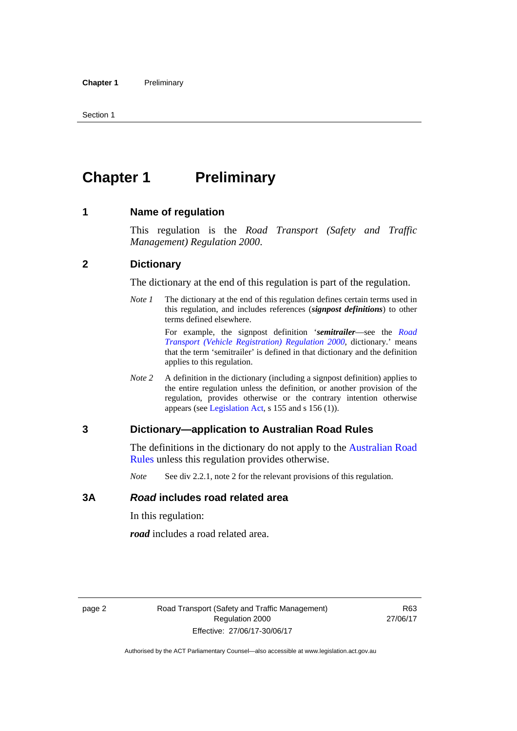# <span id="page-11-0"></span>**Chapter 1** Preliminary

#### <span id="page-11-1"></span>**1 Name of regulation**

This regulation is the *Road Transport (Safety and Traffic Management) Regulation 2000*.

#### <span id="page-11-2"></span>**2 Dictionary**

The dictionary at the end of this regulation is part of the regulation.

*Note 1* The dictionary at the end of this regulation defines certain terms used in this regulation, and includes references (*signpost definitions*) to other terms defined elsewhere.

> For example, the signpost definition '*semitrailer*—see the *[Road](http://www.legislation.act.gov.au/sl/2000-12)  [Transport \(Vehicle Registration\) Regulation 2000](http://www.legislation.act.gov.au/sl/2000-12)*, dictionary.' means that the term 'semitrailer' is defined in that dictionary and the definition applies to this regulation.

*Note 2* A definition in the dictionary (including a signpost definition) applies to the entire regulation unless the definition, or another provision of the regulation, provides otherwise or the contrary intention otherwise appears (see [Legislation Act,](http://www.legislation.act.gov.au/a/2001-14) s 155 and s 156 (1)).

#### <span id="page-11-3"></span>**3 Dictionary—application to Australian Road Rules**

The definitions in the dictionary do not apply to the Australian Road [Rules](http://www.legislation.act.gov.au//ni/db_37271/default.asp) unless this regulation provides otherwise.

*Note* See div 2.2.1, note 2 for the relevant provisions of this regulation.

#### <span id="page-11-4"></span>**3A** *Road* **includes road related area**

In this regulation:

*road* includes a road related area.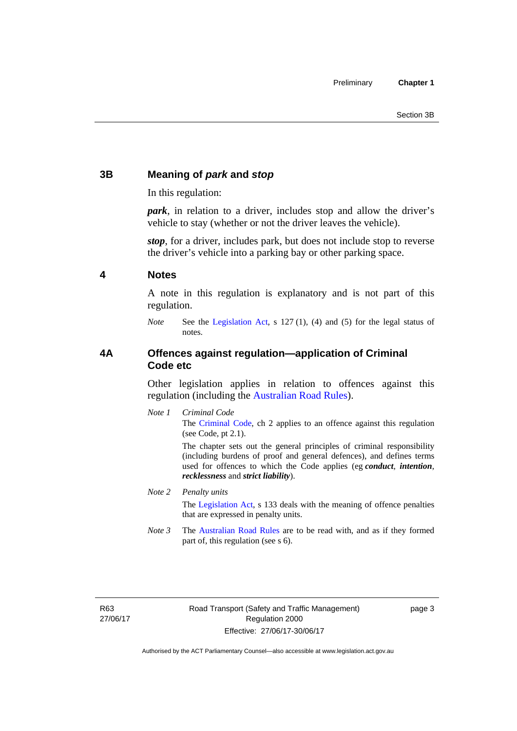### <span id="page-12-0"></span>**3B Meaning of** *park* **and** *stop*

In this regulation:

*park*, in relation to a driver, includes stop and allow the driver's vehicle to stay (whether or not the driver leaves the vehicle).

*stop*, for a driver, includes park, but does not include stop to reverse the driver's vehicle into a parking bay or other parking space.

#### <span id="page-12-1"></span>**4 Notes**

A note in this regulation is explanatory and is not part of this regulation.

*Note* See the [Legislation Act,](http://www.legislation.act.gov.au/a/2001-14) s 127 (1), (4) and (5) for the legal status of notes.

#### <span id="page-12-2"></span>**4A Offences against regulation—application of Criminal Code etc**

Other legislation applies in relation to offences against this regulation (including the [Australian Road Rules](http://www.legislation.act.gov.au//ni/db_37271/default.asp)).

*Note 1 Criminal Code* The [Criminal Code,](http://www.legislation.act.gov.au/a/2002-51) ch 2 applies to an offence against this regulation (see Code, pt 2.1).

> The chapter sets out the general principles of criminal responsibility (including burdens of proof and general defences), and defines terms used for offences to which the Code applies (eg *conduct*, *intention*, *recklessness* and *strict liability*).

#### *Note 2 Penalty units*

The [Legislation Act](http://www.legislation.act.gov.au/a/2001-14), s 133 deals with the meaning of offence penalties that are expressed in penalty units.

*Note 3* The [Australian Road Rules](http://www.legislation.act.gov.au//ni/db_37271/default.asp) are to be read with, and as if they formed part of, this regulation (see s 6).

R63 27/06/17 page 3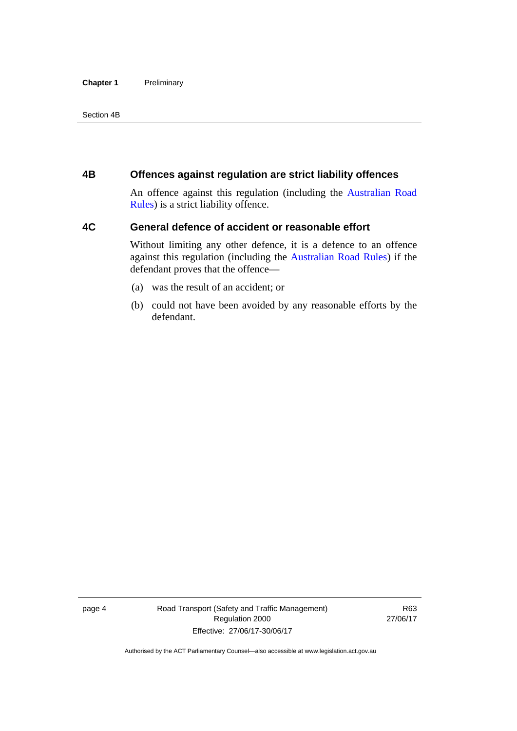#### **Chapter 1** Preliminary

Section 4B

#### <span id="page-13-0"></span>**4B Offences against regulation are strict liability offences**

An offence against this regulation (including the [Australian Road](http://www.legislation.act.gov.au//ni/db_37271/default.asp)  [Rules](http://www.legislation.act.gov.au//ni/db_37271/default.asp)) is a strict liability offence.

#### <span id="page-13-1"></span>**4C General defence of accident or reasonable effort**

Without limiting any other defence, it is a defence to an offence against this regulation (including the [Australian Road Rules\)](http://www.legislation.act.gov.au//ni/db_37271/default.asp) if the defendant proves that the offence—

- (a) was the result of an accident; or
- (b) could not have been avoided by any reasonable efforts by the defendant.

page 4 Road Transport (Safety and Traffic Management) Regulation 2000 Effective: 27/06/17-30/06/17

R63 27/06/17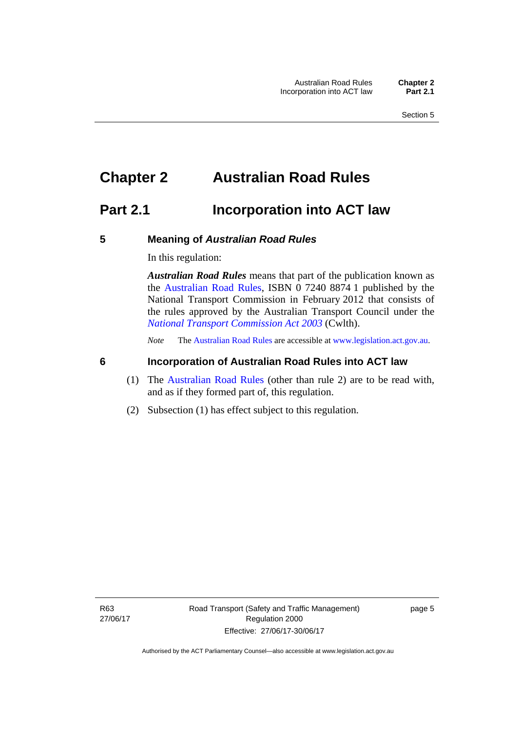# <span id="page-14-0"></span>**Chapter 2 Australian Road Rules**

## <span id="page-14-1"></span>**Part 2.1 Incorporation into ACT law**

#### <span id="page-14-2"></span>**5 Meaning of** *Australian Road Rules*

In this regulation:

*Australian Road Rules* means that part of the publication known as the [Australian Road Rules](http://www.legislation.act.gov.au//ni/db_37271/default.asp), ISBN 0 7240 8874 1 published by the National Transport Commission in February 2012 that consists of the rules approved by the Australian Transport Council under the *[National Transport Commission Act 2003](http://www.comlaw.gov.au/Series/C2004A01166)* (Cwlth).

*Note* The [Australian Road Rules](http://www.legislation.act.gov.au//ni/db_37271/default.asp) are accessible at [www.legislation.act.gov.au](http://www.legislation.act.gov.au/).

#### <span id="page-14-3"></span>**6 Incorporation of Australian Road Rules into ACT law**

- (1) The [Australian Road Rules](http://www.legislation.act.gov.au//ni/db_37271/default.asp) (other than rule 2) are to be read with, and as if they formed part of, this regulation.
- (2) Subsection (1) has effect subject to this regulation.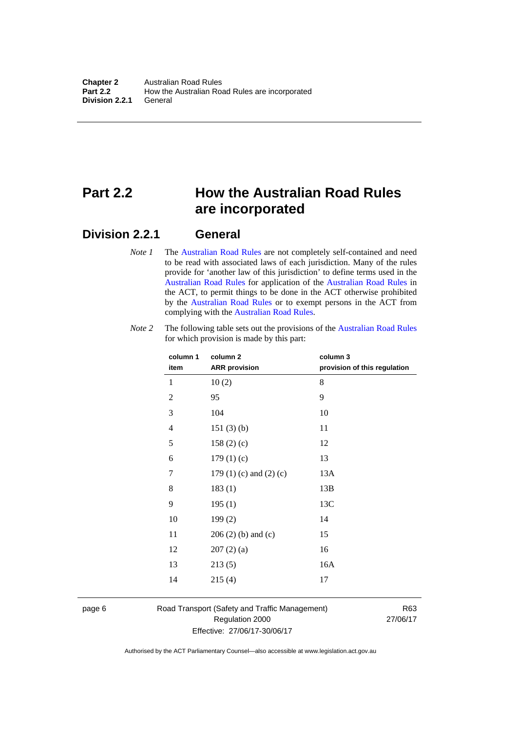# <span id="page-15-0"></span>**Part 2.2 How the Australian Road Rules are incorporated**

#### <span id="page-15-1"></span>**Division 2.2.1 General**

*Note 1* The [Australian Road Rules](http://www.legislation.act.gov.au//ni/db_37271/default.asp) are not completely self-contained and need to be read with associated laws of each jurisdiction. Many of the rules provide for 'another law of this jurisdiction' to define terms used in the [Australian Road Rules](http://www.legislation.act.gov.au//ni/db_37271/default.asp) for application of the [Australian Road Rules](http://www.legislation.act.gov.au//ni/db_37271/default.asp) in the ACT, to permit things to be done in the ACT otherwise prohibited by the [Australian Road Rules](http://www.legislation.act.gov.au//ni/db_37271/default.asp) or to exempt persons in the ACT from complying with the [Australian Road Rules.](http://www.legislation.act.gov.au//ni/db_37271/default.asp)

| column 1<br>item | column <sub>2</sub><br><b>ARR</b> provision | column 3<br>provision of this regulation |
|------------------|---------------------------------------------|------------------------------------------|
| 1                | 10(2)                                       | 8                                        |
| 2                | 95                                          | 9                                        |
| 3                | 104                                         | 10                                       |
| 4                | 151(3)(b)                                   | 11                                       |
| 5                | 158(2)(c)                                   | 12                                       |
| 6                | 179(1)(c)                                   | 13                                       |
| 7                | 179 $(1)$ $(c)$ and $(2)$ $(c)$             | 13A                                      |
| 8                | 183(1)                                      | 13B                                      |
| 9                | 195(1)                                      | 13C                                      |
| 10               | 199(2)                                      | 14                                       |
| 11               | $206(2)$ (b) and (c)                        | 15                                       |
| 12               | 207(2)(a)                                   | 16                                       |
| 13               | 213(5)                                      | 16A                                      |
| 14               | 215(4)                                      | 17                                       |

*Note 2* The following table sets out the provisions of the [Australian Road Rules](http://www.legislation.act.gov.au//ni/db_37271/default.asp) for which provision is made by this part:

page 6 Road Transport (Safety and Traffic Management) Regulation 2000 Effective: 27/06/17-30/06/17

R63 27/06/17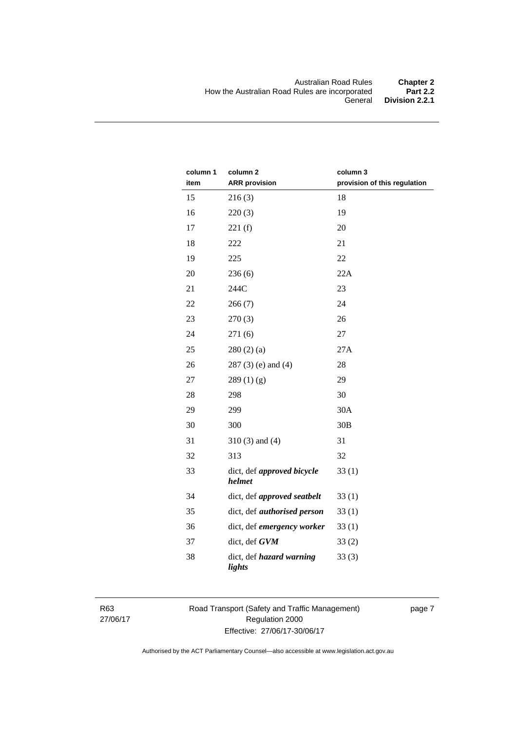| column 1<br>item | column <sub>2</sub><br><b>ARR</b> provision | column 3<br>provision of this regulation |
|------------------|---------------------------------------------|------------------------------------------|
| 15               | 216(3)                                      | 18                                       |
| 16               | 220(3)                                      | 19                                       |
| 17               | 221(f)                                      | 20                                       |
| 18               | 222                                         | 21                                       |
| 19               | 225                                         | 22                                       |
| 20               | 236(6)                                      | 22A                                      |
| 21               | 244C                                        | 23                                       |
| 22               | 266(7)                                      | 24                                       |
| 23               | 270(3)                                      | 26                                       |
| 24               | 271(6)                                      | 27                                       |
| 25               | 280(2)(a)                                   | 27A                                      |
| 26               | $287(3)$ (e) and (4)                        | 28                                       |
| 27               | 289(1)(g)                                   | 29                                       |
| 28               | 298                                         | 30                                       |
| 29               | 299                                         | 30A                                      |
| 30               | 300                                         | 30B                                      |
| 31               | $310(3)$ and $(4)$                          | 31                                       |
| 32               | 313                                         | 32                                       |
| 33               | dict, def approved bicycle<br>helmet        | 33(1)                                    |
| 34               | dict, def approved seatbelt                 | 33(1)                                    |
| 35               | dict, def <i>authorised</i> person          | 33(1)                                    |
| 36               | dict, def emergency worker                  | 33(1)                                    |
| 37               | dict, def GVM                               | 33(2)                                    |
| 38               | dict, def hazard warning<br>lights          | 33(3)                                    |

R63 27/06/17 Road Transport (Safety and Traffic Management) Regulation 2000 Effective: 27/06/17-30/06/17

page 7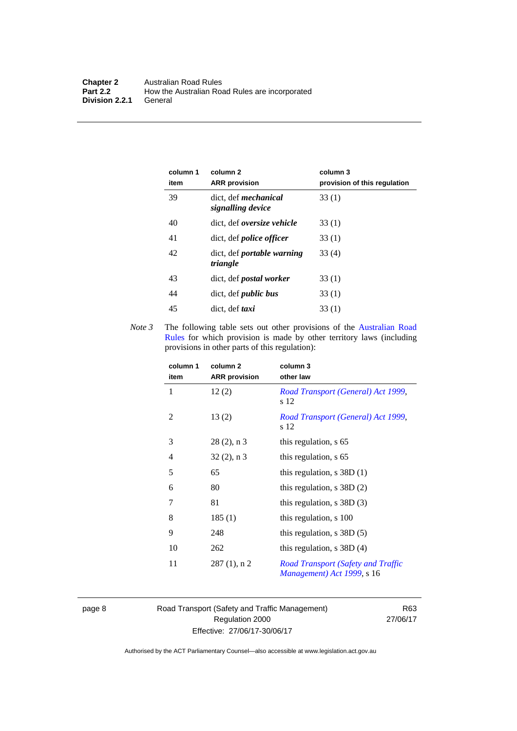| column 1<br>item | column 2<br><b>ARR</b> provision                 | column 3<br>provision of this regulation |
|------------------|--------------------------------------------------|------------------------------------------|
| 39               | dict, def <i>mechanical</i><br>signalling device | 33(1)                                    |
| 40               | dict. def <i>oversize</i> vehicle                | 33(1)                                    |
| 41               | dict, def <i>police</i> officer                  | 33(1)                                    |
| 42               | dict, def <i>portable</i> warning<br>triangle    | 33 (4)                                   |
| 43               | dict, def <i>postal</i> worker                   | 33(1)                                    |
| 44               | dict, def <i>public</i> bus                      | 33(1)                                    |
| 45               | dict, def taxi                                   | 33(1)                                    |

*Note 3* The following table sets out other provisions of the Australian Road [Rules](http://www.legislation.act.gov.au//ni/db_37271/default.asp) for which provision is made by other territory laws (including provisions in other parts of this regulation):

| column 1<br>item | column 2<br><b>ARR</b> provision | column 3<br>other law                                                   |
|------------------|----------------------------------|-------------------------------------------------------------------------|
| 1                | 12(2)                            | Road Transport (General) Act 1999,<br>s 12                              |
| 2                | 13(2)                            | Road Transport (General) Act 1999,<br>s 12                              |
| 3                | $28(2)$ , n 3                    | this regulation, s 65                                                   |
| 4                | $32(2)$ , n 3                    | this regulation, s 65                                                   |
| 5                | 65                               | this regulation, $s$ 38D $(1)$                                          |
| 6                | 80                               | this regulation, $s$ 38D $(2)$                                          |
| 7                | 81                               | this regulation, $s$ 38D $(3)$                                          |
| 8                | 185(1)                           | this regulation, s 100                                                  |
| 9                | 248                              | this regulation, $s$ 38D $(5)$                                          |
| 10               | 262                              | this regulation, $s$ 38D (4)                                            |
| 11               | $287(1)$ , n 2                   | <b>Road Transport (Safety and Traffic</b><br>Management) Act 1999, s 16 |

page 8 Road Transport (Safety and Traffic Management) Regulation 2000 Effective: 27/06/17-30/06/17

R63 27/06/17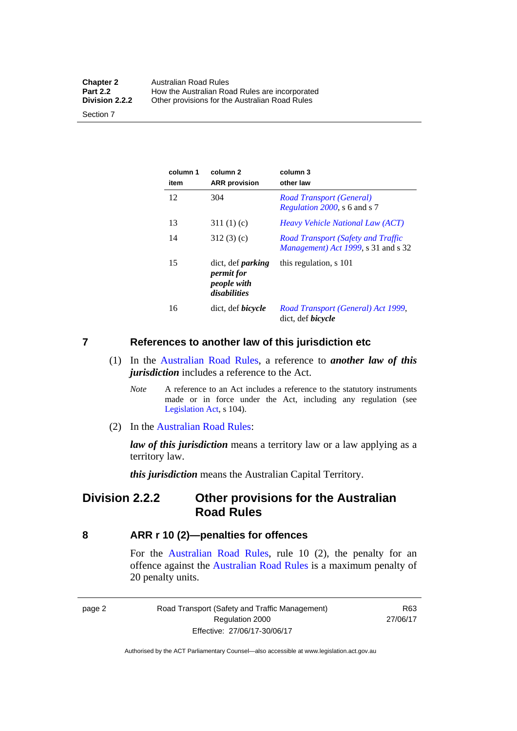| <b>Chapter 2</b> | <b>Australian Road Rules</b>                   |
|------------------|------------------------------------------------|
| <b>Part 2.2</b>  | How the Australian Road Rules are incorporated |
| Division 2.2.2   | Other provisions for the Australian Road Rules |

Section 7

| column 1<br>item | column <sub>2</sub><br><b>ARR</b> provision                           | column 3<br>other law                                                                    |
|------------------|-----------------------------------------------------------------------|------------------------------------------------------------------------------------------|
| 12               | 304                                                                   | Road Transport (General)<br><i>Regulation 2000</i> , s 6 and s 7                         |
| 13               | 311(1)(c)                                                             | <i>Heavy Vehicle National Law (ACT)</i>                                                  |
| 14               | 312(3)(c)                                                             | <b>Road Transport (Safety and Traffic</b><br><i>Management</i> ) Act 1999, s 31 and s 32 |
| 15               | dict, def <i>parking</i><br>permit for<br>people with<br>disabilities | this regulation, s 101                                                                   |
| 16               | dict, def <i>bicycle</i>                                              | Road Transport (General) Act 1999,<br>dict, def <i>bicycle</i>                           |

#### <span id="page-18-0"></span>**7 References to another law of this jurisdiction etc**

- (1) In the [Australian Road Rules,](http://www.legislation.act.gov.au//ni/db_37271/default.asp) a reference to *another law of this jurisdiction* includes a reference to the Act.
	- *Note* A reference to an Act includes a reference to the statutory instruments made or in force under the Act, including any regulation (see [Legislation Act,](http://www.legislation.act.gov.au/a/2001-14) s 104).
- (2) In the [Australian Road Rules](http://www.legislation.act.gov.au//ni/db_37271/default.asp):

*law of this jurisdiction* means a territory law or a law applying as a territory law.

*this jurisdiction* means the Australian Capital Territory.

### <span id="page-18-1"></span>**Division 2.2.2 Other provisions for the Australian Road Rules**

#### <span id="page-18-2"></span>**8 ARR r 10 (2)—penalties for offences**

For the [Australian Road Rules,](http://www.legislation.act.gov.au//ni/db_37271/default.asp) rule 10 (2), the penalty for an offence against the [Australian Road Rules](http://www.legislation.act.gov.au//ni/db_37271/default.asp) is a maximum penalty of 20 penalty units.

|--|--|

Road Transport (Safety and Traffic Management) Regulation 2000 Effective: 27/06/17-30/06/17

R63 27/06/17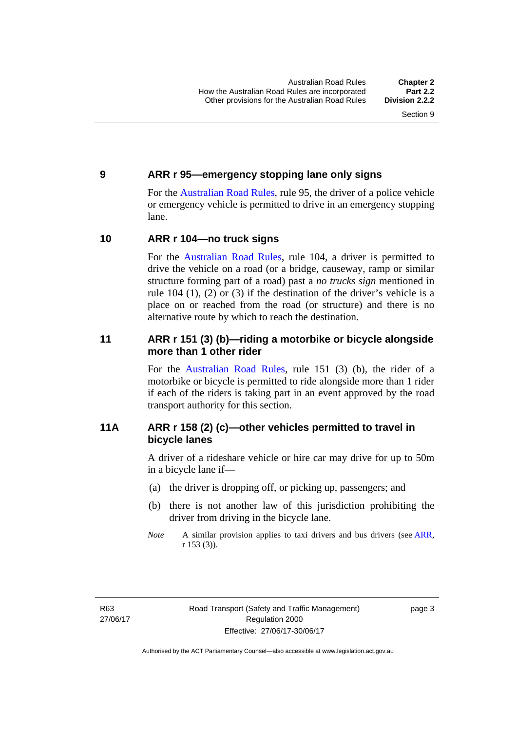#### <span id="page-19-0"></span>**9 ARR r 95—emergency stopping lane only signs**

For the [Australian Road Rules,](http://www.legislation.act.gov.au//ni/db_37271/default.asp) rule 95, the driver of a police vehicle or emergency vehicle is permitted to drive in an emergency stopping lane.

#### <span id="page-19-1"></span>**10 ARR r 104—no truck signs**

For the [Australian Road Rules,](http://www.legislation.act.gov.au//ni/db_37271/default.asp) rule 104, a driver is permitted to drive the vehicle on a road (or a bridge, causeway, ramp or similar structure forming part of a road) past a *no trucks sign* mentioned in rule 104 (1), (2) or (3) if the destination of the driver's vehicle is a place on or reached from the road (or structure) and there is no alternative route by which to reach the destination.

#### <span id="page-19-2"></span>**11 ARR r 151 (3) (b)—riding a motorbike or bicycle alongside more than 1 other rider**

For the [Australian Road Rules](http://www.legislation.act.gov.au//ni/db_37271/default.asp), rule 151 (3) (b), the rider of a motorbike or bicycle is permitted to ride alongside more than 1 rider if each of the riders is taking part in an event approved by the road transport authority for this section.

#### <span id="page-19-3"></span>**11A ARR r 158 (2) (c)—other vehicles permitted to travel in bicycle lanes**

A driver of a rideshare vehicle or hire car may drive for up to 50m in a bicycle lane if—

- (a) the driver is dropping off, or picking up, passengers; and
- (b) there is not another law of this jurisdiction prohibiting the driver from driving in the bicycle lane.
- *Note* A similar provision applies to taxi drivers and bus drivers (see [ARR,](http://www.legislation.act.gov.au//ni/db_37271/default.asp) r 153 (3)).

page 3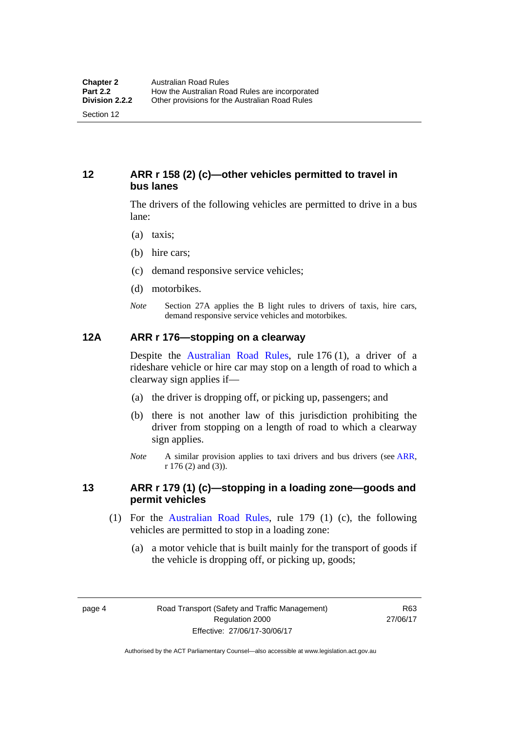#### <span id="page-20-0"></span>**12 ARR r 158 (2) (c)—other vehicles permitted to travel in bus lanes**

The drivers of the following vehicles are permitted to drive in a bus lane:

- (a) taxis;
- (b) hire cars;
- (c) demand responsive service vehicles;
- (d) motorbikes.
- *Note* Section 27A applies the B light rules to drivers of taxis, hire cars, demand responsive service vehicles and motorbikes.

#### <span id="page-20-1"></span>**12A ARR r 176—stopping on a clearway**

Despite the [Australian Road Rules,](http://www.legislation.act.gov.au//ni/db_37271/default.asp) rule 176 (1), a driver of a rideshare vehicle or hire car may stop on a length of road to which a clearway sign applies if—

- (a) the driver is dropping off, or picking up, passengers; and
- (b) there is not another law of this jurisdiction prohibiting the driver from stopping on a length of road to which a clearway sign applies.
- *Note* A similar provision applies to taxi drivers and bus drivers (see [ARR,](http://www.legislation.act.gov.au//ni/db_37271/default.asp) r 176 (2) and (3)).

#### <span id="page-20-2"></span>**13 ARR r 179 (1) (c)—stopping in a loading zone—goods and permit vehicles**

- (1) For the [Australian Road Rules,](http://www.legislation.act.gov.au//ni/db_37271/default.asp) rule 179 (1) (c), the following vehicles are permitted to stop in a loading zone:
	- (a) a motor vehicle that is built mainly for the transport of goods if the vehicle is dropping off, or picking up, goods;

page 4 Road Transport (Safety and Traffic Management) Regulation 2000 Effective: 27/06/17-30/06/17

R63 27/06/17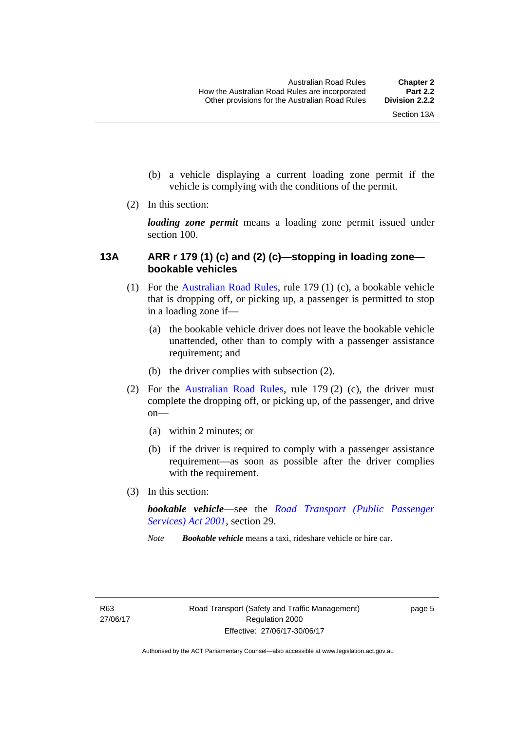- (b) a vehicle displaying a current loading zone permit if the vehicle is complying with the conditions of the permit.
- (2) In this section:

*loading zone permit* means a loading zone permit issued under section 100.

#### <span id="page-21-0"></span>**13A ARR r 179 (1) (c) and (2) (c)—stopping in loading zone bookable vehicles**

- (1) For the [Australian Road Rules,](http://www.legislation.act.gov.au//ni/db_37271/default.asp) rule 179 (1) (c), a bookable vehicle that is dropping off, or picking up, a passenger is permitted to stop in a loading zone if—
	- (a) the bookable vehicle driver does not leave the bookable vehicle unattended, other than to comply with a passenger assistance requirement; and
	- (b) the driver complies with subsection (2).
- (2) For the [Australian Road Rules,](http://www.legislation.act.gov.au//ni/db_37271/default.asp) rule 179 (2) (c), the driver must complete the dropping off, or picking up, of the passenger, and drive on—
	- (a) within 2 minutes; or
	- (b) if the driver is required to comply with a passenger assistance requirement—as soon as possible after the driver complies with the requirement.
- (3) In this section:

*bookable vehicle*—see the *[Road Transport \(Public Passenger](http://www.legislation.act.gov.au/a/2001-62)  [Services\) Act 2001](http://www.legislation.act.gov.au/a/2001-62)*, section 29.

*Note Bookable vehicle* means a taxi, rideshare vehicle or hire car.

page 5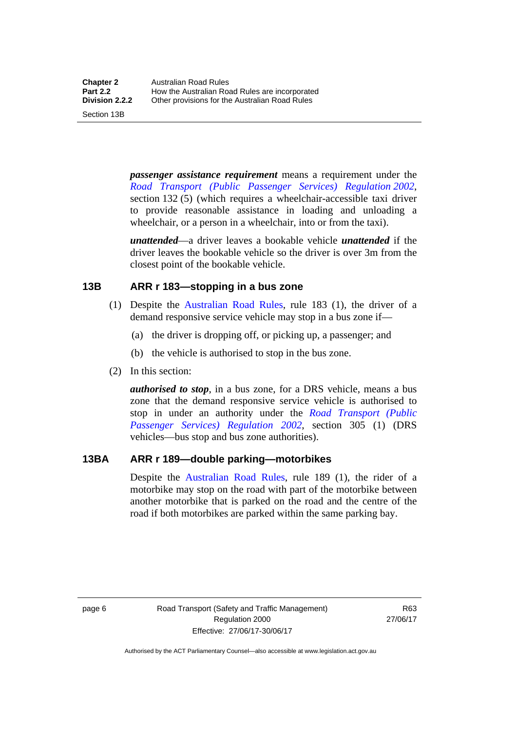Section 13B

*passenger assistance requirement* means a requirement under the *[Road Transport \(Public Passenger Services\) Regulation 2002](http://www.legislation.act.gov.au/sl/2002-3)*, section 132 (5) (which requires a wheelchair-accessible taxi driver to provide reasonable assistance in loading and unloading a wheelchair, or a person in a wheelchair, into or from the taxi).

*unattended*—a driver leaves a bookable vehicle *unattended* if the driver leaves the bookable vehicle so the driver is over 3m from the closest point of the bookable vehicle.

#### <span id="page-22-0"></span>**13B ARR r 183—stopping in a bus zone**

- (1) Despite the [Australian Road Rules](http://www.legislation.act.gov.au//ni/db_37271/default.asp), rule 183 (1), the driver of a demand responsive service vehicle may stop in a bus zone if—
	- (a) the driver is dropping off, or picking up, a passenger; and
	- (b) the vehicle is authorised to stop in the bus zone.
- (2) In this section:

*authorised to stop*, in a bus zone, for a DRS vehicle, means a bus zone that the demand responsive service vehicle is authorised to stop in under an authority under the *[Road Transport \(Public](http://www.legislation.act.gov.au/sl/2002-3)  [Passenger Services\) Regulation 2002](http://www.legislation.act.gov.au/sl/2002-3)*, section 305 (1) (DRS vehicles—bus stop and bus zone authorities).

#### <span id="page-22-1"></span>**13BA ARR r 189—double parking—motorbikes**

Despite the [Australian Road Rules](http://www.legislation.act.gov.au//ni/db_37271/default.asp), rule 189 (1), the rider of a motorbike may stop on the road with part of the motorbike between another motorbike that is parked on the road and the centre of the road if both motorbikes are parked within the same parking bay.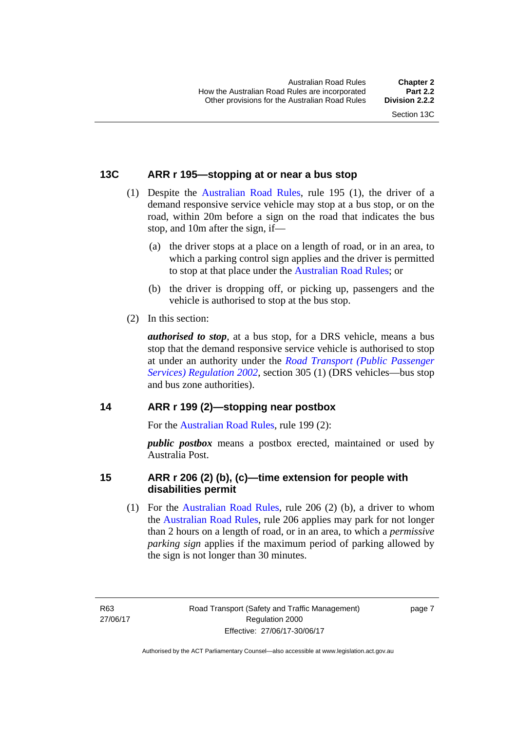#### <span id="page-23-0"></span>**13C ARR r 195—stopping at or near a bus stop**

- (1) Despite the [Australian Road Rules](http://www.legislation.act.gov.au//ni/db_37271/default.asp), rule 195 (1), the driver of a demand responsive service vehicle may stop at a bus stop, or on the road, within 20m before a sign on the road that indicates the bus stop, and 10m after the sign, if—
	- (a) the driver stops at a place on a length of road, or in an area, to which a parking control sign applies and the driver is permitted to stop at that place under the [Australian Road Rules](http://www.legislation.act.gov.au//ni/db_37271/default.asp); or
	- (b) the driver is dropping off, or picking up, passengers and the vehicle is authorised to stop at the bus stop.
- (2) In this section:

*authorised to stop*, at a bus stop, for a DRS vehicle, means a bus stop that the demand responsive service vehicle is authorised to stop at under an authority under the *[Road Transport \(Public Passenger](http://www.legislation.act.gov.au/sl/2002-3)  [Services\) Regulation 2002](http://www.legislation.act.gov.au/sl/2002-3)*, section 305 (1) (DRS vehicles—bus stop and bus zone authorities).

#### <span id="page-23-1"></span>**14 ARR r 199 (2)—stopping near postbox**

For the [Australian Road Rules](http://www.legislation.act.gov.au//ni/db_37271/default.asp), rule 199 (2):

*public postbox* means a postbox erected, maintained or used by Australia Post.

#### <span id="page-23-2"></span>**15 ARR r 206 (2) (b), (c)—time extension for people with disabilities permit**

 (1) For the [Australian Road Rules,](http://www.legislation.act.gov.au//ni/db_37271/default.asp) rule 206 (2) (b), a driver to whom the [Australian Road Rules,](http://www.legislation.act.gov.au//ni/db_37271/default.asp) rule 206 applies may park for not longer than 2 hours on a length of road, or in an area, to which a *permissive parking sign* applies if the maximum period of parking allowed by the sign is not longer than 30 minutes.

R63 27/06/17 page 7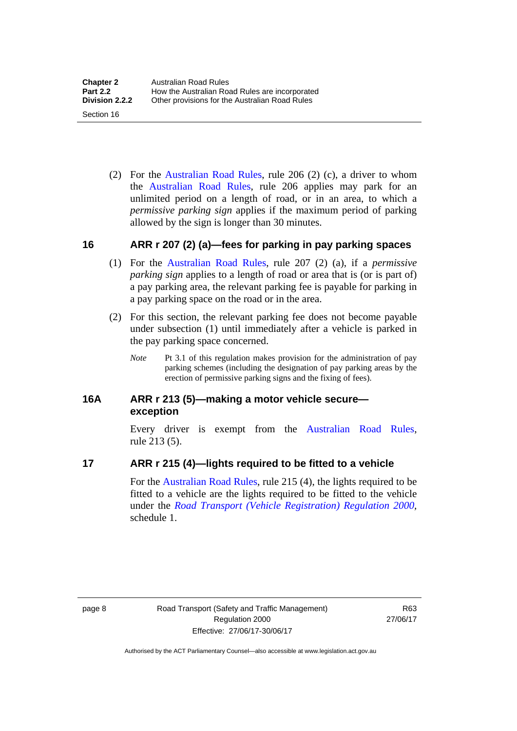(2) For the [Australian Road Rules,](http://www.legislation.act.gov.au//ni/db_37271/default.asp) rule 206 (2) (c), a driver to whom the [Australian Road Rules,](http://www.legislation.act.gov.au//ni/db_37271/default.asp) rule 206 applies may park for an unlimited period on a length of road, or in an area, to which a *permissive parking sign* applies if the maximum period of parking allowed by the sign is longer than 30 minutes.

#### <span id="page-24-0"></span>**16 ARR r 207 (2) (a)—fees for parking in pay parking spaces**

- (1) For the [Australian Road Rules,](http://www.legislation.act.gov.au//ni/db_37271/default.asp) rule 207 (2) (a), if a *permissive parking sign* applies to a length of road or area that is (or is part of) a pay parking area, the relevant parking fee is payable for parking in a pay parking space on the road or in the area.
- (2) For this section, the relevant parking fee does not become payable under subsection (1) until immediately after a vehicle is parked in the pay parking space concerned.
	- *Note* Pt 3.1 of this regulation makes provision for the administration of pay parking schemes (including the designation of pay parking areas by the erection of permissive parking signs and the fixing of fees).

#### <span id="page-24-1"></span>**16A ARR r 213 (5)—making a motor vehicle secure exception**

Every driver is exempt from the [Australian Road Rules](http://www.legislation.act.gov.au//ni/db_37271/default.asp), rule 213 (5).

#### <span id="page-24-2"></span>**17 ARR r 215 (4)—lights required to be fitted to a vehicle**

For the [Australian Road Rules,](http://www.legislation.act.gov.au//ni/db_37271/default.asp) rule 215 (4), the lights required to be fitted to a vehicle are the lights required to be fitted to the vehicle under the *[Road Transport \(Vehicle Registration\) Regulation 2000](http://www.legislation.act.gov.au/sl/2000-12),*  schedule 1.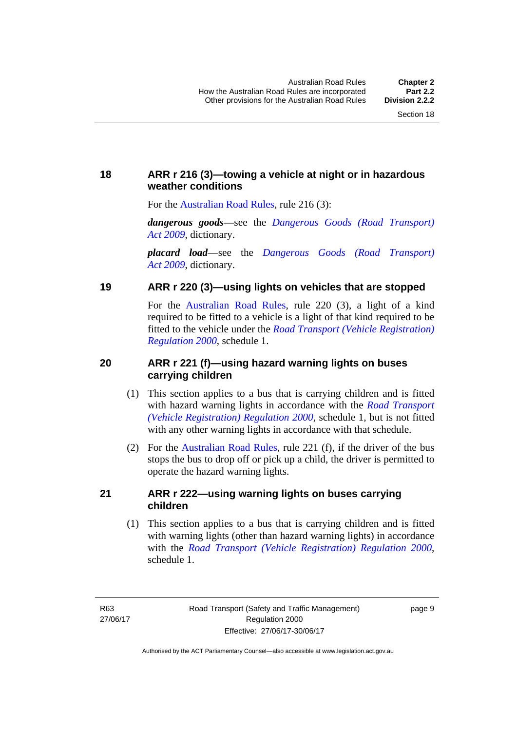### <span id="page-25-0"></span>**18 ARR r 216 (3)—towing a vehicle at night or in hazardous weather conditions**

For the [Australian Road Rules](http://www.legislation.act.gov.au//ni/db_37271/default.asp), rule 216 (3):

*dangerous goods*—see the *[Dangerous Goods \(Road Transport\)](http://www.legislation.act.gov.au/a/2009-34)  [Act 2009](http://www.legislation.act.gov.au/a/2009-34)*, dictionary.

*placard load*—see the *[Dangerous Goods \(Road Transport\)](http://www.legislation.act.gov.au/a/2009-34)  [Act 2009](http://www.legislation.act.gov.au/a/2009-34)*, dictionary.

#### <span id="page-25-1"></span>**19 ARR r 220 (3)—using lights on vehicles that are stopped**

For the [Australian Road Rules](http://www.legislation.act.gov.au//ni/db_37271/default.asp), rule 220 (3), a light of a kind required to be fitted to a vehicle is a light of that kind required to be fitted to the vehicle under the *[Road Transport \(Vehicle Registration\)](http://www.legislation.act.gov.au/sl/2000-12)  [Regulation 2000](http://www.legislation.act.gov.au/sl/2000-12)*, schedule 1.

#### <span id="page-25-2"></span>**20 ARR r 221 (f)—using hazard warning lights on buses carrying children**

- (1) This section applies to a bus that is carrying children and is fitted with hazard warning lights in accordance with the *[Road Transport](http://www.legislation.act.gov.au/sl/2000-12)  [\(Vehicle Registration\) Regulation 2000](http://www.legislation.act.gov.au/sl/2000-12)*, schedule 1, but is not fitted with any other warning lights in accordance with that schedule.
- (2) For the [Australian Road Rules](http://www.legislation.act.gov.au//ni/db_37271/default.asp), rule 221 (f), if the driver of the bus stops the bus to drop off or pick up a child, the driver is permitted to operate the hazard warning lights.

#### <span id="page-25-3"></span>**21 ARR r 222—using warning lights on buses carrying children**

(1) This section applies to a bus that is carrying children and is fitted with warning lights (other than hazard warning lights) in accordance with the *[Road Transport \(Vehicle Registration\) Regulation 2000](http://www.legislation.act.gov.au/sl/2000-12)*, schedule 1.

page 9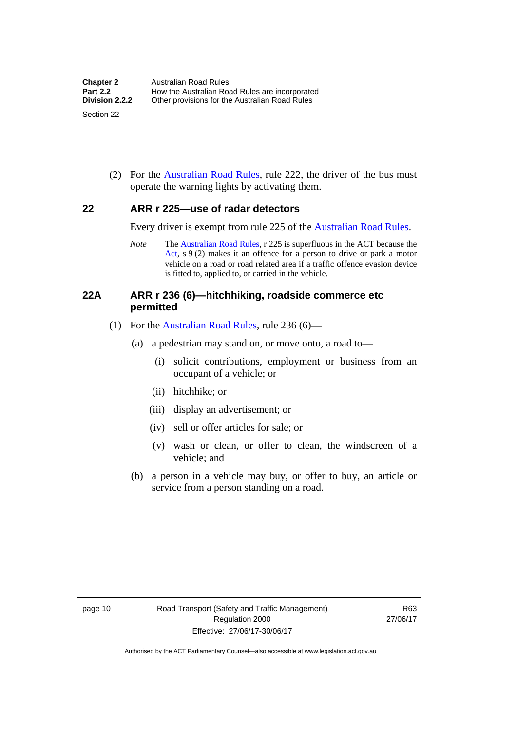(2) For the [Australian Road Rules](http://www.legislation.act.gov.au//ni/db_37271/default.asp), rule 222, the driver of the bus must operate the warning lights by activating them.

#### <span id="page-26-0"></span>**22 ARR r 225—use of radar detectors**

Every driver is exempt from rule 225 of the [Australian Road Rules.](http://www.legislation.act.gov.au//ni/db_37271/default.asp)

*Note* The [Australian Road Rules,](http://www.legislation.act.gov.au//ni/db_37271/default.asp) r 225 is superfluous in the ACT because the [Act](http://www.legislation.act.gov.au/a/1999-80/default.asp), s 9 (2) makes it an offence for a person to drive or park a motor vehicle on a road or road related area if a traffic offence evasion device is fitted to, applied to, or carried in the vehicle.

#### <span id="page-26-1"></span>**22A ARR r 236 (6)—hitchhiking, roadside commerce etc permitted**

- (1) For the [Australian Road Rules,](http://www.legislation.act.gov.au//ni/db_37271/default.asp) rule 236 (6)—
	- (a) a pedestrian may stand on, or move onto, a road to—
		- (i) solicit contributions, employment or business from an occupant of a vehicle; or
		- (ii) hitchhike; or
		- (iii) display an advertisement; or
		- (iv) sell or offer articles for sale; or
		- (v) wash or clean, or offer to clean, the windscreen of a vehicle; and
	- (b) a person in a vehicle may buy, or offer to buy, an article or service from a person standing on a road.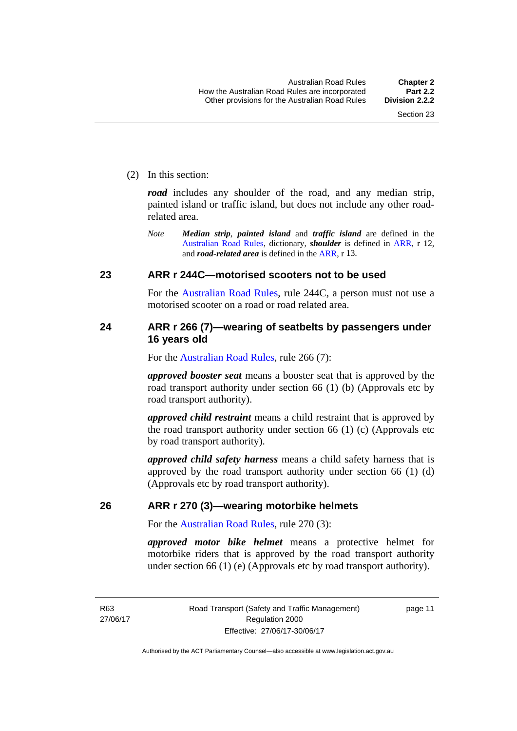(2) In this section:

*road* includes any shoulder of the road, and any median strip, painted island or traffic island, but does not include any other roadrelated area.

*Note Median strip*, *painted island* and *traffic island* are defined in the [Australian Road Rules,](http://www.legislation.act.gov.au//ni/db_37271/default.asp) dictionary, *shoulder* is defined in [ARR](http://www.legislation.act.gov.au//ni/db_37271/default.asp), r 12, and *road-related area* is defined in the [ARR](http://www.legislation.act.gov.au//ni/db_37271/default.asp), r 13.

#### <span id="page-27-0"></span>**23 ARR r 244C—motorised scooters not to be used**

For the [Australian Road Rules](http://www.legislation.act.gov.au//ni/db_37271/default.asp), rule 244C, a person must not use a motorised scooter on a road or road related area.

#### <span id="page-27-1"></span>**24 ARR r 266 (7)—wearing of seatbelts by passengers under 16 years old**

For the [Australian Road Rules](http://www.legislation.act.gov.au//ni/db_37271/default.asp), rule 266 (7):

*approved booster seat* means a booster seat that is approved by the road transport authority under section 66 (1) (b) (Approvals etc by road transport authority).

*approved child restraint* means a child restraint that is approved by the road transport authority under section 66 (1) (c) (Approvals etc by road transport authority).

*approved child safety harness* means a child safety harness that is approved by the road transport authority under section 66 (1) (d) (Approvals etc by road transport authority).

#### <span id="page-27-2"></span>**26 ARR r 270 (3)—wearing motorbike helmets**

For the [Australian Road Rules](http://www.legislation.act.gov.au//ni/db_37271/default.asp), rule 270 (3):

*approved motor bike helmet* means a protective helmet for motorbike riders that is approved by the road transport authority under section 66 (1) (e) (Approvals etc by road transport authority).

R63 27/06/17 page 11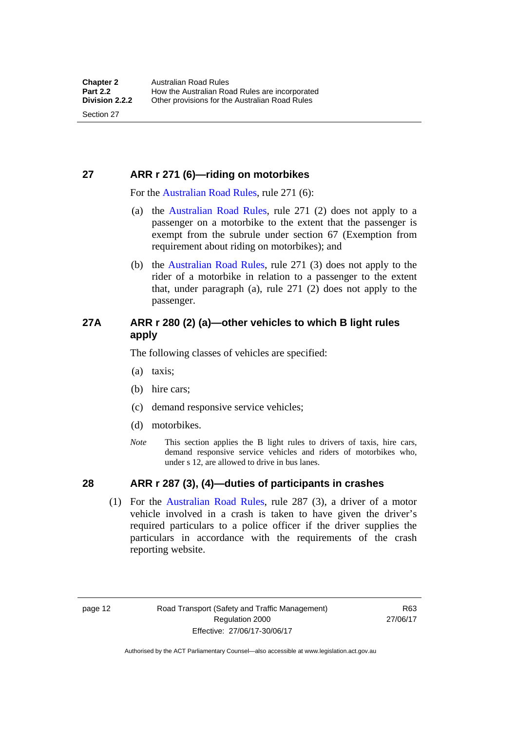### <span id="page-28-0"></span>**27 ARR r 271 (6)—riding on motorbikes**

For the [Australian Road Rules,](http://www.legislation.act.gov.au//ni/db_37271/default.asp) rule 271 (6):

- (a) the [Australian Road Rules](http://www.legislation.act.gov.au//ni/db_37271/default.asp), rule 271 (2) does not apply to a passenger on a motorbike to the extent that the passenger is exempt from the subrule under section 67 (Exemption from requirement about riding on motorbikes); and
- (b) the [Australian Road Rules,](http://www.legislation.act.gov.au//ni/db_37271/default.asp) rule 271 (3) does not apply to the rider of a motorbike in relation to a passenger to the extent that, under paragraph (a), rule 271 (2) does not apply to the passenger.

#### <span id="page-28-1"></span>**27A ARR r 280 (2) (a)—other vehicles to which B light rules apply**

The following classes of vehicles are specified:

- (a) taxis;
- (b) hire cars;
- (c) demand responsive service vehicles;
- (d) motorbikes.
- *Note* This section applies the B light rules to drivers of taxis, hire cars, demand responsive service vehicles and riders of motorbikes who, under s 12, are allowed to drive in bus lanes.

#### <span id="page-28-2"></span>**28 ARR r 287 (3), (4)—duties of participants in crashes**

 (1) For the [Australian Road Rules,](http://www.legislation.act.gov.au//ni/db_37271/default.asp) rule 287 (3), a driver of a motor vehicle involved in a crash is taken to have given the driver's required particulars to a police officer if the driver supplies the particulars in accordance with the requirements of the crash reporting website.

page 12 Road Transport (Safety and Traffic Management) Regulation 2000 Effective: 27/06/17-30/06/17

R63 27/06/17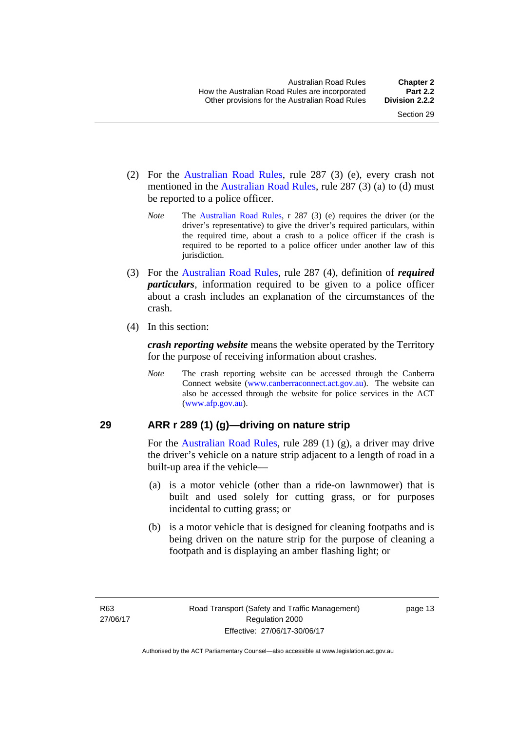- (2) For the [Australian Road Rules,](http://www.legislation.act.gov.au//ni/db_37271/default.asp) rule 287 (3) (e), every crash not mentioned in the [Australian Road Rules,](http://www.legislation.act.gov.au//ni/db_37271/default.asp) rule 287 (3) (a) to (d) must be reported to a police officer.
	- *Note* The [Australian Road Rules,](http://www.legislation.act.gov.au//ni/db_37271/default.asp) r 287 (3) (e) requires the driver (or the driver's representative) to give the driver's required particulars, within the required time, about a crash to a police officer if the crash is required to be reported to a police officer under another law of this jurisdiction.
- (3) For the [Australian Road Rules](http://www.legislation.act.gov.au//ni/db_37271/default.asp), rule 287 (4), definition of *required particulars*, information required to be given to a police officer about a crash includes an explanation of the circumstances of the crash.
- (4) In this section:

*crash reporting website* means the website operated by the Territory for the purpose of receiving information about crashes.

*Note* The crash reporting website can be accessed through the Canberra Connect website [\(www.canberraconnect.act.gov.au\)](http://www.canberraconnect.act.gov.au/). The website can also be accessed through the website for police services in the ACT [\(www.afp.gov.au\)](http://www.afp.gov.au/).

#### <span id="page-29-0"></span>**29 ARR r 289 (1) (g)—driving on nature strip**

For the [Australian Road Rules,](http://www.legislation.act.gov.au//ni/db_37271/default.asp) rule 289 (1) (g), a driver may drive the driver's vehicle on a nature strip adjacent to a length of road in a built-up area if the vehicle—

- (a) is a motor vehicle (other than a ride-on lawnmower) that is built and used solely for cutting grass, or for purposes incidental to cutting grass; or
- (b) is a motor vehicle that is designed for cleaning footpaths and is being driven on the nature strip for the purpose of cleaning a footpath and is displaying an amber flashing light; or

page 13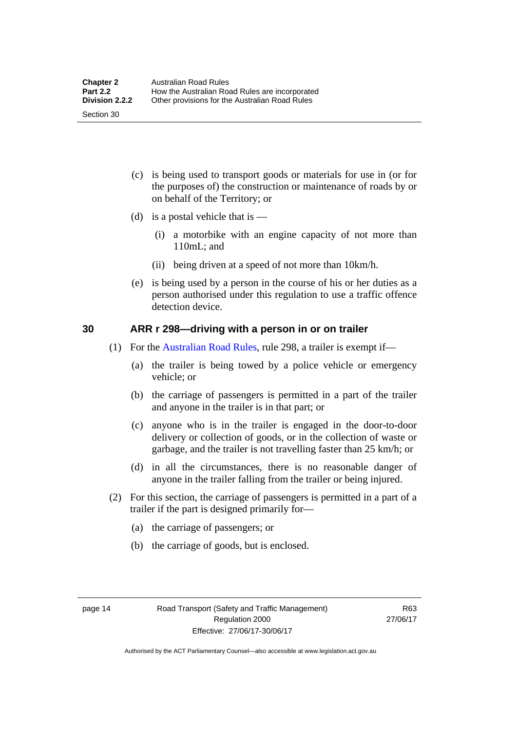(c) is being used to transport goods or materials for use in (or for the purposes of) the construction or maintenance of roads by or on behalf of the Territory; or

- (d) is a postal vehicle that is  $-$ 
	- (i) a motorbike with an engine capacity of not more than 110mL; and
	- (ii) being driven at a speed of not more than 10km/h.
- (e) is being used by a person in the course of his or her duties as a person authorised under this regulation to use a traffic offence detection device.

#### <span id="page-30-0"></span>**30 ARR r 298—driving with a person in or on trailer**

- (1) For the [Australian Road Rules,](http://www.legislation.act.gov.au//ni/db_37271/default.asp) rule 298, a trailer is exempt if—
	- (a) the trailer is being towed by a police vehicle or emergency vehicle; or
	- (b) the carriage of passengers is permitted in a part of the trailer and anyone in the trailer is in that part; or
	- (c) anyone who is in the trailer is engaged in the door-to-door delivery or collection of goods, or in the collection of waste or garbage, and the trailer is not travelling faster than 25 km/h; or
	- (d) in all the circumstances, there is no reasonable danger of anyone in the trailer falling from the trailer or being injured.
- (2) For this section, the carriage of passengers is permitted in a part of a trailer if the part is designed primarily for—
	- (a) the carriage of passengers; or
	- (b) the carriage of goods, but is enclosed.

Section 30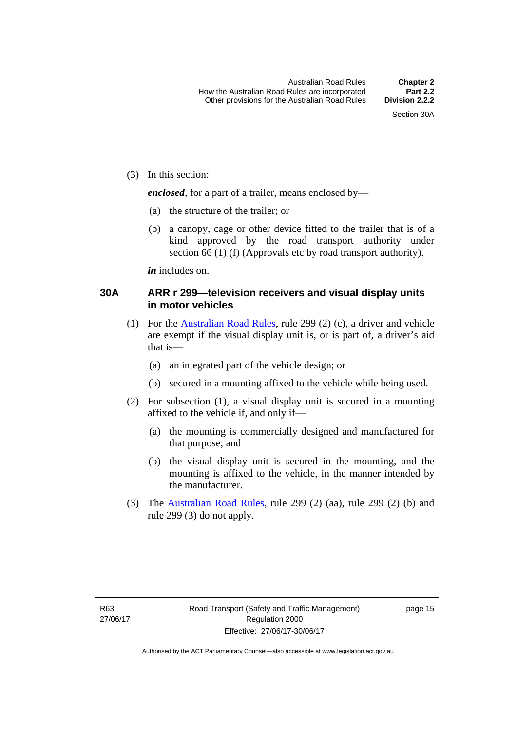(3) In this section:

*enclosed*, for a part of a trailer, means enclosed by—

- (a) the structure of the trailer; or
- (b) a canopy, cage or other device fitted to the trailer that is of a kind approved by the road transport authority under section 66 (1) (f) (Approvals etc by road transport authority).

*in* includes on.

#### <span id="page-31-0"></span>**30A ARR r 299—television receivers and visual display units in motor vehicles**

- (1) For the [Australian Road Rules,](http://www.legislation.act.gov.au//ni/db_37271/default.asp) rule 299 (2) (c), a driver and vehicle are exempt if the visual display unit is, or is part of, a driver's aid that is—
	- (a) an integrated part of the vehicle design; or
	- (b) secured in a mounting affixed to the vehicle while being used.
- (2) For subsection (1), a visual display unit is secured in a mounting affixed to the vehicle if, and only if—
	- (a) the mounting is commercially designed and manufactured for that purpose; and
	- (b) the visual display unit is secured in the mounting, and the mounting is affixed to the vehicle, in the manner intended by the manufacturer.
- (3) The [Australian Road Rules](http://www.legislation.act.gov.au//ni/db_37271/default.asp), rule 299 (2) (aa), rule 299 (2) (b) and rule 299 (3) do not apply.

page 15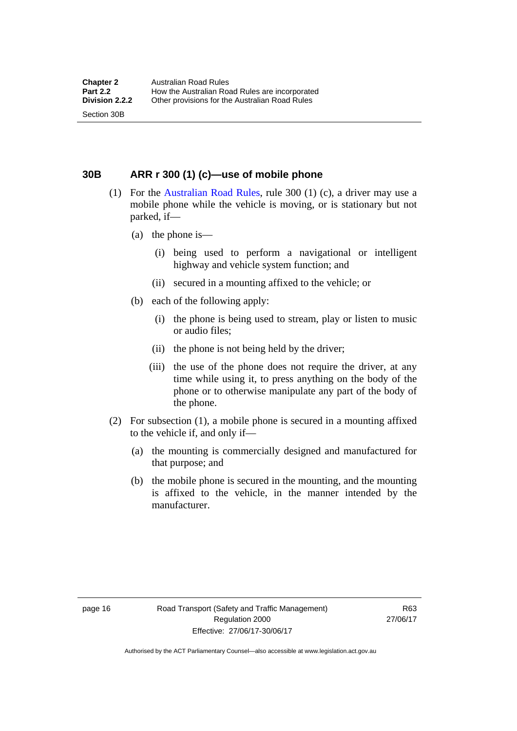<span id="page-32-0"></span>**30B ARR r 300 (1) (c)—use of mobile phone** 

- (1) For the [Australian Road Rules,](http://www.legislation.act.gov.au//ni/db_37271/default.asp) rule 300 (1) (c), a driver may use a mobile phone while the vehicle is moving, or is stationary but not parked, if—
	- (a) the phone is—

Section 30B

- (i) being used to perform a navigational or intelligent highway and vehicle system function; and
- (ii) secured in a mounting affixed to the vehicle; or
- (b) each of the following apply:
	- (i) the phone is being used to stream, play or listen to music or audio files;
	- (ii) the phone is not being held by the driver;
	- (iii) the use of the phone does not require the driver, at any time while using it, to press anything on the body of the phone or to otherwise manipulate any part of the body of the phone.
- (2) For subsection (1), a mobile phone is secured in a mounting affixed to the vehicle if, and only if—
	- (a) the mounting is commercially designed and manufactured for that purpose; and
	- (b) the mobile phone is secured in the mounting, and the mounting is affixed to the vehicle, in the manner intended by the manufacturer.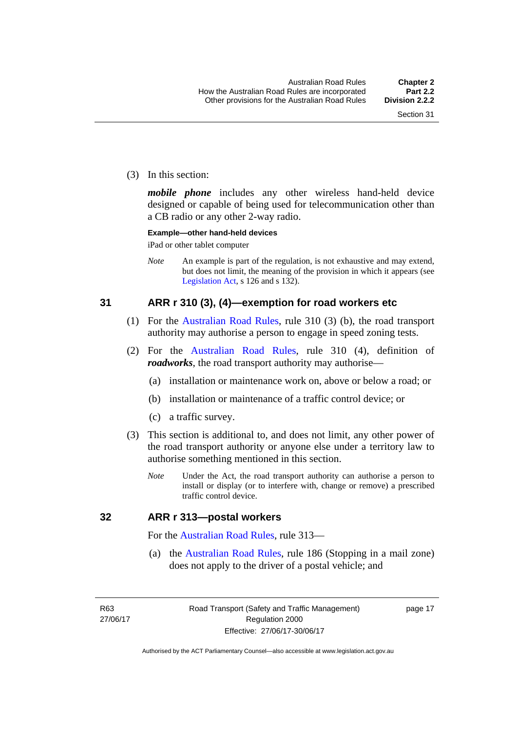(3) In this section:

*mobile phone* includes any other wireless hand-held device designed or capable of being used for telecommunication other than a CB radio or any other 2-way radio.

#### **Example—other hand-held devices**

iPad or other tablet computer

*Note* An example is part of the regulation, is not exhaustive and may extend, but does not limit, the meaning of the provision in which it appears (see [Legislation Act,](http://www.legislation.act.gov.au/a/2001-14) s 126 and s 132).

#### <span id="page-33-0"></span>**31 ARR r 310 (3), (4)—exemption for road workers etc**

- (1) For the [Australian Road Rules](http://www.legislation.act.gov.au//ni/db_37271/default.asp), rule 310 (3) (b), the road transport authority may authorise a person to engage in speed zoning tests.
- (2) For the [Australian Road Rules](http://www.legislation.act.gov.au//ni/db_37271/default.asp), rule 310 (4), definition of *roadworks*, the road transport authority may authorise—
	- (a) installation or maintenance work on, above or below a road; or
	- (b) installation or maintenance of a traffic control device; or
	- (c) a traffic survey.
- (3) This section is additional to, and does not limit, any other power of the road transport authority or anyone else under a territory law to authorise something mentioned in this section.
	- *Note* Under the Act, the road transport authority can authorise a person to install or display (or to interfere with, change or remove) a prescribed traffic control device.

#### <span id="page-33-1"></span>**32 ARR r 313—postal workers**

For the [Australian Road Rules](http://www.legislation.act.gov.au//ni/db_37271/default.asp), rule 313—

 (a) the [Australian Road Rules,](http://www.legislation.act.gov.au//ni/db_37271/default.asp) rule 186 (Stopping in a mail zone) does not apply to the driver of a postal vehicle; and

R63 27/06/17 page 17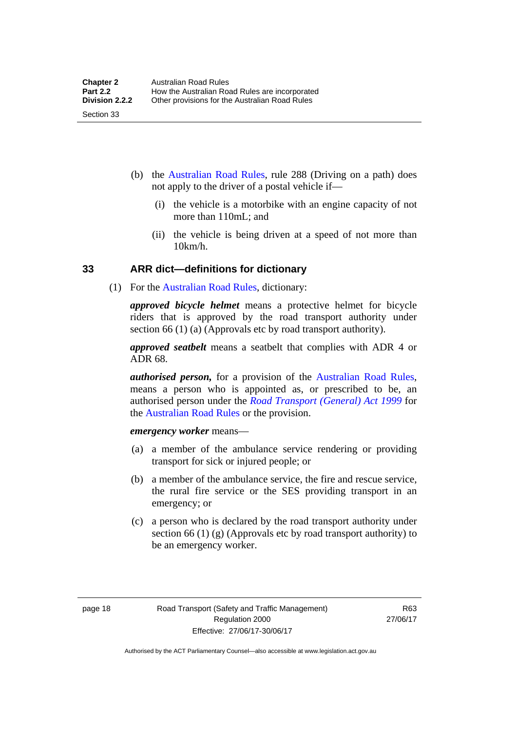- (b) the [Australian Road Rules](http://www.legislation.act.gov.au//ni/db_37271/default.asp), rule 288 (Driving on a path) does not apply to the driver of a postal vehicle if—
	- (i) the vehicle is a motorbike with an engine capacity of not more than 110mL; and
	- (ii) the vehicle is being driven at a speed of not more than 10km/h.

#### <span id="page-34-0"></span>**33 ARR dict—definitions for dictionary**

(1) For the [Australian Road Rules,](http://www.legislation.act.gov.au//ni/db_37271/default.asp) dictionary:

*approved bicycle helmet* means a protective helmet for bicycle riders that is approved by the road transport authority under section 66 (1) (a) (Approvals etc by road transport authority).

*approved seatbelt* means a seatbelt that complies with ADR 4 or ADR 68.

*authorised person,* for a provision of the [Australian Road Rules](http://www.legislation.act.gov.au//ni/db_37271/default.asp), means a person who is appointed as, or prescribed to be, an authorised person under the *[Road Transport \(General\) Act 1999](http://www.legislation.act.gov.au/a/1999-77)* for the [Australian Road Rules](http://www.legislation.act.gov.au//ni/db_37271/default.asp) or the provision.

*emergency worker* means—

- (a) a member of the ambulance service rendering or providing transport for sick or injured people; or
- (b) a member of the ambulance service, the fire and rescue service, the rural fire service or the SES providing transport in an emergency; or
- (c) a person who is declared by the road transport authority under section 66 (1) (g) (Approvals etc by road transport authority) to be an emergency worker.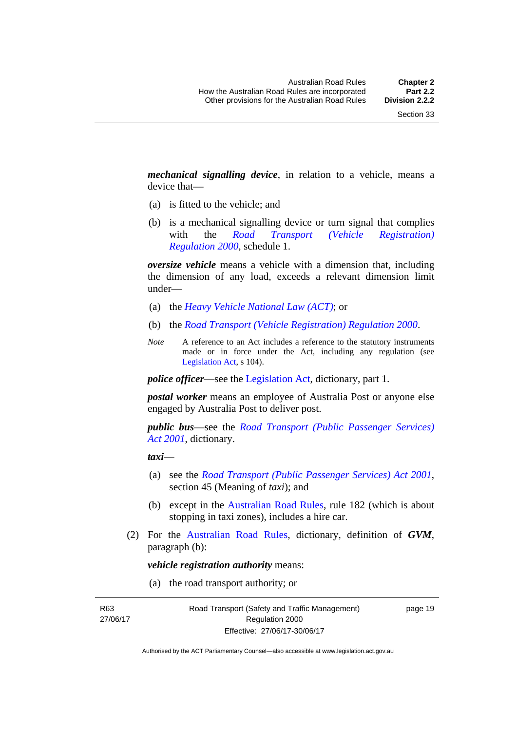*mechanical signalling device*, in relation to a vehicle, means a device that—

- (a) is fitted to the vehicle; and
- (b) is a mechanical signalling device or turn signal that complies with the *[Road Transport \(Vehicle Registration\)](http://www.legislation.act.gov.au/sl/2000-12)  [Regulation 2000](http://www.legislation.act.gov.au/sl/2000-12)*, schedule 1.

*oversize vehicle* means a vehicle with a dimension that, including the dimension of any load, exceeds a relevant dimension limit under—

- (a) the *[Heavy Vehicle National Law \(ACT\)](http://www.legislation.act.gov.au/a/db_49155/default.asp)*; or
- (b) the *[Road Transport \(Vehicle Registration\) Regulation 2000](http://www.legislation.act.gov.au/sl/2000-12)*.
- *Note* A reference to an Act includes a reference to the statutory instruments made or in force under the Act, including any regulation (see [Legislation Act,](http://www.legislation.act.gov.au/a/2001-14) s 104).

*police officer*—see the [Legislation Act](http://www.legislation.act.gov.au/a/2001-14), dictionary, part 1.

*postal worker* means an employee of Australia Post or anyone else engaged by Australia Post to deliver post.

*public bus*—see the *[Road Transport \(Public Passenger Services\)](http://www.legislation.act.gov.au/a/2001-62)  [Act 2001](http://www.legislation.act.gov.au/a/2001-62)*, dictionary.

*taxi*—

- (a) see the *[Road Transport \(Public Passenger Services\) Act 2001](http://www.legislation.act.gov.au/a/2001-62)*, section 45 (Meaning of *taxi*); and
- (b) except in the [Australian Road Rules,](http://www.legislation.act.gov.au//ni/db_37271/default.asp) rule 182 (which is about stopping in taxi zones), includes a hire car.
- (2) For the [Australian Road Rules](http://www.legislation.act.gov.au//ni/db_37271/default.asp), dictionary, definition of *GVM*, paragraph (b):

*vehicle registration authority* means:

(a) the road transport authority; or

R63 27/06/17 page 19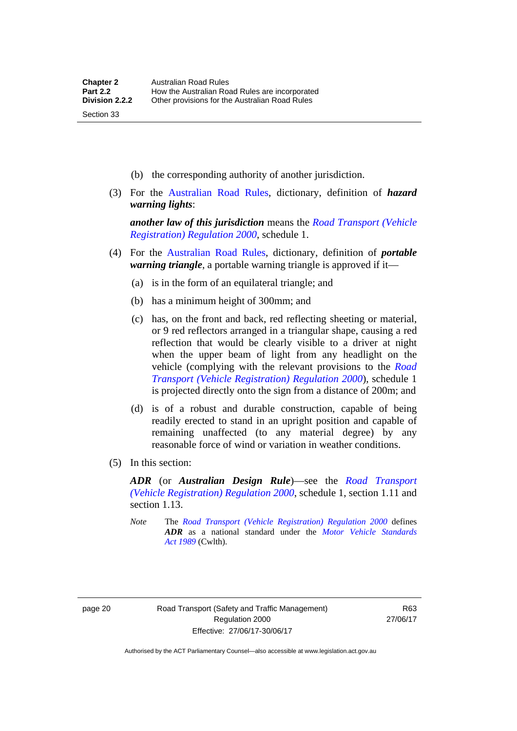- (b) the corresponding authority of another jurisdiction.
- (3) For the [Australian Road Rules](http://www.legislation.act.gov.au//ni/db_37271/default.asp), dictionary, definition of *hazard warning lights*:

*another law of this jurisdiction* means the *[Road Transport \(Vehicle](http://www.legislation.act.gov.au/sl/2000-12)  [Registration\) Regulation 2000](http://www.legislation.act.gov.au/sl/2000-12)*, schedule 1.

- (4) For the [Australian Road Rules](http://www.legislation.act.gov.au//ni/db_37271/default.asp), dictionary, definition of *portable warning triangle*, a portable warning triangle is approved if it—
	- (a) is in the form of an equilateral triangle; and
	- (b) has a minimum height of 300mm; and
	- (c) has, on the front and back, red reflecting sheeting or material, or 9 red reflectors arranged in a triangular shape, causing a red reflection that would be clearly visible to a driver at night when the upper beam of light from any headlight on the vehicle (complying with the relevant provisions to the *[Road](http://www.legislation.act.gov.au/sl/2000-12)  [Transport \(Vehicle Registration\) Regulation 2000](http://www.legislation.act.gov.au/sl/2000-12)*), schedule 1 is projected directly onto the sign from a distance of 200m; and
	- (d) is of a robust and durable construction, capable of being readily erected to stand in an upright position and capable of remaining unaffected (to any material degree) by any reasonable force of wind or variation in weather conditions.
- (5) In this section:

*ADR* (or *Australian Design Rule*)—see the *[Road Transport](http://www.legislation.act.gov.au/sl/2000-12)  [\(Vehicle Registration\) Regulation 2000](http://www.legislation.act.gov.au/sl/2000-12)*, schedule 1, section 1.11 and section 1.13.

*Note* The *[Road Transport \(Vehicle Registration\) Regulation 2000](http://www.legislation.act.gov.au/sl/2000-12)* defines *ADR* as a national standard under the *[Motor Vehicle Standards](http://www.comlaw.gov.au/Series/C2004A03813)  [Act 1989](http://www.comlaw.gov.au/Series/C2004A03813)* (Cwlth).

Section 33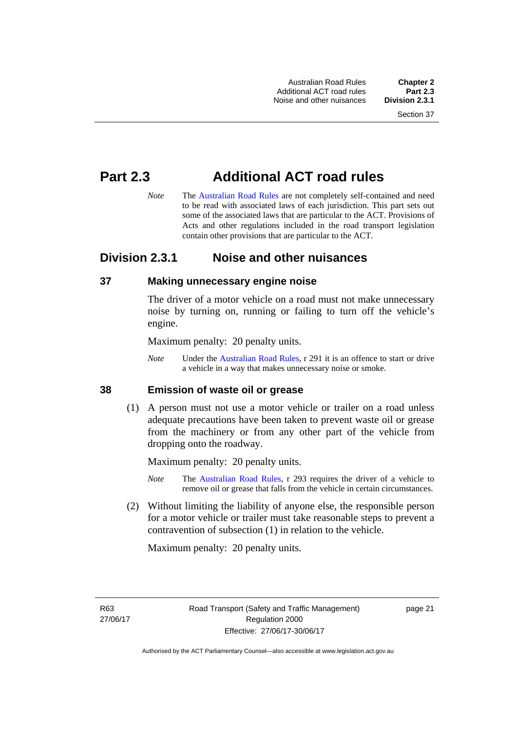Australian Road Rules **Chapter 2** Additional ACT road rules **Part 2.3** Noise and other nuisances

# **Part 2.3 Additional ACT road rules**

*Note* The [Australian Road Rules](http://www.legislation.act.gov.au//ni/db_37271/default.asp) are not completely self-contained and need to be read with associated laws of each jurisdiction. This part sets out some of the associated laws that are particular to the ACT. Provisions of Acts and other regulations included in the road transport legislation contain other provisions that are particular to the ACT.

# **Division 2.3.1 Noise and other nuisances**

#### **37 Making unnecessary engine noise**

The driver of a motor vehicle on a road must not make unnecessary noise by turning on, running or failing to turn off the vehicle's engine.

Maximum penalty: 20 penalty units.

*Note* Under the [Australian Road Rules,](http://www.legislation.act.gov.au//ni/db_37271/default.asp) r 291 it is an offence to start or drive a vehicle in a way that makes unnecessary noise or smoke.

#### **38 Emission of waste oil or grease**

 (1) A person must not use a motor vehicle or trailer on a road unless adequate precautions have been taken to prevent waste oil or grease from the machinery or from any other part of the vehicle from dropping onto the roadway.

Maximum penalty: 20 penalty units.

- *Note* The [Australian Road Rules,](http://www.legislation.act.gov.au//ni/db_37271/default.asp) r 293 requires the driver of a vehicle to remove oil or grease that falls from the vehicle in certain circumstances.
- (2) Without limiting the liability of anyone else, the responsible person for a motor vehicle or trailer must take reasonable steps to prevent a contravention of subsection (1) in relation to the vehicle.

Maximum penalty: 20 penalty units.

R63 27/06/17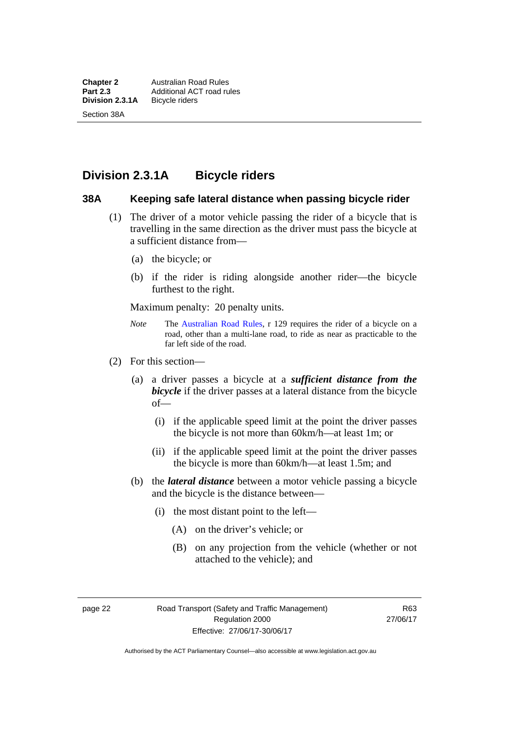# **Division 2.3.1A Bicycle riders**

#### **38A Keeping safe lateral distance when passing bicycle rider**

- (1) The driver of a motor vehicle passing the rider of a bicycle that is travelling in the same direction as the driver must pass the bicycle at a sufficient distance from—
	- (a) the bicycle; or
	- (b) if the rider is riding alongside another rider—the bicycle furthest to the right.

Maximum penalty: 20 penalty units.

- *Note* **The [Australian Road Rules](http://www.legislation.act.gov.au//ni/db_37271/default.asp), r 129 requires the rider of a bicycle on a** road, other than a multi-lane road, to ride as near as practicable to the far left side of the road.
- (2) For this section—
	- (a) a driver passes a bicycle at a *sufficient distance from the bicycle* if the driver passes at a lateral distance from the bicycle of—
		- (i) if the applicable speed limit at the point the driver passes the bicycle is not more than 60km/h—at least 1m; or
		- (ii) if the applicable speed limit at the point the driver passes the bicycle is more than 60km/h—at least 1.5m; and
	- (b) the *lateral distance* between a motor vehicle passing a bicycle and the bicycle is the distance between—
		- (i) the most distant point to the left—
			- (A) on the driver's vehicle; or
			- (B) on any projection from the vehicle (whether or not attached to the vehicle); and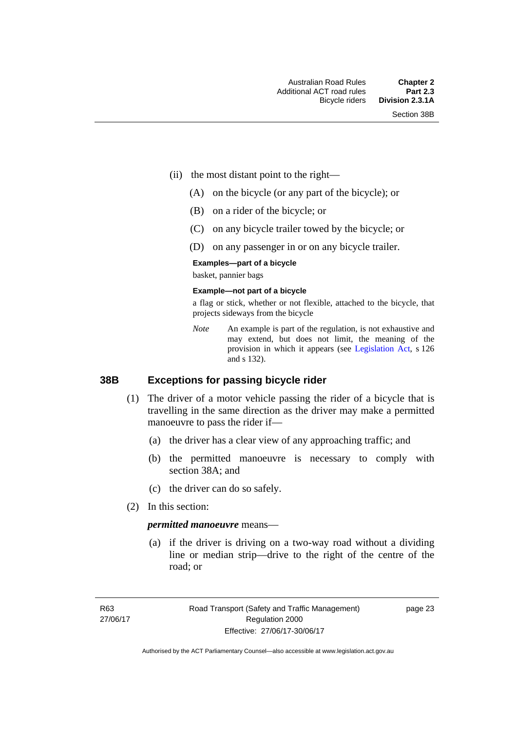- (ii) the most distant point to the right—
	- (A) on the bicycle (or any part of the bicycle); or
	- (B) on a rider of the bicycle; or
	- (C) on any bicycle trailer towed by the bicycle; or
	- (D) on any passenger in or on any bicycle trailer.

#### **Examples—part of a bicycle**

basket, pannier bags

#### **Example—not part of a bicycle**

a flag or stick, whether or not flexible, attached to the bicycle, that projects sideways from the bicycle

*Note* An example is part of the regulation, is not exhaustive and may extend, but does not limit, the meaning of the provision in which it appears (see [Legislation Act,](http://www.legislation.act.gov.au/a/2001-14) s 126 and s 132).

#### **38B Exceptions for passing bicycle rider**

- (1) The driver of a motor vehicle passing the rider of a bicycle that is travelling in the same direction as the driver may make a permitted manoeuvre to pass the rider if—
	- (a) the driver has a clear view of any approaching traffic; and
	- (b) the permitted manoeuvre is necessary to comply with section 38A; and
	- (c) the driver can do so safely.
- (2) In this section:

#### *permitted manoeuvre* means—

 (a) if the driver is driving on a two-way road without a dividing line or median strip—drive to the right of the centre of the road; or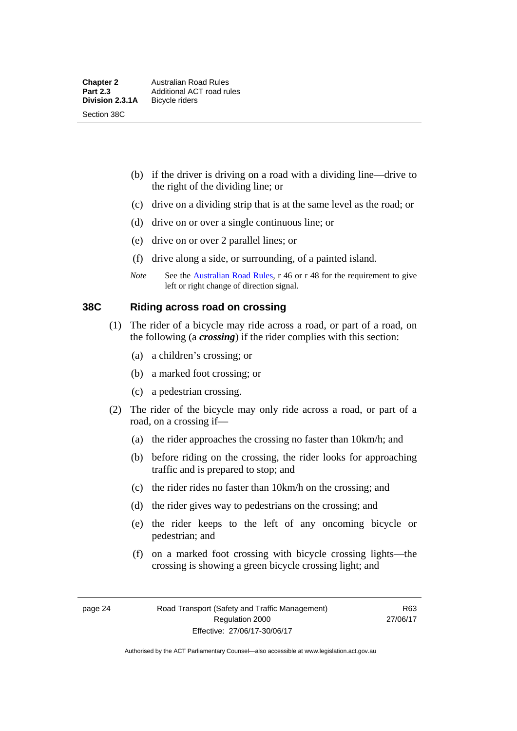- (b) if the driver is driving on a road with a dividing line—drive to the right of the dividing line; or
- (c) drive on a dividing strip that is at the same level as the road; or
- (d) drive on or over a single continuous line; or
- (e) drive on or over 2 parallel lines; or
- (f) drive along a side, or surrounding, of a painted island.
- *Note* See the [Australian Road Rules](http://www.legislation.act.gov.au//ni/db_37271/default.asp), r 46 or r 48 for the requirement to give left or right change of direction signal.

### **38C Riding across road on crossing**

- (1) The rider of a bicycle may ride across a road, or part of a road, on the following (a *crossing*) if the rider complies with this section:
	- (a) a children's crossing; or
	- (b) a marked foot crossing; or
	- (c) a pedestrian crossing.
- (2) The rider of the bicycle may only ride across a road, or part of a road, on a crossing if—
	- (a) the rider approaches the crossing no faster than 10km/h; and
	- (b) before riding on the crossing, the rider looks for approaching traffic and is prepared to stop; and
	- (c) the rider rides no faster than 10km/h on the crossing; and
	- (d) the rider gives way to pedestrians on the crossing; and
	- (e) the rider keeps to the left of any oncoming bicycle or pedestrian; and
	- (f) on a marked foot crossing with bicycle crossing lights—the crossing is showing a green bicycle crossing light; and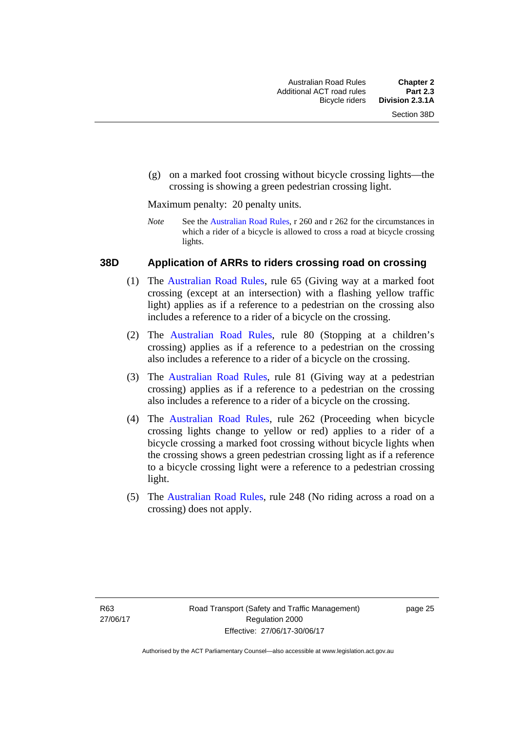(g) on a marked foot crossing without bicycle crossing lights—the crossing is showing a green pedestrian crossing light.

Maximum penalty: 20 penalty units.

*Note* See the [Australian Road Rules](http://www.legislation.act.gov.au//ni/db_37271/default.asp), r 260 and r 262 for the circumstances in which a rider of a bicycle is allowed to cross a road at bicycle crossing lights.

#### **38D Application of ARRs to riders crossing road on crossing**

- (1) The [Australian Road Rules,](http://www.legislation.act.gov.au//ni/db_37271/default.asp) rule 65 (Giving way at a marked foot crossing (except at an intersection) with a flashing yellow traffic light) applies as if a reference to a pedestrian on the crossing also includes a reference to a rider of a bicycle on the crossing.
- (2) The [Australian Road Rules](http://www.legislation.act.gov.au//ni/db_37271/default.asp), rule 80 (Stopping at a children's crossing) applies as if a reference to a pedestrian on the crossing also includes a reference to a rider of a bicycle on the crossing.
- (3) The [Australian Road Rules,](http://www.legislation.act.gov.au//ni/db_37271/default.asp) rule 81 (Giving way at a pedestrian crossing) applies as if a reference to a pedestrian on the crossing also includes a reference to a rider of a bicycle on the crossing.
- (4) The [Australian Road Rules](http://www.legislation.act.gov.au//ni/db_37271/default.asp), rule 262 (Proceeding when bicycle crossing lights change to yellow or red) applies to a rider of a bicycle crossing a marked foot crossing without bicycle lights when the crossing shows a green pedestrian crossing light as if a reference to a bicycle crossing light were a reference to a pedestrian crossing light.
- (5) The [Australian Road Rules](http://www.legislation.act.gov.au//ni/db_37271/default.asp), rule 248 (No riding across a road on a crossing) does not apply.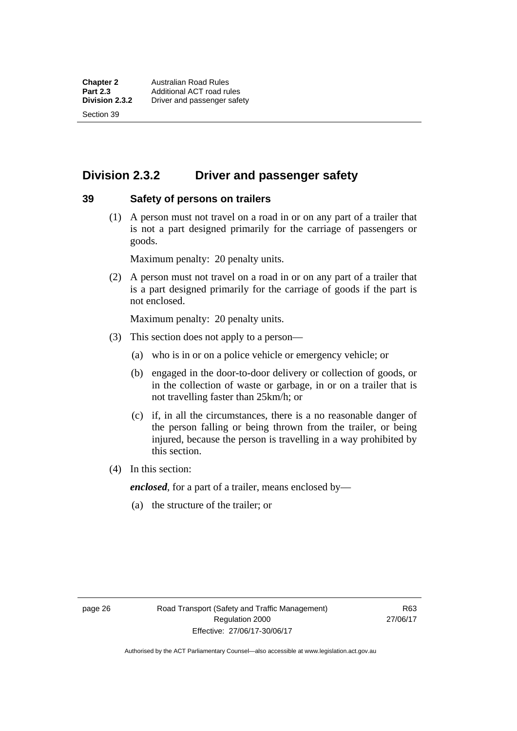Section 39

# **Division 2.3.2 Driver and passenger safety**

#### **39 Safety of persons on trailers**

 (1) A person must not travel on a road in or on any part of a trailer that is not a part designed primarily for the carriage of passengers or goods.

Maximum penalty: 20 penalty units.

 (2) A person must not travel on a road in or on any part of a trailer that is a part designed primarily for the carriage of goods if the part is not enclosed.

Maximum penalty: 20 penalty units.

- (3) This section does not apply to a person—
	- (a) who is in or on a police vehicle or emergency vehicle; or
	- (b) engaged in the door-to-door delivery or collection of goods, or in the collection of waste or garbage, in or on a trailer that is not travelling faster than 25km/h; or
	- (c) if, in all the circumstances, there is a no reasonable danger of the person falling or being thrown from the trailer, or being injured, because the person is travelling in a way prohibited by this section.
- (4) In this section:

*enclosed*, for a part of a trailer, means enclosed by—

(a) the structure of the trailer; or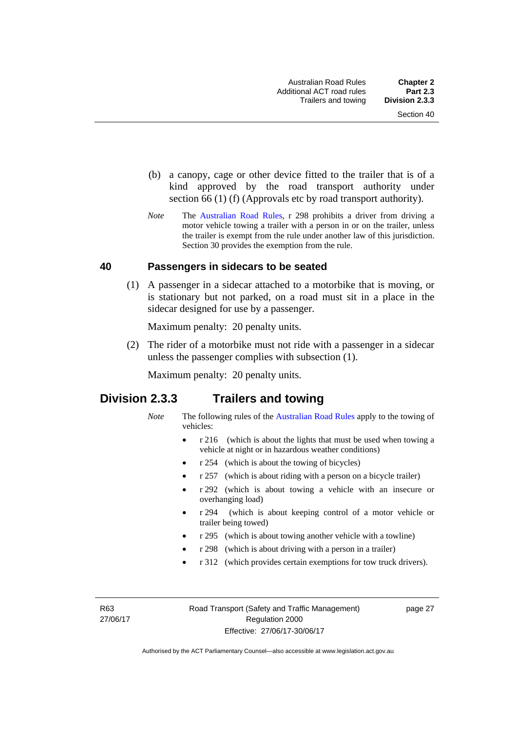- (b) a canopy, cage or other device fitted to the trailer that is of a kind approved by the road transport authority under section 66 (1) (f) (Approvals etc by road transport authority).
- *Note* The [Australian Road Rules](http://www.legislation.act.gov.au//ni/db_37271/default.asp), r 298 prohibits a driver from driving a motor vehicle towing a trailer with a person in or on the trailer, unless the trailer is exempt from the rule under another law of this jurisdiction. Section 30 provides the exemption from the rule.

#### **40 Passengers in sidecars to be seated**

 (1) A passenger in a sidecar attached to a motorbike that is moving, or is stationary but not parked, on a road must sit in a place in the sidecar designed for use by a passenger.

Maximum penalty: 20 penalty units.

 (2) The rider of a motorbike must not ride with a passenger in a sidecar unless the passenger complies with subsection (1).

Maximum penalty: 20 penalty units.

# **Division 2.3.3 Trailers and towing**

- *Note* The following rules of the [Australian Road Rules](http://www.legislation.act.gov.au//ni/db_37271/default.asp) apply to the towing of vehicles:
	- r 216 (which is about the lights that must be used when towing a vehicle at night or in hazardous weather conditions)
	- r 254 (which is about the towing of bicycles)
	- r 257 (which is about riding with a person on a bicycle trailer)
	- r 292 (which is about towing a vehicle with an insecure or overhanging load)
	- r 294 (which is about keeping control of a motor vehicle or trailer being towed)
	- r 295 (which is about towing another vehicle with a towline)
	- r 298 (which is about driving with a person in a trailer)
	- r 312 (which provides certain exemptions for tow truck drivers).

R63 27/06/17 page 27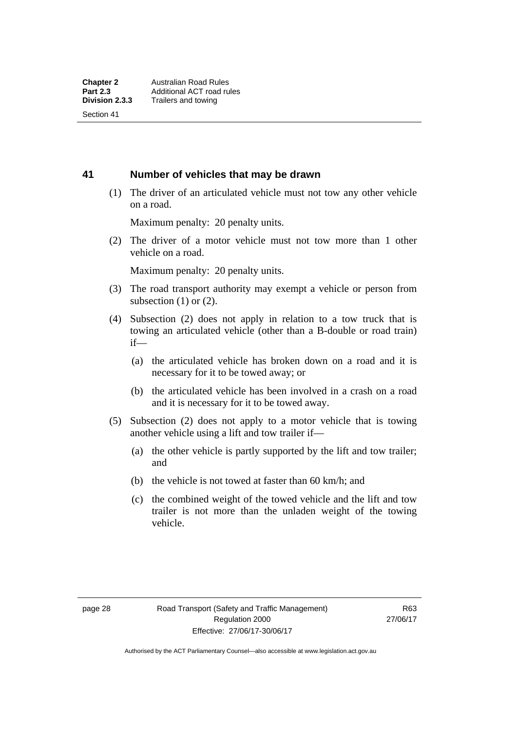Section 41

#### **41 Number of vehicles that may be drawn**

 (1) The driver of an articulated vehicle must not tow any other vehicle on a road.

Maximum penalty: 20 penalty units.

 (2) The driver of a motor vehicle must not tow more than 1 other vehicle on a road.

Maximum penalty: 20 penalty units.

- (3) The road transport authority may exempt a vehicle or person from subsection  $(1)$  or  $(2)$ .
- (4) Subsection (2) does not apply in relation to a tow truck that is towing an articulated vehicle (other than a B-double or road train) if—
	- (a) the articulated vehicle has broken down on a road and it is necessary for it to be towed away; or
	- (b) the articulated vehicle has been involved in a crash on a road and it is necessary for it to be towed away.
- (5) Subsection (2) does not apply to a motor vehicle that is towing another vehicle using a lift and tow trailer if—
	- (a) the other vehicle is partly supported by the lift and tow trailer; and
	- (b) the vehicle is not towed at faster than 60 km/h; and
	- (c) the combined weight of the towed vehicle and the lift and tow trailer is not more than the unladen weight of the towing vehicle.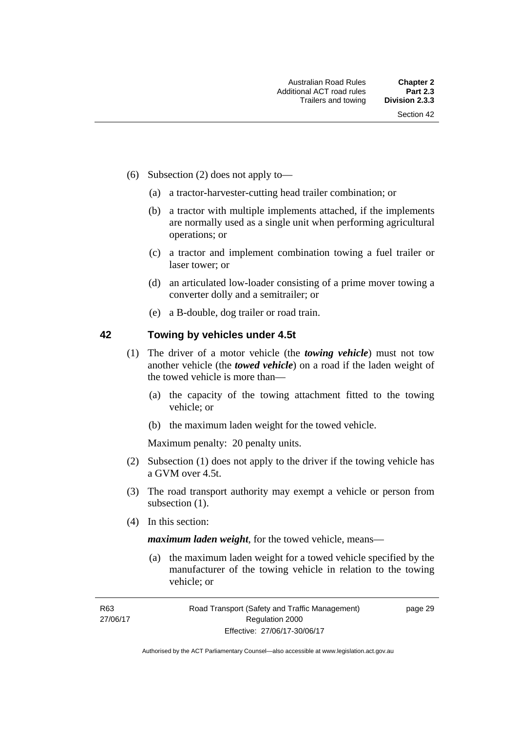- (6) Subsection (2) does not apply to—
	- (a) a tractor-harvester-cutting head trailer combination; or
	- (b) a tractor with multiple implements attached, if the implements are normally used as a single unit when performing agricultural operations; or
	- (c) a tractor and implement combination towing a fuel trailer or laser tower; or
	- (d) an articulated low-loader consisting of a prime mover towing a converter dolly and a semitrailer; or
	- (e) a B-double, dog trailer or road train.

#### **42 Towing by vehicles under 4.5t**

- (1) The driver of a motor vehicle (the *towing vehicle*) must not tow another vehicle (the *towed vehicle*) on a road if the laden weight of the towed vehicle is more than—
	- (a) the capacity of the towing attachment fitted to the towing vehicle; or
	- (b) the maximum laden weight for the towed vehicle.

Maximum penalty: 20 penalty units.

- (2) Subsection (1) does not apply to the driver if the towing vehicle has a GVM over 4.5t.
- (3) The road transport authority may exempt a vehicle or person from subsection  $(1)$ .
- (4) In this section:

*maximum laden weight*, for the towed vehicle, means—

 (a) the maximum laden weight for a towed vehicle specified by the manufacturer of the towing vehicle in relation to the towing vehicle; or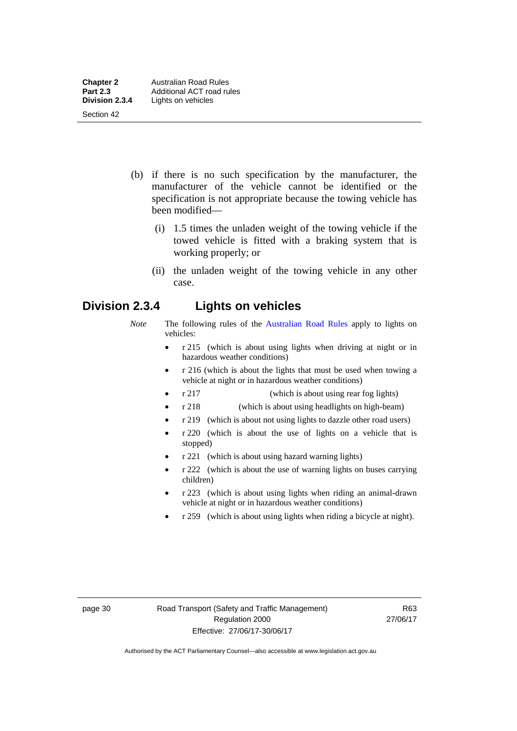- (b) if there is no such specification by the manufacturer, the manufacturer of the vehicle cannot be identified or the specification is not appropriate because the towing vehicle has been modified—
	- (i) 1.5 times the unladen weight of the towing vehicle if the towed vehicle is fitted with a braking system that is working properly; or
	- (ii) the unladen weight of the towing vehicle in any other case.

# **Division 2.3.4 Lights on vehicles**

- *Note* The following rules of the [Australian Road Rules](http://www.legislation.act.gov.au//ni/db_37271/default.asp) apply to lights on vehicles:
	- r 215 (which is about using lights when driving at night or in hazardous weather conditions)
	- r 216 (which is about the lights that must be used when towing a vehicle at night or in hazardous weather conditions)
	- r 217 (which is about using rear fog lights)
	- r 218 (which is about using headlights on high-beam)
	- r 219 (which is about not using lights to dazzle other road users)
	- r 220 (which is about the use of lights on a vehicle that is stopped)
	- r 221 (which is about using hazard warning lights)
	- r 222 (which is about the use of warning lights on buses carrying children)
	- r 223 (which is about using lights when riding an animal-drawn vehicle at night or in hazardous weather conditions)
	- r 259 (which is about using lights when riding a bicycle at night).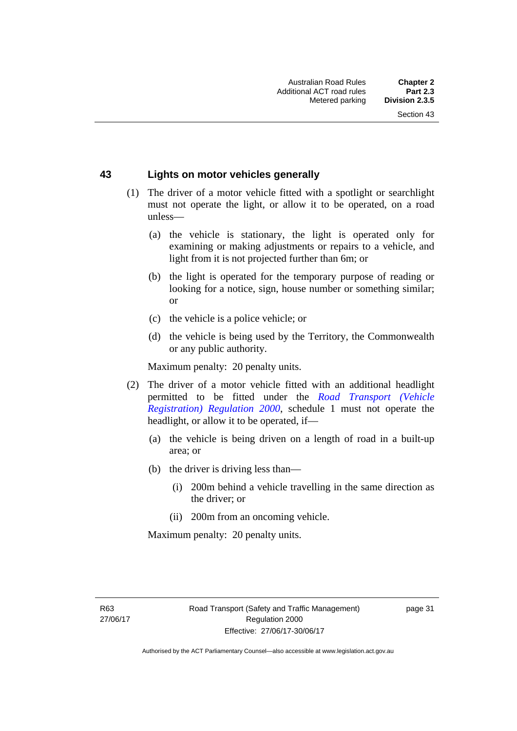#### **43 Lights on motor vehicles generally**

- (1) The driver of a motor vehicle fitted with a spotlight or searchlight must not operate the light, or allow it to be operated, on a road unless—
	- (a) the vehicle is stationary, the light is operated only for examining or making adjustments or repairs to a vehicle, and light from it is not projected further than 6m; or
	- (b) the light is operated for the temporary purpose of reading or looking for a notice, sign, house number or something similar; or
	- (c) the vehicle is a police vehicle; or
	- (d) the vehicle is being used by the Territory, the Commonwealth or any public authority.

Maximum penalty: 20 penalty units.

- (2) The driver of a motor vehicle fitted with an additional headlight permitted to be fitted under the *[Road Transport \(Vehicle](http://www.legislation.act.gov.au/sl/2000-12)  [Registration\) Regulation 2000](http://www.legislation.act.gov.au/sl/2000-12)*, schedule 1 must not operate the headlight, or allow it to be operated, if—
	- (a) the vehicle is being driven on a length of road in a built-up area; or
	- (b) the driver is driving less than—
		- (i) 200m behind a vehicle travelling in the same direction as the driver; or
		- (ii) 200m from an oncoming vehicle.

Maximum penalty: 20 penalty units.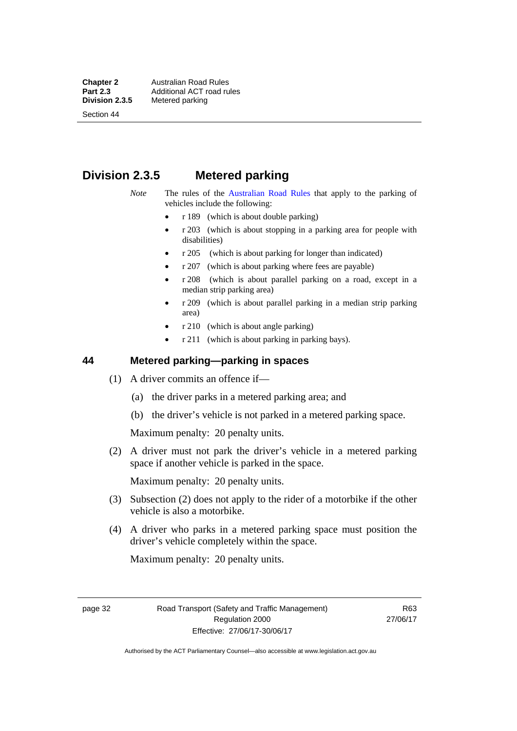**Chapter 2 Australian Road Rules**<br>**Part 2.3 Additional ACT road rules Part 2.3 Additional ACT road rules**<br>**Division 2.3.5** Metered parking **Metered parking** 

Section 44

# **Division 2.3.5 Metered parking**

- *Note* The rules of the [Australian Road Rules](http://www.legislation.act.gov.au//ni/db_37271/default.asp) that apply to the parking of vehicles include the following:
	- r 189 (which is about double parking)
	- $r$  203 (which is about stopping in a parking area for people with disabilities)
	- r 205 (which is about parking for longer than indicated)
	- r 207 (which is about parking where fees are payable)
	- r 208 (which is about parallel parking on a road, except in a median strip parking area)
	- r 209 (which is about parallel parking in a median strip parking area)
	- r 210 (which is about angle parking)
	- r 211 (which is about parking in parking bays).

#### **44 Metered parking—parking in spaces**

- (1) A driver commits an offence if—
	- (a) the driver parks in a metered parking area; and
	- (b) the driver's vehicle is not parked in a metered parking space.

Maximum penalty: 20 penalty units.

 (2) A driver must not park the driver's vehicle in a metered parking space if another vehicle is parked in the space.

Maximum penalty: 20 penalty units.

- (3) Subsection (2) does not apply to the rider of a motorbike if the other vehicle is also a motorbike.
- (4) A driver who parks in a metered parking space must position the driver's vehicle completely within the space.

Maximum penalty: 20 penalty units.

page 32 Road Transport (Safety and Traffic Management) Regulation 2000 Effective: 27/06/17-30/06/17

R63 27/06/17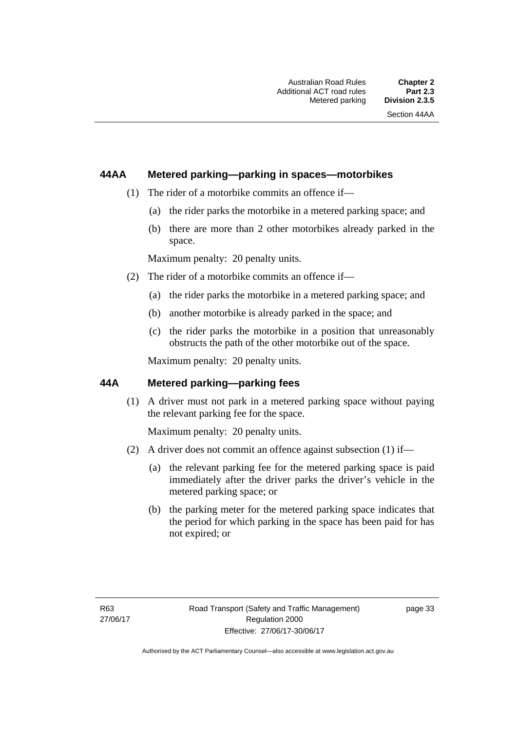# **44AA Metered parking—parking in spaces—motorbikes**

- (1) The rider of a motorbike commits an offence if—
	- (a) the rider parks the motorbike in a metered parking space; and
	- (b) there are more than 2 other motorbikes already parked in the space.

Maximum penalty: 20 penalty units.

- (2) The rider of a motorbike commits an offence if—
	- (a) the rider parks the motorbike in a metered parking space; and
	- (b) another motorbike is already parked in the space; and
	- (c) the rider parks the motorbike in a position that unreasonably obstructs the path of the other motorbike out of the space.

Maximum penalty: 20 penalty units.

## **44A Metered parking—parking fees**

(1) A driver must not park in a metered parking space without paying the relevant parking fee for the space.

Maximum penalty: 20 penalty units.

- (2) A driver does not commit an offence against subsection (1) if—
	- (a) the relevant parking fee for the metered parking space is paid immediately after the driver parks the driver's vehicle in the metered parking space; or
	- (b) the parking meter for the metered parking space indicates that the period for which parking in the space has been paid for has not expired; or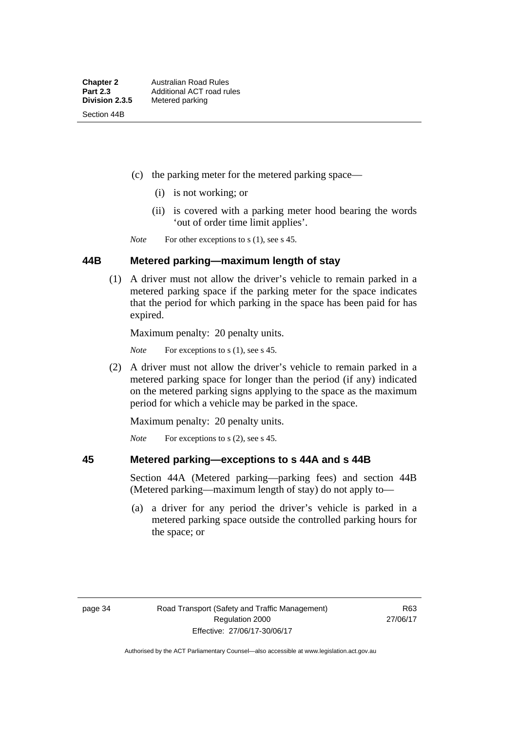- (c) the parking meter for the metered parking space—
	- (i) is not working; or
	- (ii) is covered with a parking meter hood bearing the words 'out of order time limit applies'.

*Note* For other exceptions to s (1), see s 45.

#### **44B Metered parking—maximum length of stay**

 (1) A driver must not allow the driver's vehicle to remain parked in a metered parking space if the parking meter for the space indicates that the period for which parking in the space has been paid for has expired.

Maximum penalty: 20 penalty units.

*Note* For exceptions to s (1), see s 45.

 (2) A driver must not allow the driver's vehicle to remain parked in a metered parking space for longer than the period (if any) indicated on the metered parking signs applying to the space as the maximum period for which a vehicle may be parked in the space.

Maximum penalty: 20 penalty units.

*Note* For exceptions to s (2), see s 45.

#### **45 Metered parking—exceptions to s 44A and s 44B**

Section 44A (Metered parking—parking fees) and section 44B (Metered parking—maximum length of stay) do not apply to—

 (a) a driver for any period the driver's vehicle is parked in a metered parking space outside the controlled parking hours for the space; or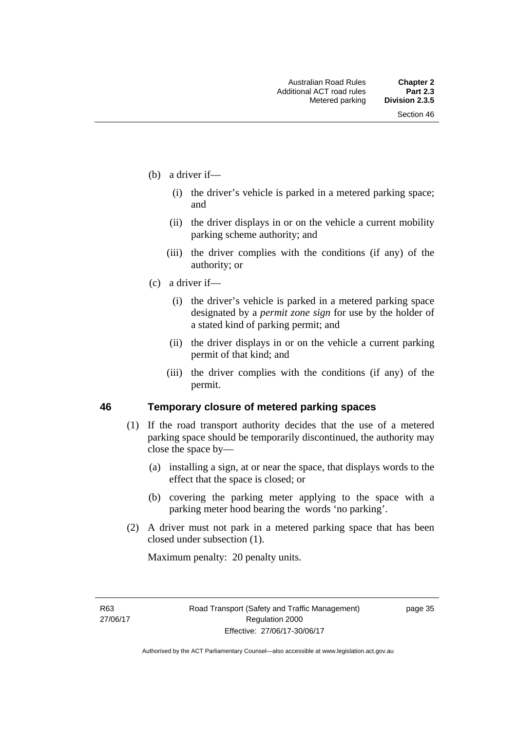- (b) a driver if—
	- (i) the driver's vehicle is parked in a metered parking space; and
	- (ii) the driver displays in or on the vehicle a current mobility parking scheme authority; and
	- (iii) the driver complies with the conditions (if any) of the authority; or
- (c) a driver if—
	- (i) the driver's vehicle is parked in a metered parking space designated by a *permit zone sign* for use by the holder of a stated kind of parking permit; and
	- (ii) the driver displays in or on the vehicle a current parking permit of that kind; and
	- (iii) the driver complies with the conditions (if any) of the permit.

#### **46 Temporary closure of metered parking spaces**

- (1) If the road transport authority decides that the use of a metered parking space should be temporarily discontinued, the authority may close the space by—
	- (a) installing a sign, at or near the space, that displays words to the effect that the space is closed; or
	- (b) covering the parking meter applying to the space with a parking meter hood bearing the words 'no parking'.
- (2) A driver must not park in a metered parking space that has been closed under subsection (1).

Maximum penalty: 20 penalty units.

R63 27/06/17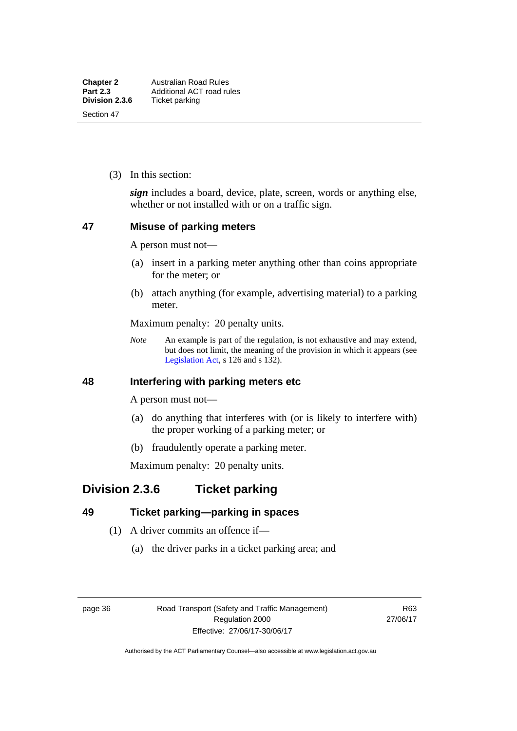(3) In this section:

*sign* includes a board, device, plate, screen, words or anything else, whether or not installed with or on a traffic sign.

#### **47 Misuse of parking meters**

A person must not—

- (a) insert in a parking meter anything other than coins appropriate for the meter; or
- (b) attach anything (for example, advertising material) to a parking meter.

Maximum penalty: 20 penalty units.

*Note* An example is part of the regulation, is not exhaustive and may extend, but does not limit, the meaning of the provision in which it appears (see [Legislation Act,](http://www.legislation.act.gov.au/a/2001-14) s 126 and s 132).

### **48 Interfering with parking meters etc**

A person must not—

- (a) do anything that interferes with (or is likely to interfere with) the proper working of a parking meter; or
- (b) fraudulently operate a parking meter.

Maximum penalty: 20 penalty units.

# **Division 2.3.6 Ticket parking**

# **49 Ticket parking—parking in spaces**

- (1) A driver commits an offence if—
	- (a) the driver parks in a ticket parking area; and

page 36 Road Transport (Safety and Traffic Management) Regulation 2000 Effective: 27/06/17-30/06/17

R63 27/06/17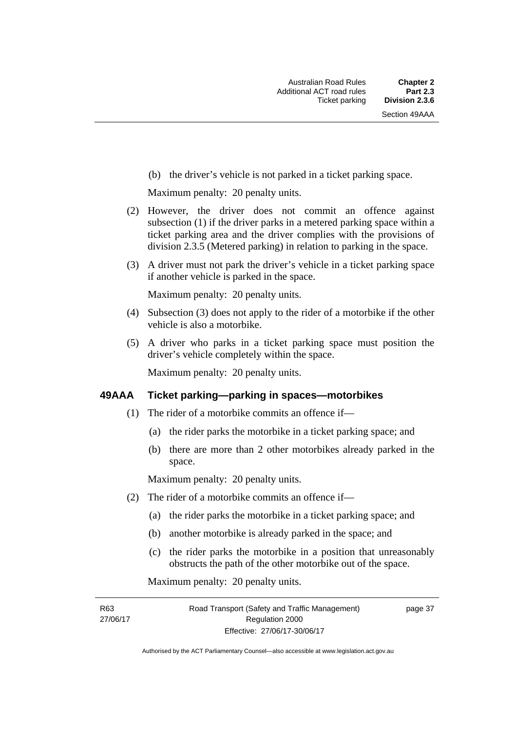(b) the driver's vehicle is not parked in a ticket parking space.

Maximum penalty: 20 penalty units.

- (2) However, the driver does not commit an offence against subsection (1) if the driver parks in a metered parking space within a ticket parking area and the driver complies with the provisions of division 2.3.5 (Metered parking) in relation to parking in the space.
- (3) A driver must not park the driver's vehicle in a ticket parking space if another vehicle is parked in the space.

Maximum penalty: 20 penalty units.

- (4) Subsection (3) does not apply to the rider of a motorbike if the other vehicle is also a motorbike.
- (5) A driver who parks in a ticket parking space must position the driver's vehicle completely within the space.

Maximum penalty: 20 penalty units.

#### **49AAA Ticket parking—parking in spaces—motorbikes**

- (1) The rider of a motorbike commits an offence if—
	- (a) the rider parks the motorbike in a ticket parking space; and
	- (b) there are more than 2 other motorbikes already parked in the space.

Maximum penalty: 20 penalty units.

- (2) The rider of a motorbike commits an offence if—
	- (a) the rider parks the motorbike in a ticket parking space; and
	- (b) another motorbike is already parked in the space; and
	- (c) the rider parks the motorbike in a position that unreasonably obstructs the path of the other motorbike out of the space.

Maximum penalty: 20 penalty units.

R63 27/06/17 page 37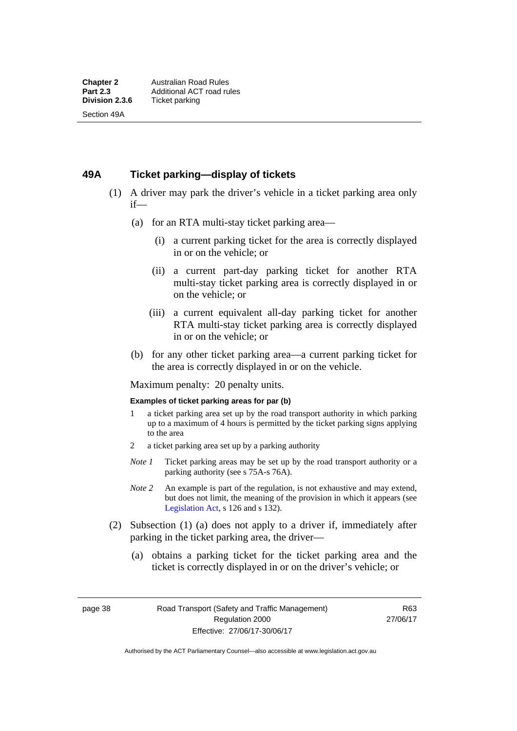### **49A Ticket parking—display of tickets**

- (1) A driver may park the driver's vehicle in a ticket parking area only if—
	- (a) for an RTA multi-stay ticket parking area—
		- (i) a current parking ticket for the area is correctly displayed in or on the vehicle; or
		- (ii) a current part-day parking ticket for another RTA multi-stay ticket parking area is correctly displayed in or on the vehicle; or
		- (iii) a current equivalent all-day parking ticket for another RTA multi-stay ticket parking area is correctly displayed in or on the vehicle; or
	- (b) for any other ticket parking area—a current parking ticket for the area is correctly displayed in or on the vehicle.

Maximum penalty: 20 penalty units.

#### **Examples of ticket parking areas for par (b)**

- 1 a ticket parking area set up by the road transport authority in which parking up to a maximum of 4 hours is permitted by the ticket parking signs applying to the area
- 2 a ticket parking area set up by a parking authority
- *Note 1* Ticket parking areas may be set up by the road transport authority or a parking authority (see s 75A-s 76A).
- *Note 2* An example is part of the regulation, is not exhaustive and may extend, but does not limit, the meaning of the provision in which it appears (see [Legislation Act,](http://www.legislation.act.gov.au/a/2001-14) s 126 and s 132).
- (2) Subsection (1) (a) does not apply to a driver if, immediately after parking in the ticket parking area, the driver—
	- (a) obtains a parking ticket for the ticket parking area and the ticket is correctly displayed in or on the driver's vehicle; or

page 38 Road Transport (Safety and Traffic Management) Regulation 2000 Effective: 27/06/17-30/06/17

R63 27/06/17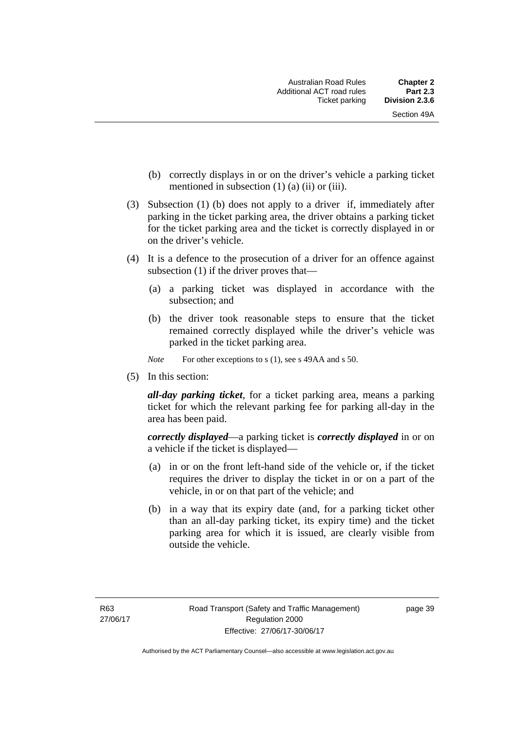- (b) correctly displays in or on the driver's vehicle a parking ticket mentioned in subsection  $(1)$   $(a)$   $(ii)$  or  $(iii)$ .
- (3) Subsection (1) (b) does not apply to a driver if, immediately after parking in the ticket parking area, the driver obtains a parking ticket for the ticket parking area and the ticket is correctly displayed in or on the driver's vehicle.
- (4) It is a defence to the prosecution of a driver for an offence against subsection (1) if the driver proves that—
	- (a) a parking ticket was displayed in accordance with the subsection; and
	- (b) the driver took reasonable steps to ensure that the ticket remained correctly displayed while the driver's vehicle was parked in the ticket parking area.
	- *Note* For other exceptions to s (1), see s 49AA and s 50.
- (5) In this section:

*all-day parking ticket*, for a ticket parking area, means a parking ticket for which the relevant parking fee for parking all-day in the area has been paid.

*correctly displayed*—a parking ticket is *correctly displayed* in or on a vehicle if the ticket is displayed—

- (a) in or on the front left-hand side of the vehicle or, if the ticket requires the driver to display the ticket in or on a part of the vehicle, in or on that part of the vehicle; and
- (b) in a way that its expiry date (and, for a parking ticket other than an all-day parking ticket, its expiry time) and the ticket parking area for which it is issued, are clearly visible from outside the vehicle.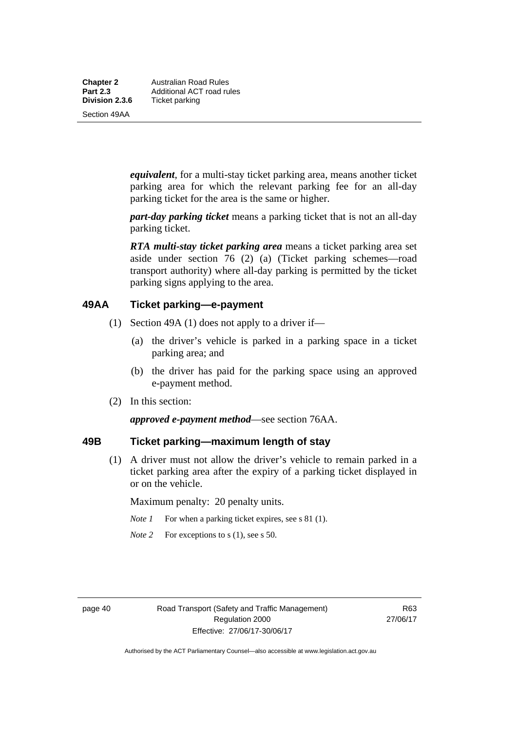**Chapter 2** Australian Road Rules<br>**Part 2.3** Additional ACT road ru **Part 2.3 Additional ACT road rules**<br>**Division 2.3.6** Ticket parking **Ticket parking** 

Section 49AA

*equivalent*, for a multi-stay ticket parking area, means another ticket parking area for which the relevant parking fee for an all-day parking ticket for the area is the same or higher.

*part-day parking ticket* means a parking ticket that is not an all-day parking ticket.

*RTA multi-stay ticket parking area* means a ticket parking area set aside under section 76 (2) (a) (Ticket parking schemes—road transport authority) where all-day parking is permitted by the ticket parking signs applying to the area.

### **49AA Ticket parking—e-payment**

- (1) Section 49A (1) does not apply to a driver if—
	- (a) the driver's vehicle is parked in a parking space in a ticket parking area; and
	- (b) the driver has paid for the parking space using an approved e-payment method.
- (2) In this section:

*approved e-payment method*—see section 76AA.

## **49B Ticket parking—maximum length of stay**

(1) A driver must not allow the driver's vehicle to remain parked in a ticket parking area after the expiry of a parking ticket displayed in or on the vehicle.

Maximum penalty: 20 penalty units.

- *Note 1* For when a parking ticket expires, see s 81 (1).
- *Note* 2 For exceptions to s (1), see s 50.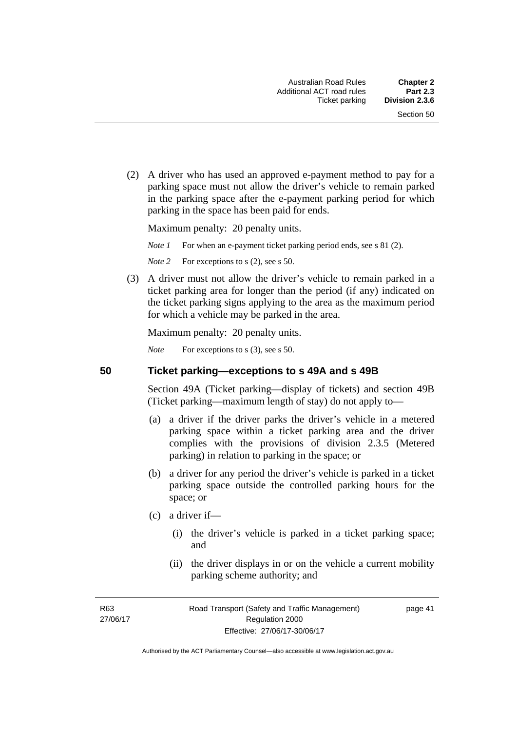(2) A driver who has used an approved e-payment method to pay for a parking space must not allow the driver's vehicle to remain parked in the parking space after the e-payment parking period for which parking in the space has been paid for ends.

Maximum penalty: 20 penalty units.

*Note 1* For when an e-payment ticket parking period ends, see s 81 (2).

*Note* 2 For exceptions to s (2), see s 50.

 (3) A driver must not allow the driver's vehicle to remain parked in a ticket parking area for longer than the period (if any) indicated on the ticket parking signs applying to the area as the maximum period for which a vehicle may be parked in the area.

Maximum penalty: 20 penalty units.

*Note* For exceptions to s (3), see s 50.

**50 Ticket parking—exceptions to s 49A and s 49B** 

Section 49A (Ticket parking—display of tickets) and section 49B (Ticket parking—maximum length of stay) do not apply to—

- (a) a driver if the driver parks the driver's vehicle in a metered parking space within a ticket parking area and the driver complies with the provisions of division 2.3.5 (Metered parking) in relation to parking in the space; or
- (b) a driver for any period the driver's vehicle is parked in a ticket parking space outside the controlled parking hours for the space; or
- (c) a driver if—
	- (i) the driver's vehicle is parked in a ticket parking space; and
	- (ii) the driver displays in or on the vehicle a current mobility parking scheme authority; and

R63 27/06/17 page 41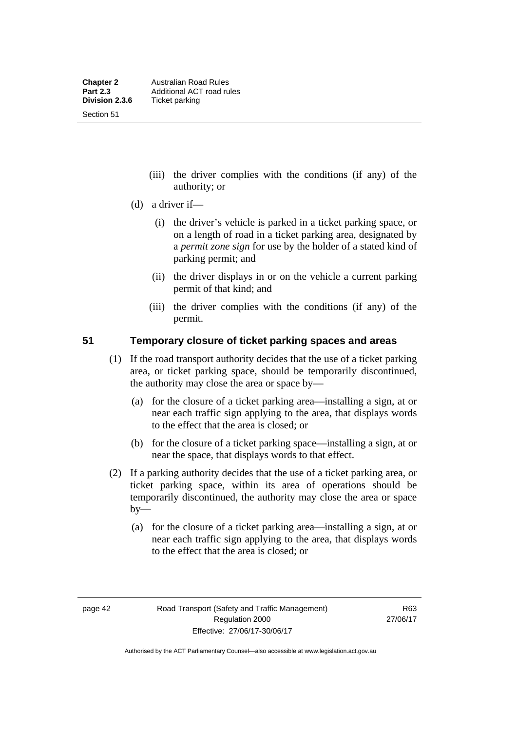Section 51

- (iii) the driver complies with the conditions (if any) of the authority; or
- (d) a driver if—
	- (i) the driver's vehicle is parked in a ticket parking space, or on a length of road in a ticket parking area, designated by a *permit zone sign* for use by the holder of a stated kind of parking permit; and
	- (ii) the driver displays in or on the vehicle a current parking permit of that kind; and
	- (iii) the driver complies with the conditions (if any) of the permit.

### **51 Temporary closure of ticket parking spaces and areas**

- (1) If the road transport authority decides that the use of a ticket parking area, or ticket parking space, should be temporarily discontinued, the authority may close the area or space by—
	- (a) for the closure of a ticket parking area—installing a sign, at or near each traffic sign applying to the area, that displays words to the effect that the area is closed; or
	- (b) for the closure of a ticket parking space—installing a sign, at or near the space, that displays words to that effect.
- (2) If a parking authority decides that the use of a ticket parking area, or ticket parking space, within its area of operations should be temporarily discontinued, the authority may close the area or space  $by-$ 
	- (a) for the closure of a ticket parking area—installing a sign, at or near each traffic sign applying to the area, that displays words to the effect that the area is closed; or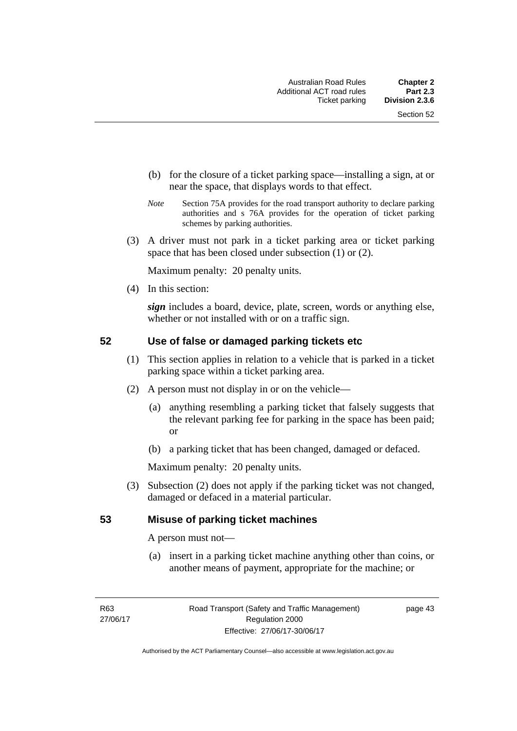- (b) for the closure of a ticket parking space—installing a sign, at or near the space, that displays words to that effect.
- *Note* Section 75A provides for the road transport authority to declare parking authorities and s 76A provides for the operation of ticket parking schemes by parking authorities.
- (3) A driver must not park in a ticket parking area or ticket parking space that has been closed under subsection (1) or (2).

Maximum penalty: 20 penalty units.

(4) In this section:

*sign* includes a board, device, plate, screen, words or anything else, whether or not installed with or on a traffic sign.

### **52 Use of false or damaged parking tickets etc**

- (1) This section applies in relation to a vehicle that is parked in a ticket parking space within a ticket parking area.
- (2) A person must not display in or on the vehicle—
	- (a) anything resembling a parking ticket that falsely suggests that the relevant parking fee for parking in the space has been paid; or
	- (b) a parking ticket that has been changed, damaged or defaced.

Maximum penalty: 20 penalty units.

 (3) Subsection (2) does not apply if the parking ticket was not changed, damaged or defaced in a material particular.

#### **53 Misuse of parking ticket machines**

A person must not—

(a) insert in a parking ticket machine anything other than coins, or another means of payment, appropriate for the machine; or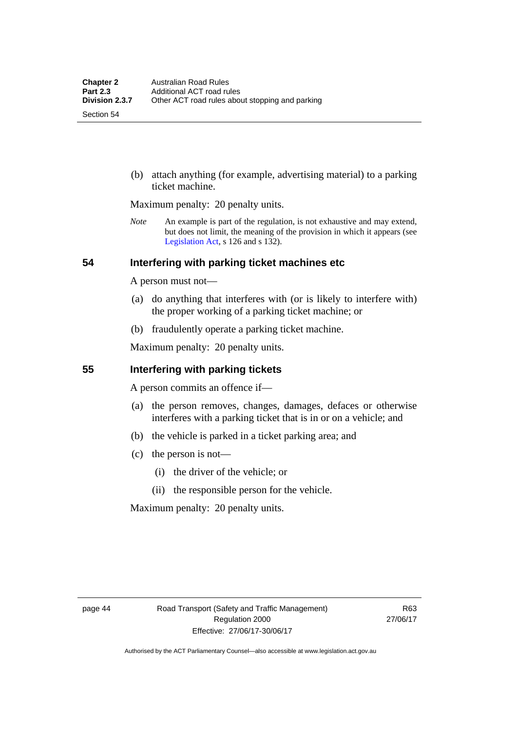Section 54

 (b) attach anything (for example, advertising material) to a parking ticket machine.

Maximum penalty: 20 penalty units.

*Note* An example is part of the regulation, is not exhaustive and may extend, but does not limit, the meaning of the provision in which it appears (see [Legislation Act,](http://www.legislation.act.gov.au/a/2001-14) s 126 and s 132).

#### **54 Interfering with parking ticket machines etc**

A person must not—

- (a) do anything that interferes with (or is likely to interfere with) the proper working of a parking ticket machine; or
- (b) fraudulently operate a parking ticket machine.

Maximum penalty: 20 penalty units.

#### **55 Interfering with parking tickets**

A person commits an offence if—

- (a) the person removes, changes, damages, defaces or otherwise interferes with a parking ticket that is in or on a vehicle; and
- (b) the vehicle is parked in a ticket parking area; and
- (c) the person is not—
	- (i) the driver of the vehicle; or
	- (ii) the responsible person for the vehicle.

Maximum penalty: 20 penalty units.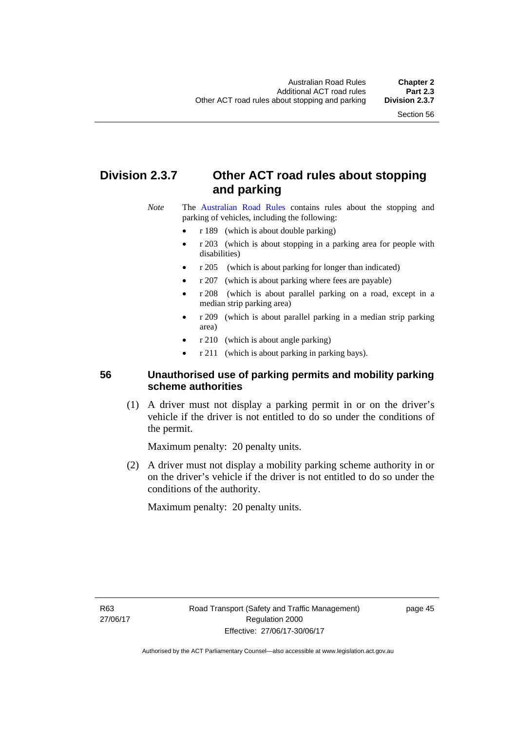# **Division 2.3.7 Other ACT road rules about stopping and parking**

*Note* The [Australian Road Rules](http://www.legislation.act.gov.au//ni/db_37271/default.asp) contains rules about the stopping and parking of vehicles, including the following:

- r 189 (which is about double parking)
- r 203 (which is about stopping in a parking area for people with disabilities)
- r 205 (which is about parking for longer than indicated)
- r 207 (which is about parking where fees are payable)
- r 208 (which is about parallel parking on a road, except in a median strip parking area)
- r 209 (which is about parallel parking in a median strip parking area)
- r 210 (which is about angle parking)
- r 211 (which is about parking in parking bays).

## **56 Unauthorised use of parking permits and mobility parking scheme authorities**

 (1) A driver must not display a parking permit in or on the driver's vehicle if the driver is not entitled to do so under the conditions of the permit.

Maximum penalty: 20 penalty units.

 (2) A driver must not display a mobility parking scheme authority in or on the driver's vehicle if the driver is not entitled to do so under the conditions of the authority.

Maximum penalty: 20 penalty units.

R63 27/06/17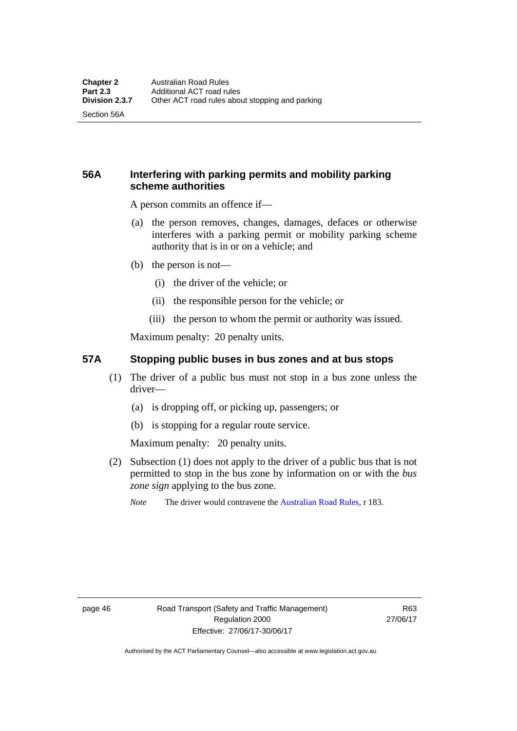Section 56A

# **56A Interfering with parking permits and mobility parking scheme authorities**

A person commits an offence if—

- (a) the person removes, changes, damages, defaces or otherwise interferes with a parking permit or mobility parking scheme authority that is in or on a vehicle; and
- (b) the person is not—
	- (i) the driver of the vehicle; or
	- (ii) the responsible person for the vehicle; or
	- (iii) the person to whom the permit or authority was issued.

Maximum penalty: 20 penalty units.

#### **57A Stopping public buses in bus zones and at bus stops**

- (1) The driver of a public bus must not stop in a bus zone unless the driver—
	- (a) is dropping off, or picking up, passengers; or
	- (b) is stopping for a regular route service.

Maximum penalty: 20 penalty units.

- (2) Subsection (1) does not apply to the driver of a public bus that is not permitted to stop in the bus zone by information on or with the *bus zone sign* applying to the bus zone.
	- *Note* The driver would contravene the [Australian Road Rules,](http://www.legislation.act.gov.au//ni/db_37271/default.asp) r 183.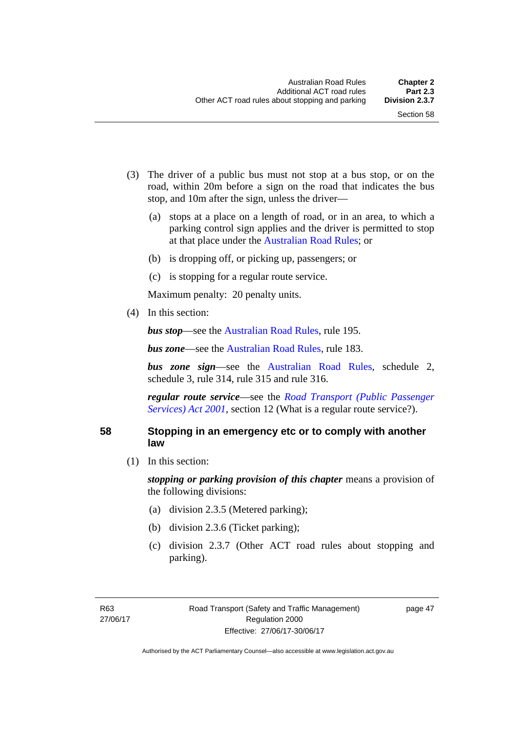- (3) The driver of a public bus must not stop at a bus stop, or on the road, within 20m before a sign on the road that indicates the bus stop, and 10m after the sign, unless the driver—
	- (a) stops at a place on a length of road, or in an area, to which a parking control sign applies and the driver is permitted to stop at that place under the [Australian Road Rules;](http://www.legislation.act.gov.au//ni/db_37271/default.asp) or
	- (b) is dropping off, or picking up, passengers; or
	- (c) is stopping for a regular route service.

Maximum penalty: 20 penalty units.

(4) In this section:

*bus stop***—see the [Australian Road Rules](http://www.legislation.act.gov.au//ni/db_37271/default.asp)**, rule 195.

*bus zone***—see the Australian Road Rules**, rule 183.

*bus zone sign*—see the [Australian Road Rules,](http://www.legislation.act.gov.au//ni/db_37271/default.asp) schedule 2, schedule 3, rule 314, rule 315 and rule 316.

*regular route service*—see the *[Road Transport \(Public Passenger](http://www.legislation.act.gov.au/a/2001-62)  Services*) *Act 2001*, section 12 (What is a regular route service?).

#### **58 Stopping in an emergency etc or to comply with another law**

(1) In this section:

*stopping or parking provision of this chapter* means a provision of the following divisions:

- (a) division 2.3.5 (Metered parking);
- (b) division 2.3.6 (Ticket parking);
- (c) division 2.3.7 (Other ACT road rules about stopping and parking).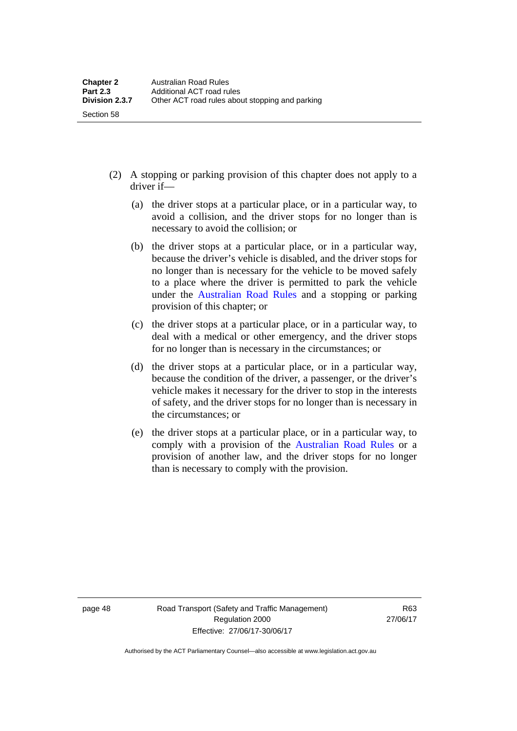- (2) A stopping or parking provision of this chapter does not apply to a driver if—
	- (a) the driver stops at a particular place, or in a particular way, to avoid a collision, and the driver stops for no longer than is necessary to avoid the collision; or
	- (b) the driver stops at a particular place, or in a particular way, because the driver's vehicle is disabled, and the driver stops for no longer than is necessary for the vehicle to be moved safely to a place where the driver is permitted to park the vehicle under the [Australian Road Rules](http://www.legislation.act.gov.au//ni/db_37271/default.asp) and a stopping or parking provision of this chapter; or
	- (c) the driver stops at a particular place, or in a particular way, to deal with a medical or other emergency, and the driver stops for no longer than is necessary in the circumstances; or
	- (d) the driver stops at a particular place, or in a particular way, because the condition of the driver, a passenger, or the driver's vehicle makes it necessary for the driver to stop in the interests of safety, and the driver stops for no longer than is necessary in the circumstances; or
	- (e) the driver stops at a particular place, or in a particular way, to comply with a provision of the [Australian Road Rules](http://www.legislation.act.gov.au//ni/db_37271/default.asp) or a provision of another law, and the driver stops for no longer than is necessary to comply with the provision.

Section 58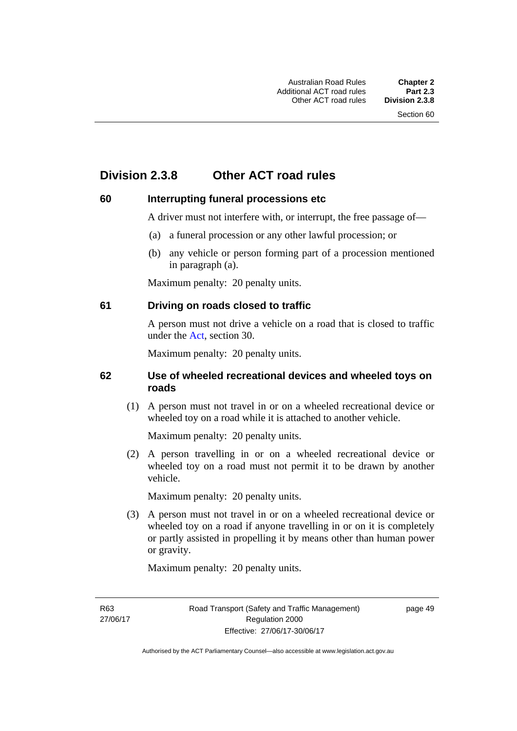# **Division 2.3.8 Other ACT road rules**

### **60 Interrupting funeral processions etc**

A driver must not interfere with, or interrupt, the free passage of—

- (a) a funeral procession or any other lawful procession; or
- (b) any vehicle or person forming part of a procession mentioned in paragraph (a).

Maximum penalty: 20 penalty units.

#### **61 Driving on roads closed to traffic**

A person must not drive a vehicle on a road that is closed to traffic under the [Act](http://www.legislation.act.gov.au/a/1999-80/default.asp), section 30.

Maximum penalty: 20 penalty units.

#### **62 Use of wheeled recreational devices and wheeled toys on roads**

 (1) A person must not travel in or on a wheeled recreational device or wheeled toy on a road while it is attached to another vehicle.

Maximum penalty: 20 penalty units.

 (2) A person travelling in or on a wheeled recreational device or wheeled toy on a road must not permit it to be drawn by another vehicle.

Maximum penalty: 20 penalty units.

 (3) A person must not travel in or on a wheeled recreational device or wheeled toy on a road if anyone travelling in or on it is completely or partly assisted in propelling it by means other than human power or gravity.

Maximum penalty: 20 penalty units.

R63 27/06/17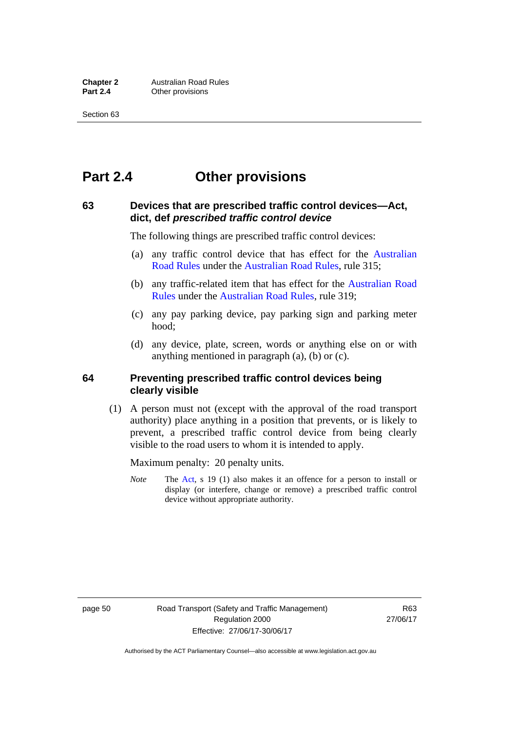# **Part 2.4 Other provisions**

### **63 Devices that are prescribed traffic control devices—Act, dict, def** *prescribed traffic control device*

The following things are prescribed traffic control devices:

- (a) any traffic control device that has effect for the [Australian](http://www.legislation.act.gov.au//ni/db_37271/default.asp)  [Road Rules](http://www.legislation.act.gov.au//ni/db_37271/default.asp) under the [Australian Road Rules](http://www.legislation.act.gov.au//ni/db_37271/default.asp), rule 315;
- (b) any traffic-related item that has effect for the [Australian Road](http://www.legislation.act.gov.au//ni/db_37271/default.asp)  [Rules](http://www.legislation.act.gov.au//ni/db_37271/default.asp) under the [Australian Road Rules,](http://www.legislation.act.gov.au//ni/db_37271/default.asp) rule 319;
- (c) any pay parking device, pay parking sign and parking meter hood;
- (d) any device, plate, screen, words or anything else on or with anything mentioned in paragraph (a), (b) or (c).

#### **64 Preventing prescribed traffic control devices being clearly visible**

 (1) A person must not (except with the approval of the road transport authority) place anything in a position that prevents, or is likely to prevent, a prescribed traffic control device from being clearly visible to the road users to whom it is intended to apply.

Maximum penalty: 20 penalty units.

*Note* The [Act](http://www.legislation.act.gov.au/a/1999-80/default.asp), s 19 (1) also makes it an offence for a person to install or display (or interfere, change or remove) a prescribed traffic control device without appropriate authority.

page 50 Road Transport (Safety and Traffic Management) Regulation 2000 Effective: 27/06/17-30/06/17

R63 27/06/17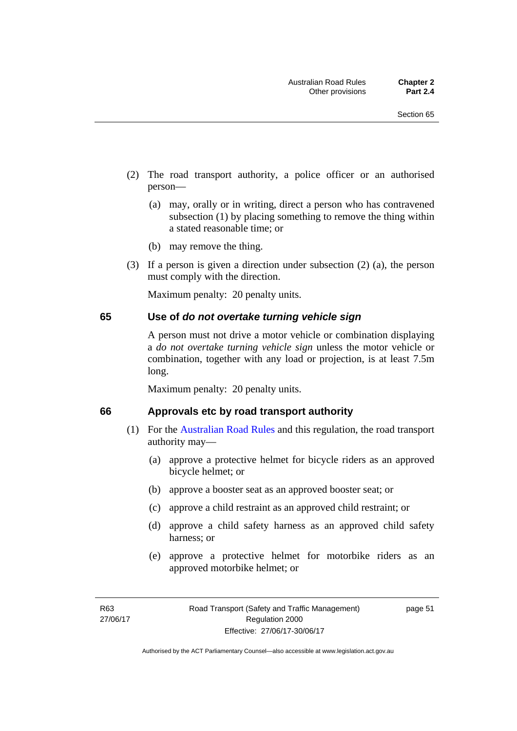- (2) The road transport authority, a police officer or an authorised person—
	- (a) may, orally or in writing, direct a person who has contravened subsection (1) by placing something to remove the thing within a stated reasonable time; or
	- (b) may remove the thing.
- (3) If a person is given a direction under subsection (2) (a), the person must comply with the direction.

Maximum penalty: 20 penalty units.

#### **65 Use of** *do not overtake turning vehicle sign*

A person must not drive a motor vehicle or combination displaying a *do not overtake turning vehicle sign* unless the motor vehicle or combination, together with any load or projection, is at least 7.5m long.

Maximum penalty: 20 penalty units.

#### **66 Approvals etc by road transport authority**

- (1) For the [Australian Road Rules](http://www.legislation.act.gov.au//ni/db_37271/default.asp) and this regulation, the road transport authority may—
	- (a) approve a protective helmet for bicycle riders as an approved bicycle helmet; or
	- (b) approve a booster seat as an approved booster seat; or
	- (c) approve a child restraint as an approved child restraint; or
	- (d) approve a child safety harness as an approved child safety harness; or
	- (e) approve a protective helmet for motorbike riders as an approved motorbike helmet; or

page 51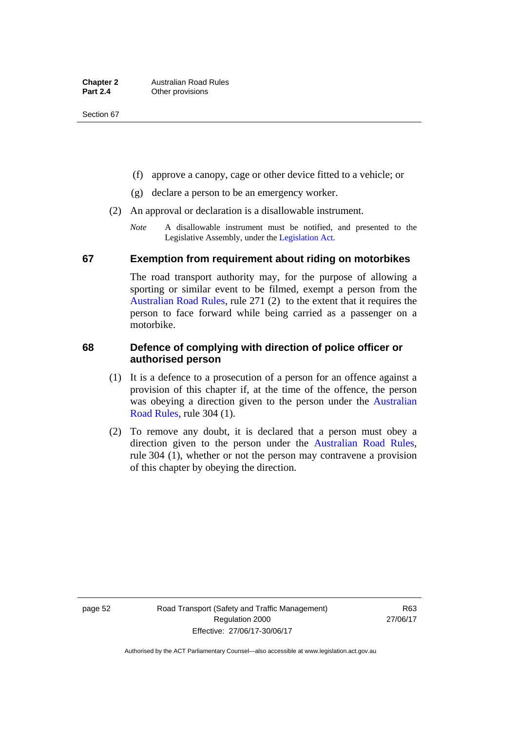- (f) approve a canopy, cage or other device fitted to a vehicle; or
- (g) declare a person to be an emergency worker.
- (2) An approval or declaration is a disallowable instrument.
	- *Note* A disallowable instrument must be notified, and presented to the Legislative Assembly, under the [Legislation Act.](http://www.legislation.act.gov.au/a/2001-14)

#### **67 Exemption from requirement about riding on motorbikes**

The road transport authority may, for the purpose of allowing a sporting or similar event to be filmed, exempt a person from the [Australian Road Rules](http://www.legislation.act.gov.au//ni/db_37271/default.asp), rule 271 (2) to the extent that it requires the person to face forward while being carried as a passenger on a motorbike.

### **68 Defence of complying with direction of police officer or authorised person**

- (1) It is a defence to a prosecution of a person for an offence against a provision of this chapter if, at the time of the offence, the person was obeying a direction given to the person under the [Australian](http://www.legislation.act.gov.au//ni/db_37271/default.asp)  [Road Rules,](http://www.legislation.act.gov.au//ni/db_37271/default.asp) rule 304 (1).
- (2) To remove any doubt, it is declared that a person must obey a direction given to the person under the [Australian Road Rules](http://www.legislation.act.gov.au//ni/db_37271/default.asp), rule 304 (1), whether or not the person may contravene a provision of this chapter by obeying the direction.

page 52 Road Transport (Safety and Traffic Management) Regulation 2000 Effective: 27/06/17-30/06/17

R63 27/06/17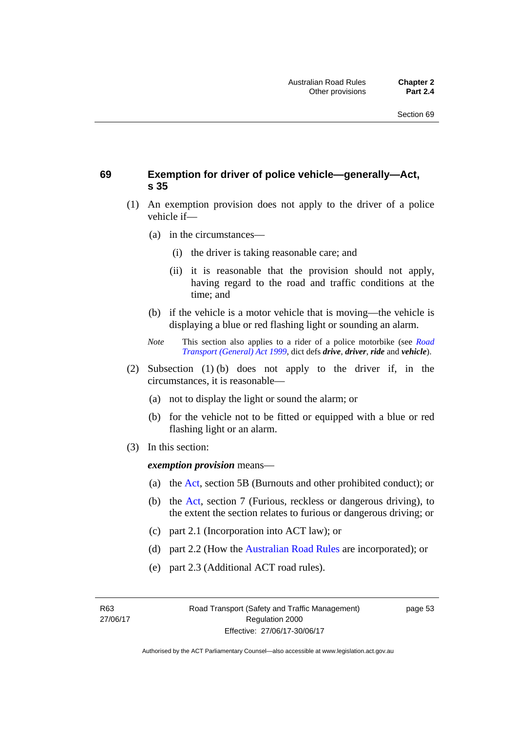### **69 Exemption for driver of police vehicle—generally—Act, s 35**

- (1) An exemption provision does not apply to the driver of a police vehicle if—
	- (a) in the circumstances—
		- (i) the driver is taking reasonable care; and
		- (ii) it is reasonable that the provision should not apply, having regard to the road and traffic conditions at the time; and
	- (b) if the vehicle is a motor vehicle that is moving—the vehicle is displaying a blue or red flashing light or sounding an alarm.
	- *Note* This section also applies to a rider of a police motorbike (see *[Road](http://www.legislation.act.gov.au/a/1999-77)  [Transport \(General\) Act 1999](http://www.legislation.act.gov.au/a/1999-77)*, dict defs *drive*, *driver*, *ride* and *vehicle*).
- (2) Subsection (1) (b) does not apply to the driver if, in the circumstances, it is reasonable—
	- (a) not to display the light or sound the alarm; or
	- (b) for the vehicle not to be fitted or equipped with a blue or red flashing light or an alarm.
- (3) In this section:

*exemption provision* means—

- (a) the [Act](http://www.legislation.act.gov.au/a/1999-80/default.asp), section 5B (Burnouts and other prohibited conduct); or
- (b) the [Act](http://www.legislation.act.gov.au/a/1999-80/default.asp), section 7 (Furious, reckless or dangerous driving), to the extent the section relates to furious or dangerous driving; or
- (c) part 2.1 (Incorporation into ACT law); or
- (d) part 2.2 (How the [Australian Road Rules](http://www.legislation.act.gov.au//ni/db_37271/default.asp) are incorporated); or
- (e) part 2.3 (Additional ACT road rules).

R63 27/06/17 page 53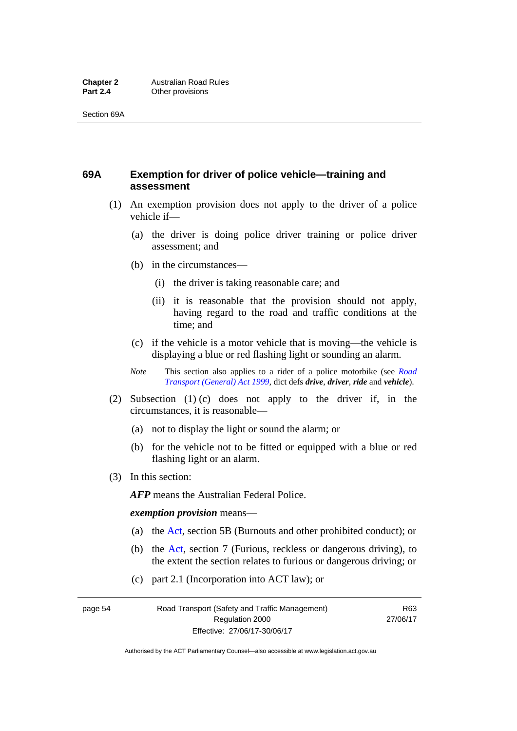## **69A Exemption for driver of police vehicle—training and assessment**

- (1) An exemption provision does not apply to the driver of a police vehicle if—
	- (a) the driver is doing police driver training or police driver assessment; and
	- (b) in the circumstances—
		- (i) the driver is taking reasonable care; and
		- (ii) it is reasonable that the provision should not apply, having regard to the road and traffic conditions at the time; and
	- (c) if the vehicle is a motor vehicle that is moving—the vehicle is displaying a blue or red flashing light or sounding an alarm.
	- *Note* This section also applies to a rider of a police motorbike (see *[Road](http://www.legislation.act.gov.au/a/1999-77)  [Transport \(General\) Act 1999](http://www.legislation.act.gov.au/a/1999-77)*, dict defs *drive*, *driver*, *ride* and *vehicle*).
- (2) Subsection (1) (c) does not apply to the driver if, in the circumstances, it is reasonable—
	- (a) not to display the light or sound the alarm; or
	- (b) for the vehicle not to be fitted or equipped with a blue or red flashing light or an alarm.
- (3) In this section:

*AFP* means the Australian Federal Police.

#### *exemption provision* means—

- (a) the [Act,](http://www.legislation.act.gov.au/a/1999-80/default.asp) section 5B (Burnouts and other prohibited conduct); or
- (b) the [Act](http://www.legislation.act.gov.au/a/1999-80/default.asp), section 7 (Furious, reckless or dangerous driving), to the extent the section relates to furious or dangerous driving; or
- (c) part 2.1 (Incorporation into ACT law); or

page 54 Road Transport (Safety and Traffic Management) Regulation 2000 Effective: 27/06/17-30/06/17

R63 27/06/17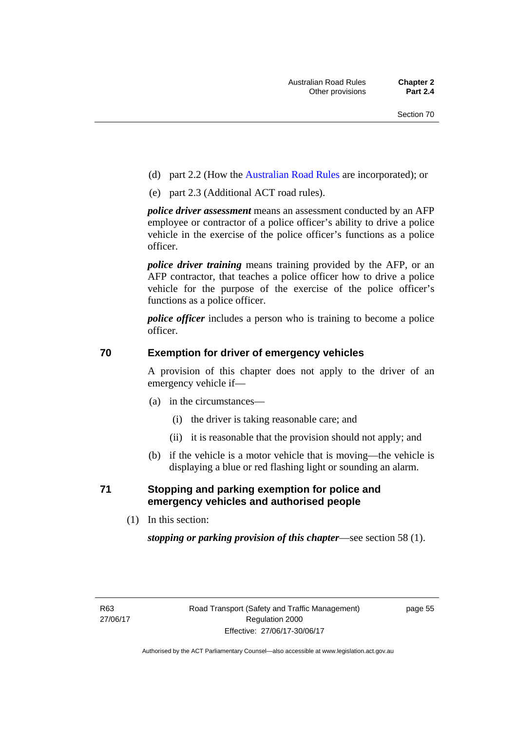- (d) part 2.2 (How the [Australian Road Rules](http://www.legislation.act.gov.au//ni/db_37271/default.asp) are incorporated); or
- (e) part 2.3 (Additional ACT road rules).

*police driver assessment* means an assessment conducted by an AFP employee or contractor of a police officer's ability to drive a police vehicle in the exercise of the police officer's functions as a police officer.

*police driver training* means training provided by the AFP, or an AFP contractor, that teaches a police officer how to drive a police vehicle for the purpose of the exercise of the police officer's functions as a police officer.

*police officer* includes a person who is training to become a police officer.

#### **70 Exemption for driver of emergency vehicles**

A provision of this chapter does not apply to the driver of an emergency vehicle if—

- (a) in the circumstances—
	- (i) the driver is taking reasonable care; and
	- (ii) it is reasonable that the provision should not apply; and
- (b) if the vehicle is a motor vehicle that is moving—the vehicle is displaying a blue or red flashing light or sounding an alarm.

### **71 Stopping and parking exemption for police and emergency vehicles and authorised people**

(1) In this section:

*stopping or parking provision of this chapter*—see section 58 (1).

page 55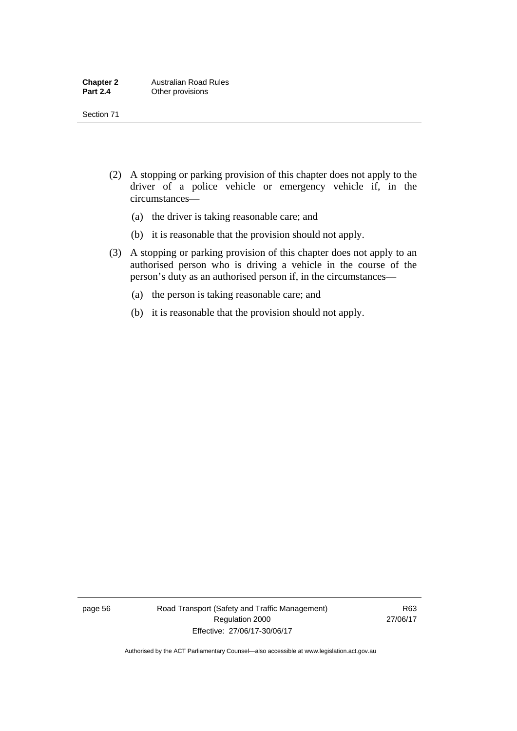- (2) A stopping or parking provision of this chapter does not apply to the driver of a police vehicle or emergency vehicle if, in the circumstances—
	- (a) the driver is taking reasonable care; and
	- (b) it is reasonable that the provision should not apply.
- (3) A stopping or parking provision of this chapter does not apply to an authorised person who is driving a vehicle in the course of the person's duty as an authorised person if, in the circumstances—
	- (a) the person is taking reasonable care; and
	- (b) it is reasonable that the provision should not apply.

page 56 Road Transport (Safety and Traffic Management) Regulation 2000 Effective: 27/06/17-30/06/17

R63 27/06/17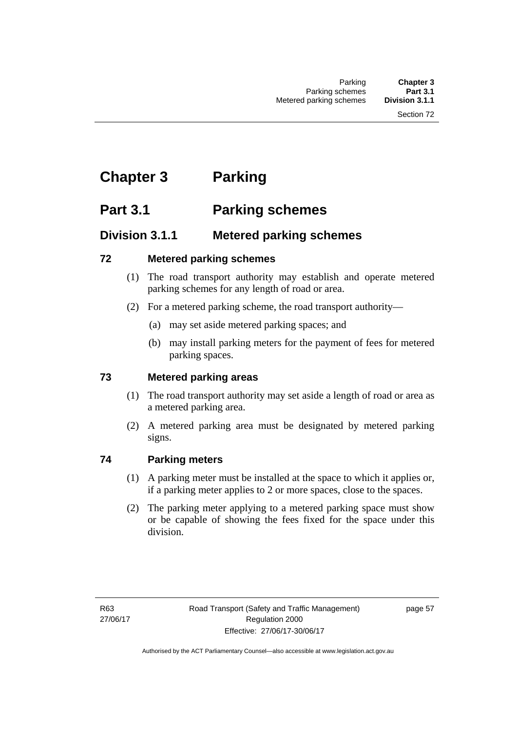# **Chapter 3 Parking**

# **Part 3.1 Parking schemes**

### **Division 3.1.1 Metered parking schemes**

### **72 Metered parking schemes**

- (1) The road transport authority may establish and operate metered parking schemes for any length of road or area.
- (2) For a metered parking scheme, the road transport authority—
	- (a) may set aside metered parking spaces; and
	- (b) may install parking meters for the payment of fees for metered parking spaces.

### **73 Metered parking areas**

- (1) The road transport authority may set aside a length of road or area as a metered parking area.
- (2) A metered parking area must be designated by metered parking signs.

### **74 Parking meters**

- (1) A parking meter must be installed at the space to which it applies or, if a parking meter applies to 2 or more spaces, close to the spaces.
- (2) The parking meter applying to a metered parking space must show or be capable of showing the fees fixed for the space under this division.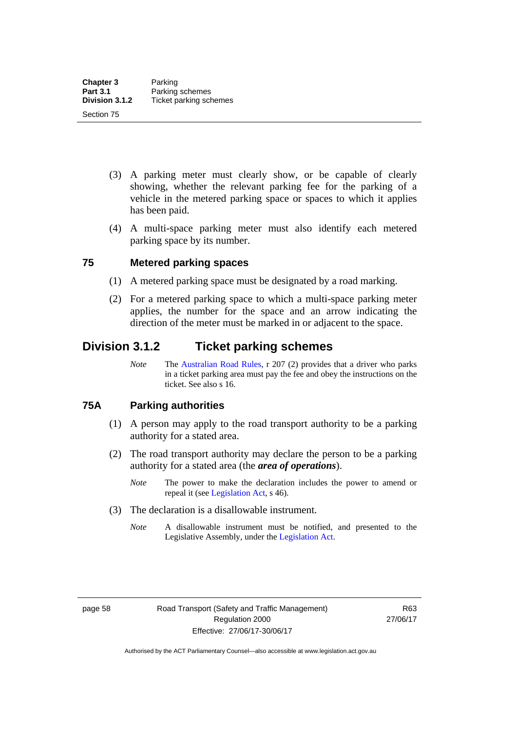- (3) A parking meter must clearly show, or be capable of clearly showing, whether the relevant parking fee for the parking of a vehicle in the metered parking space or spaces to which it applies has been paid.
- (4) A multi-space parking meter must also identify each metered parking space by its number.

#### **75 Metered parking spaces**

- (1) A metered parking space must be designated by a road marking.
- (2) For a metered parking space to which a multi-space parking meter applies, the number for the space and an arrow indicating the direction of the meter must be marked in or adjacent to the space.

### **Division 3.1.2 Ticket parking schemes**

*Note* The [Australian Road Rules](http://www.legislation.act.gov.au//ni/db_37271/default.asp), r 207 (2) provides that a driver who parks in a ticket parking area must pay the fee and obey the instructions on the ticket. See also s 16.

#### **75A Parking authorities**

- (1) A person may apply to the road transport authority to be a parking authority for a stated area.
- (2) The road transport authority may declare the person to be a parking authority for a stated area (the *area of operations*).
	- *Note* The power to make the declaration includes the power to amend or repeal it (see [Legislation Act,](http://www.legislation.act.gov.au/a/2001-14) s 46).
- (3) The declaration is a disallowable instrument.
	- *Note* A disallowable instrument must be notified, and presented to the Legislative Assembly, under the [Legislation Act.](http://www.legislation.act.gov.au/a/2001-14)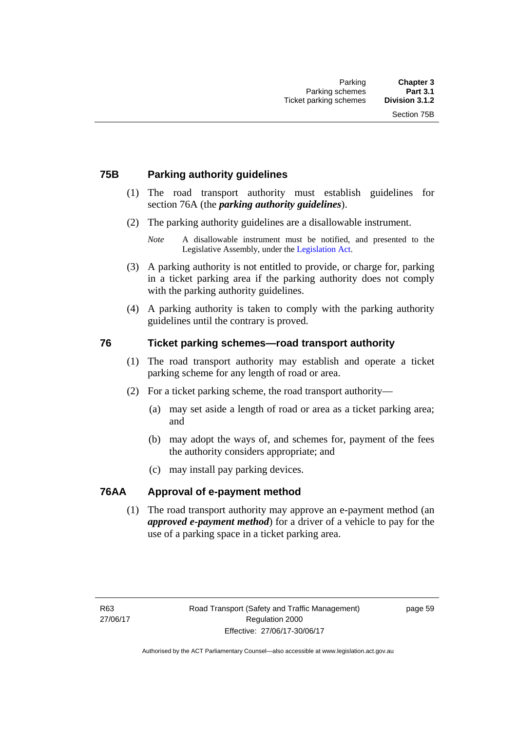### **75B Parking authority guidelines**

- (1) The road transport authority must establish guidelines for section 76A (the *parking authority guidelines*).
- (2) The parking authority guidelines are a disallowable instrument.

- (3) A parking authority is not entitled to provide, or charge for, parking in a ticket parking area if the parking authority does not comply with the parking authority guidelines.
- (4) A parking authority is taken to comply with the parking authority guidelines until the contrary is proved.

#### **76 Ticket parking schemes—road transport authority**

- (1) The road transport authority may establish and operate a ticket parking scheme for any length of road or area.
- (2) For a ticket parking scheme, the road transport authority—
	- (a) may set aside a length of road or area as a ticket parking area; and
	- (b) may adopt the ways of, and schemes for, payment of the fees the authority considers appropriate; and
	- (c) may install pay parking devices.

#### **76AA Approval of e-payment method**

(1) The road transport authority may approve an e-payment method (an *approved e-payment method*) for a driver of a vehicle to pay for the use of a parking space in a ticket parking area.

*Note* A disallowable instrument must be notified, and presented to the Legislative Assembly, under the [Legislation Act.](http://www.legislation.act.gov.au/a/2001-14)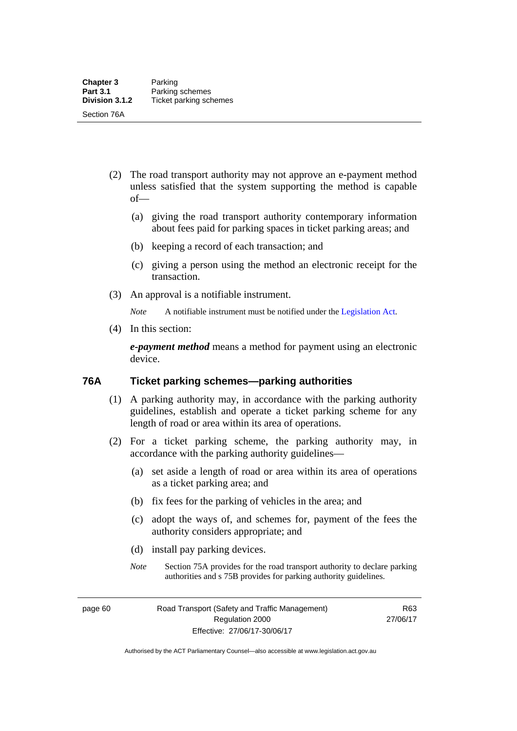- (2) The road transport authority may not approve an e-payment method unless satisfied that the system supporting the method is capable of—
	- (a) giving the road transport authority contemporary information about fees paid for parking spaces in ticket parking areas; and
	- (b) keeping a record of each transaction; and
	- (c) giving a person using the method an electronic receipt for the transaction.
- (3) An approval is a notifiable instrument.

*Note* A notifiable instrument must be notified under the [Legislation Act](http://www.legislation.act.gov.au/a/2001-14).

(4) In this section:

*e-payment method* means a method for payment using an electronic device.

#### **76A Ticket parking schemes—parking authorities**

- (1) A parking authority may, in accordance with the parking authority guidelines, establish and operate a ticket parking scheme for any length of road or area within its area of operations.
- (2) For a ticket parking scheme, the parking authority may, in accordance with the parking authority guidelines—
	- (a) set aside a length of road or area within its area of operations as a ticket parking area; and
	- (b) fix fees for the parking of vehicles in the area; and
	- (c) adopt the ways of, and schemes for, payment of the fees the authority considers appropriate; and
	- (d) install pay parking devices.
	- *Note* Section 75A provides for the road transport authority to declare parking authorities and s 75B provides for parking authority guidelines.

page 60 Road Transport (Safety and Traffic Management) Regulation 2000 Effective: 27/06/17-30/06/17

R63 27/06/17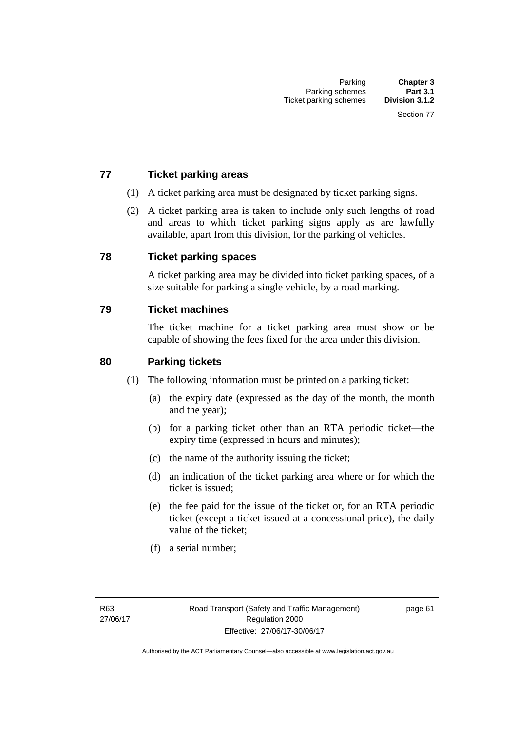### **77 Ticket parking areas**

- (1) A ticket parking area must be designated by ticket parking signs.
- (2) A ticket parking area is taken to include only such lengths of road and areas to which ticket parking signs apply as are lawfully available, apart from this division, for the parking of vehicles.

#### **78 Ticket parking spaces**

A ticket parking area may be divided into ticket parking spaces, of a size suitable for parking a single vehicle, by a road marking.

#### **79 Ticket machines**

The ticket machine for a ticket parking area must show or be capable of showing the fees fixed for the area under this division.

#### **80 Parking tickets**

- (1) The following information must be printed on a parking ticket:
	- (a) the expiry date (expressed as the day of the month, the month and the year);
	- (b) for a parking ticket other than an RTA periodic ticket—the expiry time (expressed in hours and minutes);
	- (c) the name of the authority issuing the ticket;
	- (d) an indication of the ticket parking area where or for which the ticket is issued;
	- (e) the fee paid for the issue of the ticket or, for an RTA periodic ticket (except a ticket issued at a concessional price), the daily value of the ticket;
	- (f) a serial number;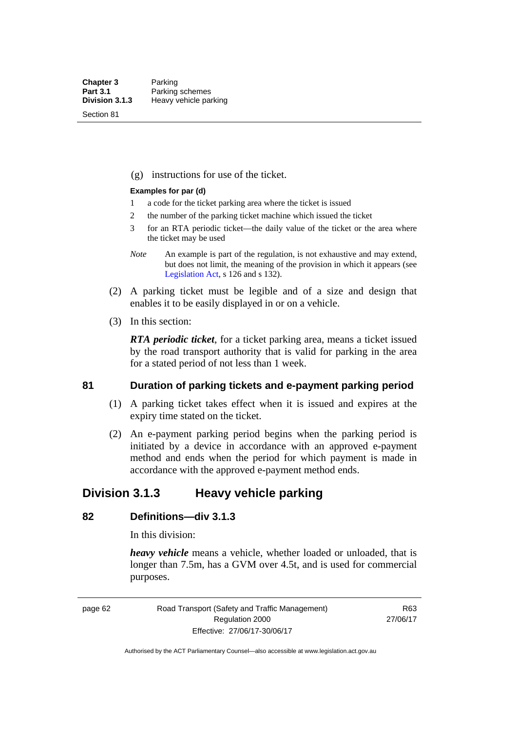Section 81

(g) instructions for use of the ticket.

#### **Examples for par (d)**

- 1 a code for the ticket parking area where the ticket is issued
- 2 the number of the parking ticket machine which issued the ticket
- 3 for an RTA periodic ticket—the daily value of the ticket or the area where the ticket may be used
- *Note* An example is part of the regulation, is not exhaustive and may extend, but does not limit, the meaning of the provision in which it appears (see [Legislation Act,](http://www.legislation.act.gov.au/a/2001-14) s 126 and s 132).
- (2) A parking ticket must be legible and of a size and design that enables it to be easily displayed in or on a vehicle.
- (3) In this section:

*RTA periodic ticket*, for a ticket parking area, means a ticket issued by the road transport authority that is valid for parking in the area for a stated period of not less than 1 week.

#### **81 Duration of parking tickets and e-payment parking period**

- (1) A parking ticket takes effect when it is issued and expires at the expiry time stated on the ticket.
- (2) An e-payment parking period begins when the parking period is initiated by a device in accordance with an approved e-payment method and ends when the period for which payment is made in accordance with the approved e-payment method ends.

### **Division 3.1.3 Heavy vehicle parking**

### **82 Definitions—div 3.1.3**

In this division:

*heavy vehicle* means a vehicle, whether loaded or unloaded, that is longer than 7.5m, has a GVM over 4.5t, and is used for commercial purposes.

page 62 Road Transport (Safety and Traffic Management) Regulation 2000 Effective: 27/06/17-30/06/17

R63 27/06/17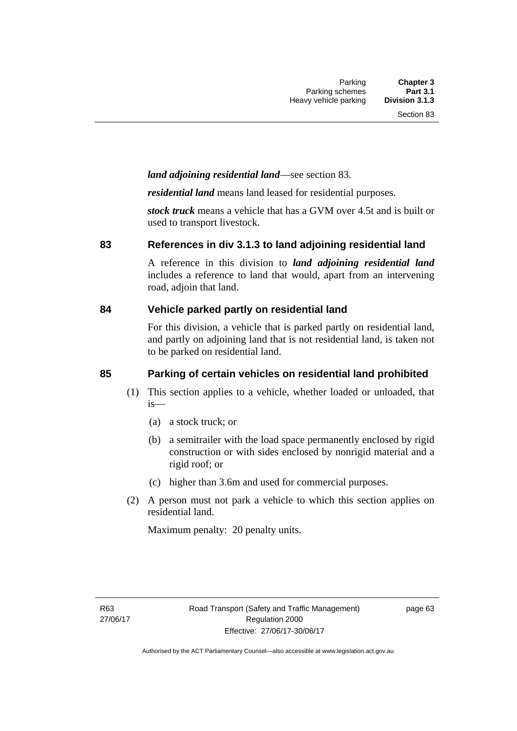### *land adjoining residential land*—see section 83.

*residential land* means land leased for residential purposes.

*stock truck* means a vehicle that has a GVM over 4.5t and is built or used to transport livestock.

#### **83 References in div 3.1.3 to land adjoining residential land**

A reference in this division to *land adjoining residential land* includes a reference to land that would, apart from an intervening road, adjoin that land.

#### **84 Vehicle parked partly on residential land**

For this division, a vehicle that is parked partly on residential land, and partly on adjoining land that is not residential land, is taken not to be parked on residential land.

### **85 Parking of certain vehicles on residential land prohibited**

- (1) This section applies to a vehicle, whether loaded or unloaded, that is—
	- (a) a stock truck; or
	- (b) a semitrailer with the load space permanently enclosed by rigid construction or with sides enclosed by nonrigid material and a rigid roof; or
	- (c) higher than 3.6m and used for commercial purposes.
- (2) A person must not park a vehicle to which this section applies on residential land.

Maximum penalty: 20 penalty units.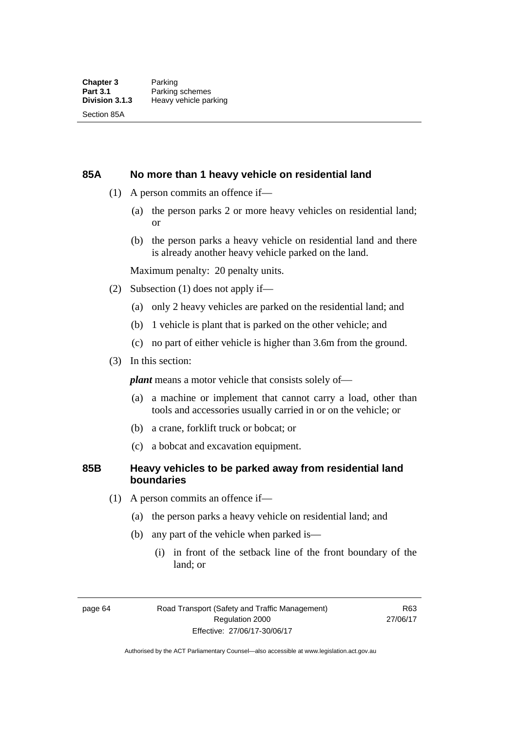#### **85A No more than 1 heavy vehicle on residential land**

- (1) A person commits an offence if—
	- (a) the person parks 2 or more heavy vehicles on residential land; or
	- (b) the person parks a heavy vehicle on residential land and there is already another heavy vehicle parked on the land.

Maximum penalty: 20 penalty units.

- (2) Subsection (1) does not apply if—
	- (a) only 2 heavy vehicles are parked on the residential land; and
	- (b) 1 vehicle is plant that is parked on the other vehicle; and
	- (c) no part of either vehicle is higher than 3.6m from the ground.
- (3) In this section:

*plant* means a motor vehicle that consists solely of—

- (a) a machine or implement that cannot carry a load, other than tools and accessories usually carried in or on the vehicle; or
- (b) a crane, forklift truck or bobcat; or
- (c) a bobcat and excavation equipment.

#### **85B Heavy vehicles to be parked away from residential land boundaries**

- (1) A person commits an offence if—
	- (a) the person parks a heavy vehicle on residential land; and
	- (b) any part of the vehicle when parked is—
		- (i) in front of the setback line of the front boundary of the land; or

page 64 Road Transport (Safety and Traffic Management) Regulation 2000 Effective: 27/06/17-30/06/17

R63 27/06/17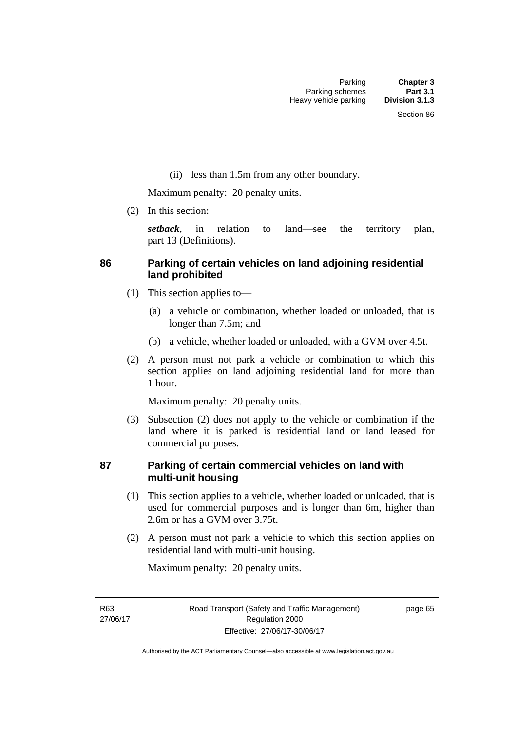(ii) less than 1.5m from any other boundary.

Maximum penalty: 20 penalty units.

(2) In this section:

*setback*, in relation to land—see the territory plan, part 13 (Definitions).

### **86 Parking of certain vehicles on land adjoining residential land prohibited**

- (1) This section applies to—
	- (a) a vehicle or combination, whether loaded or unloaded, that is longer than 7.5m; and
	- (b) a vehicle, whether loaded or unloaded, with a GVM over 4.5t.
- (2) A person must not park a vehicle or combination to which this section applies on land adjoining residential land for more than 1 hour.

Maximum penalty: 20 penalty units.

 (3) Subsection (2) does not apply to the vehicle or combination if the land where it is parked is residential land or land leased for commercial purposes.

#### **87 Parking of certain commercial vehicles on land with multi-unit housing**

- (1) This section applies to a vehicle, whether loaded or unloaded, that is used for commercial purposes and is longer than 6m, higher than 2.6m or has a GVM over 3.75t.
- (2) A person must not park a vehicle to which this section applies on residential land with multi-unit housing.

Maximum penalty: 20 penalty units.

R63 27/06/17 page 65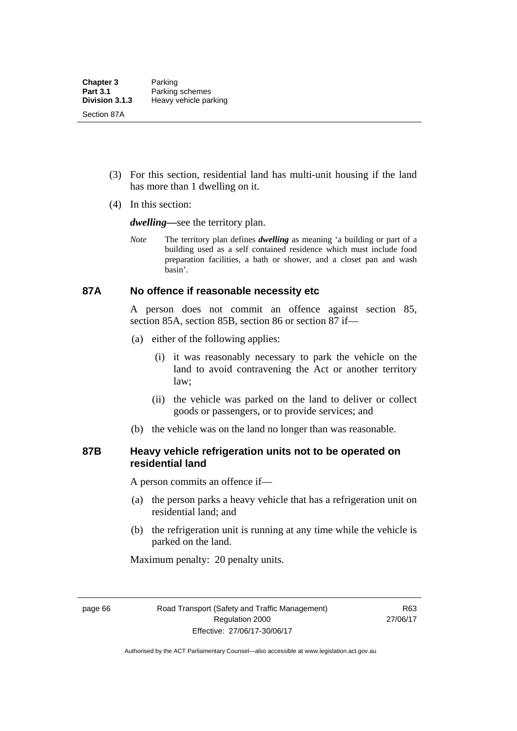- (3) For this section, residential land has multi-unit housing if the land has more than 1 dwelling on it.
- (4) In this section:

*dwelling—*see the territory plan.

*Note* The territory plan defines *dwelling* as meaning 'a building or part of a building used as a self contained residence which must include food preparation facilities, a bath or shower, and a closet pan and wash basin'.

#### **87A No offence if reasonable necessity etc**

A person does not commit an offence against section 85, section 85A, section 85B, section 86 or section 87 if—

- (a) either of the following applies:
	- (i) it was reasonably necessary to park the vehicle on the land to avoid contravening the Act or another territory law;
	- (ii) the vehicle was parked on the land to deliver or collect goods or passengers, or to provide services; and
- (b) the vehicle was on the land no longer than was reasonable.

#### **87B Heavy vehicle refrigeration units not to be operated on residential land**

A person commits an offence if—

- (a) the person parks a heavy vehicle that has a refrigeration unit on residential land; and
- (b) the refrigeration unit is running at any time while the vehicle is parked on the land.

Maximum penalty: 20 penalty units.

page 66 Road Transport (Safety and Traffic Management) Regulation 2000 Effective: 27/06/17-30/06/17

R63 27/06/17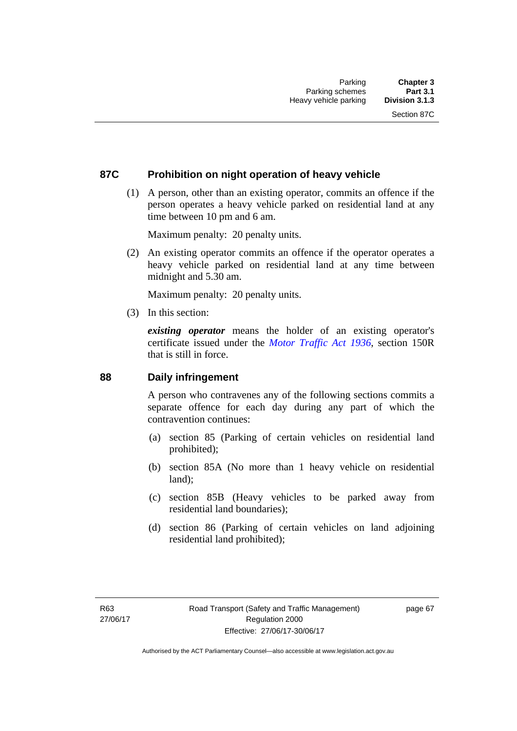#### **87C Prohibition on night operation of heavy vehicle**

 (1) A person, other than an existing operator, commits an offence if the person operates a heavy vehicle parked on residential land at any time between 10 pm and 6 am.

Maximum penalty: 20 penalty units.

 (2) An existing operator commits an offence if the operator operates a heavy vehicle parked on residential land at any time between midnight and 5.30 am.

Maximum penalty: 20 penalty units.

(3) In this section:

*existing operator* means the holder of an existing operator's certificate issued under the *[Motor Traffic Act 1936](http://www.legislation.act.gov.au/a/1936-45)*, section 150R that is still in force.

#### **88 Daily infringement**

A person who contravenes any of the following sections commits a separate offence for each day during any part of which the contravention continues:

- (a) section 85 (Parking of certain vehicles on residential land prohibited);
- (b) section 85A (No more than 1 heavy vehicle on residential land);
- (c) section 85B (Heavy vehicles to be parked away from residential land boundaries);
- (d) section 86 (Parking of certain vehicles on land adjoining residential land prohibited);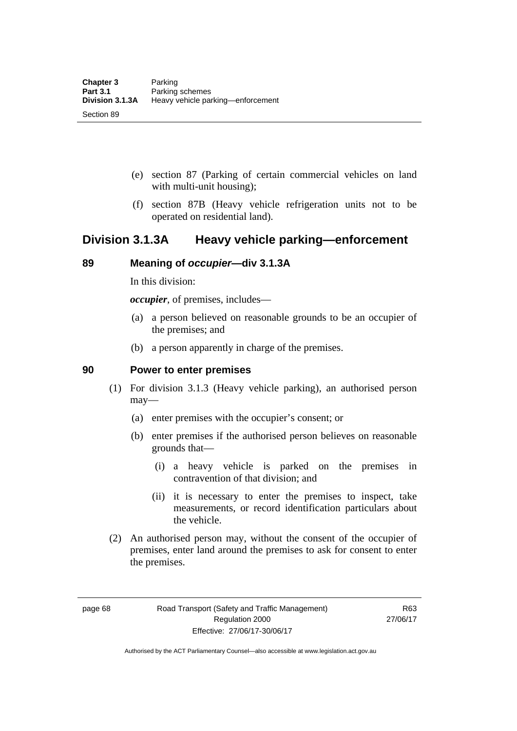- (e) section 87 (Parking of certain commercial vehicles on land with multi-unit housing);
- (f) section 87B (Heavy vehicle refrigeration units not to be operated on residential land).

### **Division 3.1.3A Heavy vehicle parking—enforcement**

#### **89 Meaning of** *occupier***—div 3.1.3A**

In this division:

*occupier*, of premises, includes—

- (a) a person believed on reasonable grounds to be an occupier of the premises; and
- (b) a person apparently in charge of the premises.

#### **90 Power to enter premises**

- (1) For division 3.1.3 (Heavy vehicle parking), an authorised person may—
	- (a) enter premises with the occupier's consent; or
	- (b) enter premises if the authorised person believes on reasonable grounds that—
		- (i) a heavy vehicle is parked on the premises in contravention of that division; and
		- (ii) it is necessary to enter the premises to inspect, take measurements, or record identification particulars about the vehicle.
- (2) An authorised person may, without the consent of the occupier of premises, enter land around the premises to ask for consent to enter the premises.

page 68 Road Transport (Safety and Traffic Management) Regulation 2000 Effective: 27/06/17-30/06/17

R63 27/06/17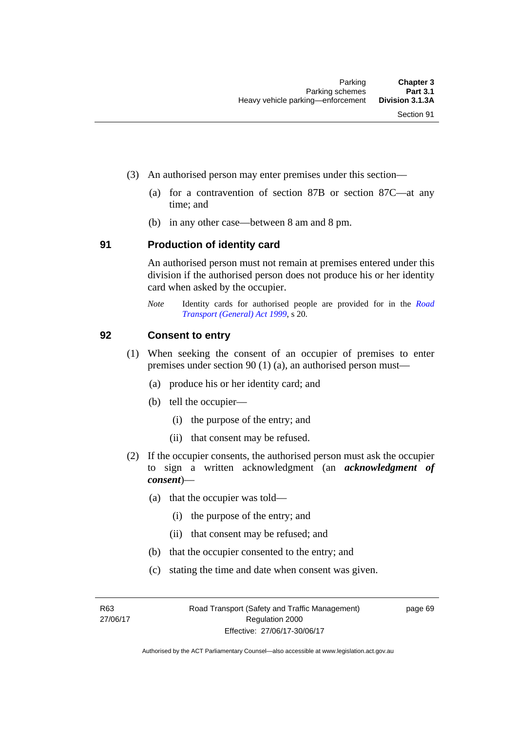- (3) An authorised person may enter premises under this section––
	- (a) for a contravention of section 87B or section 87C––at any time; and
	- (b) in any other case––between 8 am and 8 pm.

#### **91 Production of identity card**

An authorised person must not remain at premises entered under this division if the authorised person does not produce his or her identity card when asked by the occupier.

*Note* Identity cards for authorised people are provided for in the *[Road](http://www.legislation.act.gov.au/a/1999-77)  [Transport \(General\) Act 1999](http://www.legislation.act.gov.au/a/1999-77)*, s 20.

#### **92 Consent to entry**

- (1) When seeking the consent of an occupier of premises to enter premises under section 90 (1) (a), an authorised person must—
	- (a) produce his or her identity card; and
	- (b) tell the occupier—
		- (i) the purpose of the entry; and
		- (ii) that consent may be refused.
- (2) If the occupier consents, the authorised person must ask the occupier to sign a written acknowledgment (an *acknowledgment of consent*)—
	- (a) that the occupier was told—
		- (i) the purpose of the entry; and
		- (ii) that consent may be refused; and
	- (b) that the occupier consented to the entry; and
	- (c) stating the time and date when consent was given.

R63 27/06/17 page 69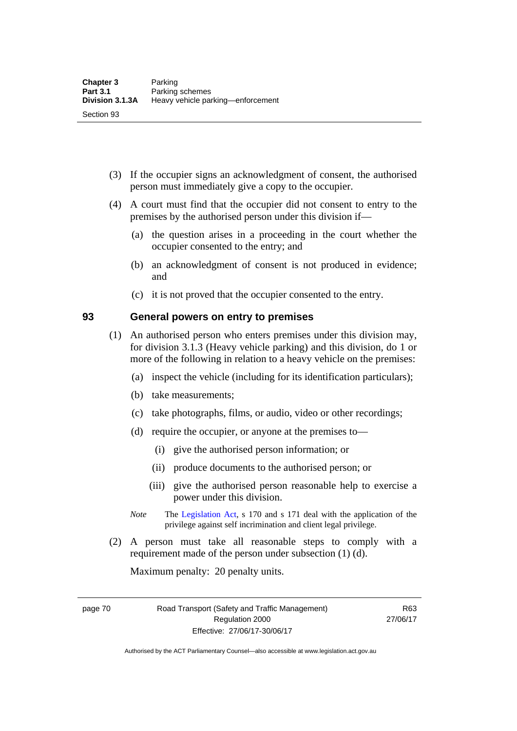- (3) If the occupier signs an acknowledgment of consent, the authorised person must immediately give a copy to the occupier.
- (4) A court must find that the occupier did not consent to entry to the premises by the authorised person under this division if—
	- (a) the question arises in a proceeding in the court whether the occupier consented to the entry; and
	- (b) an acknowledgment of consent is not produced in evidence; and
	- (c) it is not proved that the occupier consented to the entry.

#### **93 General powers on entry to premises**

- (1) An authorised person who enters premises under this division may, for division 3.1.3 (Heavy vehicle parking) and this division, do 1 or more of the following in relation to a heavy vehicle on the premises:
	- (a) inspect the vehicle (including for its identification particulars);
	- (b) take measurements;
	- (c) take photographs, films, or audio, video or other recordings;
	- (d) require the occupier, or anyone at the premises to—
		- (i) give the authorised person information; or
		- (ii) produce documents to the authorised person; or
		- (iii) give the authorised person reasonable help to exercise a power under this division.
	- *Note* The [Legislation Act](http://www.legislation.act.gov.au/a/2001-14), s 170 and s 171 deal with the application of the privilege against self incrimination and client legal privilege.
- (2) A person must take all reasonable steps to comply with a requirement made of the person under subsection (1) (d).

Maximum penalty: 20 penalty units.

page 70 Road Transport (Safety and Traffic Management) Regulation 2000 Effective: 27/06/17-30/06/17

R63 27/06/17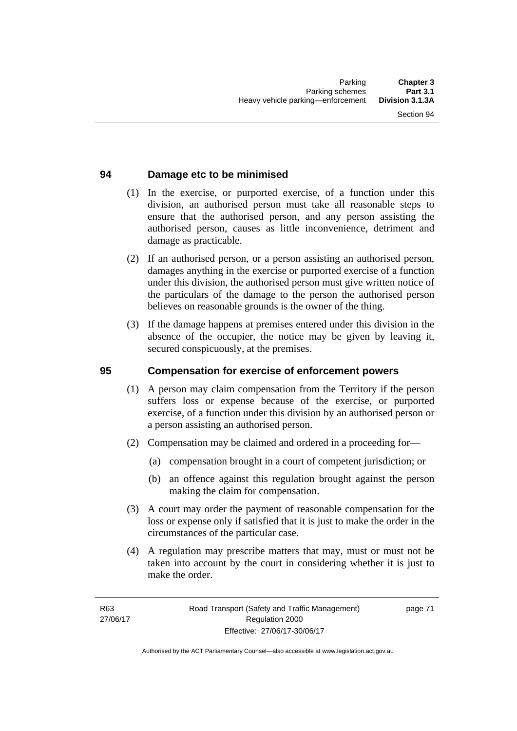### **94 Damage etc to be minimised**

- (1) In the exercise, or purported exercise, of a function under this division, an authorised person must take all reasonable steps to ensure that the authorised person, and any person assisting the authorised person, causes as little inconvenience, detriment and damage as practicable.
- (2) If an authorised person, or a person assisting an authorised person, damages anything in the exercise or purported exercise of a function under this division, the authorised person must give written notice of the particulars of the damage to the person the authorised person believes on reasonable grounds is the owner of the thing.
- (3) If the damage happens at premises entered under this division in the absence of the occupier, the notice may be given by leaving it, secured conspicuously, at the premises.

#### **95 Compensation for exercise of enforcement powers**

- (1) A person may claim compensation from the Territory if the person suffers loss or expense because of the exercise, or purported exercise, of a function under this division by an authorised person or a person assisting an authorised person.
- (2) Compensation may be claimed and ordered in a proceeding for—
	- (a) compensation brought in a court of competent jurisdiction; or
	- (b) an offence against this regulation brought against the person making the claim for compensation.
- (3) A court may order the payment of reasonable compensation for the loss or expense only if satisfied that it is just to make the order in the circumstances of the particular case.
- (4) A regulation may prescribe matters that may, must or must not be taken into account by the court in considering whether it is just to make the order.

page 71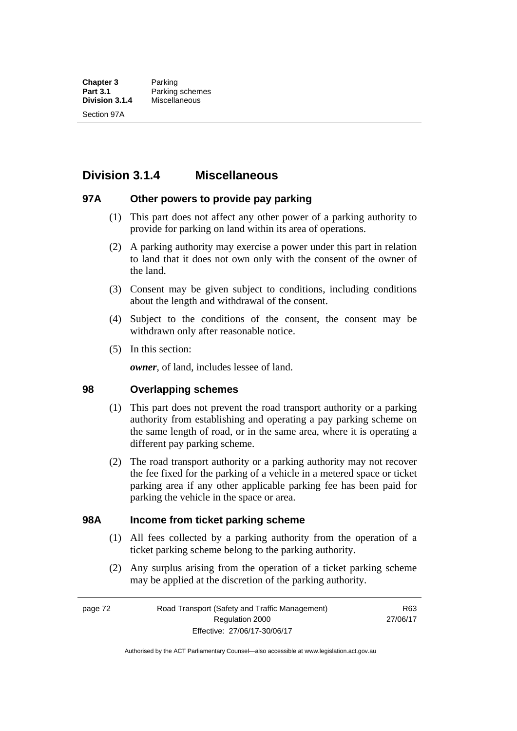## **Division 3.1.4 Miscellaneous**

#### **97A Other powers to provide pay parking**

- (1) This part does not affect any other power of a parking authority to provide for parking on land within its area of operations.
- (2) A parking authority may exercise a power under this part in relation to land that it does not own only with the consent of the owner of the land.
- (3) Consent may be given subject to conditions, including conditions about the length and withdrawal of the consent.
- (4) Subject to the conditions of the consent, the consent may be withdrawn only after reasonable notice.
- (5) In this section:

*owner*, of land, includes lessee of land.

#### **98 Overlapping schemes**

- (1) This part does not prevent the road transport authority or a parking authority from establishing and operating a pay parking scheme on the same length of road, or in the same area, where it is operating a different pay parking scheme.
- (2) The road transport authority or a parking authority may not recover the fee fixed for the parking of a vehicle in a metered space or ticket parking area if any other applicable parking fee has been paid for parking the vehicle in the space or area.

#### **98A Income from ticket parking scheme**

- (1) All fees collected by a parking authority from the operation of a ticket parking scheme belong to the parking authority.
- (2) Any surplus arising from the operation of a ticket parking scheme may be applied at the discretion of the parking authority.

page 72 Road Transport (Safety and Traffic Management) Regulation 2000 Effective: 27/06/17-30/06/17

R63 27/06/17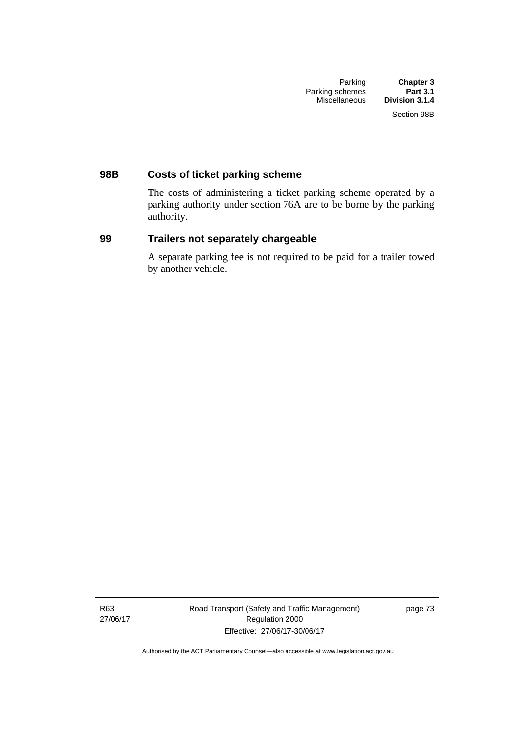### **98B Costs of ticket parking scheme**

The costs of administering a ticket parking scheme operated by a parking authority under section 76A are to be borne by the parking authority.

#### **99 Trailers not separately chargeable**

A separate parking fee is not required to be paid for a trailer towed by another vehicle.

R63 27/06/17 Road Transport (Safety and Traffic Management) Regulation 2000 Effective: 27/06/17-30/06/17

page 73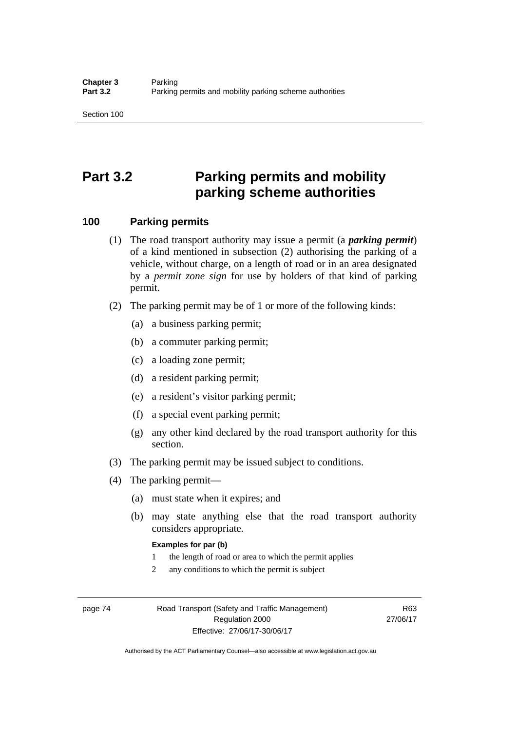# **Part 3.2 Parking permits and mobility parking scheme authorities**

#### **100 Parking permits**

- (1) The road transport authority may issue a permit (a *parking permit*) of a kind mentioned in subsection (2) authorising the parking of a vehicle, without charge, on a length of road or in an area designated by a *permit zone sign* for use by holders of that kind of parking permit.
- (2) The parking permit may be of 1 or more of the following kinds:
	- (a) a business parking permit;
	- (b) a commuter parking permit;
	- (c) a loading zone permit;
	- (d) a resident parking permit;
	- (e) a resident's visitor parking permit;
	- (f) a special event parking permit;
	- (g) any other kind declared by the road transport authority for this section.
- (3) The parking permit may be issued subject to conditions.
- (4) The parking permit—
	- (a) must state when it expires; and
	- (b) may state anything else that the road transport authority considers appropriate.

#### **Examples for par (b)**

- 1 the length of road or area to which the permit applies
- 2 any conditions to which the permit is subject

page 74 Road Transport (Safety and Traffic Management) Regulation 2000 Effective: 27/06/17-30/06/17

R63 27/06/17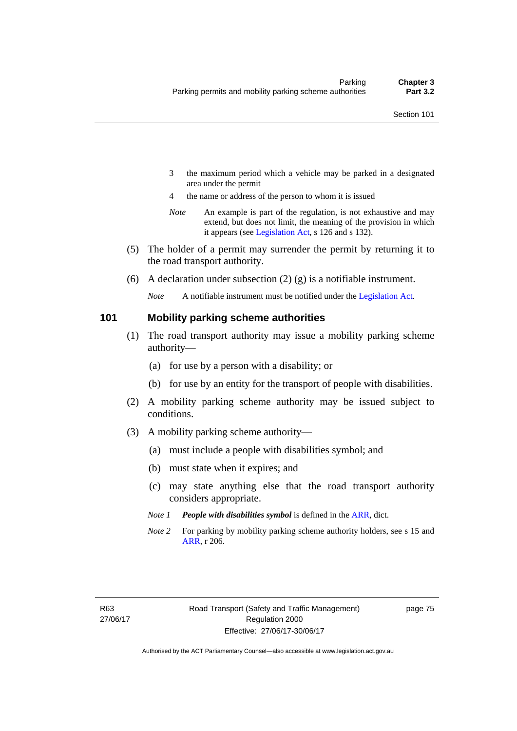- 3 the maximum period which a vehicle may be parked in a designated area under the permit
- 4 the name or address of the person to whom it is issued
- *Note* An example is part of the regulation, is not exhaustive and may extend, but does not limit, the meaning of the provision in which it appears (see [Legislation Act,](http://www.legislation.act.gov.au/a/2001-14) s 126 and s 132).
- (5) The holder of a permit may surrender the permit by returning it to the road transport authority.
- (6) A declaration under subsection  $(2)$  (g) is a notifiable instrument.

*Note* A notifiable instrument must be notified under the [Legislation Act](http://www.legislation.act.gov.au/a/2001-14).

#### **101 Mobility parking scheme authorities**

- (1) The road transport authority may issue a mobility parking scheme authority—
	- (a) for use by a person with a disability; or
	- (b) for use by an entity for the transport of people with disabilities.
- (2) A mobility parking scheme authority may be issued subject to conditions.
- (3) A mobility parking scheme authority—
	- (a) must include a people with disabilities symbol; and
	- (b) must state when it expires; and
	- (c) may state anything else that the road transport authority considers appropriate.
	- *Note 1 People with disabilities symbol* is defined in the [ARR,](http://www.legislation.act.gov.au//ni/db_37271/default.asp) dict.
	- *Note 2* For parking by mobility parking scheme authority holders, see s 15 and [ARR,](http://www.legislation.act.gov.au//ni/db_37271/default.asp) r 206.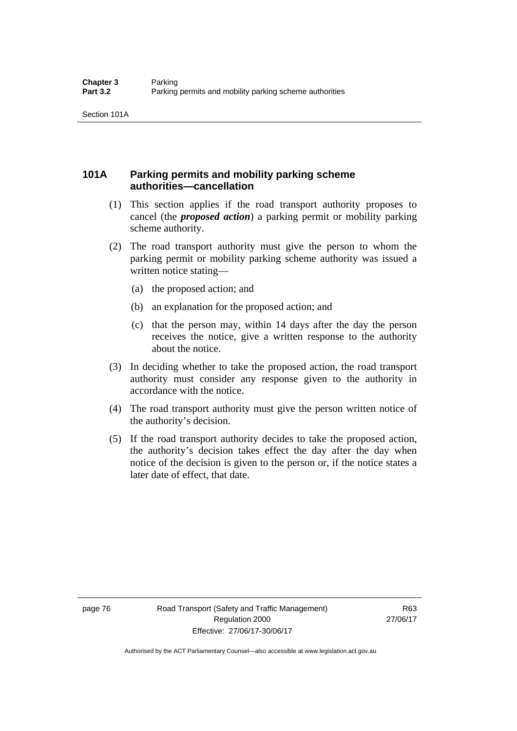### **101A Parking permits and mobility parking scheme authorities—cancellation**

- (1) This section applies if the road transport authority proposes to cancel (the *proposed action*) a parking permit or mobility parking scheme authority.
- (2) The road transport authority must give the person to whom the parking permit or mobility parking scheme authority was issued a written notice stating—
	- (a) the proposed action; and
	- (b) an explanation for the proposed action; and
	- (c) that the person may, within 14 days after the day the person receives the notice, give a written response to the authority about the notice.
- (3) In deciding whether to take the proposed action, the road transport authority must consider any response given to the authority in accordance with the notice.
- (4) The road transport authority must give the person written notice of the authority's decision.
- (5) If the road transport authority decides to take the proposed action, the authority's decision takes effect the day after the day when notice of the decision is given to the person or, if the notice states a later date of effect, that date.

page 76 Road Transport (Safety and Traffic Management) Regulation 2000 Effective: 27/06/17-30/06/17

R63 27/06/17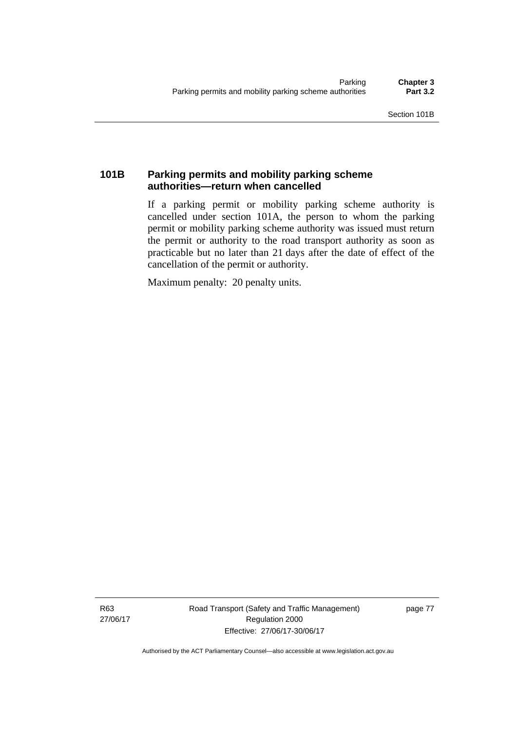### **101B Parking permits and mobility parking scheme authorities—return when cancelled**

If a parking permit or mobility parking scheme authority is cancelled under section 101A, the person to whom the parking permit or mobility parking scheme authority was issued must return the permit or authority to the road transport authority as soon as practicable but no later than 21 days after the date of effect of the cancellation of the permit or authority.

Maximum penalty: 20 penalty units.

R63 27/06/17 Road Transport (Safety and Traffic Management) Regulation 2000 Effective: 27/06/17-30/06/17

page 77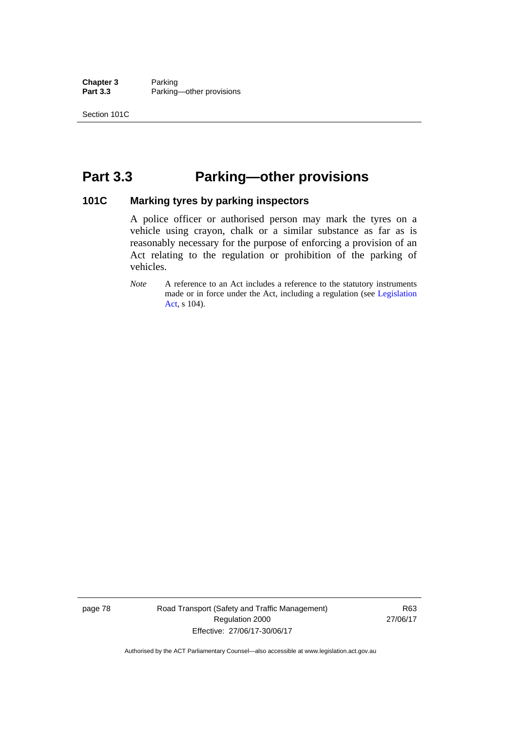**Chapter 3** Parking<br>**Part 3.3** Parking Parking—other provisions

## **Part 3.3 Parking—other provisions**

#### **101C Marking tyres by parking inspectors**

A police officer or authorised person may mark the tyres on a vehicle using crayon, chalk or a similar substance as far as is reasonably necessary for the purpose of enforcing a provision of an Act relating to the regulation or prohibition of the parking of vehicles.

*Note* A reference to an Act includes a reference to the statutory instruments made or in force under the Act, including a regulation (see [Legislation](http://www.legislation.act.gov.au/a/2001-14)  [Act](http://www.legislation.act.gov.au/a/2001-14), s 104).

page 78 Road Transport (Safety and Traffic Management) Regulation 2000 Effective: 27/06/17-30/06/17

R63 27/06/17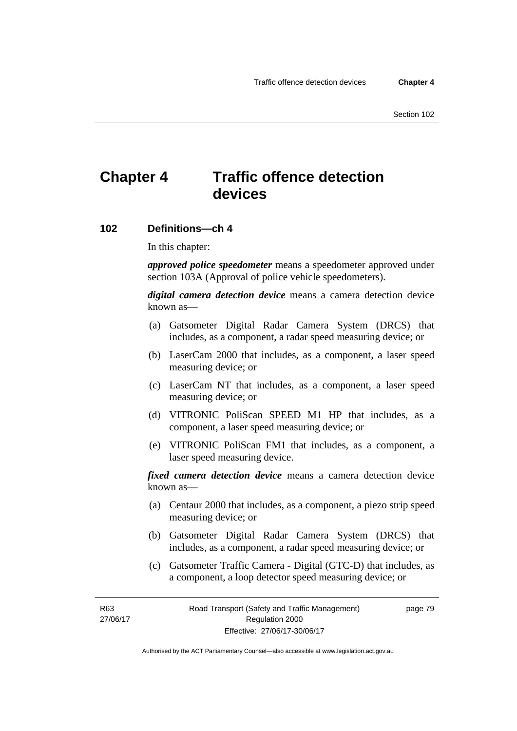# **Chapter 4 Traffic offence detection devices**

#### **102 Definitions—ch 4**

In this chapter:

*approved police speedometer* means a speedometer approved under section 103A (Approval of police vehicle speedometers).

*digital camera detection device* means a camera detection device known as—

- (a) Gatsometer Digital Radar Camera System (DRCS) that includes, as a component, a radar speed measuring device; or
- (b) LaserCam 2000 that includes, as a component, a laser speed measuring device; or
- (c) LaserCam NT that includes, as a component, a laser speed measuring device; or
- (d) VITRONIC PoliScan SPEED M1 HP that includes, as a component, a laser speed measuring device; or
- (e) VITRONIC PoliScan FM1 that includes, as a component, a laser speed measuring device.

*fixed camera detection device* means a camera detection device known as—

- (a) Centaur 2000 that includes, as a component, a piezo strip speed measuring device; or
- (b) Gatsometer Digital Radar Camera System (DRCS) that includes, as a component, a radar speed measuring device; or
- (c) Gatsometer Traffic Camera Digital (GTC-D) that includes, as a component, a loop detector speed measuring device; or

R63 27/06/17 page 79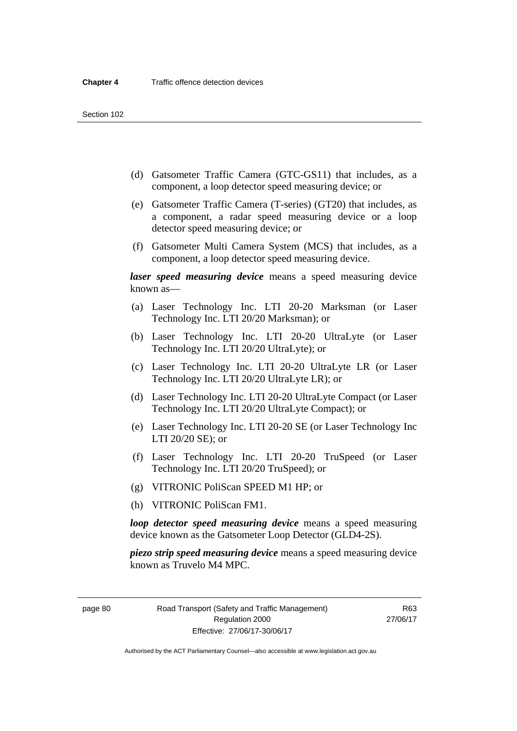- (d) Gatsometer Traffic Camera (GTC-GS11) that includes, as a component, a loop detector speed measuring device; or
- (e) Gatsometer Traffic Camera (T-series) (GT20) that includes, as a component, a radar speed measuring device or a loop detector speed measuring device; or
- (f) Gatsometer Multi Camera System (MCS) that includes, as a component, a loop detector speed measuring device.

*laser speed measuring device* means a speed measuring device known as—

- (a) Laser Technology Inc. LTI 20-20 Marksman (or Laser Technology Inc. LTI 20/20 Marksman); or
- (b) Laser Technology Inc. LTI 20-20 UltraLyte (or Laser Technology Inc. LTI 20/20 UltraLyte); or
- (c) Laser Technology Inc. LTI 20-20 UltraLyte LR (or Laser Technology Inc. LTI 20/20 UltraLyte LR); or
- (d) Laser Technology Inc. LTI 20-20 UltraLyte Compact (or Laser Technology Inc. LTI 20/20 UltraLyte Compact); or
- (e) Laser Technology Inc. LTI 20-20 SE (or Laser Technology Inc LTI 20/20 SE); or
- (f) Laser Technology Inc. LTI 20-20 TruSpeed (or Laser Technology Inc. LTI 20/20 TruSpeed); or
- (g) VITRONIC PoliScan SPEED M1 HP; or
- (h) VITRONIC PoliScan FM1.

*loop detector speed measuring device* means a speed measuring device known as the Gatsometer Loop Detector (GLD4-2S).

*piezo strip speed measuring device* means a speed measuring device known as Truvelo M4 MPC.

page 80 Road Transport (Safety and Traffic Management) Regulation 2000 Effective: 27/06/17-30/06/17

R63 27/06/17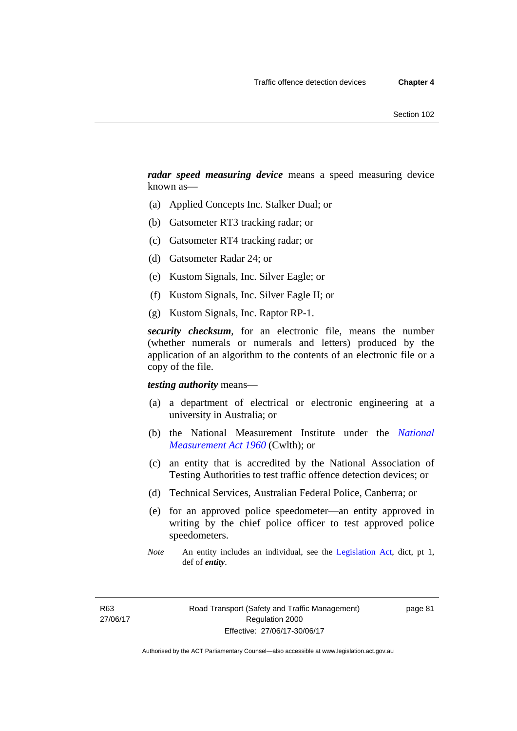*radar speed measuring device* means a speed measuring device known as—

- (a) Applied Concepts Inc. Stalker Dual; or
- (b) Gatsometer RT3 tracking radar; or
- (c) Gatsometer RT4 tracking radar; or
- (d) Gatsometer Radar 24; or
- (e) Kustom Signals, Inc. Silver Eagle; or
- (f) Kustom Signals, Inc. Silver Eagle II; or
- (g) Kustom Signals, Inc. Raptor RP-1.

*security checksum*, for an electronic file, means the number (whether numerals or numerals and letters) produced by the application of an algorithm to the contents of an electronic file or a copy of the file.

#### *testing authority* means—

- (a) a department of electrical or electronic engineering at a university in Australia; or
- (b) the National Measurement Institute under the *[National](http://www.comlaw.gov.au/Series/C2004A07405)  [Measurement Act 1960](http://www.comlaw.gov.au/Series/C2004A07405)* (Cwlth); or
- (c) an entity that is accredited by the National Association of Testing Authorities to test traffic offence detection devices; or
- (d) Technical Services, Australian Federal Police, Canberra; or
- (e) for an approved police speedometer—an entity approved in writing by the chief police officer to test approved police speedometers.
- *Note* An entity includes an individual, see the [Legislation Act,](http://www.legislation.act.gov.au/a/2001-14) dict, pt 1, def of *entity*.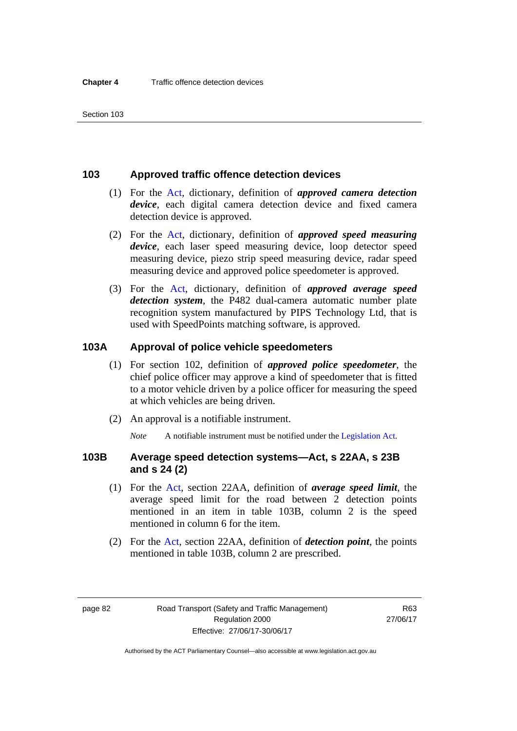#### **103 Approved traffic offence detection devices**

- (1) For the [Act](http://www.legislation.act.gov.au/a/1999-80/default.asp), dictionary, definition of *approved camera detection device*, each digital camera detection device and fixed camera detection device is approved.
- (2) For the [Act,](http://www.legislation.act.gov.au/a/1999-80/default.asp) dictionary, definition of *approved speed measuring device*, each laser speed measuring device, loop detector speed measuring device, piezo strip speed measuring device, radar speed measuring device and approved police speedometer is approved.
- (3) For the [Act](http://www.legislation.act.gov.au/a/1999-80/default.asp), dictionary, definition of *approved average speed detection system*, the P482 dual-camera automatic number plate recognition system manufactured by PIPS Technology Ltd, that is used with SpeedPoints matching software, is approved.

#### **103A Approval of police vehicle speedometers**

- (1) For section 102, definition of *approved police speedometer*, the chief police officer may approve a kind of speedometer that is fitted to a motor vehicle driven by a police officer for measuring the speed at which vehicles are being driven.
- (2) An approval is a notifiable instrument.

*Note* A notifiable instrument must be notified under the [Legislation Act](http://www.legislation.act.gov.au/a/2001-14).

#### **103B Average speed detection systems—Act, s 22AA, s 23B and s 24 (2)**

- (1) For the [Act](http://www.legislation.act.gov.au/a/1999-80/default.asp), section 22AA, definition of *average speed limit*, the average speed limit for the road between 2 detection points mentioned in an item in table 103B, column 2 is the speed mentioned in column 6 for the item.
- (2) For the [Act](http://www.legislation.act.gov.au/a/1999-80/default.asp), section 22AA, definition of *detection point*, the points mentioned in table 103B, column 2 are prescribed.

page 82 Road Transport (Safety and Traffic Management) Regulation 2000 Effective: 27/06/17-30/06/17

R63 27/06/17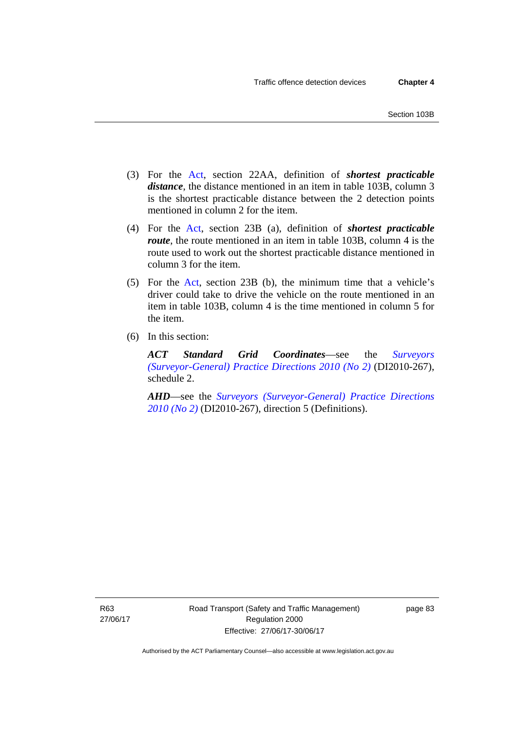- (3) For the [Act](http://www.legislation.act.gov.au/a/1999-80/default.asp), section 22AA, definition of *shortest practicable distance*, the distance mentioned in an item in table 103B, column 3 is the shortest practicable distance between the 2 detection points mentioned in column 2 for the item.
- (4) For the [Act,](http://www.legislation.act.gov.au/a/1999-80/default.asp) section 23B (a), definition of *shortest practicable route*, the route mentioned in an item in table 103B, column 4 is the route used to work out the shortest practicable distance mentioned in column 3 for the item.
- (5) For the [Act](http://www.legislation.act.gov.au/a/1999-80/default.asp), section 23B (b), the minimum time that a vehicle's driver could take to drive the vehicle on the route mentioned in an item in table 103B, column 4 is the time mentioned in column 5 for the item.
- (6) In this section:

*ACT Standard Grid Coordinates*—see the *[Surveyors](http://www.legislation.act.gov.au/di/2010-267/default.asp)  [\(Surveyor-General\) Practice Directions 2010 \(No 2\)](http://www.legislation.act.gov.au/di/2010-267/default.asp)* (DI2010-267), schedule 2.

*AHD*—see the *[Surveyors \(Surveyor-General\) Practice Directions](http://www.legislation.act.gov.au/di/2010-267/default.asp)  [2010 \(No 2\)](http://www.legislation.act.gov.au/di/2010-267/default.asp)* (DI2010-267), direction 5 (Definitions).

R63 27/06/17 page 83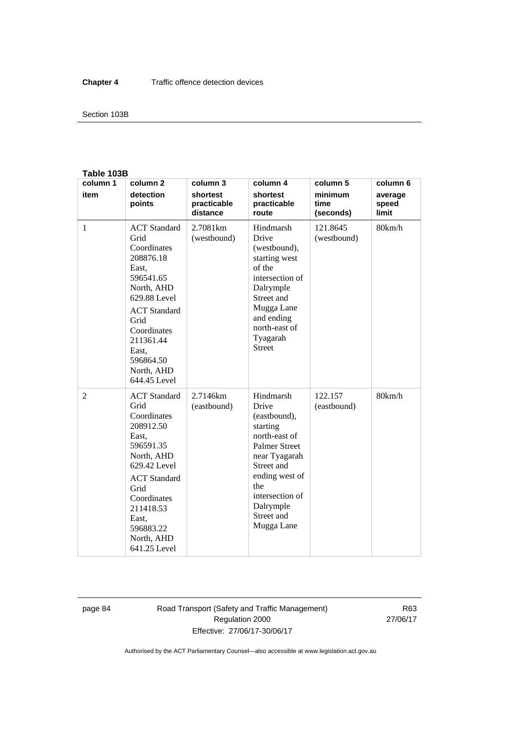#### Section 103B

#### **Table 103B**

| column 1       | column <sub>2</sub>                                                                                                                                                                                                        | column 3                            | column 4                                                                                                                                                                                                    | column 5                     | column 6                  |
|----------------|----------------------------------------------------------------------------------------------------------------------------------------------------------------------------------------------------------------------------|-------------------------------------|-------------------------------------------------------------------------------------------------------------------------------------------------------------------------------------------------------------|------------------------------|---------------------------|
| item           | detection<br>points                                                                                                                                                                                                        | shortest<br>practicable<br>distance | shortest<br>practicable<br>route                                                                                                                                                                            | minimum<br>time<br>(seconds) | average<br>speed<br>limit |
| 1              | <b>ACT</b> Standard<br>Grid<br>Coordinates<br>208876.18<br>East,<br>596541.65<br>North, AHD<br>629.88 Level<br><b>ACT</b> Standard<br>Grid<br>Coordinates<br>211361.44<br>East,<br>596864.50<br>North, AHD<br>644.45 Level | 2.7081 <sub>km</sub><br>(westbound) | Hindmarsh<br>Drive<br>(westbound),<br>starting west<br>of the<br>intersection of<br>Dalrymple<br>Street and<br>Mugga Lane<br>and ending<br>north-east of<br>Tyagarah<br><b>Street</b>                       | 121.8645<br>(westbound)      | 80km/h                    |
| $\overline{2}$ | <b>ACT</b> Standard<br>Grid<br>Coordinates<br>208912.50<br>East,<br>596591.35<br>North, AHD<br>629.42 Level<br><b>ACT</b> Standard<br>Grid<br>Coordinates<br>211418.53<br>East.<br>596883.22<br>North, AHD<br>641.25 Level | 2.7146km<br>(eastbound)             | Hindmarsh<br>Drive<br>(eastbound),<br>starting<br>north-east of<br><b>Palmer Street</b><br>near Tyagarah<br>Street and<br>ending west of<br>the<br>intersection of<br>Dalrymple<br>Street and<br>Mugga Lane | 122.157<br>(eastbound)       | 80km/h                    |

page 84 Road Transport (Safety and Traffic Management) Regulation 2000 Effective: 27/06/17-30/06/17

R63 27/06/17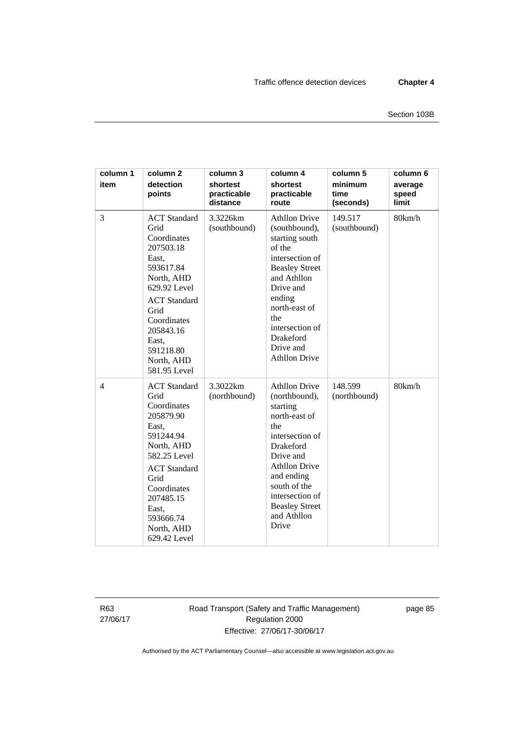| column 1<br>item | column <sub>2</sub><br>detection<br>points                                                                                                                                                                                 | column 3<br>shortest<br>practicable<br>distance | column 4<br>shortest<br>practicable<br>route                                                                                                                                                                                                            | column 5<br>minimum<br>time<br>(seconds) | column 6<br>average<br>speed<br>limit |
|------------------|----------------------------------------------------------------------------------------------------------------------------------------------------------------------------------------------------------------------------|-------------------------------------------------|---------------------------------------------------------------------------------------------------------------------------------------------------------------------------------------------------------------------------------------------------------|------------------------------------------|---------------------------------------|
| 3                | <b>ACT</b> Standard<br>Grid<br>Coordinates<br>207503.18<br>East,<br>593617.84<br>North, AHD<br>629.92 Level<br><b>ACT</b> Standard<br>Grid<br>Coordinates<br>205843.16<br>East,<br>591218.80<br>North, AHD<br>581.95 Level | 3.3226km<br>(southbound)                        | <b>Athllon Drive</b><br>(southbound),<br>starting south<br>of the<br>intersection of<br><b>Beasley Street</b><br>and Athllon<br>Drive and<br>ending<br>north-east of<br>the<br>intersection of<br>Drakeford<br>Drive and<br><b>Athllon Drive</b>        | 149.517<br>(southbound)                  | 80km/h                                |
| $\overline{4}$   | <b>ACT</b> Standard<br>Grid<br>Coordinates<br>205879.90<br>East,<br>591244.94<br>North, AHD<br>582.25 Level<br><b>ACT</b> Standard<br>Grid<br>Coordinates<br>207485.15<br>East,<br>593666.74<br>North, AHD<br>629.42 Level | 3.3022km<br>(northbound)                        | <b>Athllon Drive</b><br>(northbound),<br>starting<br>north-east of<br>the<br>intersection of<br><b>Drakeford</b><br>Drive and<br><b>Athllon Drive</b><br>and ending<br>south of the<br>intersection of<br><b>Beasley Street</b><br>and Athllon<br>Drive | 148.599<br>(northbound)                  | 80km/h                                |

R63 27/06/17 Road Transport (Safety and Traffic Management) Regulation 2000 Effective: 27/06/17-30/06/17

page 85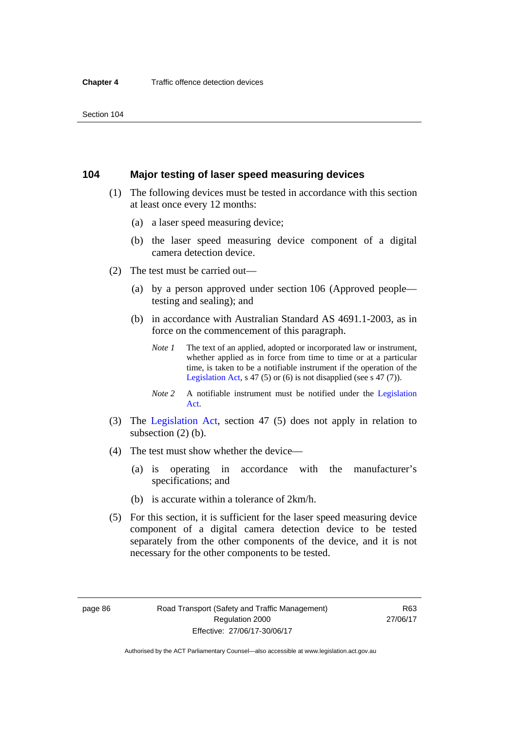#### **104 Major testing of laser speed measuring devices**

- (1) The following devices must be tested in accordance with this section at least once every 12 months:
	- (a) a laser speed measuring device;
	- (b) the laser speed measuring device component of a digital camera detection device.
- (2) The test must be carried out—
	- (a) by a person approved under section 106 (Approved people testing and sealing); and
	- (b) in accordance with Australian Standard AS 4691.1-2003, as in force on the commencement of this paragraph.
		- *Note 1* The text of an applied, adopted or incorporated law or instrument, whether applied as in force from time to time or at a particular time, is taken to be a notifiable instrument if the operation of the [Legislation Act,](http://www.legislation.act.gov.au/a/2001-14) s 47 (5) or (6) is not disapplied (see s 47 (7)).
		- *Note 2* A notifiable instrument must be notified under the [Legislation](http://www.legislation.act.gov.au/a/2001-14)  [Act](http://www.legislation.act.gov.au/a/2001-14).
- (3) The [Legislation Act,](http://www.legislation.act.gov.au/a/2001-14) section 47 (5) does not apply in relation to subsection (2) (b).
- (4) The test must show whether the device—
	- (a) is operating in accordance with the manufacturer's specifications; and
	- (b) is accurate within a tolerance of 2km/h.
- (5) For this section, it is sufficient for the laser speed measuring device component of a digital camera detection device to be tested separately from the other components of the device, and it is not necessary for the other components to be tested.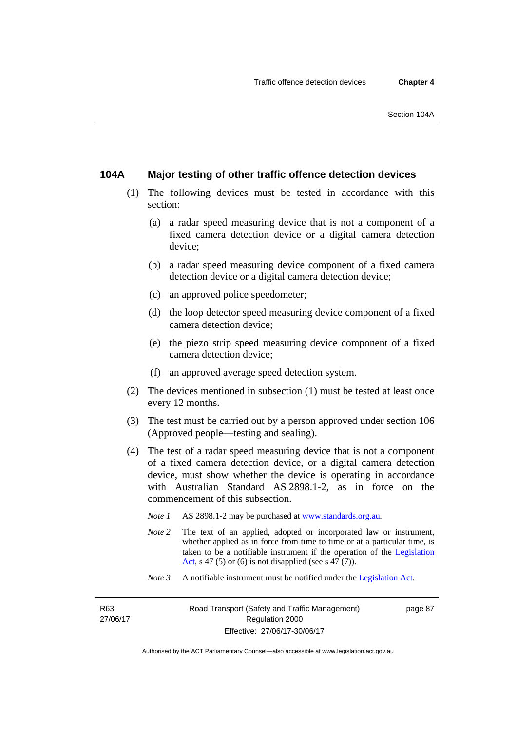#### **104A Major testing of other traffic offence detection devices**

- (1) The following devices must be tested in accordance with this section:
	- (a) a radar speed measuring device that is not a component of a fixed camera detection device or a digital camera detection device;
	- (b) a radar speed measuring device component of a fixed camera detection device or a digital camera detection device;
	- (c) an approved police speedometer;
	- (d) the loop detector speed measuring device component of a fixed camera detection device;
	- (e) the piezo strip speed measuring device component of a fixed camera detection device;
	- (f) an approved average speed detection system.
- (2) The devices mentioned in subsection (1) must be tested at least once every 12 months.
- (3) The test must be carried out by a person approved under section 106 (Approved people—testing and sealing).
- (4) The test of a radar speed measuring device that is not a component of a fixed camera detection device, or a digital camera detection device, must show whether the device is operating in accordance with Australian Standard AS 2898.1-2, as in force on the commencement of this subsection.
	- *Note 1* AS 2898.1-2 may be purchased at [www.standards.org.au](http://www.standards.org.au/Pages/default.aspx)*.*
	- *Note* 2 The text of an applied, adopted or incorporated law or instrument, whether applied as in force from time to time or at a particular time, is taken to be a notifiable instrument if the operation of the [Legislation](http://www.legislation.act.gov.au/a/2001-14)  [Act,](http://www.legislation.act.gov.au/a/2001-14) s 47 (5) or (6) is not disapplied (see s 47 (7)).
	- *Note 3* A notifiable instrument must be notified under the [Legislation Act](http://www.legislation.act.gov.au/a/2001-14).

R63 27/06/17 page 87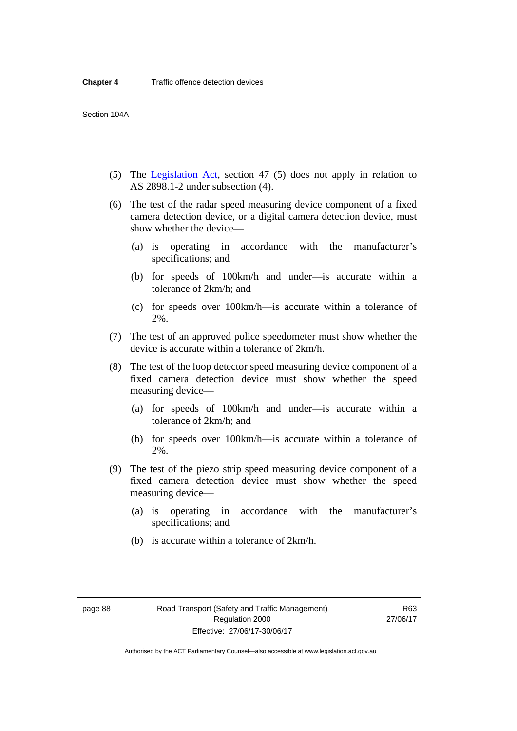- (5) The [Legislation Act,](http://www.legislation.act.gov.au/a/2001-14) section 47 (5) does not apply in relation to AS 2898.1-2 under subsection (4).
- (6) The test of the radar speed measuring device component of a fixed camera detection device, or a digital camera detection device, must show whether the device—
	- (a) is operating in accordance with the manufacturer's specifications; and
	- (b) for speeds of 100km/h and under—is accurate within a tolerance of 2km/h; and
	- (c) for speeds over 100km/h—is accurate within a tolerance of 2%.
- (7) The test of an approved police speedometer must show whether the device is accurate within a tolerance of 2km/h.
- (8) The test of the loop detector speed measuring device component of a fixed camera detection device must show whether the speed measuring device—
	- (a) for speeds of 100km/h and under—is accurate within a tolerance of 2km/h; and
	- (b) for speeds over 100km/h—is accurate within a tolerance of 2%.
- (9) The test of the piezo strip speed measuring device component of a fixed camera detection device must show whether the speed measuring device—
	- (a) is operating in accordance with the manufacturer's specifications; and
	- (b) is accurate within a tolerance of 2km/h.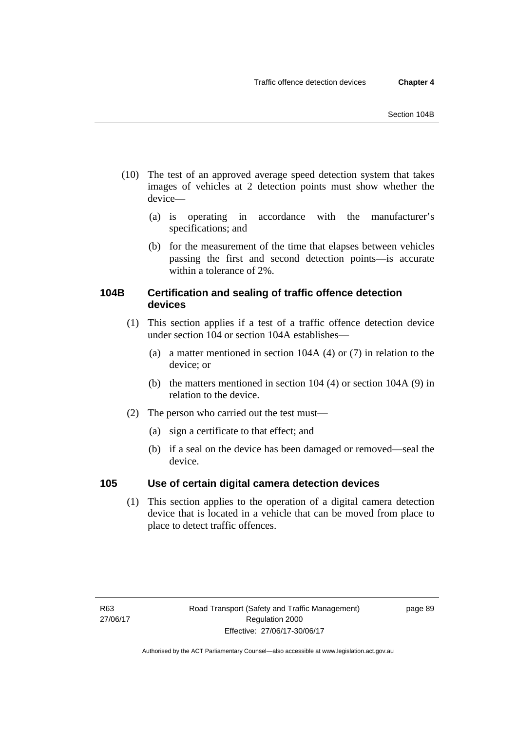- (10) The test of an approved average speed detection system that takes images of vehicles at 2 detection points must show whether the device—
	- (a) is operating in accordance with the manufacturer's specifications; and
	- (b) for the measurement of the time that elapses between vehicles passing the first and second detection points—is accurate within a tolerance of 2%.

### **104B Certification and sealing of traffic offence detection devices**

- (1) This section applies if a test of a traffic offence detection device under section 104 or section 104A establishes—
	- (a) a matter mentioned in section 104A (4) or (7) in relation to the device; or
	- (b) the matters mentioned in section 104 (4) or section 104A (9) in relation to the device.
- (2) The person who carried out the test must—
	- (a) sign a certificate to that effect; and
	- (b) if a seal on the device has been damaged or removed—seal the device.

### **105 Use of certain digital camera detection devices**

(1) This section applies to the operation of a digital camera detection device that is located in a vehicle that can be moved from place to place to detect traffic offences.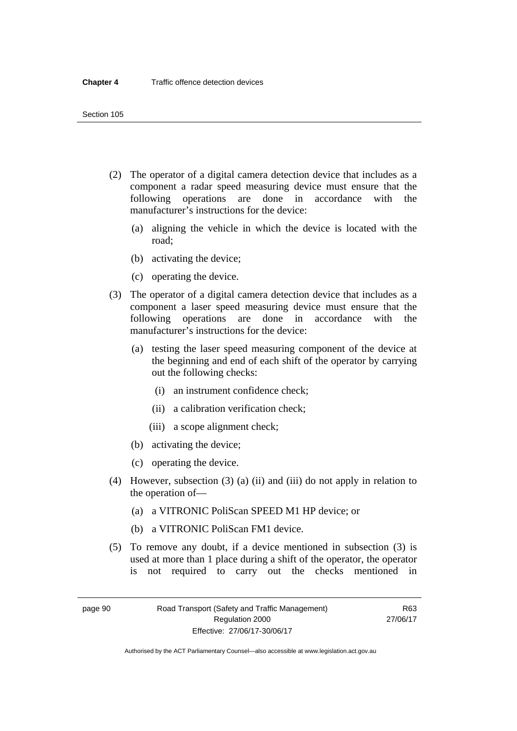- (2) The operator of a digital camera detection device that includes as a component a radar speed measuring device must ensure that the following operations are done in accordance with the manufacturer's instructions for the device:
	- (a) aligning the vehicle in which the device is located with the road;
	- (b) activating the device;
	- (c) operating the device.
- (3) The operator of a digital camera detection device that includes as a component a laser speed measuring device must ensure that the following operations are done in accordance with the manufacturer's instructions for the device:
	- (a) testing the laser speed measuring component of the device at the beginning and end of each shift of the operator by carrying out the following checks:
		- (i) an instrument confidence check;
		- (ii) a calibration verification check;
		- (iii) a scope alignment check;
	- (b) activating the device;
	- (c) operating the device.
- (4) However, subsection (3) (a) (ii) and (iii) do not apply in relation to the operation of—
	- (a) a VITRONIC PoliScan SPEED M1 HP device; or
	- (b) a VITRONIC PoliScan FM1 device.
- (5) To remove any doubt, if a device mentioned in subsection (3) is used at more than 1 place during a shift of the operator, the operator is not required to carry out the checks mentioned in

page 90 Road Transport (Safety and Traffic Management) Regulation 2000 Effective: 27/06/17-30/06/17

R63 27/06/17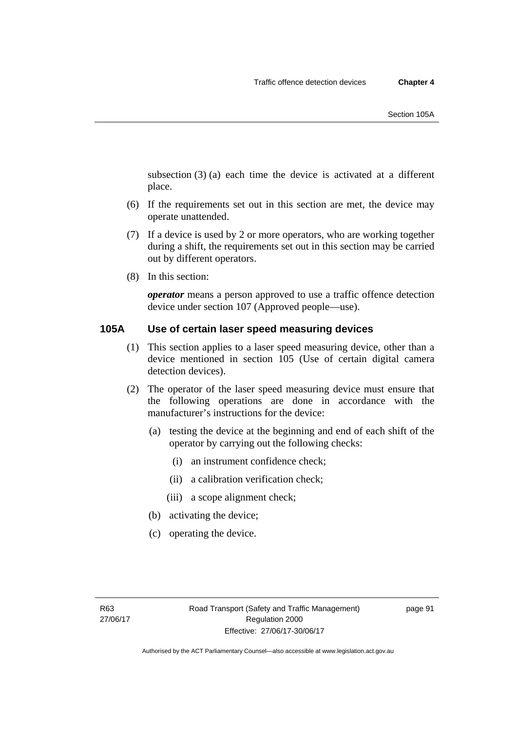subsection (3) (a) each time the device is activated at a different place.

- (6) If the requirements set out in this section are met, the device may operate unattended.
- (7) If a device is used by 2 or more operators, who are working together during a shift, the requirements set out in this section may be carried out by different operators.
- (8) In this section:

*operator* means a person approved to use a traffic offence detection device under section 107 (Approved people—use).

#### **105A Use of certain laser speed measuring devices**

- (1) This section applies to a laser speed measuring device, other than a device mentioned in section 105 (Use of certain digital camera detection devices).
- (2) The operator of the laser speed measuring device must ensure that the following operations are done in accordance with the manufacturer's instructions for the device:
	- (a) testing the device at the beginning and end of each shift of the operator by carrying out the following checks:
		- (i) an instrument confidence check;
		- (ii) a calibration verification check;
		- (iii) a scope alignment check;
	- (b) activating the device;
	- (c) operating the device.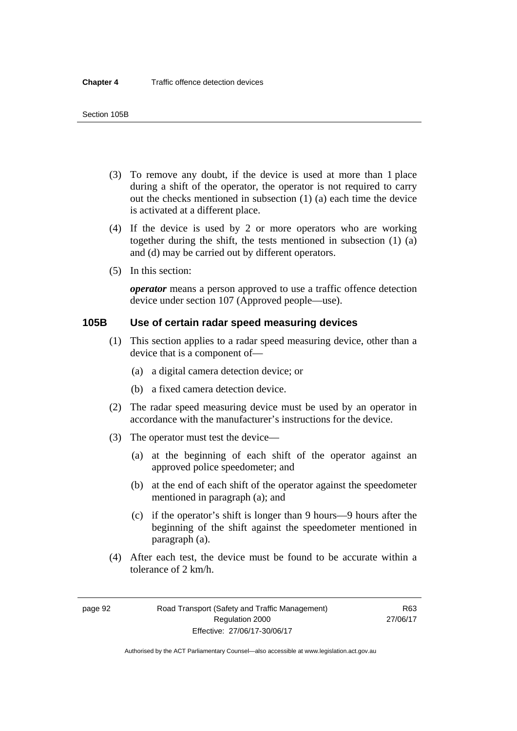- (3) To remove any doubt, if the device is used at more than 1 place during a shift of the operator, the operator is not required to carry out the checks mentioned in subsection (1) (a) each time the device is activated at a different place.
- (4) If the device is used by 2 or more operators who are working together during the shift, the tests mentioned in subsection (1) (a) and (d) may be carried out by different operators.
- (5) In this section:

*operator* means a person approved to use a traffic offence detection device under section 107 (Approved people—use).

# **105B Use of certain radar speed measuring devices**

- (1) This section applies to a radar speed measuring device, other than a device that is a component of—
	- (a) a digital camera detection device; or
	- (b) a fixed camera detection device.
- (2) The radar speed measuring device must be used by an operator in accordance with the manufacturer's instructions for the device.
- (3) The operator must test the device—
	- (a) at the beginning of each shift of the operator against an approved police speedometer; and
	- (b) at the end of each shift of the operator against the speedometer mentioned in paragraph (a); and
	- (c) if the operator's shift is longer than 9 hours—9 hours after the beginning of the shift against the speedometer mentioned in paragraph (a).
- (4) After each test, the device must be found to be accurate within a tolerance of 2 km/h.

page 92 Road Transport (Safety and Traffic Management) Regulation 2000 Effective: 27/06/17-30/06/17

R63 27/06/17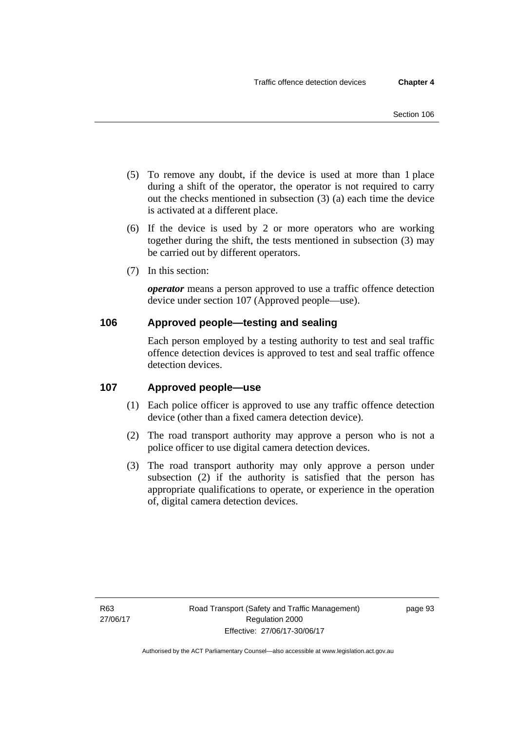- (5) To remove any doubt, if the device is used at more than 1 place during a shift of the operator, the operator is not required to carry out the checks mentioned in subsection (3) (a) each time the device is activated at a different place.
- (6) If the device is used by 2 or more operators who are working together during the shift, the tests mentioned in subsection (3) may be carried out by different operators.
- (7) In this section:

*operator* means a person approved to use a traffic offence detection device under section 107 (Approved people—use).

# **106 Approved people—testing and sealing**

Each person employed by a testing authority to test and seal traffic offence detection devices is approved to test and seal traffic offence detection devices.

# **107 Approved people—use**

- (1) Each police officer is approved to use any traffic offence detection device (other than a fixed camera detection device).
- (2) The road transport authority may approve a person who is not a police officer to use digital camera detection devices.
- (3) The road transport authority may only approve a person under subsection (2) if the authority is satisfied that the person has appropriate qualifications to operate, or experience in the operation of, digital camera detection devices.

page 93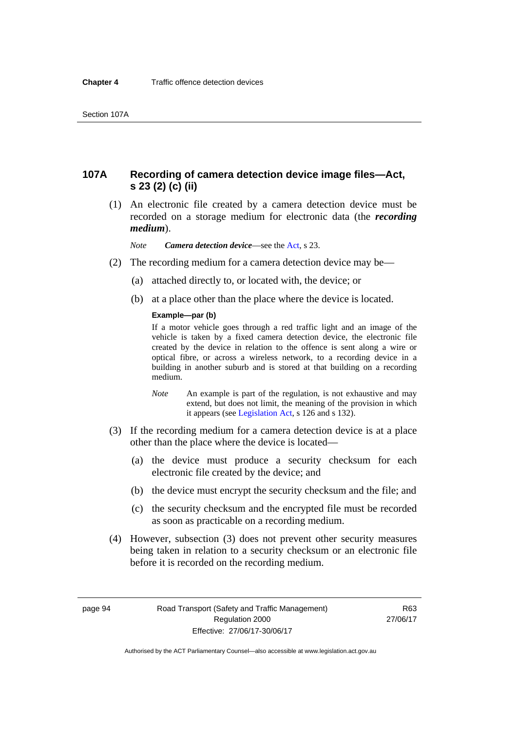# **107A Recording of camera detection device image files—Act, s 23 (2) (c) (ii)**

 (1) An electronic file created by a camera detection device must be recorded on a storage medium for electronic data (the *recording medium*).

*Note Camera detection device*—see the [Act,](http://www.legislation.act.gov.au/a/1999-80/default.asp) s 23.

- (2) The recording medium for a camera detection device may be—
	- (a) attached directly to, or located with, the device; or
	- (b) at a place other than the place where the device is located.

#### **Example—par (b)**

If a motor vehicle goes through a red traffic light and an image of the vehicle is taken by a fixed camera detection device, the electronic file created by the device in relation to the offence is sent along a wire or optical fibre, or across a wireless network, to a recording device in a building in another suburb and is stored at that building on a recording medium.

- *Note* An example is part of the regulation, is not exhaustive and may extend, but does not limit, the meaning of the provision in which it appears (see [Legislation Act,](http://www.legislation.act.gov.au/a/2001-14) s 126 and s 132).
- (3) If the recording medium for a camera detection device is at a place other than the place where the device is located—
	- (a) the device must produce a security checksum for each electronic file created by the device; and
	- (b) the device must encrypt the security checksum and the file; and
	- (c) the security checksum and the encrypted file must be recorded as soon as practicable on a recording medium.
- (4) However, subsection (3) does not prevent other security measures being taken in relation to a security checksum or an electronic file before it is recorded on the recording medium.

page 94 Road Transport (Safety and Traffic Management) Regulation 2000 Effective: 27/06/17-30/06/17

R63 27/06/17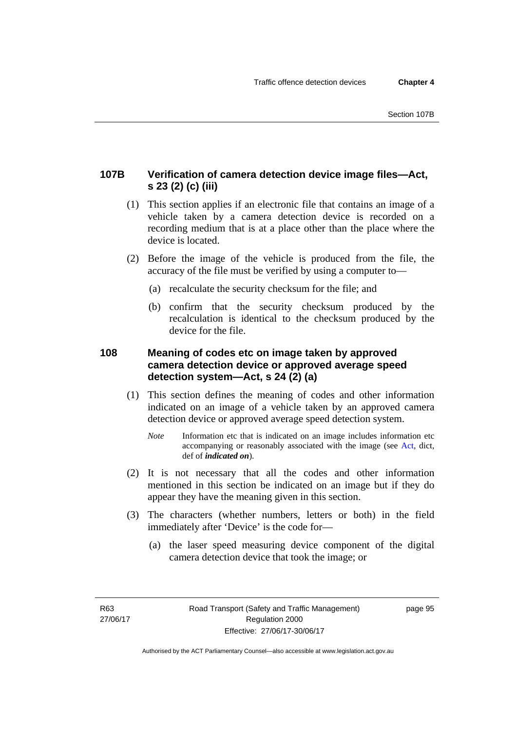# **107B Verification of camera detection device image files—Act, s 23 (2) (c) (iii)**

- (1) This section applies if an electronic file that contains an image of a vehicle taken by a camera detection device is recorded on a recording medium that is at a place other than the place where the device is located.
- (2) Before the image of the vehicle is produced from the file, the accuracy of the file must be verified by using a computer to—
	- (a) recalculate the security checksum for the file; and
	- (b) confirm that the security checksum produced by the recalculation is identical to the checksum produced by the device for the file.

# **108 Meaning of codes etc on image taken by approved camera detection device or approved average speed detection system—Act, s 24 (2) (a)**

- (1) This section defines the meaning of codes and other information indicated on an image of a vehicle taken by an approved camera detection device or approved average speed detection system.
	- *Note* Information etc that is indicated on an image includes information etc accompanying or reasonably associated with the image (see [Act,](http://www.legislation.act.gov.au/a/1999-80/default.asp) dict, def of *indicated on*).
- (2) It is not necessary that all the codes and other information mentioned in this section be indicated on an image but if they do appear they have the meaning given in this section.
- (3) The characters (whether numbers, letters or both) in the field immediately after 'Device' is the code for—
	- (a) the laser speed measuring device component of the digital camera detection device that took the image; or

page 95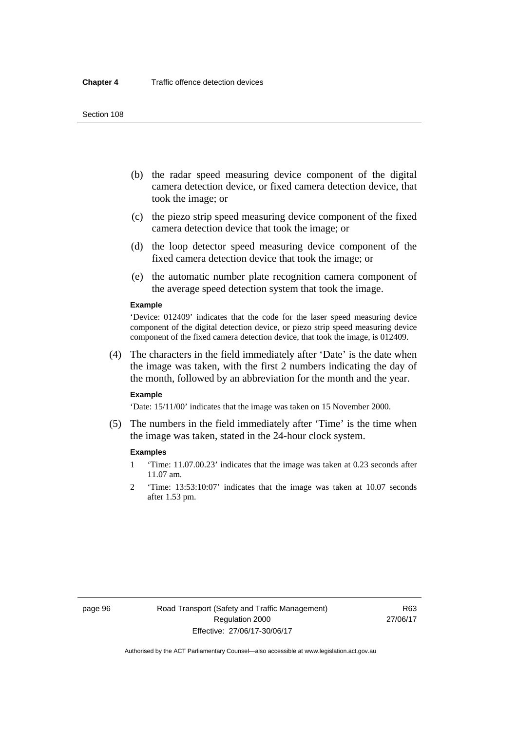- (b) the radar speed measuring device component of the digital camera detection device, or fixed camera detection device, that took the image; or
- (c) the piezo strip speed measuring device component of the fixed camera detection device that took the image; or
- (d) the loop detector speed measuring device component of the fixed camera detection device that took the image; or
- (e) the automatic number plate recognition camera component of the average speed detection system that took the image.

#### **Example**

'Device: 012409' indicates that the code for the laser speed measuring device component of the digital detection device, or piezo strip speed measuring device component of the fixed camera detection device, that took the image, is 012409.

 (4) The characters in the field immediately after 'Date' is the date when the image was taken, with the first 2 numbers indicating the day of the month, followed by an abbreviation for the month and the year.

#### **Example**

'Date: 15/11/00' indicates that the image was taken on 15 November 2000.

 (5) The numbers in the field immediately after 'Time' is the time when the image was taken, stated in the 24-hour clock system.

#### **Examples**

- 1 'Time: 11.07.00.23' indicates that the image was taken at 0.23 seconds after 11.07 am.
- 2 'Time: 13:53:10:07' indicates that the image was taken at 10.07 seconds after 1.53 pm.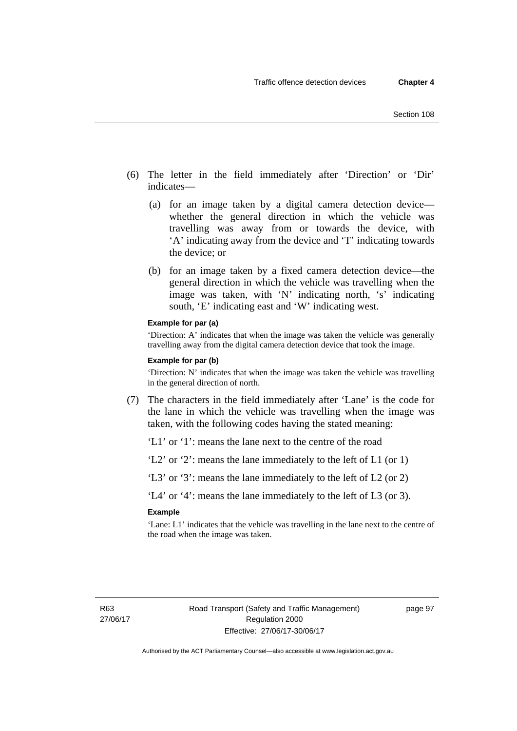- (6) The letter in the field immediately after 'Direction' or 'Dir' indicates—
	- (a) for an image taken by a digital camera detection device whether the general direction in which the vehicle was travelling was away from or towards the device, with 'A' indicating away from the device and 'T' indicating towards the device; or
	- (b) for an image taken by a fixed camera detection device—the general direction in which the vehicle was travelling when the image was taken, with 'N' indicating north, 's' indicating south, 'E' indicating east and 'W' indicating west.

#### **Example for par (a)**

'Direction: A' indicates that when the image was taken the vehicle was generally travelling away from the digital camera detection device that took the image.

#### **Example for par (b)**

'Direction: N' indicates that when the image was taken the vehicle was travelling in the general direction of north.

 (7) The characters in the field immediately after 'Lane' is the code for the lane in which the vehicle was travelling when the image was taken, with the following codes having the stated meaning:

'L1' or '1': means the lane next to the centre of the road

'L2' or '2': means the lane immediately to the left of L1 (or 1)

'L3' or '3': means the lane immediately to the left of L2 (or 2)

'L4' or '4': means the lane immediately to the left of L3 (or 3).

#### **Example**

'Lane: L1' indicates that the vehicle was travelling in the lane next to the centre of the road when the image was taken.

R63 27/06/17 page 97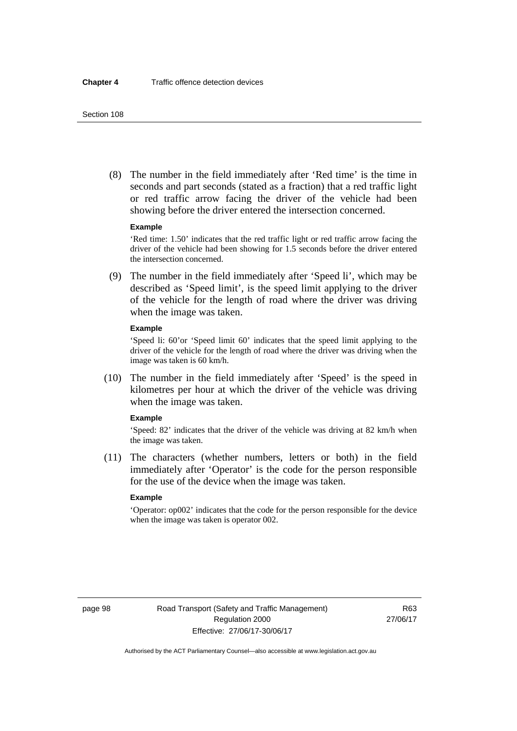(8) The number in the field immediately after 'Red time' is the time in seconds and part seconds (stated as a fraction) that a red traffic light or red traffic arrow facing the driver of the vehicle had been showing before the driver entered the intersection concerned.

#### **Example**

'Red time: 1.50' indicates that the red traffic light or red traffic arrow facing the driver of the vehicle had been showing for 1.5 seconds before the driver entered the intersection concerned.

 (9) The number in the field immediately after 'Speed li', which may be described as 'Speed limit', is the speed limit applying to the driver of the vehicle for the length of road where the driver was driving when the image was taken.

#### **Example**

'Speed li: 60'or 'Speed limit 60' indicates that the speed limit applying to the driver of the vehicle for the length of road where the driver was driving when the image was taken is 60 km/h.

 (10) The number in the field immediately after 'Speed' is the speed in kilometres per hour at which the driver of the vehicle was driving when the image was taken.

#### **Example**

'Speed: 82' indicates that the driver of the vehicle was driving at 82 km/h when the image was taken.

 (11) The characters (whether numbers, letters or both) in the field immediately after 'Operator' is the code for the person responsible for the use of the device when the image was taken.

### **Example**

'Operator: op002' indicates that the code for the person responsible for the device when the image was taken is operator 002.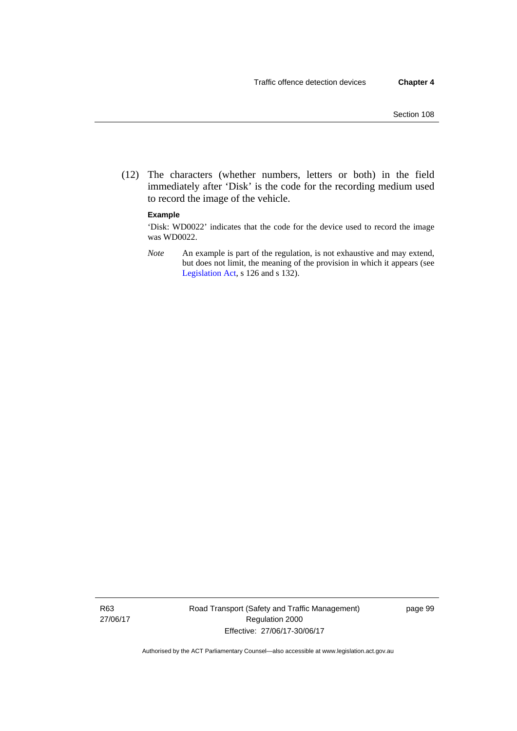(12) The characters (whether numbers, letters or both) in the field immediately after 'Disk' is the code for the recording medium used to record the image of the vehicle.

#### **Example**

'Disk: WD0022' indicates that the code for the device used to record the image was WD0022.

*Note* An example is part of the regulation, is not exhaustive and may extend, but does not limit, the meaning of the provision in which it appears (see [Legislation Act,](http://www.legislation.act.gov.au/a/2001-14) s 126 and s 132).

R63 27/06/17 Road Transport (Safety and Traffic Management) Regulation 2000 Effective: 27/06/17-30/06/17

page 99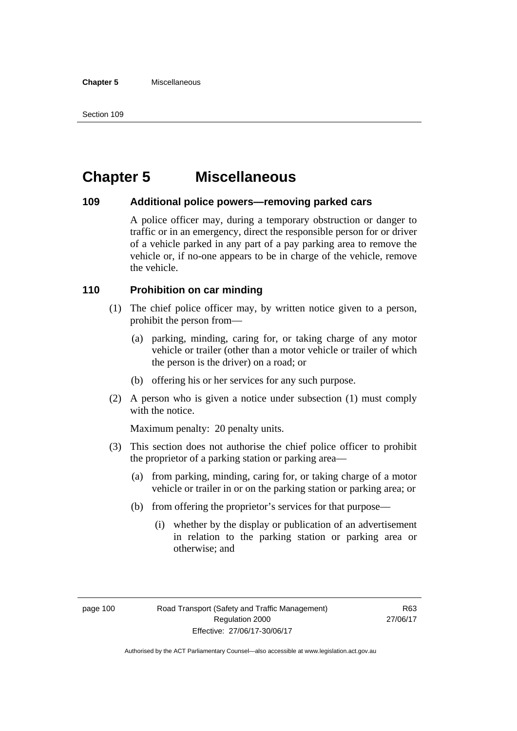# **Chapter 5 Miscellaneous**

# **109 Additional police powers—removing parked cars**

A police officer may, during a temporary obstruction or danger to traffic or in an emergency, direct the responsible person for or driver of a vehicle parked in any part of a pay parking area to remove the vehicle or, if no-one appears to be in charge of the vehicle, remove the vehicle.

# **110 Prohibition on car minding**

- (1) The chief police officer may, by written notice given to a person, prohibit the person from—
	- (a) parking, minding, caring for, or taking charge of any motor vehicle or trailer (other than a motor vehicle or trailer of which the person is the driver) on a road; or
	- (b) offering his or her services for any such purpose.
- (2) A person who is given a notice under subsection (1) must comply with the notice.

Maximum penalty: 20 penalty units.

- (3) This section does not authorise the chief police officer to prohibit the proprietor of a parking station or parking area—
	- (a) from parking, minding, caring for, or taking charge of a motor vehicle or trailer in or on the parking station or parking area; or
	- (b) from offering the proprietor's services for that purpose—
		- (i) whether by the display or publication of an advertisement in relation to the parking station or parking area or otherwise; and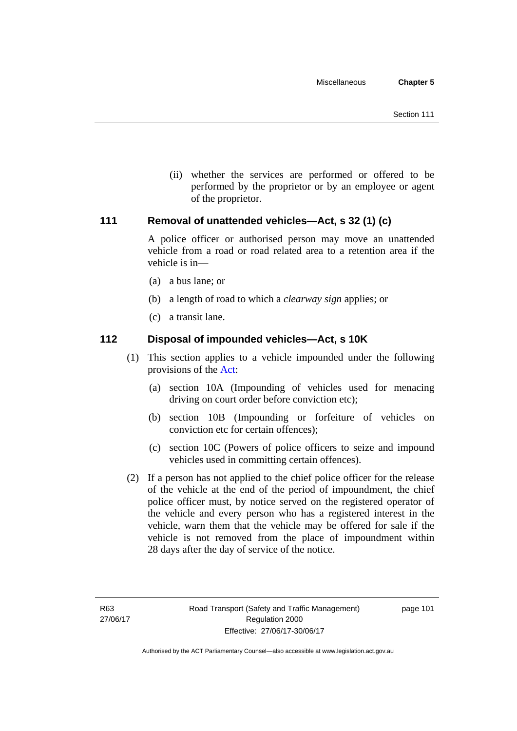(ii) whether the services are performed or offered to be performed by the proprietor or by an employee or agent of the proprietor.

# **111 Removal of unattended vehicles—Act, s 32 (1) (c)**

A police officer or authorised person may move an unattended vehicle from a road or road related area to a retention area if the vehicle is in—

- (a) a bus lane; or
- (b) a length of road to which a *clearway sign* applies; or
- (c) a transit lane.

# **112 Disposal of impounded vehicles—Act, s 10K**

- (1) This section applies to a vehicle impounded under the following provisions of the [Act](http://www.legislation.act.gov.au/a/1999-80/default.asp):
	- (a) section 10A (Impounding of vehicles used for menacing driving on court order before conviction etc);
	- (b) section 10B (Impounding or forfeiture of vehicles on conviction etc for certain offences);
	- (c) section 10C (Powers of police officers to seize and impound vehicles used in committing certain offences).
- (2) If a person has not applied to the chief police officer for the release of the vehicle at the end of the period of impoundment, the chief police officer must, by notice served on the registered operator of the vehicle and every person who has a registered interest in the vehicle, warn them that the vehicle may be offered for sale if the vehicle is not removed from the place of impoundment within 28 days after the day of service of the notice.

page 101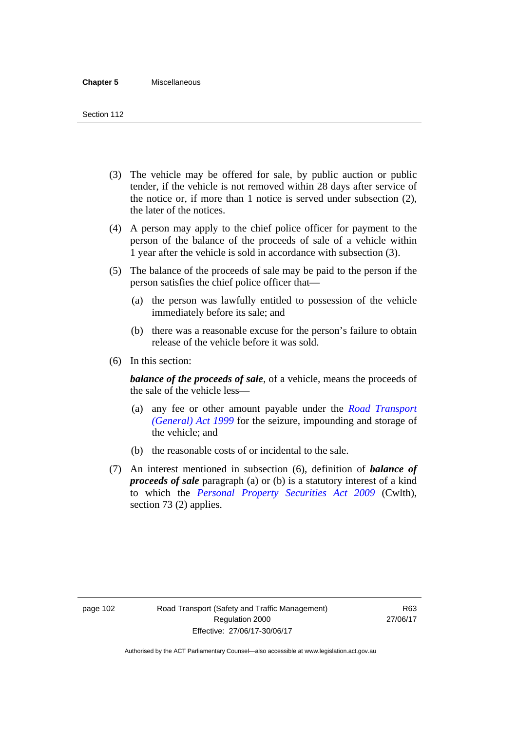- (3) The vehicle may be offered for sale, by public auction or public tender, if the vehicle is not removed within 28 days after service of the notice or, if more than 1 notice is served under subsection (2), the later of the notices.
- (4) A person may apply to the chief police officer for payment to the person of the balance of the proceeds of sale of a vehicle within 1 year after the vehicle is sold in accordance with subsection (3).
- (5) The balance of the proceeds of sale may be paid to the person if the person satisfies the chief police officer that—
	- (a) the person was lawfully entitled to possession of the vehicle immediately before its sale; and
	- (b) there was a reasonable excuse for the person's failure to obtain release of the vehicle before it was sold.
- (6) In this section:

*balance of the proceeds of sale*, of a vehicle, means the proceeds of the sale of the vehicle less—

- (a) any fee or other amount payable under the *[Road Transport](http://www.legislation.act.gov.au/a/1999-77)  [\(General\) Act 1999](http://www.legislation.act.gov.au/a/1999-77)* for the seizure, impounding and storage of the vehicle; and
- (b) the reasonable costs of or incidental to the sale.
- (7) An interest mentioned in subsection (6), definition of *balance of proceeds of sale* paragraph (a) or (b) is a statutory interest of a kind to which the *[Personal Property Securities Act 2009](http://www.comlaw.gov.au/Series/C2009A00130)* (Cwlth), section 73 (2) applies.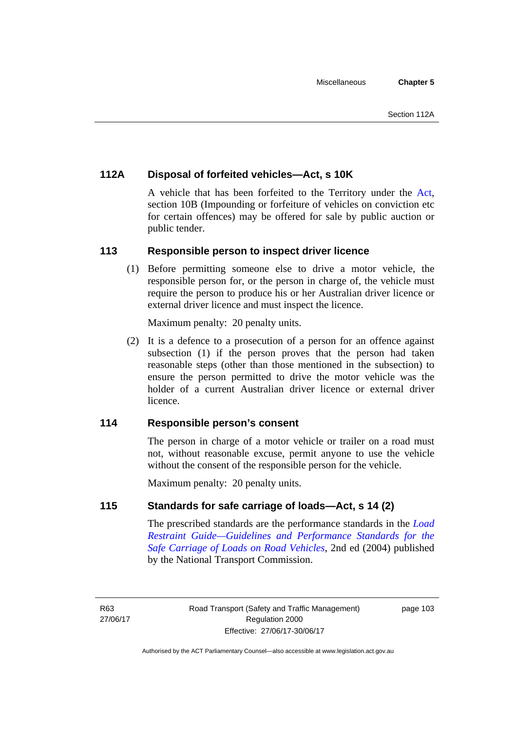# **112A Disposal of forfeited vehicles—Act, s 10K**

A vehicle that has been forfeited to the Territory under the [Act](http://www.legislation.act.gov.au/a/1999-80/default.asp), section 10B (Impounding or forfeiture of vehicles on conviction etc for certain offences) may be offered for sale by public auction or public tender.

# **113 Responsible person to inspect driver licence**

(1) Before permitting someone else to drive a motor vehicle, the responsible person for, or the person in charge of, the vehicle must require the person to produce his or her Australian driver licence or external driver licence and must inspect the licence.

Maximum penalty: 20 penalty units.

 (2) It is a defence to a prosecution of a person for an offence against subsection (1) if the person proves that the person had taken reasonable steps (other than those mentioned in the subsection) to ensure the person permitted to drive the motor vehicle was the holder of a current Australian driver licence or external driver licence.

# **114 Responsible person's consent**

The person in charge of a motor vehicle or trailer on a road must not, without reasonable excuse, permit anyone to use the vehicle without the consent of the responsible person for the vehicle.

Maximum penalty: 20 penalty units.

# **115 Standards for safe carriage of loads—Act, s 14 (2)**

The prescribed standards are the performance standards in the *[Load](http://www.ntc.gov.au/viewpage.aspx?documentid=862)  [Restraint Guide—Guidelines and Performance Standards for the](http://www.ntc.gov.au/viewpage.aspx?documentid=862)  [Safe Carriage of Loads on Road Vehicles](http://www.ntc.gov.au/viewpage.aspx?documentid=862)*, 2nd ed (2004) published by the National Transport Commission.

R63 27/06/17 page 103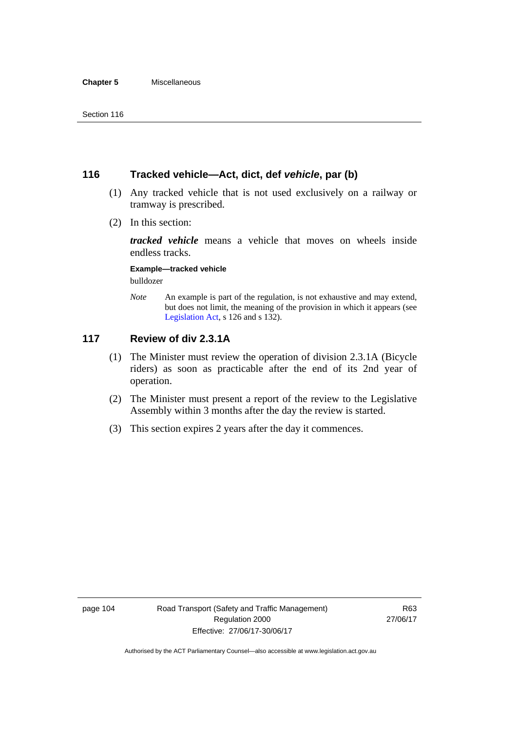# **116 Tracked vehicle—Act, dict, def** *vehicle***, par (b)**

- (1) Any tracked vehicle that is not used exclusively on a railway or tramway is prescribed.
- (2) In this section:

*tracked vehicle* means a vehicle that moves on wheels inside endless tracks.

**Example—tracked vehicle** 

bulldozer

*Note* An example is part of the regulation, is not exhaustive and may extend, but does not limit, the meaning of the provision in which it appears (see [Legislation Act,](http://www.legislation.act.gov.au/a/2001-14) s 126 and s 132).

# **117 Review of div 2.3.1A**

- (1) The Minister must review the operation of division 2.3.1A (Bicycle riders) as soon as practicable after the end of its 2nd year of operation.
- (2) The Minister must present a report of the review to the Legislative Assembly within 3 months after the day the review is started.
- (3) This section expires 2 years after the day it commences.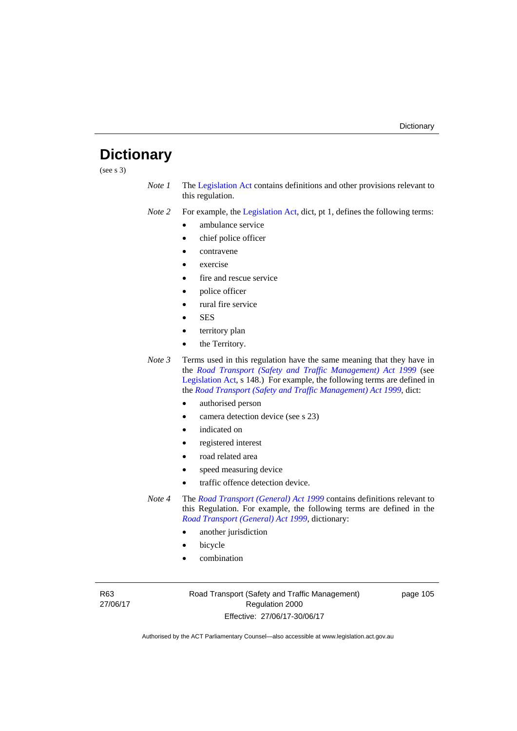# **Dictionary**

(see s 3)

*Note 1* The [Legislation Act](http://www.legislation.act.gov.au/a/2001-14) contains definitions and other provisions relevant to this regulation.

*Note 2* For example, the [Legislation Act,](http://www.legislation.act.gov.au/a/2001-14) dict, pt 1, defines the following terms:

- ambulance service
- chief police officer
- contravene
- exercise
- fire and rescue service
- police officer
- rural fire service
- SES
- territory plan
- the Territory.
- *Note 3* Terms used in this regulation have the same meaning that they have in the *[Road Transport \(Safety and Traffic Management\) Act 1999](http://www.legislation.act.gov.au/a/1999-80)* (see [Legislation Act,](http://www.legislation.act.gov.au/a/2001-14) s 148.) For example, the following terms are defined in the *[Road Transport \(Safety and Traffic Management\) Act 1999](http://www.legislation.act.gov.au/a/1999-80)*, dict:
	- authorised person
	- camera detection device (see s 23)
	- indicated on
	- registered interest
	- road related area
	- speed measuring device
	- traffic offence detection device.
- *Note 4* The *[Road Transport \(General\) Act 1999](http://www.legislation.act.gov.au/a/1999-77)* contains definitions relevant to this Regulation. For example, the following terms are defined in the *[Road Transport \(General\) Act 1999](http://www.legislation.act.gov.au/a/1999-77)*, dictionary:
	- another jurisdiction
	- bicycle
	- combination

R63 27/06/17 Road Transport (Safety and Traffic Management) Regulation 2000 Effective: 27/06/17-30/06/17

page 105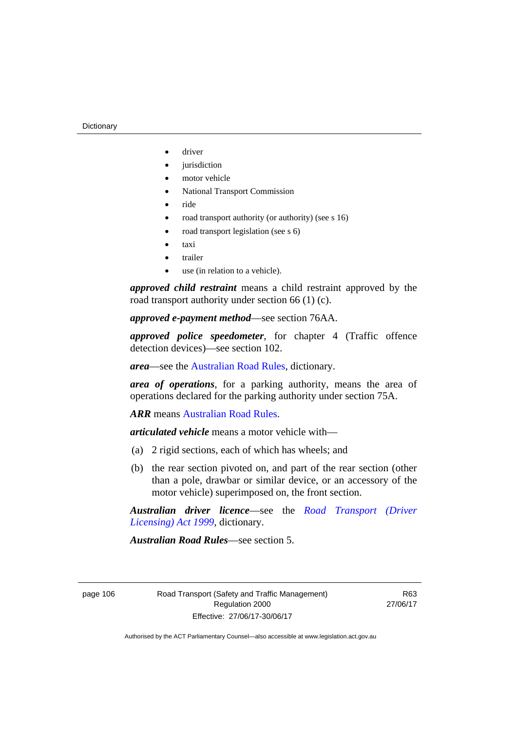- driver
- jurisdiction
- motor vehicle
- National Transport Commission
- ride
- road transport authority (or authority) (see s 16)
- road transport legislation (see s 6)
- taxi
- trailer
- use (in relation to a vehicle).

*approved child restraint* means a child restraint approved by the road transport authority under section 66 (1) (c).

*approved e-payment method*—see section 76AA.

*approved police speedometer*, for chapter 4 (Traffic offence detection devices)—see section 102.

*area*—see the [Australian Road Rules,](http://www.legislation.act.gov.au//ni/db_37271/default.asp) dictionary.

*area of operations*, for a parking authority, means the area of operations declared for the parking authority under section 75A.

*ARR* means [Australian Road Rules](http://www.legislation.act.gov.au//ni/db_37271/default.asp).

*articulated vehicle* means a motor vehicle with—

- (a) 2 rigid sections, each of which has wheels; and
- (b) the rear section pivoted on, and part of the rear section (other than a pole, drawbar or similar device, or an accessory of the motor vehicle) superimposed on, the front section.

*Australian driver licence*—see the *[Road Transport \(Driver](http://www.legislation.act.gov.au/a/1999-78)  [Licensing\) Act 1999](http://www.legislation.act.gov.au/a/1999-78)*, dictionary.

*Australian Road Rules*—see section 5.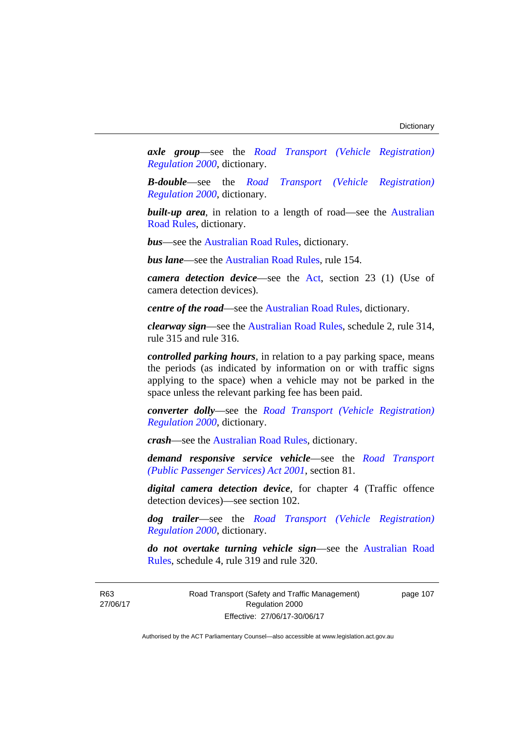*axle group*—see the *[Road Transport \(Vehicle Registration\)](http://www.legislation.act.gov.au/sl/2000-12)  [Regulation 2000](http://www.legislation.act.gov.au/sl/2000-12)*, dictionary.

*B-double*—see the *[Road Transport \(Vehicle Registration\)](http://www.legislation.act.gov.au/sl/2000-12)  [Regulation 2000](http://www.legislation.act.gov.au/sl/2000-12)*, dictionary.

**built-up area**, in relation to a length of road—see the Australian [Road Rules,](http://www.legislation.act.gov.au//ni/db_37271/default.asp) dictionary.

*bus*—see the [Australian Road Rules](http://www.legislation.act.gov.au//ni/db_37271/default.asp), dictionary.

*bus lane*—see the [Australian Road Rules](http://www.legislation.act.gov.au//ni/db_37271/default.asp), rule 154.

*camera detection device*—see the [Act,](http://www.legislation.act.gov.au/a/1999-80/default.asp) section 23 (1) (Use of camera detection devices).

*centre of the road*—see the [Australian Road Rules](http://www.legislation.act.gov.au//ni/db_37271/default.asp), dictionary.

*clearway sign*—see the [Australian Road Rules,](http://www.legislation.act.gov.au//ni/db_37271/default.asp) schedule 2, rule 314, rule 315 and rule 316.

*controlled parking hours*, in relation to a pay parking space, means the periods (as indicated by information on or with traffic signs applying to the space) when a vehicle may not be parked in the space unless the relevant parking fee has been paid.

*converter dolly*—see the *[Road Transport \(Vehicle Registration\)](http://www.legislation.act.gov.au/sl/2000-12)  [Regulation 2000](http://www.legislation.act.gov.au/sl/2000-12)*, dictionary.

*crash*—see the [Australian Road Rules](http://www.legislation.act.gov.au//ni/db_37271/default.asp), dictionary.

*demand responsive service vehicle*—see the *[Road Transport](http://www.legislation.act.gov.au/a/2001-62)  [\(Public Passenger Services\) Act 2001](http://www.legislation.act.gov.au/a/2001-62)*, section 81.

*digital camera detection device*, for chapter 4 (Traffic offence detection devices)—see section 102.

*dog trailer*—see the *[Road Transport \(Vehicle Registration\)](http://www.legislation.act.gov.au/sl/2000-12)  [Regulation 2000](http://www.legislation.act.gov.au/sl/2000-12)*, dictionary.

*do not overtake turning vehicle sign*—see the [Australian Road](http://www.legislation.act.gov.au//ni/db_37271/default.asp)  [Rules](http://www.legislation.act.gov.au//ni/db_37271/default.asp), schedule 4, rule 319 and rule 320.

R63 27/06/17 Road Transport (Safety and Traffic Management) Regulation 2000 Effective: 27/06/17-30/06/17

page 107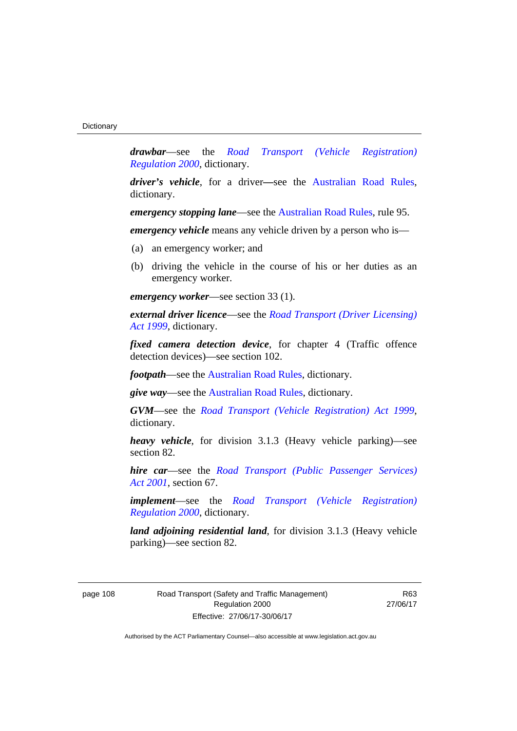*drawbar*—see the *[Road Transport \(Vehicle Registration\)](http://www.legislation.act.gov.au/sl/2000-12)  [Regulation 2000](http://www.legislation.act.gov.au/sl/2000-12)*, dictionary.

*driver's vehicle*, for a driver*—*see the [Australian Road Rules](http://www.legislation.act.gov.au//ni/db_37271/default.asp), dictionary.

*emergency stopping lane—see the [Australian Road Rules](http://www.legislation.act.gov.au//ni/db_37271/default.asp), rule 95.* 

*emergency vehicle* means any vehicle driven by a person who is—

- (a) an emergency worker; and
- (b) driving the vehicle in the course of his or her duties as an emergency worker.

*emergency worker*—see section 33 (1).

*external driver licence*—see the *[Road Transport \(Driver Licensing\)](http://www.legislation.act.gov.au/a/1999-78)  [Act 1999](http://www.legislation.act.gov.au/a/1999-78)*, dictionary.

*fixed camera detection device*, for chapter 4 (Traffic offence detection devices)—see section 102.

*footpath*—see the [Australian Road Rules](http://www.legislation.act.gov.au//ni/db_37271/default.asp), dictionary.

*give way*—see the [Australian Road Rules,](http://www.legislation.act.gov.au//ni/db_37271/default.asp) dictionary.

*GVM*—see the *[Road Transport \(Vehicle Registration\) Act 1999](http://www.legislation.act.gov.au/a/1999-81)*, dictionary.

*heavy vehicle*, for division 3.1.3 (Heavy vehicle parking)—see section 82.

*hire car*—see the *[Road Transport \(Public Passenger Services\)](http://www.legislation.act.gov.au/a/2001-62)  [Act 2001](http://www.legislation.act.gov.au/a/2001-62)*, section 67.

*implement*—see the *[Road Transport \(Vehicle Registration\)](http://www.legislation.act.gov.au/sl/2000-12)  [Regulation 2000](http://www.legislation.act.gov.au/sl/2000-12)*, dictionary.

*land adjoining residential land*, for division 3.1.3 (Heavy vehicle parking)—see section 82.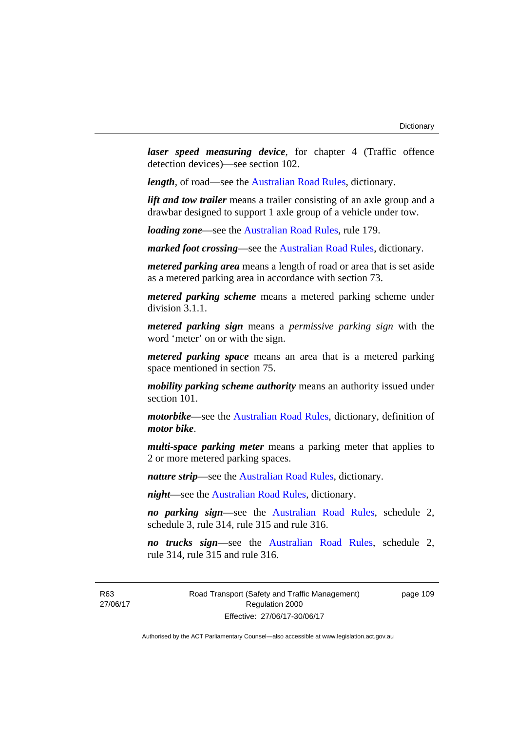*laser speed measuring device*, for chapter 4 (Traffic offence detection devices)—see section 102.

*length*, of road—see the [Australian Road Rules](http://www.legislation.act.gov.au//ni/db_37271/default.asp), dictionary.

*lift and tow trailer* means a trailer consisting of an axle group and a drawbar designed to support 1 axle group of a vehicle under tow.

*loading zone*—see the [Australian Road Rules,](http://www.legislation.act.gov.au//ni/db_37271/default.asp) rule 179.

*marked foot crossing*—see the [Australian Road Rules,](http://www.legislation.act.gov.au//ni/db_37271/default.asp) dictionary.

*metered parking area* means a length of road or area that is set aside as a metered parking area in accordance with section 73.

*metered parking scheme* means a metered parking scheme under division 3.1.1.

*metered parking sign* means a *permissive parking sign* with the word 'meter' on or with the sign.

*metered parking space* means an area that is a metered parking space mentioned in section 75.

*mobility parking scheme authority* means an authority issued under section 101.

*motorbike*—see the [Australian Road Rules,](http://www.legislation.act.gov.au//ni/db_37271/default.asp) dictionary, definition of *motor bike*.

*multi-space parking meter* means a parking meter that applies to 2 or more metered parking spaces.

*nature strip*—see the [Australian Road Rules](http://www.legislation.act.gov.au//ni/db_37271/default.asp), dictionary.

*night*—see the [Australian Road Rules,](http://www.legislation.act.gov.au//ni/db_37271/default.asp) dictionary.

*no parking sign*—see the [Australian Road Rules](http://www.legislation.act.gov.au//ni/db_37271/default.asp), schedule 2, schedule 3, rule 314, rule 315 and rule 316.

*no trucks sign*—see the [Australian Road Rules,](http://www.legislation.act.gov.au//ni/db_37271/default.asp) schedule 2, rule 314, rule 315 and rule 316.

R63 27/06/17 Road Transport (Safety and Traffic Management) Regulation 2000 Effective: 27/06/17-30/06/17

page 109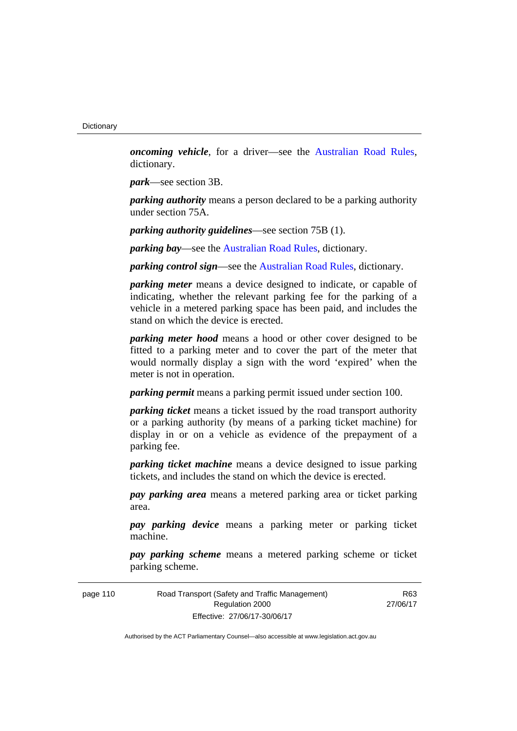*oncoming vehicle*, for a driver—see the [Australian Road Rules](http://www.legislation.act.gov.au//ni/db_37271/default.asp), dictionary.

*park*—see section 3B.

*parking authority* means a person declared to be a parking authority under section 75A.

*parking authority guidelines*—see section 75B (1).

*parking bay*—see the [Australian Road Rules,](http://www.legislation.act.gov.au//ni/db_37271/default.asp) dictionary.

*parking control sign*—see the [Australian Road Rules](http://www.legislation.act.gov.au//ni/db_37271/default.asp), dictionary.

*parking meter* means a device designed to indicate, or capable of indicating, whether the relevant parking fee for the parking of a vehicle in a metered parking space has been paid, and includes the stand on which the device is erected.

*parking meter hood* means a hood or other cover designed to be fitted to a parking meter and to cover the part of the meter that would normally display a sign with the word 'expired' when the meter is not in operation.

*parking permit* means a parking permit issued under section 100.

*parking ticket* means a ticket issued by the road transport authority or a parking authority (by means of a parking ticket machine) for display in or on a vehicle as evidence of the prepayment of a parking fee.

*parking ticket machine* means a device designed to issue parking tickets, and includes the stand on which the device is erected.

*pay parking area* means a metered parking area or ticket parking area.

*pay parking device* means a parking meter or parking ticket machine.

*pay parking scheme* means a metered parking scheme or ticket parking scheme.

| page 110 | Road Transport (Safety and Traffic Management) |
|----------|------------------------------------------------|
|          | Regulation 2000                                |
|          | Effective: 27/06/17-30/06/17                   |

R63 27/06/17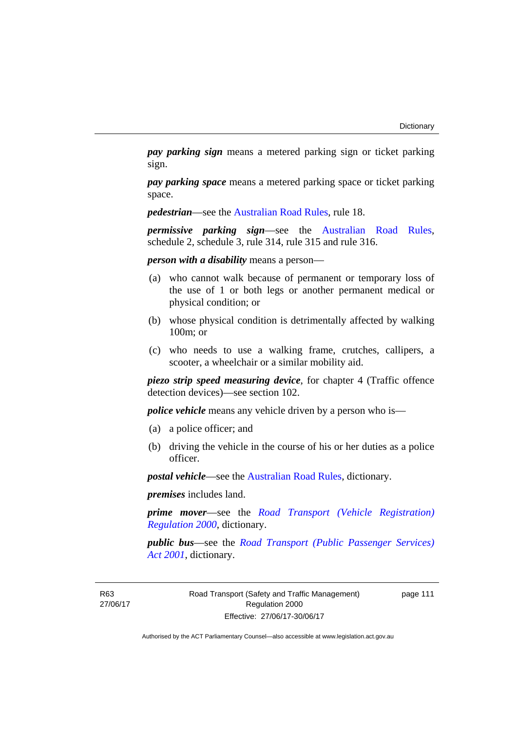*pay parking sign* means a metered parking sign or ticket parking sign.

*pay parking space* means a metered parking space or ticket parking space.

*pedestrian*—see the [Australian Road Rules](http://www.legislation.act.gov.au//ni/db_37271/default.asp), rule 18.

*permissive parking sign*—see the [Australian Road Rules](http://www.legislation.act.gov.au//ni/db_37271/default.asp), schedule 2, schedule 3, rule 314, rule 315 and rule 316.

*person with a disability* means a person—

- (a) who cannot walk because of permanent or temporary loss of the use of 1 or both legs or another permanent medical or physical condition; or
- (b) whose physical condition is detrimentally affected by walking 100m; or
- (c) who needs to use a walking frame, crutches, callipers, a scooter, a wheelchair or a similar mobility aid.

*piezo strip speed measuring device*, for chapter 4 (Traffic offence detection devices)—see section 102.

*police vehicle* means any vehicle driven by a person who is—

- (a) a police officer; and
- (b) driving the vehicle in the course of his or her duties as a police officer.

*postal vehicle*—see the [Australian Road Rules,](http://www.legislation.act.gov.au//ni/db_37271/default.asp) dictionary.

*premises* includes land.

*prime mover*—see the *[Road Transport \(Vehicle Registration\)](http://www.legislation.act.gov.au/sl/2000-12)  [Regulation 2000](http://www.legislation.act.gov.au/sl/2000-12)*, dictionary.

*public bus*—see the *[Road Transport \(Public Passenger Services\)](http://www.legislation.act.gov.au/a/2001-62)  [Act 2001](http://www.legislation.act.gov.au/a/2001-62)*, dictionary.

page 111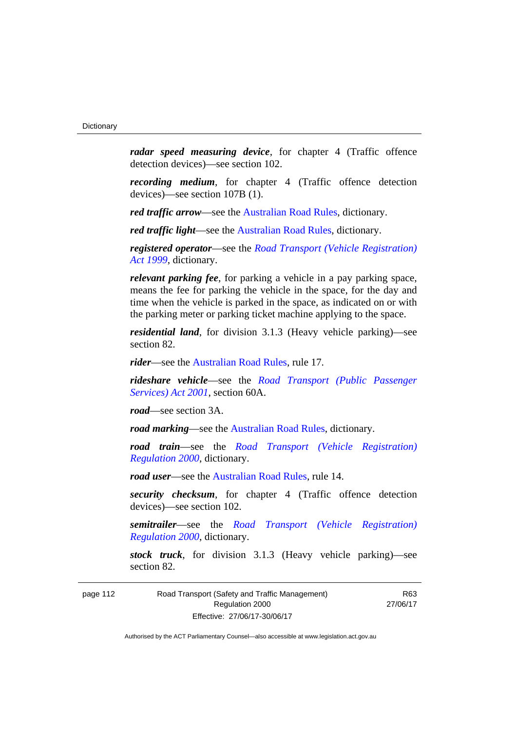*radar speed measuring device*, for chapter 4 (Traffic offence detection devices)—see section 102.

*recording medium*, for chapter 4 (Traffic offence detection devices)—see section 107B (1).

*red traffic arrow*—see the [Australian Road Rules,](http://www.legislation.act.gov.au//ni/db_37271/default.asp) dictionary.

*red traffic light*—see the [Australian Road Rules,](http://www.legislation.act.gov.au//ni/db_37271/default.asp) dictionary.

*registered operator*—see the *[Road Transport \(Vehicle Registration\)](http://www.legislation.act.gov.au/a/1999-81)  [Act 1999](http://www.legislation.act.gov.au/a/1999-81)*, dictionary.

*relevant parking fee*, for parking a vehicle in a pay parking space, means the fee for parking the vehicle in the space, for the day and time when the vehicle is parked in the space, as indicated on or with the parking meter or parking ticket machine applying to the space.

*residential land*, for division 3.1.3 (Heavy vehicle parking)—see section 82.

*rider*—see the [Australian Road Rules,](http://www.legislation.act.gov.au//ni/db_37271/default.asp) rule 17.

*rideshare vehicle*—see the *[Road Transport \(Public Passenger](http://www.legislation.act.gov.au/a/2001-62)  [Services\) Act 2001](http://www.legislation.act.gov.au/a/2001-62)*, section 60A.

*road*—see section 3A.

*road marking*—see the [Australian Road Rules](http://www.legislation.act.gov.au//ni/db_37271/default.asp), dictionary.

*road train*—see the *[Road Transport \(Vehicle Registration\)](http://www.legislation.act.gov.au/sl/2000-12)  [Regulation 2000](http://www.legislation.act.gov.au/sl/2000-12)*, dictionary.

*road user*—see the [Australian Road Rules,](http://www.legislation.act.gov.au//ni/db_37271/default.asp) rule 14.

*security checksum*, for chapter 4 (Traffic offence detection devices)—see section 102.

*semitrailer*—see the *[Road Transport \(Vehicle Registration\)](http://www.legislation.act.gov.au/sl/2000-12)  [Regulation 2000](http://www.legislation.act.gov.au/sl/2000-12)*, dictionary.

*stock truck*, for division 3.1.3 (Heavy vehicle parking)—see section 82.

page 112 Road Transport (Safety and Traffic Management) Regulation 2000 Effective: 27/06/17-30/06/17

R63 27/06/17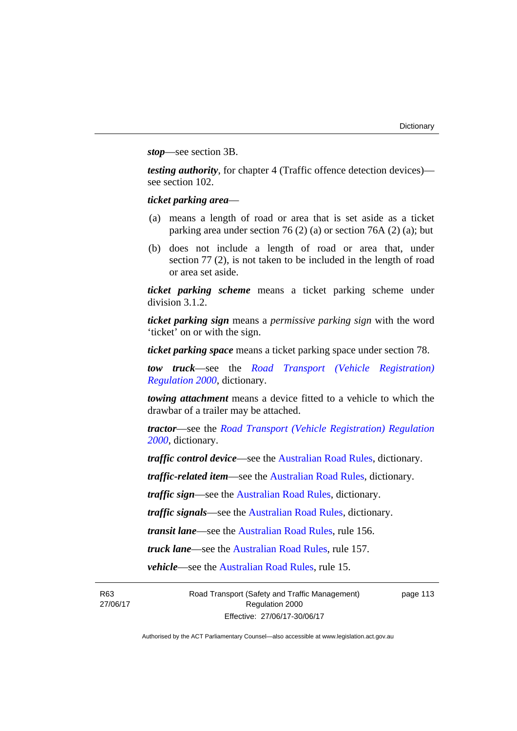*stop*—see section 3B.

*testing authority*, for chapter 4 (Traffic offence detection devices) see section 102.

# *ticket parking area*—

- (a) means a length of road or area that is set aside as a ticket parking area under section 76 (2) (a) or section 76A (2) (a); but
- (b) does not include a length of road or area that, under section 77 (2), is not taken to be included in the length of road or area set aside.

*ticket parking scheme* means a ticket parking scheme under division 3.1.2.

*ticket parking sign* means a *permissive parking sign* with the word 'ticket' on or with the sign.

*ticket parking space* means a ticket parking space under section 78.

*tow truck*—see the *[Road Transport \(Vehicle Registration\)](http://www.legislation.act.gov.au/sl/2000-12)  [Regulation 2000](http://www.legislation.act.gov.au/sl/2000-12)*, dictionary.

*towing attachment* means a device fitted to a vehicle to which the drawbar of a trailer may be attached.

*tractor*—see the *[Road Transport \(Vehicle Registration\) Regulation](http://www.legislation.act.gov.au/sl/2000-12)  [2000](http://www.legislation.act.gov.au/sl/2000-12)*, dictionary.

*traffic control device*—see the [Australian Road Rules](http://www.legislation.act.gov.au//ni/db_37271/default.asp), dictionary.

*traffic-related item*—see the [Australian Road Rules,](http://www.legislation.act.gov.au//ni/db_37271/default.asp) dictionary.

*traffic sign*—see the [Australian Road Rules](http://www.legislation.act.gov.au//ni/db_37271/default.asp), dictionary.

*traffic signals*—see the [Australian Road Rules](http://www.legislation.act.gov.au//ni/db_37271/default.asp), dictionary.

*transit lane*—see the [Australian Road Rules](http://www.legislation.act.gov.au//ni/db_37271/default.asp), rule 156.

*truck lane*—see the [Australian Road Rules](http://www.legislation.act.gov.au//ni/db_37271/default.asp), rule 157.

*vehicle*—see the [Australian Road Rules](http://www.legislation.act.gov.au//ni/db_37271/default.asp), rule 15.

R63 27/06/17 Road Transport (Safety and Traffic Management) Regulation 2000 Effective: 27/06/17-30/06/17

page 113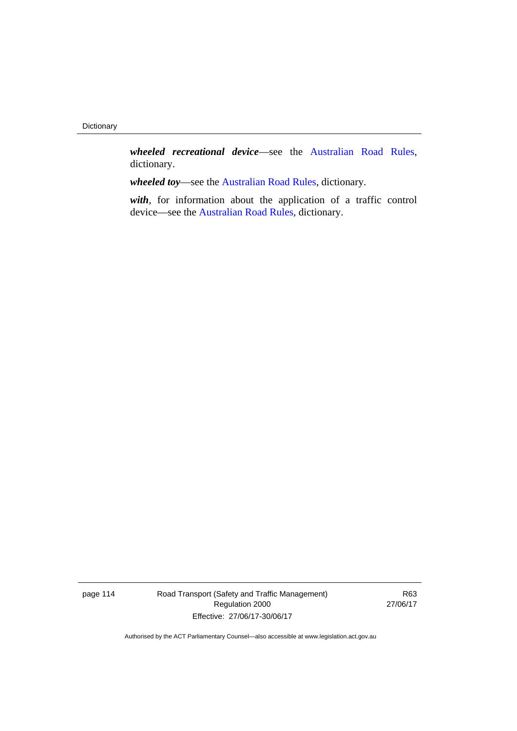*wheeled recreational device*—see the [Australian Road Rules](http://www.legislation.act.gov.au//ni/db_37271/default.asp), dictionary.

*wheeled toy*—see the [Australian Road Rules](http://www.legislation.act.gov.au//ni/db_37271/default.asp), dictionary.

*with*, for information about the application of a traffic control device—see the [Australian Road Rules,](http://www.legislation.act.gov.au//ni/db_37271/default.asp) dictionary.

page 114 Road Transport (Safety and Traffic Management) Regulation 2000 Effective: 27/06/17-30/06/17

R63 27/06/17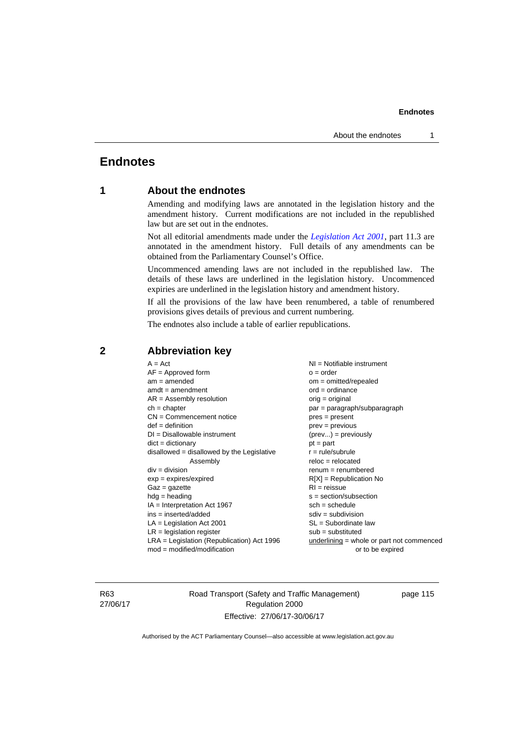# **Endnotes**

# **1 About the endnotes**

Amending and modifying laws are annotated in the legislation history and the amendment history. Current modifications are not included in the republished law but are set out in the endnotes.

Not all editorial amendments made under the *[Legislation Act 2001](http://www.legislation.act.gov.au/a/2001-14)*, part 11.3 are annotated in the amendment history. Full details of any amendments can be obtained from the Parliamentary Counsel's Office.

Uncommenced amending laws are not included in the republished law. The details of these laws are underlined in the legislation history. Uncommenced expiries are underlined in the legislation history and amendment history.

If all the provisions of the law have been renumbered, a table of renumbered provisions gives details of previous and current numbering.

The endnotes also include a table of earlier republications.

| $A = Act$<br>$AF =$ Approved form<br>$am = amended$<br>$amdt = amendment$<br>$AR = Assembly resolution$<br>$ch = chapter$<br>$CN =$ Commencement notice<br>$def = definition$<br>$DI = Disallowable instrument$<br>$dict = dictionary$<br>$disallowed = disallowed by the Legislative$<br>Assembly<br>$div = division$<br>$exp = expires/expired$<br>$Gaz = gazette$<br>$hdg = heading$<br>$IA = Interpretation Act 1967$<br>$ins = inserted/added$<br>$LA =$ Legislation Act 2001<br>$LR =$ legislation register | $NI = Notifiable$ instrument<br>$o = order$<br>$om = omitted/repealed$<br>$ord = ordinance$<br>$orig = original$<br>par = paragraph/subparagraph<br>$pres = present$<br>$prev = previous$<br>$(\text{prev}) = \text{previously}$<br>$pt = part$<br>$r = rule/subrule$<br>$reloc = relocated$<br>$remum = renumbered$<br>$R[X]$ = Republication No<br>$RI = reissue$<br>$s = section/subsection$<br>$sch = schedule$<br>$sdiv = subdivision$<br>$SL = Subordinate$ law<br>$sub =$ substituted |
|-------------------------------------------------------------------------------------------------------------------------------------------------------------------------------------------------------------------------------------------------------------------------------------------------------------------------------------------------------------------------------------------------------------------------------------------------------------------------------------------------------------------|----------------------------------------------------------------------------------------------------------------------------------------------------------------------------------------------------------------------------------------------------------------------------------------------------------------------------------------------------------------------------------------------------------------------------------------------------------------------------------------------|
| LRA = Legislation (Republication) Act 1996                                                                                                                                                                                                                                                                                                                                                                                                                                                                        | underlining = whole or part not commenced                                                                                                                                                                                                                                                                                                                                                                                                                                                    |
| $mod = modified/modification$                                                                                                                                                                                                                                                                                                                                                                                                                                                                                     | or to be expired                                                                                                                                                                                                                                                                                                                                                                                                                                                                             |
|                                                                                                                                                                                                                                                                                                                                                                                                                                                                                                                   |                                                                                                                                                                                                                                                                                                                                                                                                                                                                                              |

# **2 Abbreviation key**

R63 27/06/17 Road Transport (Safety and Traffic Management) Regulation 2000 Effective: 27/06/17-30/06/17

page 115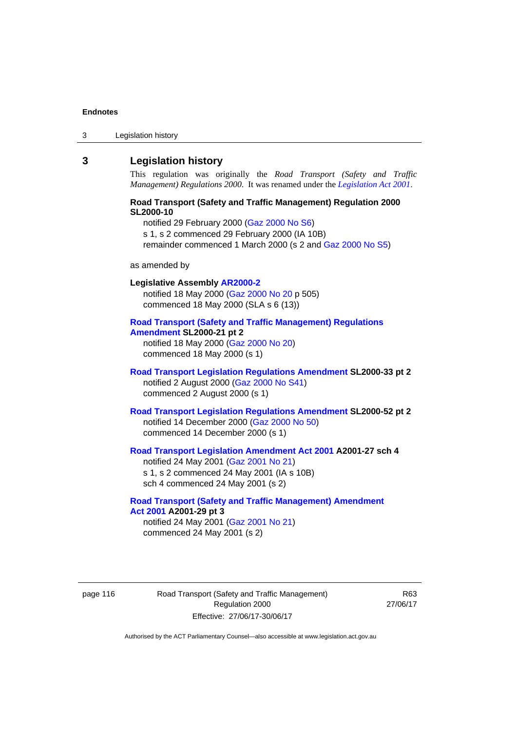3 Legislation history

# **3 Legislation history**

This regulation was originally the *Road Transport (Safety and Traffic Management) Regulations 2000*. It was renamed under the *[Legislation Act 2001](http://www.legislation.act.gov.au/a/2001-14)*.

### **Road Transport (Safety and Traffic Management) Regulation 2000 SL2000-10**

notified 29 February 2000 [\(Gaz 2000 No S6\)](http://www.legislation.act.gov.au/gaz/2000-S6/default.asp) s 1, s 2 commenced 29 February 2000 (IA 10B) remainder commenced 1 March 2000 (s 2 and [Gaz 2000 No S5\)](http://www.legislation.act.gov.au/gaz/2000-S5/default.asp)

#### as amended by

# **Legislative Assembly [AR2000-2](http://www.legislation.act.gov.au/ar/2000-2/default.asp)** notified 18 May 2000 ([Gaz 2000 No 20 p](http://www.legislation.act.gov.au/gaz/2000-20/default.asp) 505) commenced 18 May 2000 (SLA s 6 (13)) **[Road Transport \(Safety and Traffic Management\) Regulations](http://www.legislation.act.gov.au/sl/2000-21/default.asp)  [Amendment](http://www.legislation.act.gov.au/sl/2000-21/default.asp) SL2000-21 pt 2**

notified 18 May 2000 ([Gaz 2000 No 20\)](http://www.legislation.act.gov.au/gaz/2000-20/default.asp) commenced 18 May 2000 (s 1)

# **[Road Transport Legislation Regulations Amendment](http://www.legislation.act.gov.au/sl/2000-33/default.asp) SL2000-33 pt 2**  notified 2 August 2000 ([Gaz 2000 No S41](http://www.legislation.act.gov.au/gaz/2000-S41/default.asp)) commenced 2 August 2000 (s 1)

**[Road Transport Legislation Regulations Amendment](http://www.legislation.act.gov.au/sl/2000-52/default.asp) SL2000-52 pt 2**  notified 14 December 2000 [\(Gaz 2000 No 50](http://www.legislation.act.gov.au/gaz/2000-50/default.asp)) commenced 14 December 2000 (s 1)

### **[Road Transport Legislation Amendment Act 2001](http://www.legislation.act.gov.au/a/2001-27) A2001-27 sch 4**  notified 24 May 2001 ([Gaz 2001 No 21\)](http://www.legislation.act.gov.au/gaz/2001-21/default.asp) s 1, s 2 commenced 24 May 2001 (IA s 10B)

sch 4 commenced 24 May 2001 (s 2)

# **[Road Transport \(Safety and Traffic Management\) Amendment](http://www.legislation.act.gov.au/a/2001-29)  [Act 2001](http://www.legislation.act.gov.au/a/2001-29) A2001-29 pt 3**

notified 24 May 2001 ([Gaz 2001 No 21\)](http://www.legislation.act.gov.au/gaz/2001-21/default.asp) commenced 24 May 2001 (s 2)

page 116 Road Transport (Safety and Traffic Management) Regulation 2000 Effective: 27/06/17-30/06/17

R63 27/06/17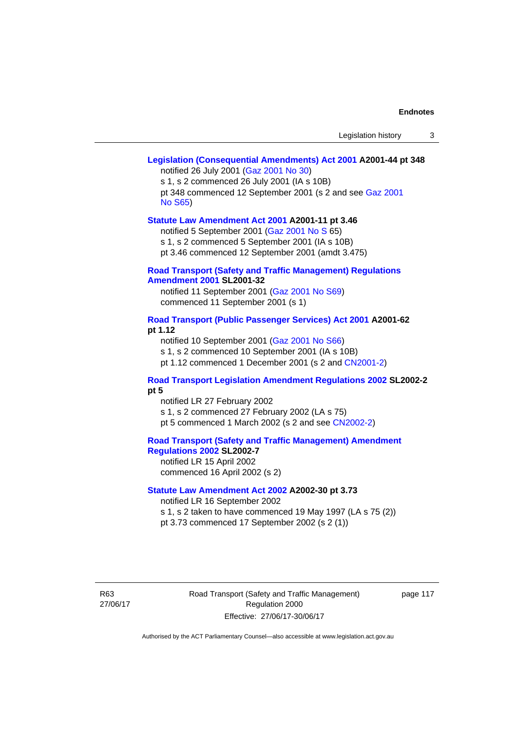# **[Legislation \(Consequential Amendments\) Act 2001](http://www.legislation.act.gov.au/a/2001-44) A2001-44 pt 348**

notified 26 July 2001 ([Gaz 2001 No 30\)](http://www.legislation.act.gov.au/gaz/2001-30/default.asp)

s 1, s 2 commenced 26 July 2001 (IA s 10B) pt 348 commenced 12 September 2001 (s 2 and see [Gaz 2001](http://www.legislation.act.gov.au/gaz/2001-S65/default.asp)  [No S65](http://www.legislation.act.gov.au/gaz/2001-S65/default.asp))

#### **[Statute Law Amendment Act 2001](http://www.legislation.act.gov.au/a/2001-11) A2001-11 pt 3.46**

notified 5 September 2001 [\(Gaz 2001 No S 6](http://www.legislation.act.gov.au/gaz/2001-S/default.asp)5)

s 1, s 2 commenced 5 September 2001 (IA s 10B)

pt 3.46 commenced 12 September 2001 (amdt 3.475)

### **[Road Transport \(Safety and Traffic Management\) Regulations](http://www.legislation.act.gov.au/sl/2001-32)  [Amendment 2001](http://www.legislation.act.gov.au/sl/2001-32) SL2001-32**

notified 11 September 2001 [\(Gaz 2001 No S69\)](http://www.legislation.act.gov.au/gaz/2001-S69/default.asp) commenced 11 September 2001 (s 1)

### **[Road Transport \(Public Passenger Services\) Act 2001](http://www.legislation.act.gov.au/a/2001-62) A2001-62 pt 1.12**

notified 10 September 2001 [\(Gaz 2001 No S66\)](http://www.legislation.act.gov.au/gaz/2001-S66/default.asp)

s 1, s 2 commenced 10 September 2001 (IA s 10B)

pt 1.12 commenced 1 December 2001 (s 2 and [CN2001-2](http://www.legislation.act.gov.au/cn/2001-2/default.asp))

# **[Road Transport Legislation Amendment Regulations 2002](http://www.legislation.act.gov.au/sl/2002-2) SL2002-2 pt 5**

notified LR 27 February 2002 s 1, s 2 commenced 27 February 2002 (LA s 75) pt 5 commenced 1 March 2002 (s 2 and see [CN2002-2](http://www.legislation.act.gov.au/cn/2002-2/default.asp))

**[Road Transport \(Safety and Traffic Management\) Amendment](http://www.legislation.act.gov.au/sl/2002-7)  [Regulations 2002](http://www.legislation.act.gov.au/sl/2002-7) SL2002-7** 

notified LR 15 April 2002 commenced 16 April 2002 (s 2)

## **[Statute Law Amendment Act 2002](http://www.legislation.act.gov.au/a/2002-30) A2002-30 pt 3.73**

notified LR 16 September 2002

s 1, s 2 taken to have commenced 19 May 1997 (LA s 75 (2))

pt 3.73 commenced 17 September 2002 (s 2 (1))

R63 27/06/17 Road Transport (Safety and Traffic Management) Regulation 2000 Effective: 27/06/17-30/06/17

page 117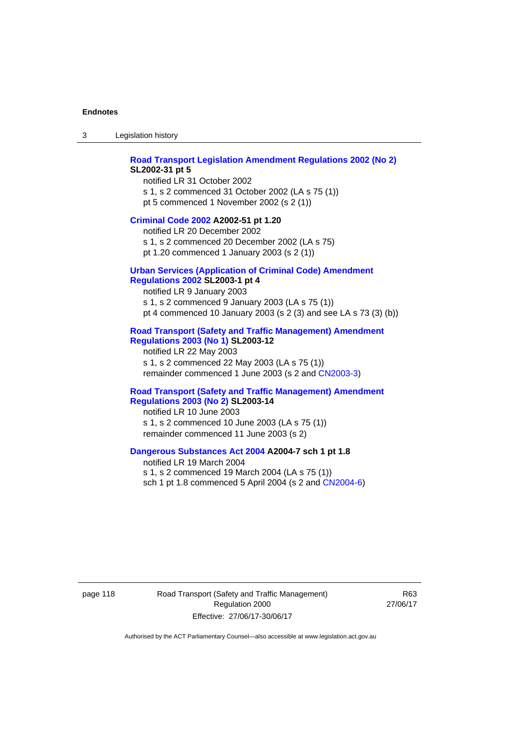3 Legislation history

### **[Road Transport Legislation Amendment Regulations 2002 \(No 2\)](http://www.legislation.act.gov.au/sl/2002-31) SL2002-31 pt 5**

notified LR 31 October 2002 s 1, s 2 commenced 31 October 2002 (LA s 75 (1)) pt 5 commenced 1 November 2002 (s 2 (1))

#### **[Criminal Code 2002](http://www.legislation.act.gov.au/a/2002-51) A2002-51 pt 1.20**

notified LR 20 December 2002 s 1, s 2 commenced 20 December 2002 (LA s 75) pt 1.20 commenced 1 January 2003 (s 2 (1))

### **[Urban Services \(Application of Criminal Code\) Amendment](http://www.legislation.act.gov.au/sl/2003-1)**

# **[Regulations 2002](http://www.legislation.act.gov.au/sl/2003-1) SL2003-1 pt 4**

notified LR 9 January 2003 s 1, s 2 commenced 9 January 2003 (LA s 75 (1)) pt 4 commenced 10 January 2003 (s 2 (3) and see LA s 73 (3) (b))

### **[Road Transport \(Safety and Traffic Management\) Amendment](http://www.legislation.act.gov.au/sl/2003-12)  [Regulations 2003 \(No 1\)](http://www.legislation.act.gov.au/sl/2003-12) SL2003-12**

notified LR 22 May 2003 s 1, s 2 commenced 22 May 2003 (LA s 75 (1)) remainder commenced 1 June 2003 (s 2 and [CN2003-3](http://www.legislation.act.gov.au/cn/2003-3/default.asp))

#### **[Road Transport \(Safety and Traffic Management\) Amendment](http://www.legislation.act.gov.au/sl/2003-14)  [Regulations 2003 \(No 2\)](http://www.legislation.act.gov.au/sl/2003-14) SL2003-14**

notified LR 10 June 2003 s 1, s 2 commenced 10 June 2003 (LA s 75 (1)) remainder commenced 11 June 2003 (s 2)

### **[Dangerous Substances Act 2004](http://www.legislation.act.gov.au/a/2004-7) A2004-7 sch 1 pt 1.8**

notified LR 19 March 2004 s 1, s 2 commenced 19 March 2004 (LA s 75 (1)) sch 1 pt 1.8 commenced 5 April 2004 (s 2 and [CN2004-6](http://www.legislation.act.gov.au/cn/2004-6/default.asp))

page 118 Road Transport (Safety and Traffic Management) Regulation 2000 Effective: 27/06/17-30/06/17

R63 27/06/17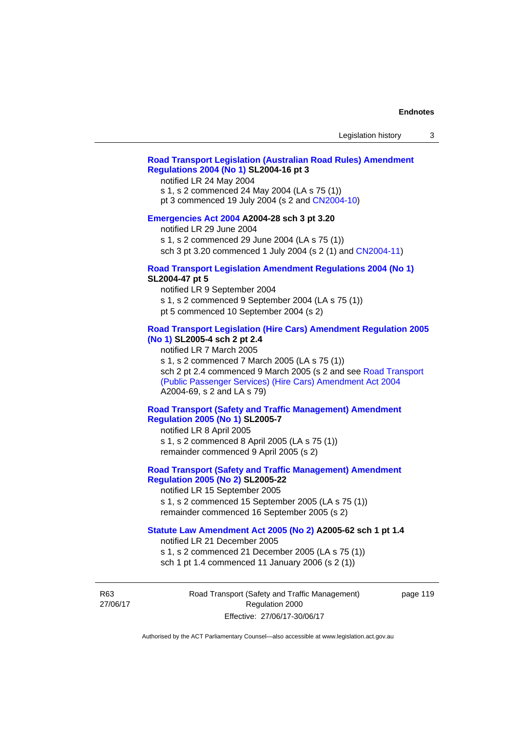# **[Road Transport Legislation \(Australian Road Rules\) Amendment](http://www.legislation.act.gov.au/sl/2004-16)  [Regulations 2004 \(No 1\)](http://www.legislation.act.gov.au/sl/2004-16) SL2004-16 pt 3**

notified LR 24 May 2004

s 1, s 2 commenced 24 May 2004 (LA s 75 (1))

pt 3 commenced 19 July 2004 (s 2 and [CN2004-10](http://www.legislation.act.gov.au/cn/2004-10/default.asp))

### **[Emergencies Act 2004](http://www.legislation.act.gov.au/a/2004-28) A2004-28 sch 3 pt 3.20**

notified LR 29 June 2004

s 1, s 2 commenced 29 June 2004 (LA s 75 (1))

sch 3 pt 3.20 commenced 1 July 2004 (s 2 (1) and [CN2004-11](http://www.legislation.act.gov.au/cn/2004-11/default.asp))

## **[Road Transport Legislation Amendment Regulations 2004 \(No 1\)](http://www.legislation.act.gov.au/sl/2004-47) SL2004-47 pt 5**

notified LR 9 September 2004

s 1, s 2 commenced 9 September 2004 (LA s 75 (1))

pt 5 commenced 10 September 2004 (s 2)

### **[Road Transport Legislation \(Hire Cars\) Amendment Regulation 2005](http://www.legislation.act.gov.au/sl/2005-4)  [\(No 1\)](http://www.legislation.act.gov.au/sl/2005-4) SL2005-4 sch 2 pt 2.4**

notified LR 7 March 2005

s 1, s 2 commenced 7 March 2005 (LA s 75 (1))

sch 2 pt 2.4 commenced 9 March 2005 (s 2 and see [Road Transport](http://www.legislation.act.gov.au/a/2004-69)  [\(Public Passenger Services\) \(Hire Cars\) Amendment Act 2004](http://www.legislation.act.gov.au/a/2004-69) A2004-69, s 2 and LA s 79)

# **[Road Transport \(Safety and Traffic Management\) Amendment](http://www.legislation.act.gov.au/sl/2005-7)  [Regulation 2005 \(No 1\)](http://www.legislation.act.gov.au/sl/2005-7) SL2005-7**

notified LR 8 April 2005 s 1, s 2 commenced 8 April 2005 (LA s 75 (1)) remainder commenced 9 April 2005 (s 2)

# **[Road Transport \(Safety and Traffic Management\) Amendment](http://www.legislation.act.gov.au/sl/2005-22)  [Regulation 2005 \(No 2\)](http://www.legislation.act.gov.au/sl/2005-22) SL2005-22**

notified LR 15 September 2005 s 1, s 2 commenced 15 September 2005 (LA s 75 (1)) remainder commenced 16 September 2005 (s 2)

#### **[Statute Law Amendment Act 2005 \(No 2\)](http://www.legislation.act.gov.au/a/2005-62) A2005-62 sch 1 pt 1.4**

notified LR 21 December 2005 s 1, s 2 commenced 21 December 2005 (LA s 75 (1)) sch 1 pt 1.4 commenced 11 January 2006 (s 2 (1))

R63 27/06/17 Road Transport (Safety and Traffic Management) Regulation 2000 Effective: 27/06/17-30/06/17

page 119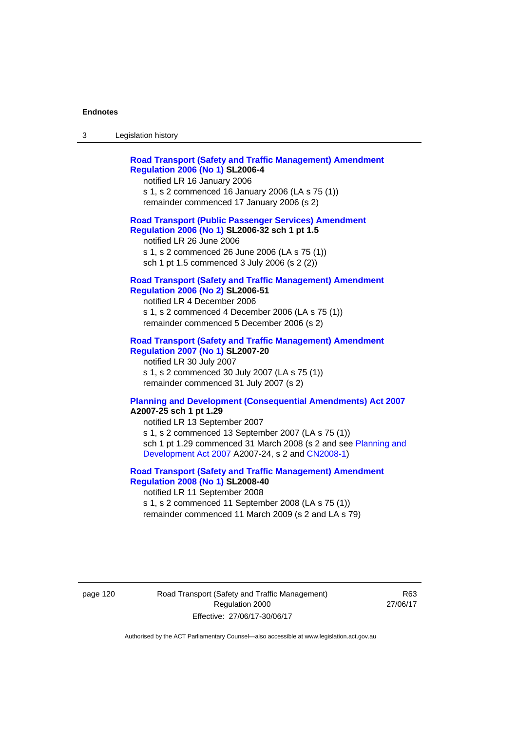| ు | Legislation history |
|---|---------------------|
|---|---------------------|

| <b>Road Transport (Safety and Traffic Management) Amendment</b><br><b>Regulation 2006 (No 1) SL2006-4</b><br>notified LR 16 January 2006<br>s 1, s 2 commenced 16 January 2006 (LA s 75 (1))<br>remainder commenced 17 January 2006 (s 2)                                                                   |
|-------------------------------------------------------------------------------------------------------------------------------------------------------------------------------------------------------------------------------------------------------------------------------------------------------------|
| <b>Road Transport (Public Passenger Services) Amendment</b><br>Regulation 2006 (No 1) SL2006-32 sch 1 pt 1.5<br>notified LR 26 June 2006<br>s 1, s 2 commenced 26 June 2006 (LA s 75 (1))<br>sch 1 pt 1.5 commenced 3 July 2006 (s 2 (2))                                                                   |
| <b>Road Transport (Safety and Traffic Management) Amendment</b><br><b>Regulation 2006 (No 2) SL2006-51</b><br>notified LR 4 December 2006<br>s 1, s 2 commenced 4 December 2006 (LA s 75 (1))<br>remainder commenced 5 December 2006 (s 2)                                                                  |
| <b>Road Transport (Safety and Traffic Management) Amendment</b><br><b>Regulation 2007 (No 1) SL2007-20</b><br>notified LR 30 July 2007<br>s 1, s 2 commenced 30 July 2007 (LA s 75 (1))<br>remainder commenced 31 July 2007 (s 2)                                                                           |
| <b>Planning and Development (Consequential Amendments) Act 2007</b><br>A2007-25 sch 1 pt 1.29<br>notified LR 13 September 2007<br>s 1, s 2 commenced 13 September 2007 (LA s 75 (1))<br>sch 1 pt 1.29 commenced 31 March 2008 (s 2 and see Planning and<br>Development Act 2007 A2007-24, s 2 and CN2008-1) |

# **[Road Transport \(Safety and Traffic Management\) Amendment](http://www.legislation.act.gov.au/sl/2008-40)  [Regulation 2008 \(No 1\)](http://www.legislation.act.gov.au/sl/2008-40) SL2008-40**  notified LR 11 September 2008

s 1, s 2 commenced 11 September 2008 (LA s 75 (1)) remainder commenced 11 March 2009 (s 2 and LA s 79)

page 120 Road Transport (Safety and Traffic Management) Regulation 2000 Effective: 27/06/17-30/06/17

R63 27/06/17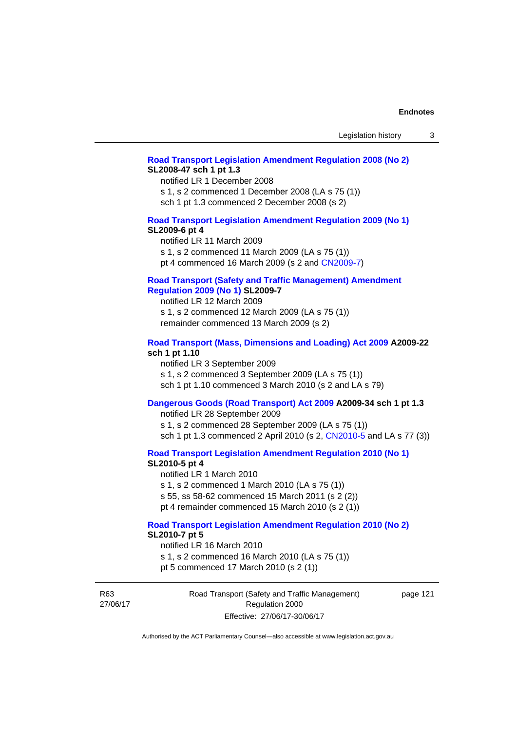#### **[Road Transport Legislation Amendment Regulation 2008 \(No 2\)](http://www.legislation.act.gov.au/sl/2008-47) SL2008-47 sch 1 pt 1.3**

notified LR 1 December 2008 s 1, s 2 commenced 1 December 2008 (LA s 75 (1)) sch 1 pt 1.3 commenced 2 December 2008 (s 2)

### **[Road Transport Legislation Amendment Regulation 2009 \(No 1\)](http://www.legislation.act.gov.au/sl/2009-6) SL2009-6 pt 4**

notified LR 11 March 2009 s 1, s 2 commenced 11 March 2009 (LA s 75 (1)) pt 4 commenced 16 March 2009 (s 2 and [CN2009-7\)](http://www.legislation.act.gov.au/cn/2009-7/default.asp)

#### **[Road Transport \(Safety and Traffic Management\) Amendment](http://www.legislation.act.gov.au/sl/2009-7)  [Regulation 2009 \(No 1\)](http://www.legislation.act.gov.au/sl/2009-7) SL2009-7**

notified LR 12 March 2009 s 1, s 2 commenced 12 March 2009 (LA s 75 (1)) remainder commenced 13 March 2009 (s 2)

### **[Road Transport \(Mass, Dimensions and Loading\) Act 2009](http://www.legislation.act.gov.au/a/2009-22/default.asp) A2009-22 sch 1 pt 1.10**

notified LR 3 September 2009 s 1, s 2 commenced 3 September 2009 (LA s 75 (1)) sch 1 pt 1.10 commenced 3 March 2010 (s 2 and LA s 79)

# **[Dangerous Goods \(Road Transport\) Act 2009](http://www.legislation.act.gov.au/a/2009-34) A2009-34 sch 1 pt 1.3**

notified LR 28 September 2009 s 1, s 2 commenced 28 September 2009 (LA s 75 (1)) sch 1 pt 1.3 commenced 2 April 2010 (s 2, [CN2010-5 a](http://www.legislation.act.gov.au/cn/2010-5/default.asp)nd LA s 77 (3))

**[Road Transport Legislation Amendment Regulation 2010 \(No 1\)](http://www.legislation.act.gov.au/sl/2010-5)**

#### **SL2010-5 pt 4**

notified LR 1 March 2010 s 1, s 2 commenced 1 March 2010 (LA s 75 (1)) s 55, ss 58-62 commenced 15 March 2011 (s 2 (2)) pt 4 remainder commenced 15 March 2010 (s 2 (1))

# **[Road Transport Legislation Amendment Regulation 2010 \(No 2\)](http://www.legislation.act.gov.au/sl/2010-7) SL2010-7 pt 5**

notified LR 16 March 2010 s 1, s 2 commenced 16 March 2010 (LA s 75 (1)) pt 5 commenced 17 March 2010 (s 2 (1))

R63 27/06/17 Road Transport (Safety and Traffic Management) Regulation 2000 Effective: 27/06/17-30/06/17

page 121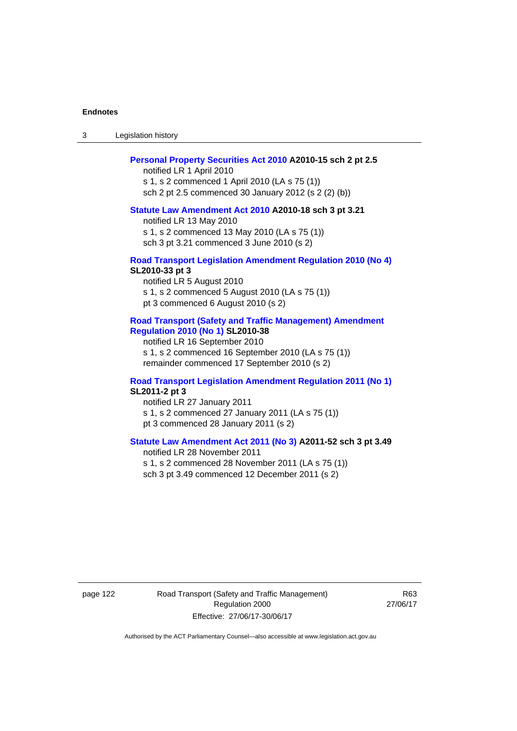3 Legislation history

#### **[Personal Property Securities Act 2010](http://www.legislation.act.gov.au/a/2010-15) A2010-15 sch 2 pt 2.5**

notified LR 1 April 2010 s 1, s 2 commenced 1 April 2010 (LA s 75 (1)) sch 2 pt 2.5 commenced 30 January 2012 (s 2 (2) (b))

#### **[Statute Law Amendment Act 2010](http://www.legislation.act.gov.au/a/2010-18) A2010-18 sch 3 pt 3.21**

notified LR 13 May 2010 s 1, s 2 commenced 13 May 2010 (LA s 75 (1)) sch 3 pt 3.21 commenced 3 June 2010 (s 2)

#### **[Road Transport Legislation Amendment Regulation 2010 \(No 4\)](http://www.legislation.act.gov.au/sl/2010-33) SL2010-33 pt 3**

notified LR 5 August 2010 s 1, s 2 commenced 5 August 2010 (LA s 75 (1)) pt 3 commenced 6 August 2010 (s 2)

#### **[Road Transport \(Safety and Traffic Management\) Amendment](http://www.legislation.act.gov.au/sl/2010-38)  [Regulation 2010 \(No 1\)](http://www.legislation.act.gov.au/sl/2010-38) SL2010-38**

notified LR 16 September 2010 s 1, s 2 commenced 16 September 2010 (LA s 75 (1)) remainder commenced 17 September 2010 (s 2)

### **[Road Transport Legislation Amendment Regulation 2011 \(No 1\)](http://www.legislation.act.gov.au/sl/2011-2) SL2011-2 pt 3**

notified LR 27 January 2011 s 1, s 2 commenced 27 January 2011 (LA s 75 (1)) pt 3 commenced 28 January 2011 (s 2)

# **[Statute Law Amendment Act 2011 \(No 3\)](http://www.legislation.act.gov.au/a/2011-52) A2011-52 sch 3 pt 3.49**

notified LR 28 November 2011 s 1, s 2 commenced 28 November 2011 (LA s 75 (1)) sch 3 pt 3.49 commenced 12 December 2011 (s 2)

page 122 Road Transport (Safety and Traffic Management) Regulation 2000 Effective: 27/06/17-30/06/17

R63 27/06/17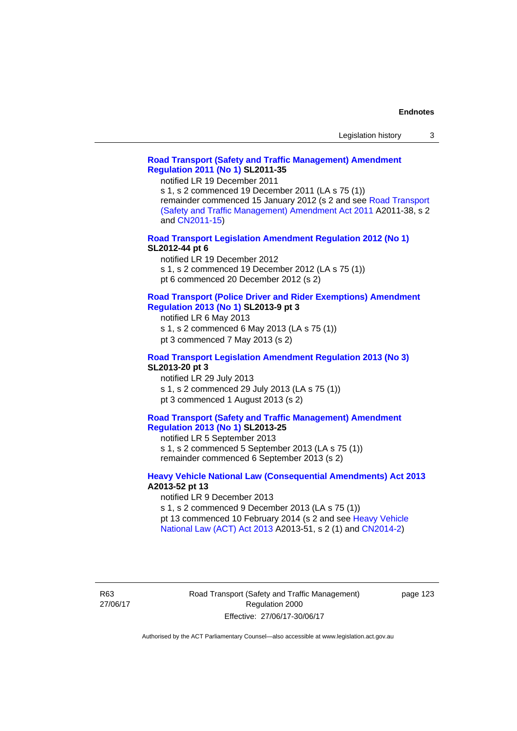### **[Road Transport \(Safety and Traffic Management\) Amendment](http://www.legislation.act.gov.au/sl/2011-35)  [Regulation 2011 \(No 1\)](http://www.legislation.act.gov.au/sl/2011-35) SL2011-35**

notified LR 19 December 2011

s 1, s 2 commenced 19 December 2011 (LA s 75 (1)) remainder commenced 15 January 2012 (s 2 and see [Road Transport](http://www.legislation.act.gov.au/a/2011-38)  [\(Safety and Traffic Management\) Amendment Act 2011](http://www.legislation.act.gov.au/a/2011-38) A2011-38, s 2 and [CN2011-15\)](http://www.legislation.act.gov.au/cn/2011-15/default.asp)

**[Road Transport Legislation Amendment Regulation 2012 \(No 1\)](http://www.legislation.act.gov.au/sl/2012-44/default.asp) SL2012-44 pt 6** 

notified LR 19 December 2012

s 1, s 2 commenced 19 December 2012 (LA s 75 (1))

pt 6 commenced 20 December 2012 (s 2)

#### **[Road Transport \(Police Driver and Rider Exemptions\) Amendment](http://www.legislation.act.gov.au/sl/2013-9/default.asp)  [Regulation 2013 \(No 1\)](http://www.legislation.act.gov.au/sl/2013-9/default.asp) SL2013-9 pt 3**

notified LR 6 May 2013

s 1, s 2 commenced 6 May 2013 (LA s 75 (1))

pt 3 commenced 7 May 2013 (s 2)

# **[Road Transport Legislation Amendment Regulation 2013 \(No 3\)](http://www.legislation.act.gov.au/sl/2013-20) SL2013-20 pt 3**

notified LR 29 July 2013 s 1, s 2 commenced 29 July 2013 (LA s 75 (1)) pt 3 commenced 1 August 2013 (s 2)

### **[Road Transport \(Safety and Traffic Management\) Amendment](http://www.legislation.act.gov.au/sl/2013-25)  [Regulation 2013 \(No 1\)](http://www.legislation.act.gov.au/sl/2013-25) SL2013-25**

notified LR 5 September 2013 s 1, s 2 commenced 5 September 2013 (LA s 75 (1)) remainder commenced 6 September 2013 (s 2)

### **[Heavy Vehicle National Law \(Consequential Amendments\) Act 2013](http://www.legislation.act.gov.au/a/2013-52) A2013-52 pt 13**

notified LR 9 December 2013

s 1, s 2 commenced 9 December 2013 (LA s 75 (1)) pt 13 commenced 10 February 2014 (s 2 and see [Heavy Vehicle](http://www.legislation.act.gov.au/a/2013-51/default.asp) 

[National Law \(ACT\) Act 2013](http://www.legislation.act.gov.au/a/2013-51/default.asp) A2013-51, s 2 (1) and [CN2014-2](http://www.legislation.act.gov.au/cn/2014-2/default.asp))

R63 27/06/17 page 123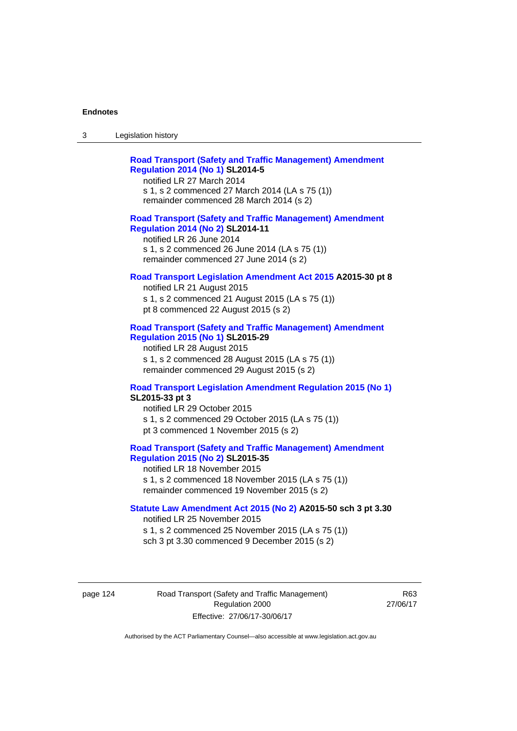| Legislation history<br>-3 |
|---------------------------|
|---------------------------|

| <b>Road Transport (Safety and Traffic Management) Amendment</b> |
|-----------------------------------------------------------------|
| <b>Regulation 2014 (No 1) SL2014-5</b>                          |
| notified LR 27 March 2014                                       |

s 1, s 2 commenced 27 March 2014 (LA s 75 (1)) remainder commenced 28 March 2014 (s 2)

#### **[Road Transport \(Safety and Traffic Management\) Amendment](http://www.legislation.act.gov.au/sl/2014-11)  [Regulation 2014 \(No 2\)](http://www.legislation.act.gov.au/sl/2014-11) SL2014-11**

notified LR 26 June 2014 s 1, s 2 commenced 26 June 2014 (LA s 75 (1)) remainder commenced 27 June 2014 (s 2)

#### **[Road Transport Legislation Amendment Act 2015](http://www.legislation.act.gov.au/a/2015-30/default.asp) A2015-30 pt 8**

notified LR 21 August 2015 s 1, s 2 commenced 21 August 2015 (LA s 75 (1)) pt 8 commenced 22 August 2015 (s 2)

### **[Road Transport \(Safety and Traffic Management\) Amendment](http://www.legislation.act.gov.au/sl/2015-29)  [Regulation 2015 \(No 1\)](http://www.legislation.act.gov.au/sl/2015-29) SL2015-29**

notified LR 28 August 2015 s 1, s 2 commenced 28 August 2015 (LA s 75 (1)) remainder commenced 29 August 2015 (s 2)

# **[Road Transport Legislation Amendment Regulation 2015 \(No 1\)](http://www.legislation.act.gov.au/sl/2015-33) SL2015-33 pt 3**

notified LR 29 October 2015 s 1, s 2 commenced 29 October 2015 (LA s 75 (1)) pt 3 commenced 1 November 2015 (s 2)

# **[Road Transport \(Safety and Traffic Management\) Amendment](http://www.legislation.act.gov.au/sl/2015-35)  [Regulation 2015 \(No 2\)](http://www.legislation.act.gov.au/sl/2015-35) SL2015-35**

notified LR 18 November 2015 s 1, s 2 commenced 18 November 2015 (LA s 75 (1)) remainder commenced 19 November 2015 (s 2)

### **[Statute Law Amendment Act 2015 \(No 2\)](http://www.legislation.act.gov.au/a/2015-50) A2015-50 sch 3 pt 3.30**

notified LR 25 November 2015 s 1, s 2 commenced 25 November 2015 (LA s 75 (1)) sch 3 pt 3.30 commenced 9 December 2015 (s 2)

page 124 Road Transport (Safety and Traffic Management) Regulation 2000 Effective: 27/06/17-30/06/17

R63 27/06/17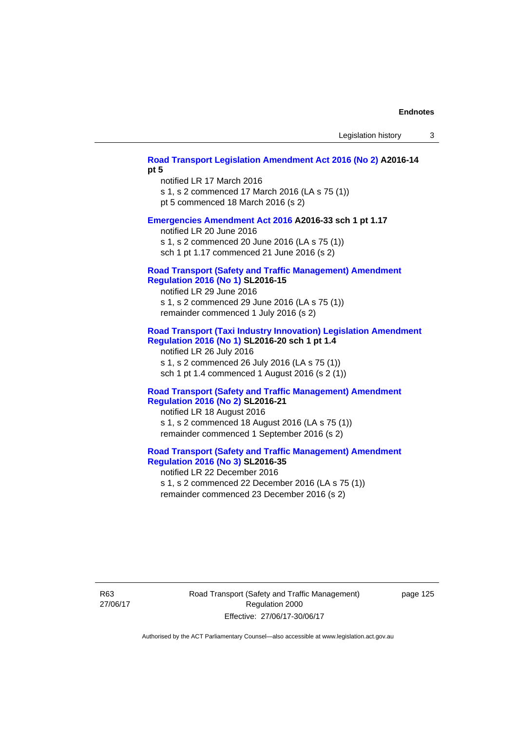# **[Road Transport Legislation Amendment Act 2016 \(No 2\)](http://www.legislation.act.gov.au/a/2016-14) A2016-14 pt 5**

notified LR 17 March 2016 s 1, s 2 commenced 17 March 2016 (LA s 75 (1)) pt 5 commenced 18 March 2016 (s 2)

#### **[Emergencies Amendment Act 2016](http://www.legislation.act.gov.au/a/2016-33) A2016-33 sch 1 pt 1.17**

notified LR 20 June 2016 s 1, s 2 commenced 20 June 2016 (LA s 75 (1)) sch 1 pt 1.17 commenced 21 June 2016 (s 2)

#### **[Road Transport \(Safety and Traffic Management\) Amendment](http://www.legislation.act.gov.au/sl/2016-15)  [Regulation 2016 \(No 1\)](http://www.legislation.act.gov.au/sl/2016-15) SL2016-15**

notified LR 29 June 2016 s 1, s 2 commenced 29 June 2016 (LA s 75 (1)) remainder commenced 1 July 2016 (s 2)

### **[Road Transport \(Taxi Industry Innovation\) Legislation Amendment](http://www.legislation.act.gov.au/sl/2016-20/default.asp)  [Regulation 2016 \(No 1\)](http://www.legislation.act.gov.au/sl/2016-20/default.asp) SL2016-20 sch 1 pt 1.4**

notified LR 26 July 2016 s 1, s 2 commenced 26 July 2016 (LA s 75 (1)) sch 1 pt 1.4 commenced 1 August 2016 (s 2 (1))

### **[Road Transport \(Safety and Traffic Management\) Amendment](http://www.legislation.act.gov.au/sl/2016-21/default.asp)  [Regulation 2016 \(No 2\)](http://www.legislation.act.gov.au/sl/2016-21/default.asp) SL2016-21**

notified LR 18 August 2016 s 1, s 2 commenced 18 August 2016 (LA s 75 (1)) remainder commenced 1 September 2016 (s 2)

# **[Road Transport \(Safety and Traffic Management\) Amendment](http://www.legislation.act.gov.au/sl/2016-35/default.asp)  [Regulation 2016 \(No 3\)](http://www.legislation.act.gov.au/sl/2016-35/default.asp) SL2016-35**

notified LR 22 December 2016 s 1, s 2 commenced 22 December 2016 (LA s 75 (1)) remainder commenced 23 December 2016 (s 2)

R63 27/06/17 Road Transport (Safety and Traffic Management) Regulation 2000 Effective: 27/06/17-30/06/17

page 125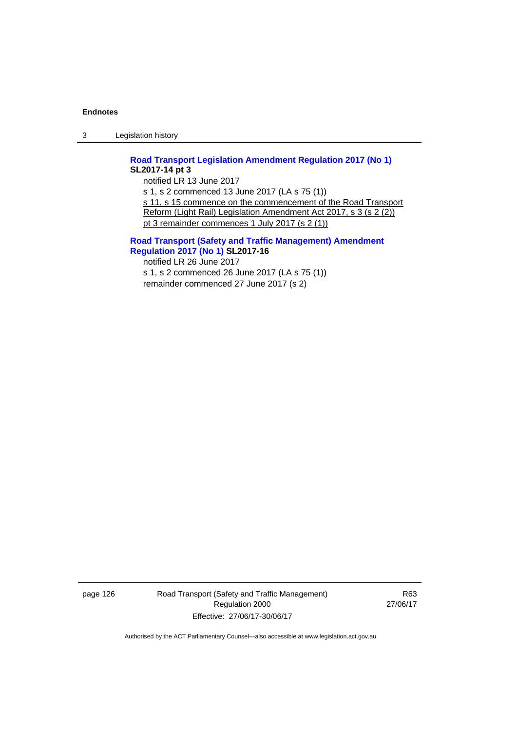3 Legislation history

**[Road Transport Legislation Amendment Regulation 2017 \(No 1\)](http://www.legislation.act.gov.au/sl/2017-14/default.asp) SL2017-14 pt 3** 

notified LR 13 June 2017 s 1, s 2 commenced 13 June 2017 (LA s 75 (1)) s 11, s 15 commence on the commencement of the Road Transport Reform (Light Rail) Legislation Amendment Act 2017, s 3 (s 2 (2)) pt 3 remainder commences 1 July 2017 (s 2 (1))

**[Road Transport \(Safety and Traffic Management\) Amendment](http://www.legislation.act.gov.au/sl/2017-16/default.asp)  [Regulation 2017 \(No 1\)](http://www.legislation.act.gov.au/sl/2017-16/default.asp) SL2017-16** 

notified LR 26 June 2017 s 1, s 2 commenced 26 June 2017 (LA s 75 (1)) remainder commenced 27 June 2017 (s 2)

page 126 Road Transport (Safety and Traffic Management) Regulation 2000 Effective: 27/06/17-30/06/17

R63 27/06/17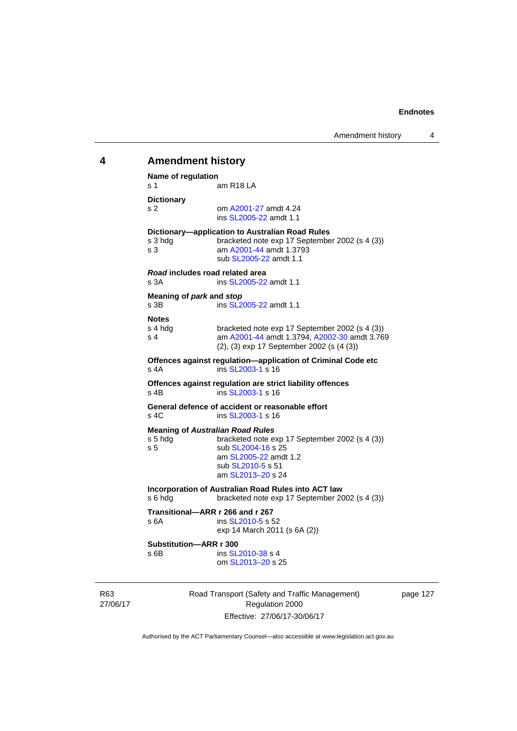# 27/06/17 Road Transport (Safety and Traffic Management) Regulation 2000 **4 Amendment history Name of regulation**  s 1 am R18 LA **Dictionary**  s 2 om [A2001-27](http://www.legislation.act.gov.au/a/2001-27) amdt 4.24 ins [SL2005-22](http://www.legislation.act.gov.au/sl/2005-22) amdt 1.1 **Dictionary—application to Australian Road Rules**  s 3 hdg bracketed note exp 17 September 2002 (s 4 (3)) s 3 am [A2001-44](http://www.legislation.act.gov.au/a/2001-44) amdt 1.3793 sub [SL2005-22](http://www.legislation.act.gov.au/sl/2005-22) amdt 1.1 *Road* **includes road related area**  s 3A **ins SL2005-22** amdt 1.1 **Meaning of** *park* **and** *stop* s 3B ins [SL2005-22](http://www.legislation.act.gov.au/sl/2005-22) amdt 1.1 **Notes**  s 4 hdg bracketed note exp 17 September 2002 (s 4 (3))<br>s 4 am A2001-44 amdt 1.3794: A2002-30 amdt 3.76 am [A2001-44](http://www.legislation.act.gov.au/a/2001-44) amdt 1.3794; [A2002-30](http://www.legislation.act.gov.au/a/2002-30) amdt 3.769 (2), (3) exp 17 September 2002 (s (4 (3)) **Offences against regulation—application of Criminal Code etc**  s 4A ins [SL2003-1](http://www.legislation.act.gov.au/sl/2003-1) s 16 **Offences against regulation are strict liability offences**  s 4B ins [SL2003-1](http://www.legislation.act.gov.au/sl/2003-1) s 16 **General defence of accident or reasonable effort**  s 4C ins [SL2003-1](http://www.legislation.act.gov.au/sl/2003-1) s 16 **Meaning of** *Australian Road Rules* s 5 hdg bracketed note exp 17 September 2002 (s 4 (3)) s 5 sub [SL2004-16](http://www.legislation.act.gov.au/sl/2004-16) s 25 am [SL2005-22](http://www.legislation.act.gov.au/sl/2005-22) amdt 1.2 sub [SL2010-5](http://www.legislation.act.gov.au/sl/2010-5) s 51 am [SL2013–20](http://www.legislation.act.gov.au/sl/2013-20) s 24 **Incorporation of Australian Road Rules into ACT law**  s 6 hdg bracketed note exp 17 September 2002 (s 4 (3)) **Transitional—ARR r 266 and r 267**  s 6A ins [SL2010-5](http://www.legislation.act.gov.au/sl/2010-5) s 52 exp 14 March 2011 (s 6A (2)) **Substitution—ARR r 300**  s 6B ins [SL2010-38](http://www.legislation.act.gov.au/sl/2010-38) s 4 om [SL2013–20](http://www.legislation.act.gov.au/sl/2013-20) s 25

page 127

Authorised by the ACT Parliamentary Counsel—also accessible at www.legislation.act.gov.au

Effective: 27/06/17-30/06/17

R63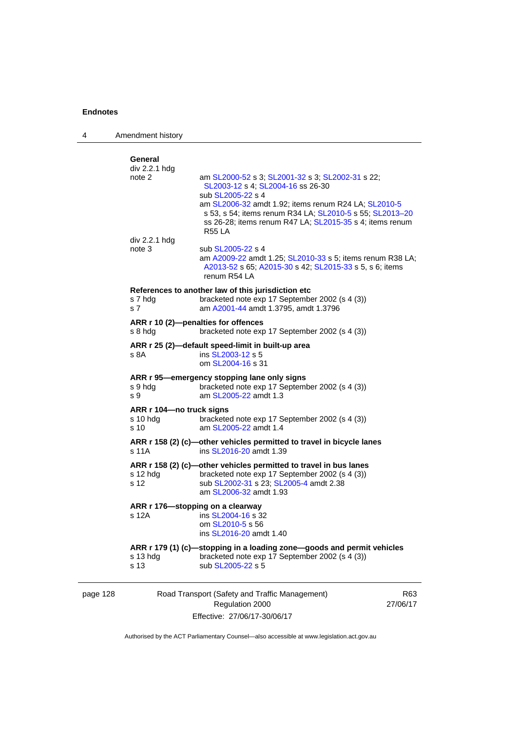4 Amendment history

|                                                                                                                         | General                                        |                                                                                                                                                                                                                                                                                                             |                 |
|-------------------------------------------------------------------------------------------------------------------------|------------------------------------------------|-------------------------------------------------------------------------------------------------------------------------------------------------------------------------------------------------------------------------------------------------------------------------------------------------------------|-----------------|
|                                                                                                                         | div 2.2.1 hdg<br>note 2                        | am SL2000-52 s 3; SL2001-32 s 3; SL2002-31 s 22;<br>SL2003-12 s 4; SL2004-16 ss 26-30<br>sub SL2005-22 s 4<br>am SL2006-32 amdt 1.92; items renum R24 LA; SL2010-5<br>s 53, s 54; items renum R34 LA; SL2010-5 s 55; SL2013-20<br>ss 26-28; items renum R47 LA; SL2015-35 s 4; items renum<br><b>R55 LA</b> |                 |
|                                                                                                                         | div 2.2.1 hdg                                  |                                                                                                                                                                                                                                                                                                             |                 |
|                                                                                                                         | note 3                                         | sub SL2005-22 s 4<br>am A2009-22 amdt 1.25; SL2010-33 s 5; items renum R38 LA;<br>A2013-52 s 65; A2015-30 s 42; SL2015-33 s 5, s 6; items<br>renum R54 LA                                                                                                                                                   |                 |
|                                                                                                                         | s 7 hdg<br>s 7                                 | References to another law of this jurisdiction etc<br>bracketed note exp 17 September 2002 (s 4 (3))<br>am A2001-44 amdt 1.3795, amdt 1.3796                                                                                                                                                                |                 |
|                                                                                                                         | ARR r 10 (2)-penalties for offences<br>s 8 hdg | bracketed note exp 17 September 2002 (s 4 (3))                                                                                                                                                                                                                                                              |                 |
|                                                                                                                         | s 8A                                           | ARR r 25 (2)-default speed-limit in built-up area<br>ins SL2003-12 s 5<br>om SL2004-16 s 31                                                                                                                                                                                                                 |                 |
|                                                                                                                         | s 9 hdg<br>s 9                                 | ARR r 95-emergency stopping lane only signs<br>bracketed note exp 17 September 2002 (s 4 (3))<br>am SL2005-22 amdt 1.3                                                                                                                                                                                      |                 |
| ARR r 104-no truck signs<br>bracketed note exp 17 September 2002 (s 4 (3))<br>s 10 hda<br>s 10<br>am SL2005-22 amdt 1.4 |                                                |                                                                                                                                                                                                                                                                                                             |                 |
|                                                                                                                         | s 11A                                          | ARR r 158 (2) (c)-other vehicles permitted to travel in bicycle lanes<br>ins SL2016-20 amdt 1.39                                                                                                                                                                                                            |                 |
|                                                                                                                         | s 12 hdg<br>s 12                               | ARR r 158 (2) (c)-other vehicles permitted to travel in bus lanes<br>bracketed note exp 17 September 2002 (s 4 (3))<br>sub SL2002-31 s 23; SL2005-4 amdt 2.38<br>am SL2006-32 amdt 1.93                                                                                                                     |                 |
|                                                                                                                         | ARR r 176—stopping on a clearway<br>s 12A      | ins SL2004-16 s 32<br>om SL2010-5 s 56<br>ins SL2016-20 amdt 1.40                                                                                                                                                                                                                                           |                 |
|                                                                                                                         | s 13 hdg<br>s 13                               | ARR r 179 (1) (c)-stopping in a loading zone-goods and permit vehicles<br>bracketed note exp 17 September 2002 (s 4 (3))<br>sub SL2005-22 s 5                                                                                                                                                               |                 |
| page 128                                                                                                                |                                                | Road Transport (Safety and Traffic Management)<br>Regulation 2000                                                                                                                                                                                                                                           | R63<br>27/06/17 |

Effective: 27/06/17-30/06/17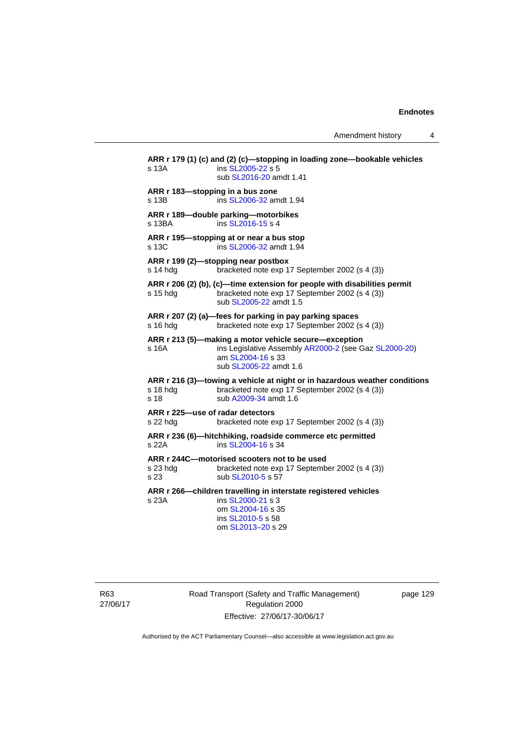Amendment history 4

**ARR r 179 (1) (c) and (2) (c)—stopping in loading zone—bookable vehicles**  s 13A **ins [SL2005-22](http://www.legislation.act.gov.au/sl/2005-22) s 5**  sub [SL2016-20](http://www.legislation.act.gov.au/sl/2016-20) amdt 1.41 **ARR r 183—stopping in a bus zone**  s 13B ins [SL2006-32](http://www.legislation.act.gov.au/sl/2006-32) amdt 1.94 **ARR r 189—double parking—motorbikes**  s 13BA ins [SL2016-15](http://www.legislation.act.gov.au/sl/2016-15) s 4 **ARR r 195—stopping at or near a bus stop**  s 13C ins [SL2006-32](http://www.legislation.act.gov.au/sl/2006-32) amdt 1.94 **ARR r 199 (2)—stopping near postbox**  s 14 hdg bracketed note exp 17 September 2002 (s 4 (3)) **ARR r 206 (2) (b), (c)—time extension for people with disabilities permit**  s 15 hdg bracketed note exp 17 September 2002 (s 4 (3)) sub [SL2005-22](http://www.legislation.act.gov.au/sl/2005-22) amdt 1.5 **ARR r 207 (2) (a)—fees for parking in pay parking spaces**  s 16 hdg bracketed note exp 17 September 2002 (s 4 (3)) **ARR r 213 (5)—making a motor vehicle secure—exception**  s 16A ins Legislative Assembly [AR2000-2](http://www.legislation.act.gov.au/ar/2000-2/default.asp) (see Gaz [SL2000-20\)](http://www.legislation.act.gov.au/sl/2000-20) am [SL2004-16](http://www.legislation.act.gov.au/sl/2004-16) s 33 sub [SL2005-22](http://www.legislation.act.gov.au/sl/2005-22) amdt 1.6 **ARR r 216 (3)—towing a vehicle at night or in hazardous weather conditions**  s 18 hdg bracketed note exp 17 September 2002 (s 4 (3)) s 18 sub [A2009-34](http://www.legislation.act.gov.au/a/2009-34) amdt 1.6 **ARR r 225—use of radar detectors**  s 22 hdg bracketed note exp 17 September 2002 (s 4 (3)) **ARR r 236 (6)—hitchhiking, roadside commerce etc permitted**  s 22A ins [SL2004-16](http://www.legislation.act.gov.au/sl/2004-16) s 34 **ARR r 244C—motorised scooters not to be used**  s 23 hdg bracketed note exp 17 September 2002 (s 4 (3)) s 23 sub [SL2010-5](http://www.legislation.act.gov.au/sl/2010-5) s 57 **ARR r 266—children travelling in interstate registered vehicles**  s 23A ins [SL2000-21](http://www.legislation.act.gov.au/sl/2000-21) s 3 om [SL2004-16](http://www.legislation.act.gov.au/sl/2004-16) s 35 ins [SL2010-5](http://www.legislation.act.gov.au/sl/2010-5) s 58 om [SL2013–20](http://www.legislation.act.gov.au/sl/2013-20) s 29

R63 27/06/17 Road Transport (Safety and Traffic Management) Regulation 2000 Effective: 27/06/17-30/06/17

page 129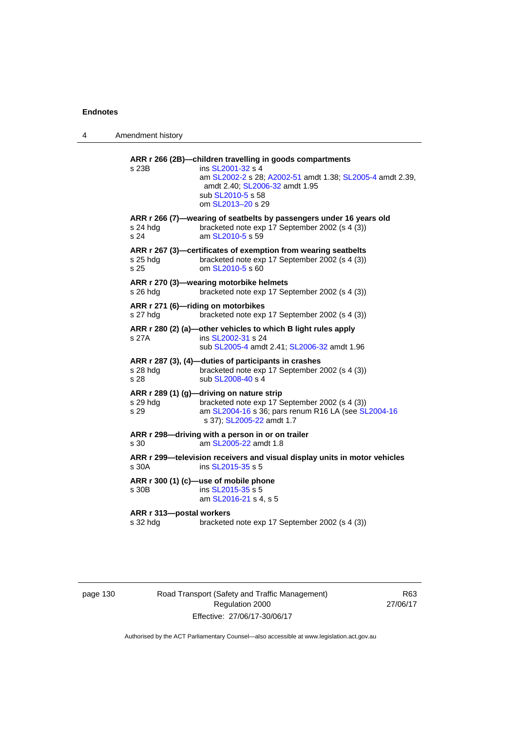| 4 | Amendment history                    |                                                                                                                                                                                                                        |
|---|--------------------------------------|------------------------------------------------------------------------------------------------------------------------------------------------------------------------------------------------------------------------|
|   | s 23B                                | ARR r 266 (2B)-children travelling in goods compartments<br>ins SL2001-32 s 4<br>am SL2002-2 s 28; A2002-51 amdt 1.38; SL2005-4 amdt 2.39,<br>amdt 2.40; SL2006-32 amdt 1.95<br>sub SL2010-5 s 58<br>om SL2013-20 s 29 |
|   | s 24 hdg<br>s 24                     | ARR r 266 (7)—wearing of seatbelts by passengers under 16 years old<br>bracketed note exp 17 September 2002 (s 4 (3))<br>am SL2010-5 s 59                                                                              |
|   | s 25 hdg<br>s 25                     | ARR r 267 (3)-certificates of exemption from wearing seatbelts<br>bracketed note exp 17 September 2002 (s 4 (3))<br>om SL2010-5 s 60                                                                                   |
|   | s 26 hdg                             | ARR r 270 (3)-wearing motorbike helmets<br>bracketed note exp 17 September 2002 (s 4 (3))                                                                                                                              |
|   | s 27 hdg                             | ARR r 271 (6)-riding on motorbikes<br>bracketed note exp 17 September 2002 (s 4 (3))                                                                                                                                   |
|   | s 27A                                | ARR r 280 (2) (a)—other vehicles to which B light rules apply<br>ins SL2002-31 s 24<br>sub SL2005-4 amdt 2.41; SL2006-32 amdt 1.96                                                                                     |
|   | s 28 hdg<br>s 28                     | ARR r 287 (3), (4)—duties of participants in crashes<br>bracketed note exp 17 September 2002 (s 4 (3))<br>sub SL2008-40 s 4                                                                                            |
|   | s 29 hdg<br>s 29                     | ARR r 289 (1) (g)-driving on nature strip<br>bracketed note exp 17 September 2002 (s 4 (3))<br>am SL2004-16 s 36; pars renum R16 LA (see SL2004-16<br>s 37); SL2005-22 amdt 1.7                                        |
|   | s 30                                 | ARR r 298—driving with a person in or on trailer<br>am SL2005-22 amdt 1.8                                                                                                                                              |
|   | s 30A                                | ARR r 299-television receivers and visual display units in motor vehicles<br>ins SL2015-35 s 5                                                                                                                         |
|   | s 30B                                | ARR r 300 (1) (c)-use of mobile phone<br>ins SL2015-35 s 5<br>am SL2016-21 s 4, s 5                                                                                                                                    |
|   | ARR r 313-postal workers<br>s 32 hdg | bracketed note exp 17 September 2002 (s 4 (3))                                                                                                                                                                         |
|   |                                      |                                                                                                                                                                                                                        |

page 130 Road Transport (Safety and Traffic Management) Regulation 2000 Effective: 27/06/17-30/06/17

R63 27/06/17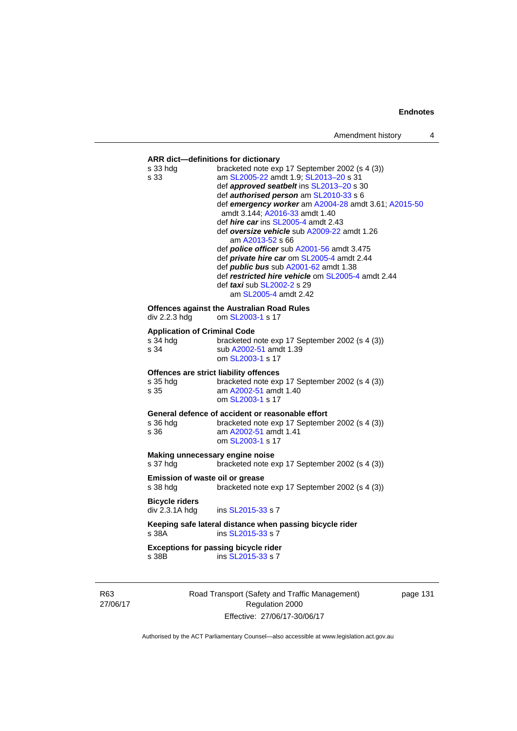# **ARR dict—definitions for dictionary**  s 33 hdg bracketed note exp 17 September 2002 (s 4 (3)) s 33 am [SL2005-22](http://www.legislation.act.gov.au/sl/2005-22) amdt 1.9; [SL2013–20](http://www.legislation.act.gov.au/sl/2013-20) s 31 def *approved seatbelt* ins [SL2013–20](http://www.legislation.act.gov.au/sl/2013-20) s 30 def *authorised person* am [SL2010-33](http://www.legislation.act.gov.au/sl/2010-33) s 6 def *emergency worker* am [A2004-28](http://www.legislation.act.gov.au/a/2004-28) amdt 3.61; [A2015-50](http://www.legislation.act.gov.au/a/2015-50) amdt 3.144; [A2016-33](http://www.legislation.act.gov.au/a/2016-33/default.asp) amdt 1.40 def *hire car* ins [SL2005-4](http://www.legislation.act.gov.au/sl/2005-4) amdt 2.43 def *oversize vehicle* sub [A2009-22](http://www.legislation.act.gov.au/a/2009-22) amdt 1.26 am [A2013-52](http://www.legislation.act.gov.au/a/2013-52) s 66 def *police officer* sub [A2001-56](http://www.legislation.act.gov.au/a/2001-56) amdt 3.475 def *private hire car* om [SL2005-4](http://www.legislation.act.gov.au/sl/2005-4) amdt 2.44 def *public bus* sub [A2001-62](http://www.legislation.act.gov.au/a/2001-62) amdt 1.38 def *restricted hire vehicle* om [SL2005-4](http://www.legislation.act.gov.au/sl/2005-4) amdt 2.44 def *taxi* sub [SL2002-2](http://www.legislation.act.gov.au/sl/2002-2) s 29 am [SL2005-4](http://www.legislation.act.gov.au/sl/2005-4) amdt 2.42 **Offences against the Australian Road Rules**<br>div 2.2.3 hdg om SL2003-1 s 17 om [SL2003-1](http://www.legislation.act.gov.au/sl/2003-1) s 17 **Application of Criminal Code**  s  $\frac{34 \text{ hdg}}{34}$  bracketed note exp 17 September 2002 (s 4 (3))<br>s  $\frac{34}{34}$ sub [A2002-51](http://www.legislation.act.gov.au/a/2002-51) amdt 1.39 om [SL2003-1](http://www.legislation.act.gov.au/sl/2003-1) s 17 **Offences are strict liability offences**  s 35 hdg bracketed note exp 17 September 2002 (s 4 (3)) s 35 am [A2002-51](http://www.legislation.act.gov.au/a/2002-51) amdt 1.40 om [SL2003-1](http://www.legislation.act.gov.au/sl/2003-1) s 17 **General defence of accident or reasonable effort**  s 36 hdg bracketed note exp 17 September 2002 (s 4 (3))<br>s 36 am A2002-51 amdt 1.41 am [A2002-51](http://www.legislation.act.gov.au/a/2002-51) amdt 1.41 om [SL2003-1](http://www.legislation.act.gov.au/sl/2003-1) s 17 **Making unnecessary engine noise**  s 37 hdg bracketed note exp 17 September 2002 (s 4 (3)) **Emission of waste oil or grease**  s 38 hdg bracketed note exp 17 September 2002 (s 4 (3)) **Bicycle riders**  ins [SL2015-33](http://www.legislation.act.gov.au/sl/2015-33) s 7 **Keeping safe lateral distance when passing bicycle rider**  s 38A ins [SL2015-33](http://www.legislation.act.gov.au/sl/2015-33) s 7 **Exceptions for passing bicycle rider**<br>s 38B **ins SL2015-33** s 7 ins [SL2015-33](http://www.legislation.act.gov.au/sl/2015-33) s 7

R63 27/06/17 Road Transport (Safety and Traffic Management) Regulation 2000 Effective: 27/06/17-30/06/17

page 131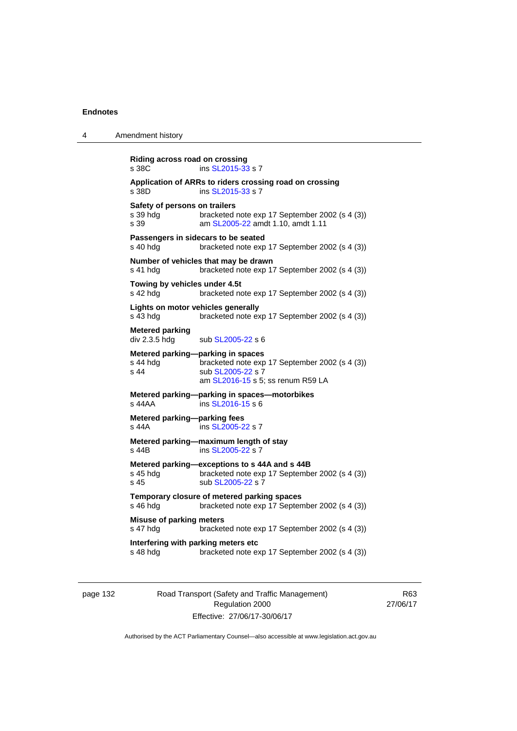| 4 | Amendment history                                                                                                                                                 |
|---|-------------------------------------------------------------------------------------------------------------------------------------------------------------------|
|   | Riding across road on crossing<br>ins SL2015-33 s 7<br>s 38C                                                                                                      |
|   | Application of ARRs to riders crossing road on crossing<br>s 38D<br>ins SL2015-33 s 7                                                                             |
|   | Safety of persons on trailers<br>bracketed note exp 17 September 2002 (s 4 (3))<br>s 39 hdg<br>s 39<br>am SL2005-22 amdt 1.10, amdt 1.11                          |
|   | Passengers in sidecars to be seated<br>s 40 hdg<br>bracketed note exp 17 September 2002 (s 4 (3))                                                                 |
|   | Number of vehicles that may be drawn<br>bracketed note exp 17 September 2002 (s 4 (3))<br>s 41 hdg                                                                |
|   | Towing by vehicles under 4.5t<br>s 42 hdg<br>bracketed note exp 17 September 2002 (s 4 (3))                                                                       |
|   | Lights on motor vehicles generally<br>s 43 hdg<br>bracketed note exp 17 September 2002 (s 4 (3))                                                                  |
|   | <b>Metered parking</b><br>div 2.3.5 hdg<br>sub SL2005-22 s 6                                                                                                      |
|   | Metered parking-parking in spaces<br>s 44 hdg<br>bracketed note exp 17 September 2002 (s 4 (3))<br>s 44<br>sub SL2005-22 s 7<br>am SL2016-15 s 5; ss renum R59 LA |
|   | Metered parking-parking in spaces-motorbikes<br>ins SL2016-15 s 6<br>s 44AA                                                                                       |
|   | Metered parking-parking fees<br>ins SL2005-22 s 7<br>s 44A                                                                                                        |
|   | Metered parking-maximum length of stay<br>ins SL2005-22 s 7<br>s 44B                                                                                              |
|   | Metered parking-exceptions to s 44A and s 44B<br>bracketed note exp 17 September 2002 (s 4 (3))<br>s 45 hdg<br>sub SL2005-22 s 7<br>s 45                          |
|   | Temporary closure of metered parking spaces<br>s 46 hdg<br>bracketed note exp 17 September 2002 (s 4 (3))                                                         |
|   | <b>Misuse of parking meters</b><br>s 47 hdg<br>bracketed note exp 17 September 2002 (s 4 (3))                                                                     |
|   | Interfering with parking meters etc<br>s 48 hdg<br>bracketed note exp 17 September 2002 (s 4 (3))                                                                 |
|   |                                                                                                                                                                   |

page 132 Road Transport (Safety and Traffic Management) Regulation 2000 Effective: 27/06/17-30/06/17

R63 27/06/17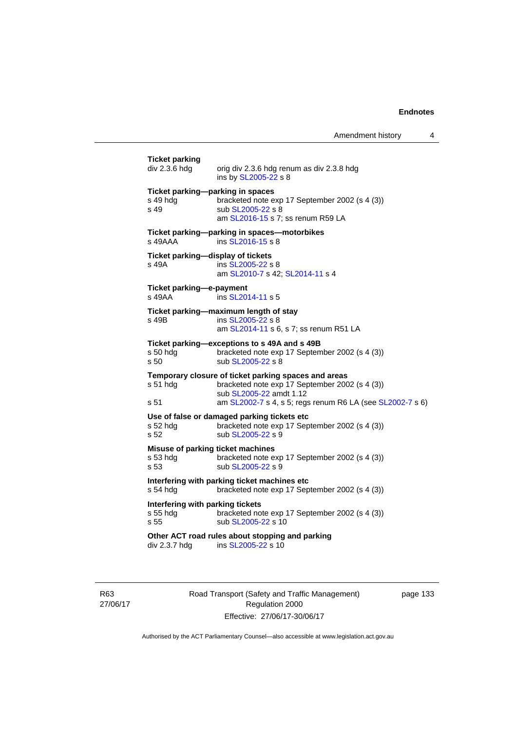| <b>Ticket parking</b><br>div 2.3.6 hdg                | orig div 2.3.6 hdg renum as div 2.3.8 hdg<br>ins by <b>SL2005-22</b> s 8                                                                                                                       |
|-------------------------------------------------------|------------------------------------------------------------------------------------------------------------------------------------------------------------------------------------------------|
| Ticket parking-parking in spaces<br>s 49 hdg<br>s 49  | bracketed note exp 17 September 2002 (s 4 (3))<br>sub SL2005-22 s 8<br>am SL2016-15 s 7; ss renum R59 LA                                                                                       |
| s 49AAA                                               | Ticket parking--parking in spaces--motorbikes<br>ins SL2016-15 s 8                                                                                                                             |
| Ticket parking-display of tickets<br>s 49A            | ins SL2005-22 s 8<br>am SL2010-7 s 42; SL2014-11 s 4                                                                                                                                           |
| Ticket parking-e-payment<br>s 49AA                    | ins SL2014-11 s 5                                                                                                                                                                              |
| s 49B                                                 | Ticket parking-maximum length of stay<br>ins SL2005-22 s 8<br>am SL2014-11 s 6, s 7; ss renum R51 LA                                                                                           |
| s 50 hdg<br>s <sub>50</sub>                           | Ticket parking-exceptions to s 49A and s 49B<br>bracketed note exp 17 September 2002 (s 4 (3))<br>sub SL2005-22 s 8                                                                            |
| s 51 hdg<br>s 51                                      | Temporary closure of ticket parking spaces and areas<br>bracketed note exp 17 September 2002 (s 4 (3))<br>sub SL2005-22 amdt 1.12<br>am SL2002-7 s 4, s 5; regs renum R6 LA (see SL2002-7 s 6) |
| s 52 hdg<br>s 52                                      | Use of false or damaged parking tickets etc<br>bracketed note exp 17 September 2002 (s 4 (3))<br>sub SL2005-22 s 9                                                                             |
| Misuse of parking ticket machines<br>s 53 hdg<br>s 53 | bracketed note exp 17 September 2002 (s 4 (3))<br>sub SL2005-22 s 9                                                                                                                            |
| s 54 hdg                                              | Interfering with parking ticket machines etc<br>bracketed note exp 17 September 2002 (s 4 (3))                                                                                                 |
| Interfering with parking tickets<br>s 55 hdg<br>s 55  | bracketed note exp 17 September 2002 (s 4 (3))<br>sub SL2005-22 s 10                                                                                                                           |
| div 2.3.7 hdg                                         | Other ACT road rules about stopping and parking<br>ins SL2005-22 s 10                                                                                                                          |
|                                                       |                                                                                                                                                                                                |

R63 27/06/17 Road Transport (Safety and Traffic Management) Regulation 2000 Effective: 27/06/17-30/06/17

page 133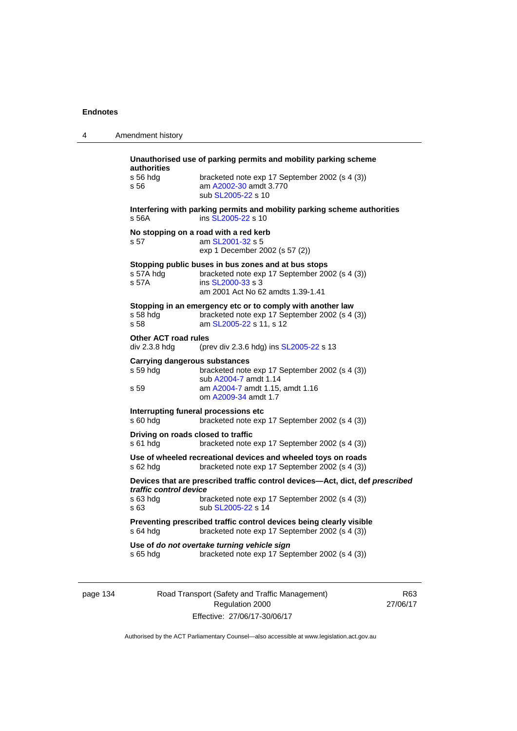| 4 | Amendment history                                                                                                                                                                                    |
|---|------------------------------------------------------------------------------------------------------------------------------------------------------------------------------------------------------|
|   | Unauthorised use of parking permits and mobility parking scheme<br>authorities<br>s 56 hdg<br>bracketed note exp 17 September 2002 (s 4 (3))<br>am A2002-30 amdt 3.770<br>s 56<br>sub SL2005-22 s 10 |
|   | Interfering with parking permits and mobility parking scheme authorities<br>s 56A<br>ins SL2005-22 s 10                                                                                              |
|   | No stopping on a road with a red kerb<br>s 57<br>am SL2001-32 s 5<br>exp 1 December 2002 (s 57 (2))                                                                                                  |
|   | Stopping public buses in bus zones and at bus stops<br>s 57A hda<br>bracketed note exp 17 September 2002 (s 4 (3))<br>s 57A<br>ins SL2000-33 s 3<br>am 2001 Act No 62 amdts 1.39-1.41                |
|   | Stopping in an emergency etc or to comply with another law<br>bracketed note exp 17 September 2002 (s 4 (3))<br>s 58 hda<br>s 58<br>am SL2005-22 s 11, s 12                                          |
|   | <b>Other ACT road rules</b><br>div 2.3.8 hdg<br>(prev div 2.3.6 hdg) ins SL2005-22 s 13                                                                                                              |
|   | Carrying dangerous substances<br>s 59 hdg<br>bracketed note exp 17 September 2002 (s 4 (3))<br>sub A2004-7 amdt 1.14<br>am A2004-7 amdt 1.15, amdt 1.16<br>s 59<br>om A2009-34 amdt 1.7              |
|   | Interrupting funeral processions etc<br>s 60 hdg<br>bracketed note exp 17 September 2002 (s 4 (3))                                                                                                   |
|   | Driving on roads closed to traffic<br>s 61 hdg<br>bracketed note exp 17 September 2002 (s 4 (3))                                                                                                     |
|   | Use of wheeled recreational devices and wheeled toys on roads<br>s 62 hdg<br>bracketed note exp 17 September 2002 (s 4 (3))                                                                          |
|   | Devices that are prescribed traffic control devices-Act, dict, def prescribed<br>traffic control device<br>s 63 hdg<br>bracketed note exp 17 September 2002 (s 4 (3))<br>s 63<br>sub SL2005-22 s 14  |
|   | Preventing prescribed traffic control devices being clearly visible<br>bracketed note exp 17 September 2002 (s 4 (3))<br>s 64 hdg                                                                    |
|   | Use of do not overtake turning vehicle sign<br>bracketed note exp 17 September 2002 (s 4 (3))<br>s 65 hda                                                                                            |

page 134 Road Transport (Safety and Traffic Management) Regulation 2000 Effective: 27/06/17-30/06/17

R63 27/06/17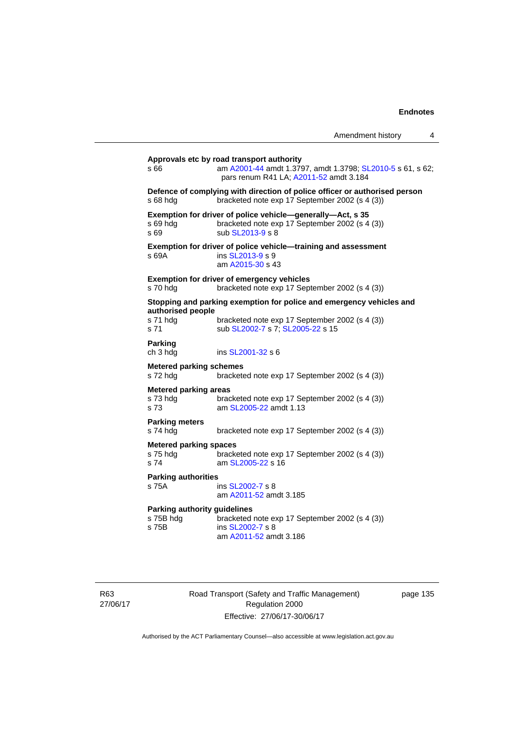|                                                           |                                                                                                                                                   | Amendment history | 4 |
|-----------------------------------------------------------|---------------------------------------------------------------------------------------------------------------------------------------------------|-------------------|---|
| s 66                                                      | Approvals etc by road transport authority<br>am A2001-44 amdt 1.3797, amdt 1.3798; SL2010-5 s 61, s 62;<br>pars renum R41 LA; A2011-52 amdt 3.184 |                   |   |
| s 68 hdg                                                  | Defence of complying with direction of police officer or authorised person<br>bracketed note exp 17 September 2002 (s 4 (3))                      |                   |   |
| s 69 hdg<br>s 69                                          | Exemption for driver of police vehicle-generally-Act, s 35<br>bracketed note exp 17 September 2002 (s 4 (3))<br>sub SL2013-9 s 8                  |                   |   |
| s 69A                                                     | Exemption for driver of police vehicle-training and assessment<br>ins SL2013-9 s 9<br>am A2015-30 s 43                                            |                   |   |
| s 70 hdg                                                  | <b>Exemption for driver of emergency vehicles</b><br>bracketed note exp 17 September 2002 (s 4 (3))                                               |                   |   |
|                                                           | Stopping and parking exemption for police and emergency vehicles and                                                                              |                   |   |
| authorised people<br>s 71 hdg<br>s 71                     | bracketed note exp 17 September 2002 (s 4 (3))<br>sub SL2002-7 s 7; SL2005-22 s 15                                                                |                   |   |
| Parking<br>ch 3 hdg                                       | ins SL2001-32 s 6                                                                                                                                 |                   |   |
| <b>Metered parking schemes</b><br>s 72 hdg                | bracketed note exp 17 September 2002 (s 4 (3))                                                                                                    |                   |   |
| <b>Metered parking areas</b><br>s 73 hdg<br>s 73          | bracketed note exp 17 September 2002 (s 4 (3))<br>am SL2005-22 amdt 1.13                                                                          |                   |   |
| <b>Parking meters</b><br>s 74 hdg                         | bracketed note exp 17 September 2002 (s 4 (3))                                                                                                    |                   |   |
| <b>Metered parking spaces</b><br>s 75 hdg<br>s 74         | bracketed note exp 17 September 2002 (s 4 (3))<br>am SL2005-22 s 16                                                                               |                   |   |
| <b>Parking authorities</b><br>s 75A                       | ins SL2002-7 s 8<br>am A2011-52 amdt 3.185                                                                                                        |                   |   |
| <b>Parking authority guidelines</b><br>s 75B hdg<br>s 75B | bracketed note exp 17 September 2002 (s 4 (3))<br>ins SL2002-7 s 8<br>am A2011-52 amdt 3.186                                                      |                   |   |

R63 27/06/17 Road Transport (Safety and Traffic Management) Regulation 2000 Effective: 27/06/17-30/06/17

page 135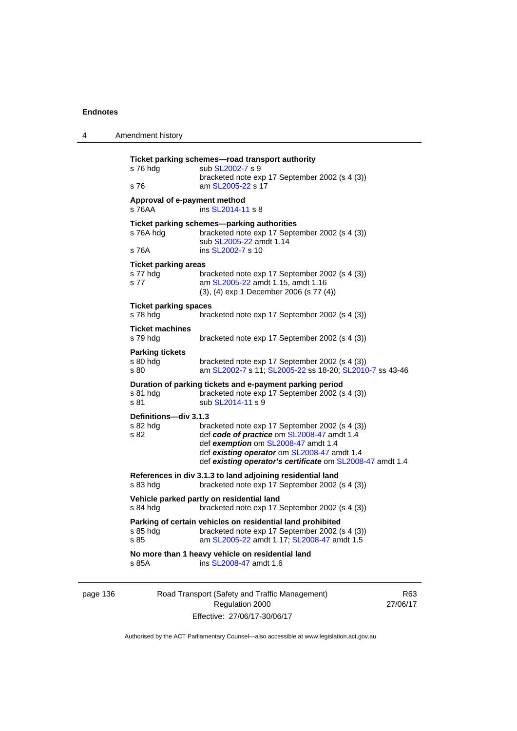| 4        | Amendment history                               |                                                                                                                                                                                                                                                 |     |
|----------|-------------------------------------------------|-------------------------------------------------------------------------------------------------------------------------------------------------------------------------------------------------------------------------------------------------|-----|
|          | s 76 hdg<br>s 76                                | Ticket parking schemes-road transport authority<br>sub SL2002-7 s 9<br>bracketed note exp 17 September 2002 (s 4 (3))<br>am SL2005-22 s 17                                                                                                      |     |
|          | Approval of e-payment method<br>s 76AA          | ins SL2014-11 s 8                                                                                                                                                                                                                               |     |
|          | s 76A hdg<br>s 76A                              | Ticket parking schemes-parking authorities<br>bracketed note exp 17 September 2002 (s 4 (3))<br>sub SL2005-22 amdt 1.14<br>ins SL2002-7 s 10                                                                                                    |     |
|          | <b>Ticket parking areas</b><br>s 77 hdg<br>s 77 | bracketed note exp 17 September 2002 (s 4 (3))<br>am SL2005-22 amdt 1.15, amdt 1.16<br>(3), (4) exp 1 December 2006 (s 77 (4))                                                                                                                  |     |
|          | <b>Ticket parking spaces</b><br>s 78 hdg        | bracketed note exp 17 September 2002 (s 4 (3))                                                                                                                                                                                                  |     |
|          | <b>Ticket machines</b><br>s 79 hdg              | bracketed note exp 17 September 2002 (s 4 (3))                                                                                                                                                                                                  |     |
|          | <b>Parking tickets</b><br>$s80h$ dg<br>s 80     | bracketed note exp 17 September 2002 (s 4 (3))<br>am SL2002-7 s 11; SL2005-22 ss 18-20; SL2010-7 ss 43-46                                                                                                                                       |     |
|          | s 81 hdg<br>s 81                                | Duration of parking tickets and e-payment parking period<br>bracketed note exp 17 September 2002 (s 4 (3))<br>sub SL2014-11 s 9                                                                                                                 |     |
|          | Definitions-div 3.1.3<br>s 82 hdg<br>s 82       | bracketed note exp 17 September 2002 (s 4 (3))<br>def code of practice om SL2008-47 amdt 1.4<br>def exemption om SL2008-47 amdt 1.4<br>def existing operator om SL2008-47 amdt 1.4<br>def existing operator's certificate om SL2008-47 amdt 1.4 |     |
|          | $s$ 83 hdg                                      | References in div 3.1.3 to land adjoining residential land<br>bracketed note exp 17 September 2002 (s 4 (3))                                                                                                                                    |     |
|          | s 84 hdg                                        | Vehicle parked partly on residential land<br>bracketed note exp 17 September 2002 (s 4 (3))                                                                                                                                                     |     |
|          | s 85 hdg<br>s 85                                | Parking of certain vehicles on residential land prohibited<br>bracketed note exp 17 September 2002 (s 4 (3))<br>am SL2005-22 amdt 1.17; SL2008-47 amdt 1.5                                                                                      |     |
|          | s 85A                                           | No more than 1 heavy vehicle on residential land<br>ins SL2008-47 amdt 1.6                                                                                                                                                                      |     |
| page 136 |                                                 | Road Transport (Safety and Traffic Management)                                                                                                                                                                                                  | R63 |

Authorised by the ACT Parliamentary Counsel—also accessible at www.legislation.act.gov.au

Regulation 2000 Effective: 27/06/17-30/06/17 27/06/17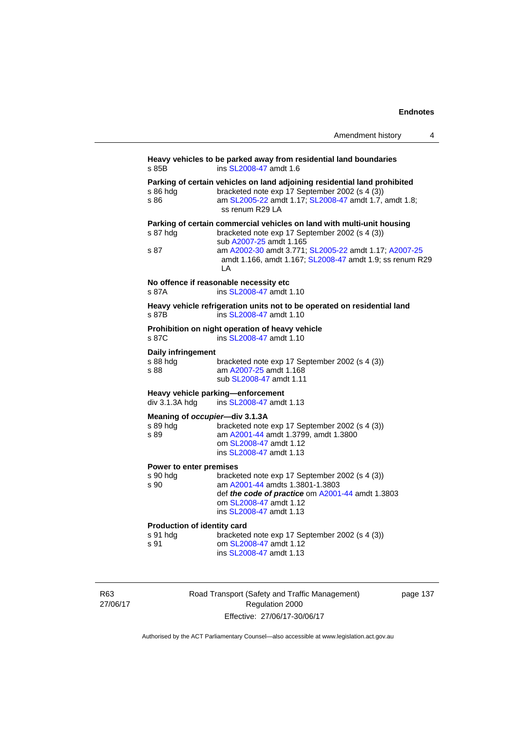|                                                    | Amendment history                                                                                                                                                                                                                                                               | 4 |
|----------------------------------------------------|---------------------------------------------------------------------------------------------------------------------------------------------------------------------------------------------------------------------------------------------------------------------------------|---|
| s 85B                                              | Heavy vehicles to be parked away from residential land boundaries<br>ins SL2008-47 amdt 1.6                                                                                                                                                                                     |   |
| s 86 hdg<br>s 86                                   | Parking of certain vehicles on land adjoining residential land prohibited<br>bracketed note exp 17 September 2002 (s 4 (3))<br>am SL2005-22 amdt 1.17; SL2008-47 amdt 1.7, amdt 1.8;<br>ss renum R29 LA                                                                         |   |
| s 87 hdg<br>s 87                                   | Parking of certain commercial vehicles on land with multi-unit housing<br>bracketed note exp 17 September 2002 (s 4 (3))<br>sub A2007-25 amdt 1.165<br>am A2002-30 amdt 3.771; SL2005-22 amdt 1.17; A2007-25<br>amdt 1.166, amdt 1.167; SL2008-47 amdt 1.9; ss renum R29<br>ΙA. |   |
| s 87A                                              | No offence if reasonable necessity etc<br>ins SL2008-47 amdt 1.10                                                                                                                                                                                                               |   |
| s 87B                                              | Heavy vehicle refrigeration units not to be operated on residential land<br>ins SL2008-47 amdt 1.10                                                                                                                                                                             |   |
| s 87C                                              | Prohibition on night operation of heavy vehicle<br>ins SL2008-47 amdt 1.10                                                                                                                                                                                                      |   |
| Daily infringement<br>s 88 hdg<br>s 88             | bracketed note exp 17 September 2002 (s 4 (3))<br>am A2007-25 amdt 1.168<br>sub SL2008-47 amdt 1.11                                                                                                                                                                             |   |
| div 3.1.3A hdg                                     | Heavy vehicle parking-enforcement<br>ins SL2008-47 amdt 1.13                                                                                                                                                                                                                    |   |
| Meaning of occupier-div 3.1.3A<br>s 89 hdg<br>s 89 | bracketed note exp 17 September 2002 (s 4 (3))<br>am A2001-44 amdt 1.3799, amdt 1.3800<br>om SL2008-47 amdt 1.12<br>ins SL2008-47 amdt 1.13                                                                                                                                     |   |
| Power to enter premises<br>s 90 hdg<br>s 90        | bracketed note exp 17 September 2002 (s 4 (3))<br>am A2001-44 amdts 1.3801-1.3803<br>def the code of practice om A2001-44 amdt 1.3803<br>om SL2008-47 amdt 1.12<br>ins SL2008-47 amdt 1.13                                                                                      |   |
| Production of identity card<br>s 91 hdg<br>s 91    | bracketed note exp 17 September 2002 (s 4 (3))<br>om SL2008-47 amdt 1.12<br>ins SL2008-47 amdt 1.13                                                                                                                                                                             |   |

R63 27/06/17 Road Transport (Safety and Traffic Management) Regulation 2000 Effective: 27/06/17-30/06/17

page 137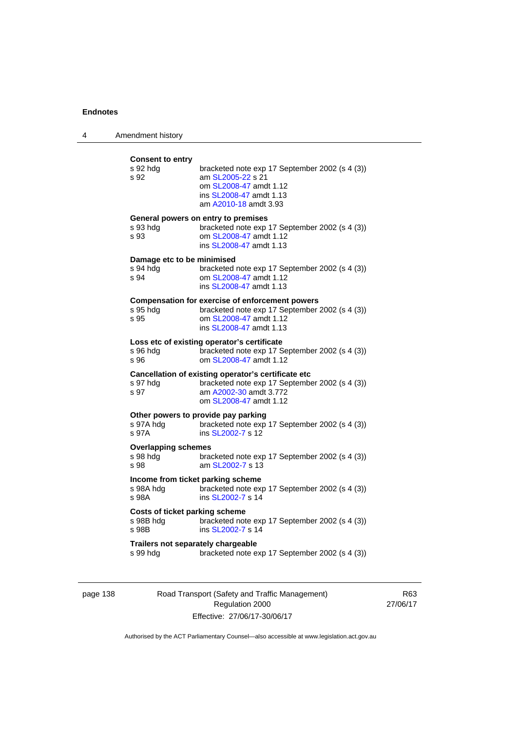| 4 | Amendment history                                       |                                                                                                                                                               |
|---|---------------------------------------------------------|---------------------------------------------------------------------------------------------------------------------------------------------------------------|
|   | <b>Consent to entry</b><br>s 92 hdg<br>s 92             | bracketed note exp 17 September 2002 (s 4 (3))<br>am SL2005-22 s 21<br>om SL2008-47 amdt 1.12<br>ins SL2008-47 amdt 1.13<br>am A2010-18 amdt 3.93             |
|   | s 93 hdg<br>s 93                                        | General powers on entry to premises<br>bracketed note exp 17 September 2002 (s 4 (3))<br>om SL2008-47 amdt 1.12<br>ins SL2008-47 amdt 1.13                    |
|   | Damage etc to be minimised<br>s 94 hdg<br>s 94          | bracketed note exp 17 September 2002 (s 4 (3))<br>om SL2008-47 amdt 1.12<br>ins SL2008-47 amdt 1.13                                                           |
|   | s 95 hdg<br>s 95                                        | <b>Compensation for exercise of enforcement powers</b><br>bracketed note exp 17 September 2002 (s 4 (3))<br>om SL2008-47 amdt 1.12<br>ins SL2008-47 amdt 1.13 |
|   | s 96 hdg<br>s 96                                        | Loss etc of existing operator's certificate<br>bracketed note exp 17 September 2002 (s 4 (3))<br>om SL2008-47 amdt 1.12                                       |
|   | s 97 hdg<br>s 97                                        | Cancellation of existing operator's certificate etc<br>bracketed note exp 17 September 2002 (s 4 (3))<br>am A2002-30 amdt 3.772<br>om SL2008-47 amdt 1.12     |
|   | s 97A hdg<br>s 97A                                      | Other powers to provide pay parking<br>bracketed note exp 17 September 2002 (s 4 (3))<br>ins SL2002-7 s 12                                                    |
|   | <b>Overlapping schemes</b><br>s 98 hdg<br>s 98          | bracketed note exp 17 September 2002 (s 4 (3))<br>am SL2002-7 s 13                                                                                            |
|   | Income from ticket parking scheme<br>s 98A hdg<br>s 98A | bracketed note exp 17 September 2002 (s 4 (3))<br>ins SL2002-7 s 14                                                                                           |
|   | Costs of ticket parking scheme<br>s 98B hdg<br>s 98B    | bracketed note exp 17 September 2002 (s 4 (3))<br>ins SL2002-7 s 14                                                                                           |
|   | Trailers not separately chargeable<br>s 99 hdg          | bracketed note exp 17 September 2002 (s 4 (3))                                                                                                                |

page 138 Road Transport (Safety and Traffic Management) Regulation 2000 Effective: 27/06/17-30/06/17

R63 27/06/17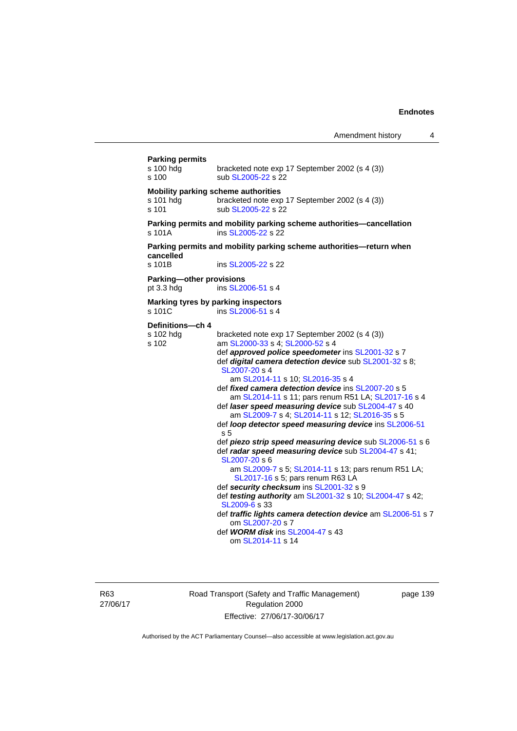| <b>Parking permits</b><br>s 100 hda<br>s 100  | bracketed note exp 17 September 2002 (s 4 (3))<br>sub SL2005-22 s 22                                                                                                                                                                                                                                                                                                                                                                                                                                                                                                                                                                                                                                                                                                                                                                                                                                                                                                                                                                              |
|-----------------------------------------------|---------------------------------------------------------------------------------------------------------------------------------------------------------------------------------------------------------------------------------------------------------------------------------------------------------------------------------------------------------------------------------------------------------------------------------------------------------------------------------------------------------------------------------------------------------------------------------------------------------------------------------------------------------------------------------------------------------------------------------------------------------------------------------------------------------------------------------------------------------------------------------------------------------------------------------------------------------------------------------------------------------------------------------------------------|
| s 101 hdg<br>s 101                            | Mobility parking scheme authorities<br>bracketed note exp 17 September 2002 (s 4 (3))<br>sub SL2005-22 s 22                                                                                                                                                                                                                                                                                                                                                                                                                                                                                                                                                                                                                                                                                                                                                                                                                                                                                                                                       |
| s 101A                                        | Parking permits and mobility parking scheme authorities-cancellation<br>ins SL2005-22 s 22                                                                                                                                                                                                                                                                                                                                                                                                                                                                                                                                                                                                                                                                                                                                                                                                                                                                                                                                                        |
| cancelled<br>s 101B                           | Parking permits and mobility parking scheme authorities-return when<br>ins SL2005-22 s 22                                                                                                                                                                                                                                                                                                                                                                                                                                                                                                                                                                                                                                                                                                                                                                                                                                                                                                                                                         |
| <b>Parking-other provisions</b><br>pt 3.3 hdg | ins SL2006-51 s 4                                                                                                                                                                                                                                                                                                                                                                                                                                                                                                                                                                                                                                                                                                                                                                                                                                                                                                                                                                                                                                 |
| s 101C                                        | Marking tyres by parking inspectors<br>ins SL2006-51 s 4                                                                                                                                                                                                                                                                                                                                                                                                                                                                                                                                                                                                                                                                                                                                                                                                                                                                                                                                                                                          |
| Definitions-ch 4<br>s 102 hdg<br>s 102        | bracketed note exp 17 September 2002 (s 4 (3))<br>am SL2000-33 s 4; SL2000-52 s 4<br>def approved police speedometer ins SL2001-32 s 7<br>def digital camera detection device sub SL2001-32 s 8;<br>SL2007-20 s 4<br>am SL2014-11 s 10; SL2016-35 s 4<br>def fixed camera detection device ins SL2007-20 s 5<br>am SL2014-11 s 11; pars renum R51 LA; SL2017-16 s 4<br>def laser speed measuring device sub SL2004-47 s 40<br>am SL2009-7 s 4; SL2014-11 s 12; SL2016-35 s 5<br>def loop detector speed measuring device ins SL2006-51<br>s 5<br>def piezo strip speed measuring device sub SL2006-51 s 6<br>def radar speed measuring device sub SL2004-47 s 41;<br>SL2007-20 s 6<br>am SL2009-7 s 5; SL2014-11 s 13; pars renum R51 LA;<br>SL2017-16 s 5; pars renum R63 LA<br>def security checksum ins SL2001-32 s 9<br>def testing authority am SL2001-32 s 10; SL2004-47 s 42;<br>SL2009-6 s 33<br>def traffic lights camera detection device am SL2006-51 s 7<br>om SL2007-20 s 7<br>def WORM disk ins SL2004-47 s 43<br>om SL2014-11 s 14 |

R63 27/06/17 Road Transport (Safety and Traffic Management) Regulation 2000 Effective: 27/06/17-30/06/17

page 139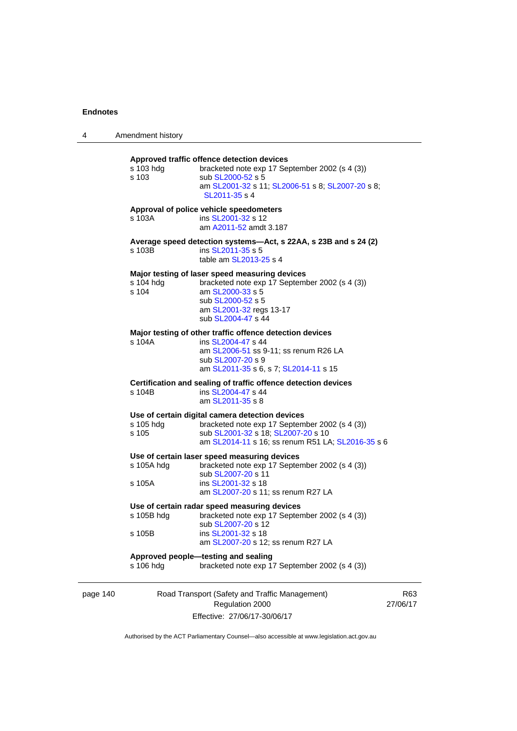| 4        | Amendment history    |                                                                                                                                                                                              |            |
|----------|----------------------|----------------------------------------------------------------------------------------------------------------------------------------------------------------------------------------------|------------|
|          | s 103 hdg<br>s 103   | Approved traffic offence detection devices<br>bracketed note exp 17 September 2002 (s 4 (3))<br>sub SL2000-52 s 5<br>am SL2001-32 s 11; SL2006-51 s 8; SL2007-20 s 8;<br>SL2011-35 s 4       |            |
|          | s 103A               | Approval of police vehicle speedometers<br>ins SL2001-32 s 12<br>am A2011-52 amdt 3.187                                                                                                      |            |
|          | s 103B               | Average speed detection systems—Act, s 22AA, s 23B and s 24 (2)<br>ins SL2011-35 s 5<br>table am SL2013-25 s 4                                                                               |            |
|          | s 104 hdg<br>s 104   | Major testing of laser speed measuring devices<br>bracketed note exp 17 September 2002 (s 4 (3))<br>am SL2000-33 s 5<br>sub SL2000-52 s 5<br>am SL2001-32 regs 13-17<br>sub SL2004-47 s 44   |            |
|          | s 104A               | Major testing of other traffic offence detection devices<br>ins SL2004-47 s 44<br>am SL2006-51 ss 9-11; ss renum R26 LA<br>sub SL2007-20 s 9<br>am SL2011-35 s 6, s 7; SL2014-11 s 15        |            |
|          | s 104B               | Certification and sealing of traffic offence detection devices<br>ins SL2004-47 s 44<br>am SL2011-35 s 8                                                                                     |            |
|          | s 105 hdg<br>s 105   | Use of certain digital camera detection devices<br>bracketed note exp 17 September 2002 (s 4 (3))<br>sub SL2001-32 s 18; SL2007-20 s 10<br>am SL2014-11 s 16; ss renum R51 LA; SL2016-35 s 6 |            |
|          | s 105A hdg<br>s 105A | Use of certain laser speed measuring devices<br>bracketed note exp 17 September 2002 (s 4 (3))<br>sub SL2007-20 s 11<br>ins SL2001-32 s 18<br>am SL2007-20 s 11; ss renum R27 LA             |            |
|          | s 105B               | Use of certain radar speed measuring devices<br>s 105B hdg bracketed note exp 17 September 2002 (s 4 (3))<br>sub SL2007-20 s 12<br>ins SL2001-32 s 18<br>am SL2007-20 s 12; ss renum R27 LA  |            |
|          | s 106 hdg            | Approved people-testing and sealing<br>bracketed note exp 17 September 2002 (s 4 (3))                                                                                                        |            |
| page 140 |                      | Road Transport (Safety and Traffic Management)<br>Regulation 2000                                                                                                                            | F<br>27/06 |

Effective: 27/06/17-30/06/17

R63 27/06/17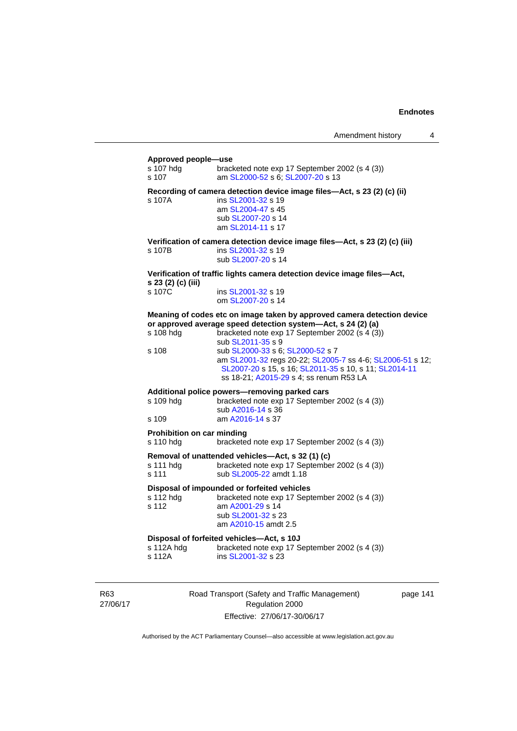#### **Approved people—use**

| s 107 hdg<br>s 107                             | bracketed note exp 17 September 2002 (s 4 (3))<br>am SL2000-52 s 6; SL2007-20 s 13                                                                                                                                                                                                                                                                                                                                  |
|------------------------------------------------|---------------------------------------------------------------------------------------------------------------------------------------------------------------------------------------------------------------------------------------------------------------------------------------------------------------------------------------------------------------------------------------------------------------------|
| s 107A                                         | Recording of camera detection device image files—Act, s 23 (2) (c) (ii)<br>ins SL2001-32 s 19<br>am SL2004-47 s 45<br>sub SL2007-20 s 14<br>am SL2014-11 s 17                                                                                                                                                                                                                                                       |
| s 107B                                         | Verification of camera detection device image files-Act, s 23 (2) (c) (iii)<br>ins SL2001-32 s 19<br>sub SL2007-20 s 14                                                                                                                                                                                                                                                                                             |
| s 23 (2) (c) (iii)                             | Verification of traffic lights camera detection device image files—Act,                                                                                                                                                                                                                                                                                                                                             |
| s 107C                                         | ins SL2001-32 s 19<br>om SL2007-20 s 14                                                                                                                                                                                                                                                                                                                                                                             |
| s 108 hdg<br>s 108                             | Meaning of codes etc on image taken by approved camera detection device<br>or approved average speed detection system-Act, s 24 (2) (a)<br>bracketed note exp 17 September 2002 (s 4 (3))<br>sub SL2011-35 s 9<br>sub SL2000-33 s 6; SL2000-52 s 7<br>am SL2001-32 regs 20-22; SL2005-7 ss 4-6; SL2006-51 s 12;<br>SL2007-20 s 15, s 16; SL2011-35 s 10, s 11; SL2014-11<br>ss 18-21; A2015-29 s 4; ss renum R53 LA |
| s 109 hdg<br>s 109                             | Additional police powers-removing parked cars<br>bracketed note exp 17 September 2002 (s 4 (3))<br>sub A2016-14 s 36<br>am A2016-14 s 37                                                                                                                                                                                                                                                                            |
| <b>Prohibition on car minding</b><br>s 110 hdg | bracketed note exp 17 September 2002 (s 4 (3))                                                                                                                                                                                                                                                                                                                                                                      |
| s 111 hdg<br>s 111                             | Removal of unattended vehicles-Act, s 32 (1) (c)<br>bracketed note exp 17 September 2002 (s 4 (3))<br>sub SL2005-22 amdt 1.18                                                                                                                                                                                                                                                                                       |
| s 112 hdg<br>s 112                             | Disposal of impounded or forfeited vehicles<br>bracketed note exp 17 September 2002 (s 4 (3))<br>am A2001-29 s 14<br>sub SL2001-32 s 23<br>am A2010-15 amdt 2.5                                                                                                                                                                                                                                                     |
| s 112A hdg<br>s 112A                           | Disposal of forfeited vehicles-Act, s 10J<br>bracketed note exp 17 September 2002 (s 4 (3))<br>ins SL2001-32 s 23                                                                                                                                                                                                                                                                                                   |

R63 27/06/17 Road Transport (Safety and Traffic Management) Regulation 2000 Effective: 27/06/17-30/06/17

page 141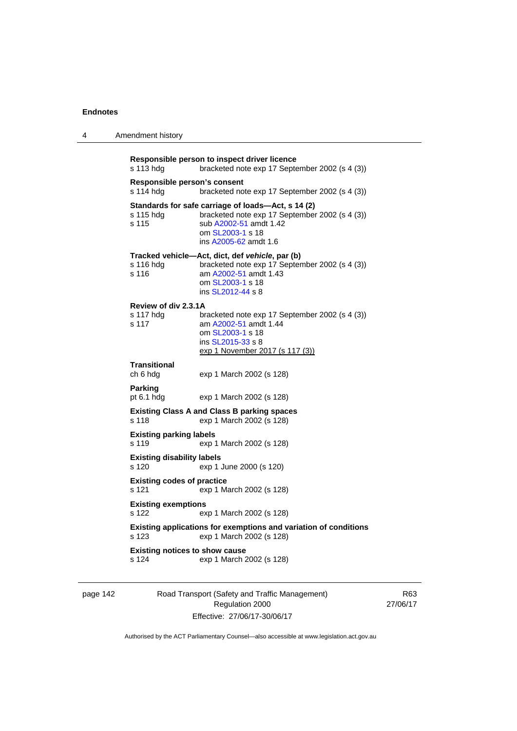4 Amendment history

| s 113 hdg                                      | Responsible person to inspect driver licence<br>bracketed note exp 17 September 2002 (s 4 (3))                                                                              |
|------------------------------------------------|-----------------------------------------------------------------------------------------------------------------------------------------------------------------------------|
| Responsible person's consent<br>s 114 hdg      | bracketed note exp 17 September 2002 (s 4 (3))                                                                                                                              |
| s 115 hdg<br>s 115                             | Standards for safe carriage of loads-Act, s 14 (2)<br>bracketed note exp 17 September 2002 (s 4 (3))<br>sub A2002-51 amdt 1.42<br>om SL2003-1 s 18<br>ins A2005-62 amdt 1.6 |
| s 116 hdg<br>s 116                             | Tracked vehicle—Act, dict, def vehicle, par (b)<br>bracketed note exp 17 September 2002 (s 4 (3))<br>am A2002-51 amdt 1.43<br>om SL2003-1 s 18<br>ins SL2012-44 s 8         |
| Review of div 2.3.1A                           |                                                                                                                                                                             |
| s 117 hdg<br>s 117                             | bracketed note exp 17 September 2002 (s 4 (3))<br>am A2002-51 amdt 1.44<br>om SL2003-1 s 18<br>ins SL2015-33 s 8<br>exp 1 November 2017 (s 117 (3))                         |
| <b>Transitional</b><br>ch 6 hdg                | exp 1 March 2002 (s 128)                                                                                                                                                    |
| <b>Parking</b><br>pt 6.1 hdg                   | exp 1 March 2002 (s 128)                                                                                                                                                    |
| s 118                                          | <b>Existing Class A and Class B parking spaces</b><br>exp 1 March 2002 (s 128)                                                                                              |
| <b>Existing parking labels</b><br>s 119        | exp 1 March 2002 (s 128)                                                                                                                                                    |
| <b>Existing disability labels</b><br>s 120     | exp 1 June 2000 (s 120)                                                                                                                                                     |
| <b>Existing codes of practice</b><br>s 121     | exp 1 March 2002 (s 128)                                                                                                                                                    |
| <b>Existing exemptions</b><br>s 122            | exp 1 March 2002 (s 128)                                                                                                                                                    |
| s 123                                          | Existing applications for exemptions and variation of conditions<br>exp 1 March 2002 (s 128)                                                                                |
| <b>Existing notices to show cause</b><br>s 124 | exp 1 March 2002 (s 128)                                                                                                                                                    |

page 142 Road Transport (Safety and Traffic Management) Regulation 2000 Effective: 27/06/17-30/06/17

R63 27/06/17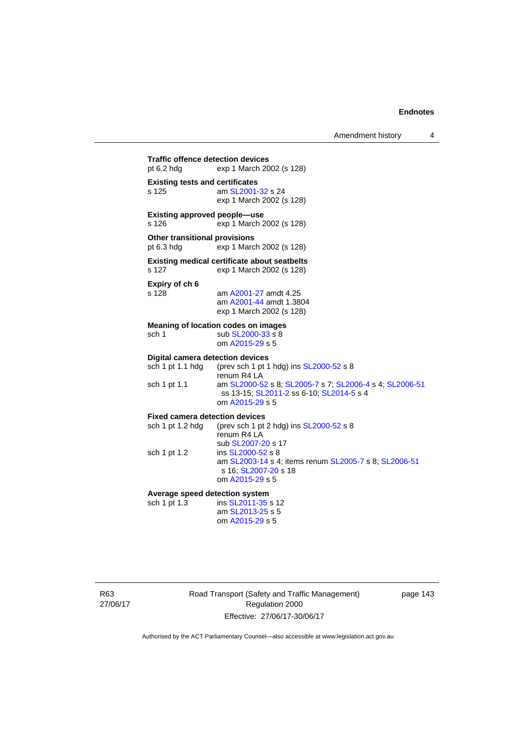Amendment history 4

**Traffic offence detection devices**  pt 6.2 hdg exp 1 March 2002 (s 128) **Existing tests and certificates**  s 125 am [SL2001-32](http://www.legislation.act.gov.au/sl/2001-32) s 24 exp 1 March 2002 (s 128) **Existing approved people—use**  s 126 exp 1 March 2002 (s 128) **Other transitional provisions**  pt 6.3 hdg exp 1 March 2002 (s 128) **Existing medical certificate about seatbelts**  s 127 exp 1 March 2002 (s 128) **Expiry of ch 6**  s 128 am [A2001-27](http://www.legislation.act.gov.au/a/2001-27) amdt 4.25 am [A2001-44](http://www.legislation.act.gov.au/a/2001-44) amdt 1.3804 exp 1 March 2002 (s 128) **Meaning of location codes on images**  sch 1 sub [SL2000-33](http://www.legislation.act.gov.au/sl/2000-33) s 8 om [A2015-29](http://www.legislation.act.gov.au/a/2015-29) s 5 **Digital camera detection devices**<br>sch 1 pt 1.1 hdg (prev sch 1 pt 1 (prev sch 1 pt 1 hdg) ins  $SL2000-52$  s 8 renum R4 LA sch 1 pt 1.1 am [SL2000-52](http://www.legislation.act.gov.au/sl/2000-52) s 8; [SL2005-7](http://www.legislation.act.gov.au/sl/2005-7) s 7; [SL2006-4](http://www.legislation.act.gov.au/sl/2006-4) s 4; [SL2006-51](http://www.legislation.act.gov.au/sl/2006-51) ss 13-15; [SL2011-2](http://www.legislation.act.gov.au/sl/2011-2) ss 6-10; [SL2014-5](http://www.legislation.act.gov.au/sl/2014-5) s 4 om [A2015-29](http://www.legislation.act.gov.au/a/2015-29) s 5 **Fixed camera detection devices**  sch 1 pt 1.2 hdg (prev sch 1 pt 2 hdg) ins  $SL2000-52$  s 8 renum R4 LA sub [SL2007-20](http://www.legislation.act.gov.au/sl/2007-20) s 17<br>sch 1 pt 1.2 ins SL2000-52 s 8 ins [SL2000-52](http://www.legislation.act.gov.au/sl/2000-52) s 8 am [SL2003-14](http://www.legislation.act.gov.au/sl/2003-14) s 4; items renum [SL2005-7](http://www.legislation.act.gov.au/sl/2005-7) s 8; [SL2006-51](http://www.legislation.act.gov.au/sl/2006-51) s 16; [SL2007-20](http://www.legislation.act.gov.au/sl/2007-20) s 18 om [A2015-29](http://www.legislation.act.gov.au/a/2015-29) s 5 **Average speed detection system**  sch 1 pt 1.3 ins [SL2011-35](http://www.legislation.act.gov.au/sl/2011-35) s 12 am [SL2013-25](http://www.legislation.act.gov.au/sl/2013-25) s 5 om [A2015-29](http://www.legislation.act.gov.au/a/2015-29) s 5

R63 27/06/17 Road Transport (Safety and Traffic Management) Regulation 2000 Effective: 27/06/17-30/06/17

page 143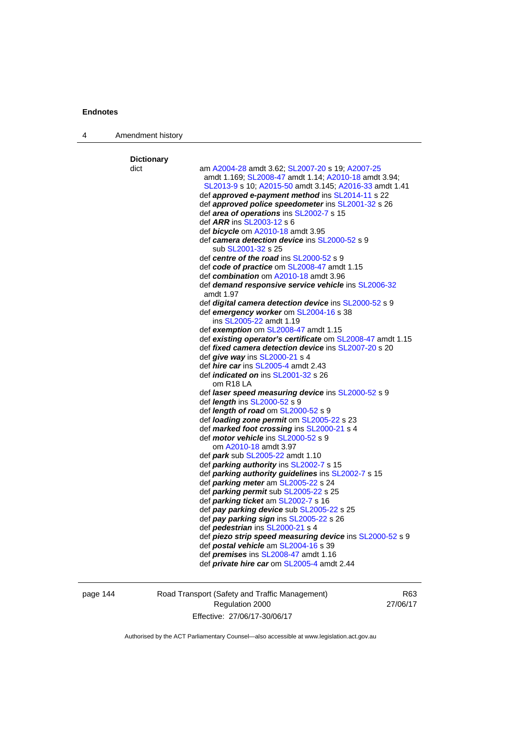| 4 | Amendment history |                                                                                                                                                                   |
|---|-------------------|-------------------------------------------------------------------------------------------------------------------------------------------------------------------|
|   | <b>Dictionary</b> |                                                                                                                                                                   |
|   | dict              | am A2004-28 amdt 3.62; SL2007-20 s 19; A2007-25<br>amdt 1.169; SL2008-47 amdt 1.14; A2010-18 amdt 3.94;<br>SL2013-9 s 10; A2015-50 amdt 3.145; A2016-33 amdt 1.41 |
|   |                   |                                                                                                                                                                   |
|   |                   | def approved e-payment method ins SL2014-11 s 22<br>def approved police speedometer ins SL2001-32 s 26                                                            |
|   |                   | def area of operations ins SL2002-7 s 15                                                                                                                          |
|   |                   | def <i>ARR</i> ins SL2003-12 s 6                                                                                                                                  |
|   |                   | def <b>bicycle</b> om A2010-18 amdt 3.95                                                                                                                          |
|   |                   | def camera detection device ins SL2000-52 s 9                                                                                                                     |
|   |                   | sub SL2001-32 s 25                                                                                                                                                |
|   |                   | def centre of the road ins SL2000-52 s 9                                                                                                                          |
|   |                   | def code of practice om SL2008-47 amdt 1.15                                                                                                                       |
|   |                   | def combination om A2010-18 amdt 3.96                                                                                                                             |
|   |                   | def <b>demand responsive service vehicle</b> ins <b>SL2006-32</b>                                                                                                 |
|   |                   | amdt 1.97                                                                                                                                                         |
|   |                   | def digital camera detection device ins SL2000-52 s 9                                                                                                             |
|   |                   | def emergency worker om SL2004-16 s 38                                                                                                                            |
|   |                   | ins SL2005-22 amdt 1.19                                                                                                                                           |
|   |                   | def exemption om SL2008-47 amdt 1.15                                                                                                                              |
|   |                   | def existing operator's certificate om SL2008-47 amdt 1.15                                                                                                        |
|   |                   | def <i>fixed camera detection device</i> ins SL2007-20 s 20                                                                                                       |
|   |                   | def <i>give</i> way ins $SL2000-21$ s 4                                                                                                                           |
|   |                   | def <i>hire car</i> ins SL2005-4 amdt 2.43                                                                                                                        |
|   |                   | def <i>indicated on</i> ins SL2001-32 s 26<br>om R <sub>18</sub> LA                                                                                               |
|   |                   | def <i>laser speed measuring device</i> ins SL2000-52 s 9                                                                                                         |
|   |                   | def <i>length</i> ins SL2000-52 s 9                                                                                                                               |
|   |                   | def <i>length of road</i> om $SL2000-52$ s 9                                                                                                                      |
|   |                   | def <i>loading zone permit</i> om SL2005-22 s 23                                                                                                                  |
|   |                   | def marked foot crossing ins SL2000-21 s 4                                                                                                                        |
|   |                   | def <i>motor vehicle</i> ins SL2000-52 s 9                                                                                                                        |
|   |                   | om A2010-18 amdt 3.97                                                                                                                                             |
|   |                   | def <i>park</i> sub SL2005-22 amdt 1.10                                                                                                                           |
|   |                   | def parking authority ins SL2002-7 s 15                                                                                                                           |
|   |                   | def parking authority guidelines ins SL2002-7 s 15                                                                                                                |
|   |                   | def <b>parking meter</b> am SL2005-22 s 24                                                                                                                        |
|   |                   | def <i>parking permit</i> sub SL2005-22 s 25                                                                                                                      |
|   |                   | def <i>parking ticket</i> am SL2002-7 s 16                                                                                                                        |
|   |                   | def pay parking device sub SL2005-22 s 25                                                                                                                         |
|   |                   | def pay parking sign ins SL2005-22 s 26                                                                                                                           |
|   |                   | def <i>pedestrian</i> ins SL2000-21 s 4                                                                                                                           |
|   |                   | def <b>piezo strip speed measuring device</b> ins <b>SL2000-52</b> s 9                                                                                            |
|   |                   | def postal vehicle am SL2004-16 s 39                                                                                                                              |
|   |                   | def <i>premises</i> ins SL2008-47 amdt 1.16                                                                                                                       |
|   |                   | def <i>private hire car</i> om SL2005-4 amdt 2.44                                                                                                                 |

page 144 Road Transport (Safety and Traffic Management) Regulation 2000 Effective: 27/06/17-30/06/17

R63 27/06/17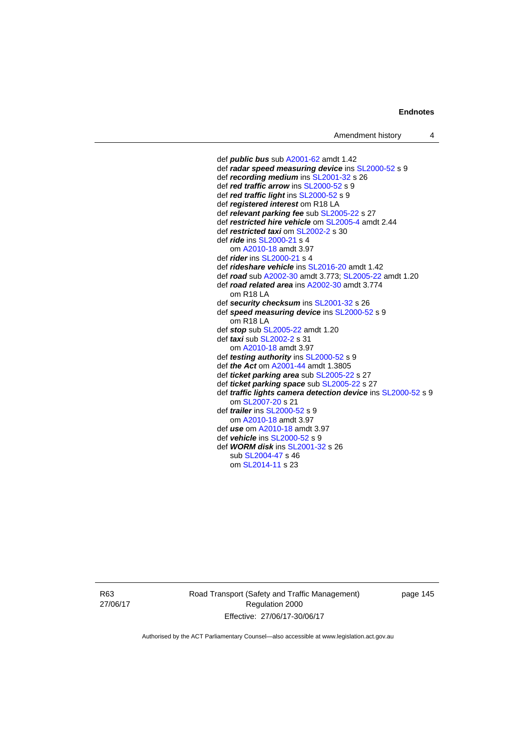def *public bus* sub [A2001-62](http://www.legislation.act.gov.au/a/2001-62) amdt 1.42 def *radar speed measuring device* ins [SL2000-52](http://www.legislation.act.gov.au/sl/2000-52) s 9 def *recording medium* ins [SL2001-32](http://www.legislation.act.gov.au/sl/2001-32) s 26 def *red traffic arrow* ins [SL2000-52](http://www.legislation.act.gov.au/sl/2000-52) s 9 def *red traffic light* ins [SL2000-52](http://www.legislation.act.gov.au/sl/2000-52) s 9 def *registered interest* om R18 LA def *relevant parking fee* sub [SL2005-22](http://www.legislation.act.gov.au/sl/2005-22) s 27 def *restricted hire vehicle* om [SL2005-4](http://www.legislation.act.gov.au/sl/2005-4) amdt 2.44 def *restricted taxi* om [SL2002-2](http://www.legislation.act.gov.au/sl/2002-2) s 30 def *ride* ins [SL2000-21](http://www.legislation.act.gov.au/sl/2000-21) s 4 om [A2010-18](http://www.legislation.act.gov.au/a/2010-18) amdt 3.97 def *rider* ins [SL2000-21](http://www.legislation.act.gov.au/sl/2000-21) s 4 def *rideshare vehicle* ins [SL2016-20](http://www.legislation.act.gov.au/sl/2016-20) amdt 1.42 def *road* sub [A2002-30](http://www.legislation.act.gov.au/a/2002-30) amdt 3.773; [SL2005-22](http://www.legislation.act.gov.au/sl/2005-22) amdt 1.20 def *road related area* ins [A2002-30](http://www.legislation.act.gov.au/a/2002-30) amdt 3.774 om R18 LA def *security checksum* ins [SL2001-32](http://www.legislation.act.gov.au/sl/2001-32) s 26 def *speed measuring device* ins [SL2000-52](http://www.legislation.act.gov.au/sl/2000-52) s 9 om R18 LA def *stop* sub [SL2005-22](http://www.legislation.act.gov.au/sl/2005-22) amdt 1.20 def *taxi* sub [SL2002-2](http://www.legislation.act.gov.au/sl/2002-2) s 31 om [A2010-18](http://www.legislation.act.gov.au/a/2010-18) amdt 3.97 def *testing authority* ins [SL2000-52](http://www.legislation.act.gov.au/sl/2000-52) s 9 def *the Act* om [A2001-44](http://www.legislation.act.gov.au/a/2001-44) amdt 1.3805 def *ticket parking area* sub [SL2005-22](http://www.legislation.act.gov.au/sl/2005-22) s 27 def *ticket parking space* sub [SL2005-22](http://www.legislation.act.gov.au/sl/2005-22) s 27 def *traffic lights camera detection device* ins [SL2000-52](http://www.legislation.act.gov.au/sl/2000-52) s 9 om [SL2007-20](http://www.legislation.act.gov.au/sl/2007-20) s 21 def *trailer* ins [SL2000-52](http://www.legislation.act.gov.au/sl/2000-52) s 9 om [A2010-18](http://www.legislation.act.gov.au/a/2010-18) amdt 3.97 def *use* om [A2010-18](http://www.legislation.act.gov.au/a/2010-18) amdt 3.97 def *vehicle* ins [SL2000-52](http://www.legislation.act.gov.au/sl/2000-52) s 9 def *WORM disk* ins [SL2001-32](http://www.legislation.act.gov.au/sl/2001-32) s 26 sub [SL2004-47](http://www.legislation.act.gov.au/sl/2004-47) s 46 om [SL2014-11](http://www.legislation.act.gov.au/sl/2014-11) s 23

R63 27/06/17 Road Transport (Safety and Traffic Management) Regulation 2000 Effective: 27/06/17-30/06/17

page 145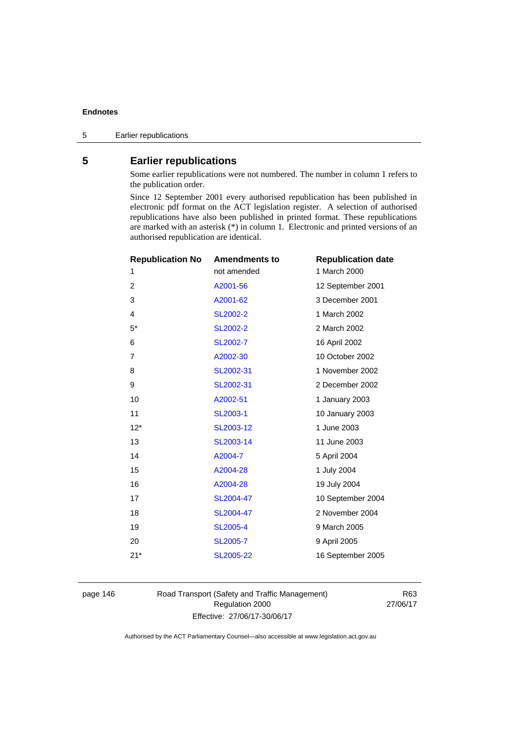# **5 Earlier republications**

Some earlier republications were not numbered. The number in column 1 refers to the publication order.

Since 12 September 2001 every authorised republication has been published in electronic pdf format on the ACT legislation register. A selection of authorised republications have also been published in printed format. These republications are marked with an asterisk (\*) in column 1. Electronic and printed versions of an authorised republication are identical.

| <b>Republication No</b> | <b>Amendments to</b> | <b>Republication date</b> |
|-------------------------|----------------------|---------------------------|
| 1                       | not amended          | 1 March 2000              |
| 2                       | A2001-56             | 12 September 2001         |
| 3                       | A2001-62             | 3 December 2001           |
| 4                       | SL2002-2             | 1 March 2002              |
| $5*$                    | <b>SL2002-2</b>      | 2 March 2002              |
| 6                       | SL2002-7             | 16 April 2002             |
| 7                       | A2002-30             | 10 October 2002           |
| 8                       | SL2002-31            | 1 November 2002           |
| 9                       | SL2002-31            | 2 December 2002           |
| 10                      | A2002-51             | 1 January 2003            |
| 11                      | <b>SL2003-1</b>      | 10 January 2003           |
| $12*$                   | SL2003-12            | 1 June 2003               |
| 13                      | SL2003-14            | 11 June 2003              |
| 14                      | A2004-7              | 5 April 2004              |
| 15                      | A2004-28             | 1 July 2004               |
| 16                      | A2004-28             | 19 July 2004              |
| 17                      | SL2004-47            | 10 September 2004         |
| 18                      | SL2004-47            | 2 November 2004           |
| 19                      | <b>SL2005-4</b>      | 9 March 2005              |
| 20                      | SL2005-7             | 9 April 2005              |
| $21*$                   | SL2005-22            | 16 September 2005         |
|                         |                      |                           |

page 146 Road Transport (Safety and Traffic Management) Regulation 2000 Effective: 27/06/17-30/06/17

R63 27/06/17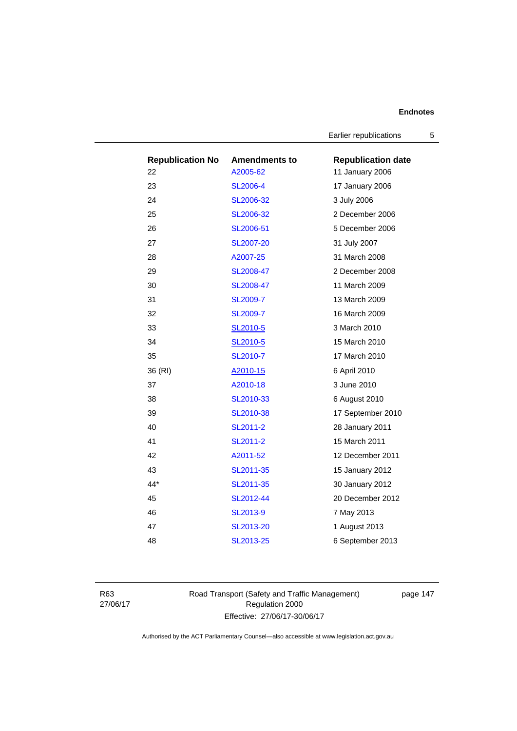Earlier republications 5

| <b>Republication No</b> | <b>Amendments to</b> | <b>Republication date</b> |
|-------------------------|----------------------|---------------------------|
| 22                      | A2005-62             | 11 January 2006           |
| 23                      | <b>SL2006-4</b>      | 17 January 2006           |
| 24                      | SL2006-32            | 3 July 2006               |
| 25                      | SL2006-32            | 2 December 2006           |
| 26                      | SL2006-51            | 5 December 2006           |
| 27                      | <b>SL2007-20</b>     | 31 July 2007              |
| 28                      | A2007-25             | 31 March 2008             |
| 29                      | SL2008-47            | 2 December 2008           |
| 30                      | SL2008-47            | 11 March 2009             |
| 31                      | <b>SL2009-7</b>      | 13 March 2009             |
| 32                      | <b>SL2009-7</b>      | 16 March 2009             |
| 33                      | SL2010-5             | 3 March 2010              |
| 34                      | SL2010-5             | 15 March 2010             |
| 35                      | SL2010-7             | 17 March 2010             |
| 36 (RI)                 | A2010-15             | 6 April 2010              |
| 37                      | A2010-18             | 3 June 2010               |
| 38                      | SL2010-33            | 6 August 2010             |
| 39                      | SL2010-38            | 17 September 2010         |
| 40                      | SL2011-2             | 28 January 2011           |
| 41                      | SL2011-2             | 15 March 2011             |
| 42                      | A2011-52             | 12 December 2011          |
| 43                      | SL2011-35            | 15 January 2012           |
| 44*                     | SL2011-35            | 30 January 2012           |
| 45                      | SL2012-44            | 20 December 2012          |
| 46                      | SL2013-9             | 7 May 2013                |
| 47                      | SL2013-20            | 1 August 2013             |
| 48                      | SL2013-25            | 6 September 2013          |

R63 27/06/17 Road Transport (Safety and Traffic Management) Regulation 2000 Effective: 27/06/17-30/06/17

page 147